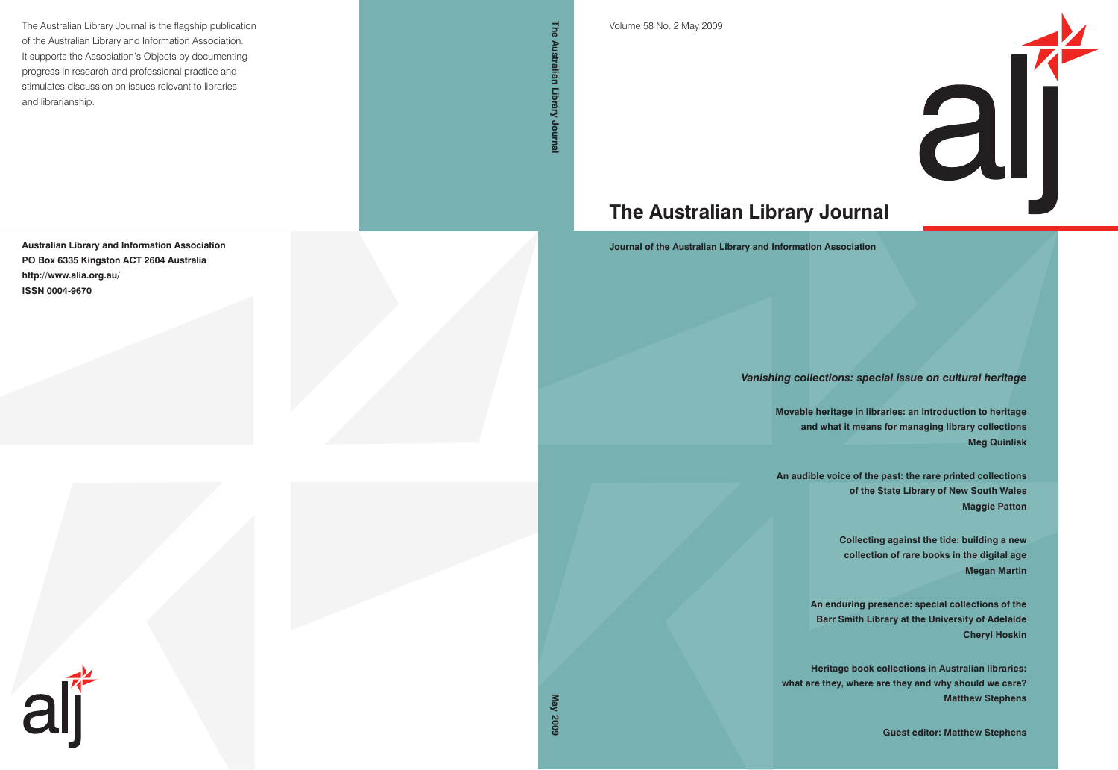

## **The Australian Library Journal**

**Journal of the Australian Library and Information Association**

#### *Vanishing collections: special issue on cultural heritage*

**Movable heritage in libraries: an introduction to heritage and what it means for managing library collections Meg Quinlisk**

**An audible voice of the past: the rare printed collections of the State Library of New South Wales Maggie Patton**

> **Collecting against the tide: building a new collection of rare books in the digital age Megan Martin**

**An enduring presence: special collections of the Barr Smith Library at the University of Adelaide Cheryl Hoskin**

**Heritage book collections in Australian libraries: what are they, where are they and why should we care? Matthew Stephens**

**Guest editor: Matthew Stephens**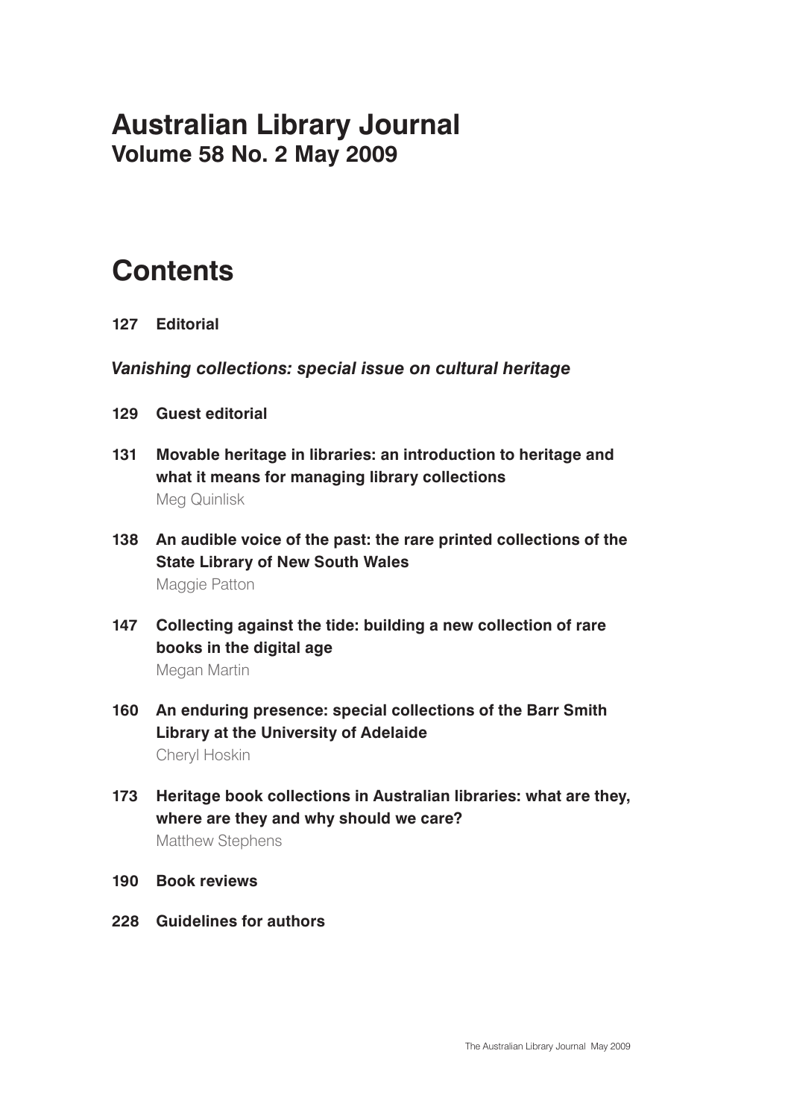### **Australian Library Journal Volume 58 No. 2 May 2009**

## **Contents**

- **127 Editorial**
- *Vanishing collections: special issue on cultural heritage*
- **129 Guest editorial**
- **131 Movable heritage in libraries: an introduction to heritage and what it means for managing library collections** Meg Quinlisk
- **138 An audible voice of the past: the rare printed collections of the State Library of New South Wales** Maggie Patton
- **147 Collecting against the tide: building a new collection of rare books in the digital age** Megan Martin
- **160 An enduring presence: special collections of the Barr Smith Library at the University of Adelaide** Cheryl Hoskin
- **173 Heritage book collections in Australian libraries: what are they, where are they and why should we care?** Matthew Stephens
- **190 Book reviews**
- **228 Guidelines for authors**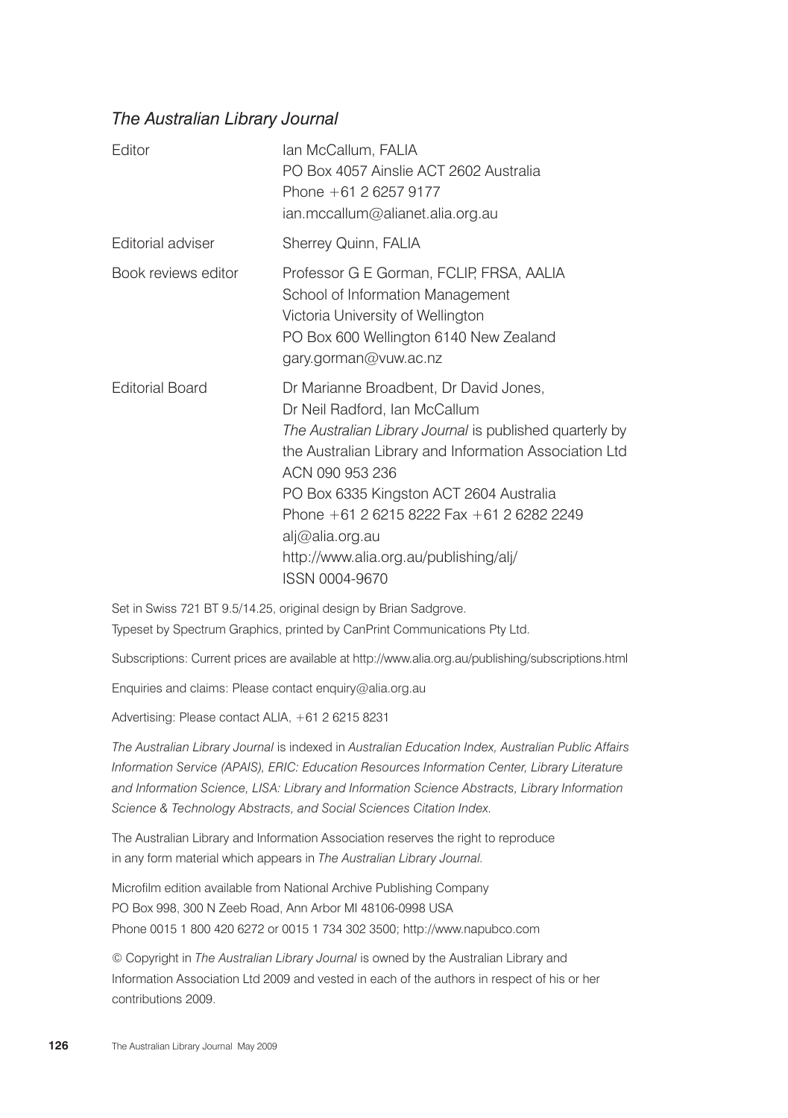#### *The Australian Library Journal*

| Editor                 | Ian McCallum, FALIA<br>PO Box 4057 Ainslie ACT 2602 Australia<br>Phone $+61$ 2 6257 9177<br>ian.mccallum@alianet.alia.org.au                                                                                                                                                                                                                                                                |
|------------------------|---------------------------------------------------------------------------------------------------------------------------------------------------------------------------------------------------------------------------------------------------------------------------------------------------------------------------------------------------------------------------------------------|
| Editorial adviser      | Sherrey Quinn, FALIA                                                                                                                                                                                                                                                                                                                                                                        |
| Book reviews editor    | Professor G E Gorman, FCLIP, FRSA, AALIA<br>School of Information Management<br>Victoria University of Wellington<br>PO Box 600 Wellington 6140 New Zealand<br>gary.gorman@vuw.ac.nz                                                                                                                                                                                                        |
| <b>Editorial Board</b> | Dr Marianne Broadbent, Dr David Jones,<br>Dr Neil Radford, Ian McCallum<br>The Australian Library Journal is published quarterly by<br>the Australian Library and Information Association Ltd<br>ACN 090 953 236<br>PO Box 6335 Kingston ACT 2604 Australia<br>Phone $+61$ 2 6215 8222 Fax $+61$ 2 6282 2249<br>alj@alia.org.au<br>http://www.alia.org.au/publishing/alj/<br>ISSN 0004-9670 |

Set in Swiss 721 BT 9.5/14.25, original design by Brian Sadgrove.

Typeset by Spectrum Graphics, printed by CanPrint Communications Pty Ltd.

Subscriptions: Current prices are available at http://www.alia.org.au/publishing/subscriptions.html

Enquiries and claims: Please contact enquiry@alia.org.au

Advertising: Please contact ALIA, +61 2 6215 8231

*The Australian Library Journal* is indexed in *Australian Education Index, Australian Public Affairs Information Service (APAIS), ERIC: Education Resources Information Center, Library Literature and Information Science, LISA: Library and Information Science Abstracts, Library Information Science & Technology Abstracts, and Social Sciences Citation Index.*

The Australian Library and Information Association reserves the right to reproduce in any form material which appears in *The Australian Library Journal*.

Microfilm edition available from National Archive Publishing Company PO Box 998, 300 N Zeeb Road, Ann Arbor MI 48106-0998 USA Phone 0015 1 800 420 6272 or 0015 1 734 302 3500; http://www.napubco.com

© Copyright in *The Australian Library Journal* is owned by the Australian Library and Information Association Ltd 2009 and vested in each of the authors in respect of his or her contributions 2009.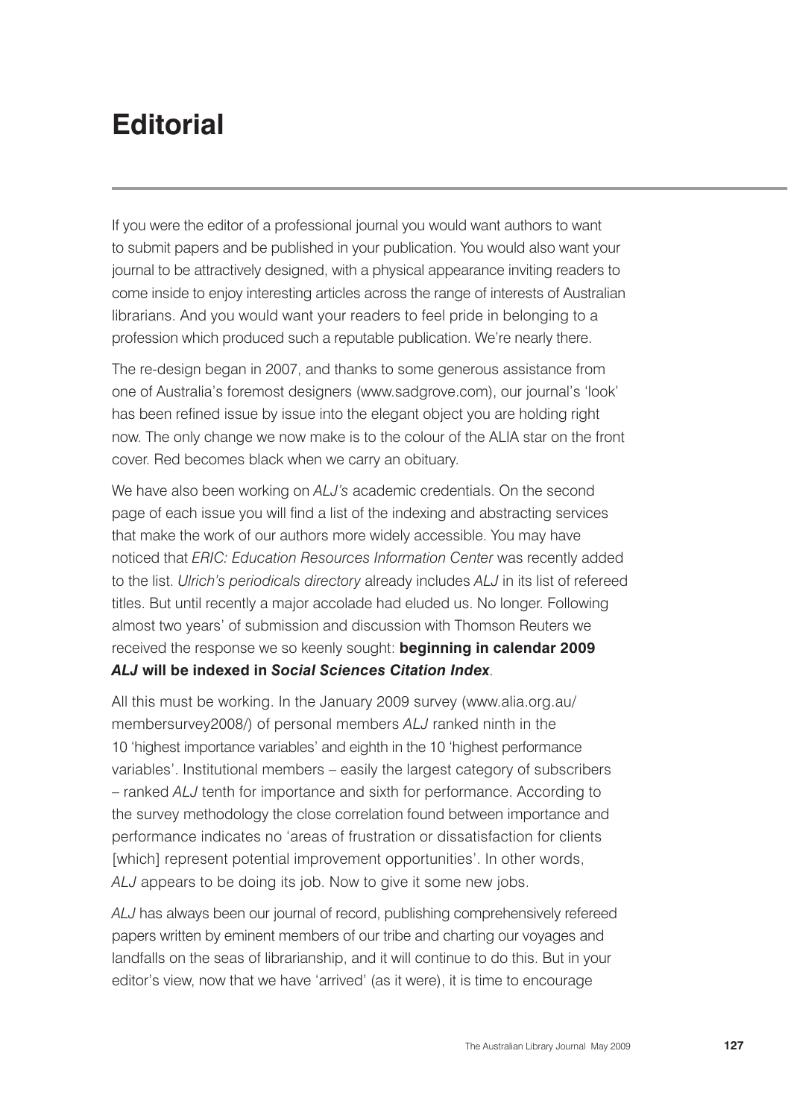# **Editorial**

If you were the editor of a professional journal you would want authors to want to submit papers and be published in your publication. You would also want your journal to be attractively designed, with a physical appearance inviting readers to come inside to enjoy interesting articles across the range of interests of Australian librarians. And you would want your readers to feel pride in belonging to a profession which produced such a reputable publication. We're nearly there.

The re-design began in 2007, and thanks to some generous assistance from one of Australia's foremost designers (www.sadgrove.com), our journal's 'look' has been refined issue by issue into the elegant object you are holding right now. The only change we now make is to the colour of the ALIA star on the front cover. Red becomes black when we carry an obituary.

We have also been working on *ALJ's* academic credentials. On the second page of each issue you will find a list of the indexing and abstracting services that make the work of our authors more widely accessible. You may have noticed that *ERIC: Education Resources Information Center* was recently added to the list. *Ulrich's periodicals directory* already includes *ALJ* in its list of refereed titles. But until recently a major accolade had eluded us. No longer. Following almost two years' of submission and discussion with Thomson Reuters we received the response we so keenly sought: **beginning in calendar 2009**  *ALJ* **will be indexed in** *Social Sciences Citation Index*.

All this must be working. In the January 2009 survey (www.alia.org.au/ membersurvey2008/) of personal members *ALJ* ranked ninth in the 10 'highest importance variables' and eighth in the 10 'highest performance variables'. Institutional members – easily the largest category of subscribers – ranked *ALJ* tenth for importance and sixth for performance. According to the survey methodology the close correlation found between importance and performance indicates no 'areas of frustration or dissatisfaction for clients [which] represent potential improvement opportunities'. In other words, *ALJ* appears to be doing its job. Now to give it some new jobs.

*ALJ* has always been our journal of record, publishing comprehensively refereed papers written by eminent members of our tribe and charting our voyages and landfalls on the seas of librarianship, and it will continue to do this. But in your editor's view, now that we have 'arrived' (as it were), it is time to encourage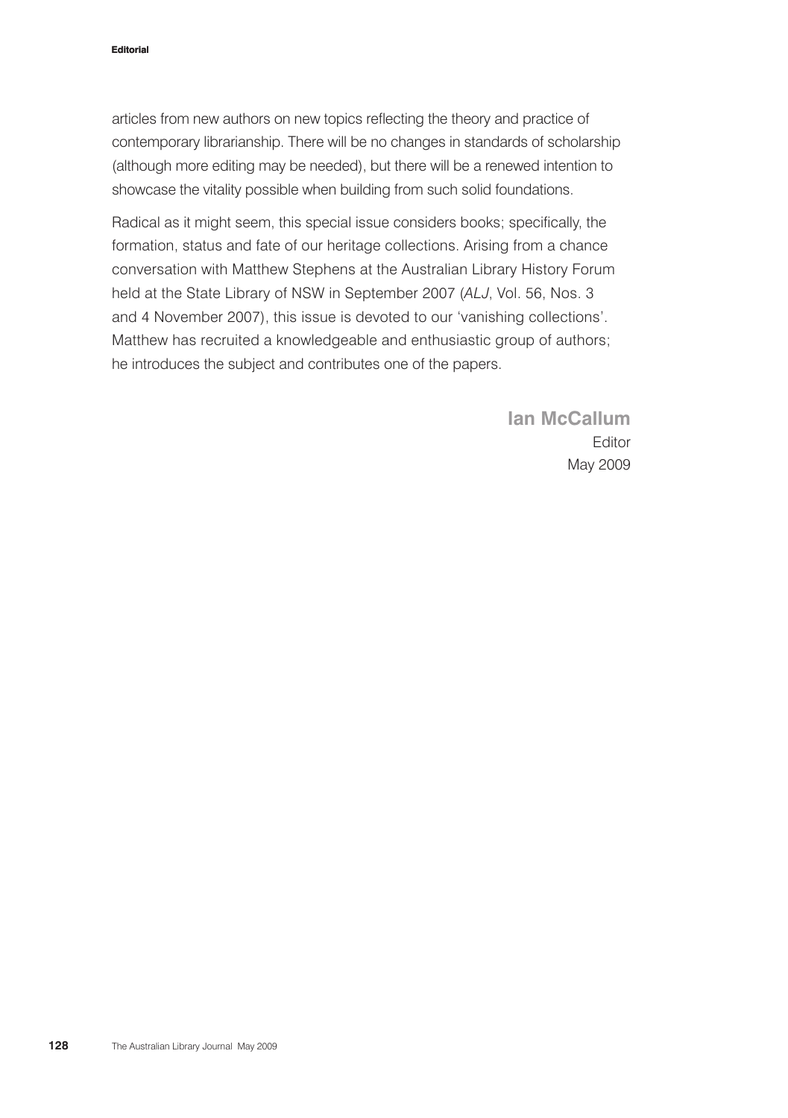articles from new authors on new topics reflecting the theory and practice of contemporary librarianship. There will be no changes in standards of scholarship (although more editing may be needed), but there will be a renewed intention to showcase the vitality possible when building from such solid foundations.

Radical as it might seem, this special issue considers books; specifically, the formation, status and fate of our heritage collections. Arising from a chance conversation with Matthew Stephens at the Australian Library History Forum held at the State Library of NSW in September 2007 (*ALJ*, Vol. 56, Nos. 3 and 4 November 2007), this issue is devoted to our 'vanishing collections'. Matthew has recruited a knowledgeable and enthusiastic group of authors; he introduces the subject and contributes one of the papers.

> **Ian McCallum** Editor May 2009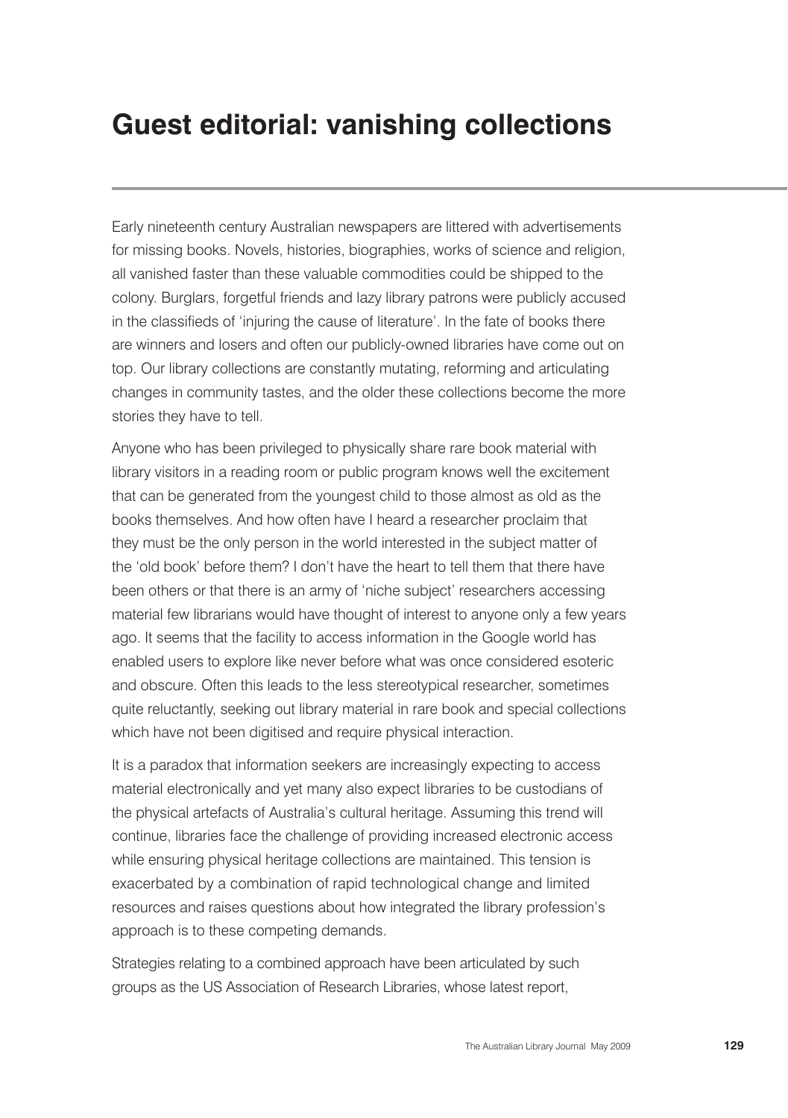# **Guest editorial: vanishing collections**

Early nineteenth century Australian newspapers are littered with advertisements for missing books. Novels, histories, biographies, works of science and religion, all vanished faster than these valuable commodities could be shipped to the colony. Burglars, forgetful friends and lazy library patrons were publicly accused in the classifieds of 'injuring the cause of literature'. In the fate of books there are winners and losers and often our publicly-owned libraries have come out on top. Our library collections are constantly mutating, reforming and articulating changes in community tastes, and the older these collections become the more stories they have to tell.

Anyone who has been privileged to physically share rare book material with library visitors in a reading room or public program knows well the excitement that can be generated from the youngest child to those almost as old as the books themselves. And how often have I heard a researcher proclaim that they must be the only person in the world interested in the subject matter of the 'old book' before them? I don't have the heart to tell them that there have been others or that there is an army of 'niche subject' researchers accessing material few librarians would have thought of interest to anyone only a few years ago. It seems that the facility to access information in the Google world has enabled users to explore like never before what was once considered esoteric and obscure. Often this leads to the less stereotypical researcher, sometimes quite reluctantly, seeking out library material in rare book and special collections which have not been digitised and require physical interaction.

It is a paradox that information seekers are increasingly expecting to access material electronically and yet many also expect libraries to be custodians of the physical artefacts of Australia's cultural heritage. Assuming this trend will continue, libraries face the challenge of providing increased electronic access while ensuring physical heritage collections are maintained. This tension is exacerbated by a combination of rapid technological change and limited resources and raises questions about how integrated the library profession's approach is to these competing demands.

Strategies relating to a combined approach have been articulated by such groups as the US Association of Research Libraries, whose latest report,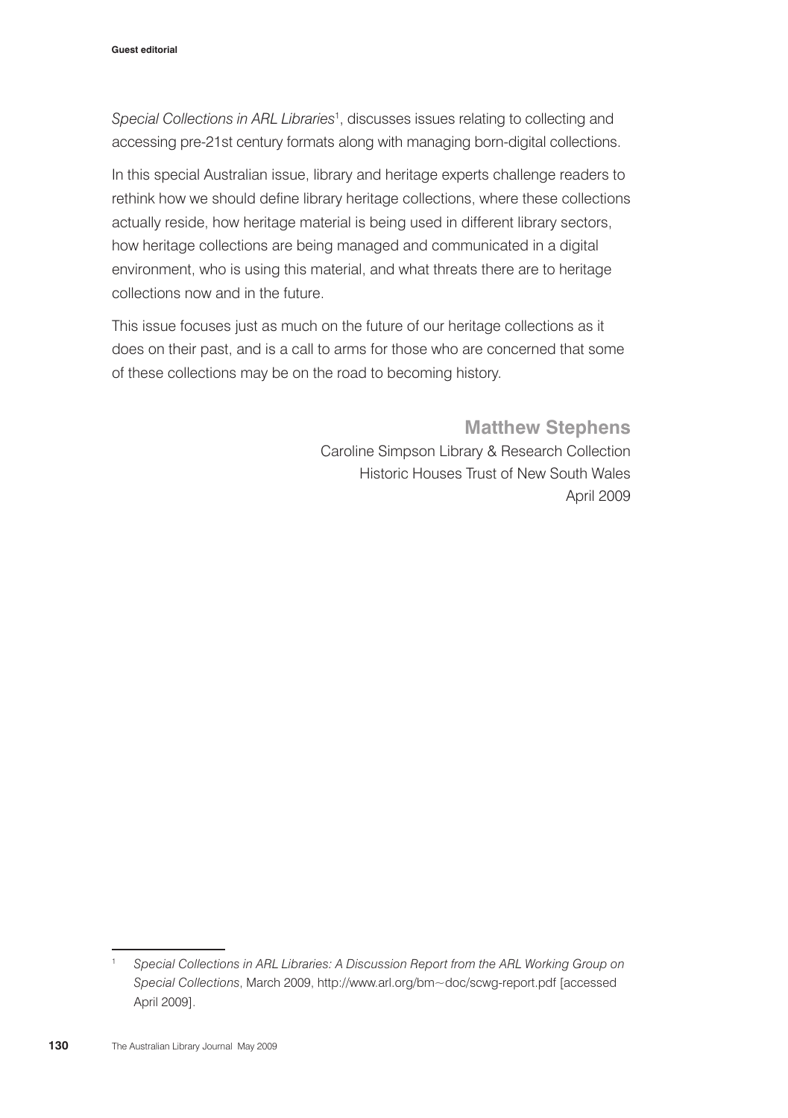Special Collections in ARL Libraries<sup>1</sup>, discusses issues relating to collecting and accessing pre-21st century formats along with managing born-digital collections.

In this special Australian issue, library and heritage experts challenge readers to rethink how we should define library heritage collections, where these collections actually reside, how heritage material is being used in different library sectors, how heritage collections are being managed and communicated in a digital environment, who is using this material, and what threats there are to heritage collections now and in the future.

This issue focuses just as much on the future of our heritage collections as it does on their past, and is a call to arms for those who are concerned that some of these collections may be on the road to becoming history.

> **Matthew Stephens** Caroline Simpson Library & Research Collection Historic Houses Trust of New South Wales April 2009

<sup>1</sup> *Special Collections in ARL Libraries: A Discussion Report from the ARL Working Group on Special Collections*, March 2009, http://www.arl.org/bm~doc/scwg-report.pdf [accessed April 2009].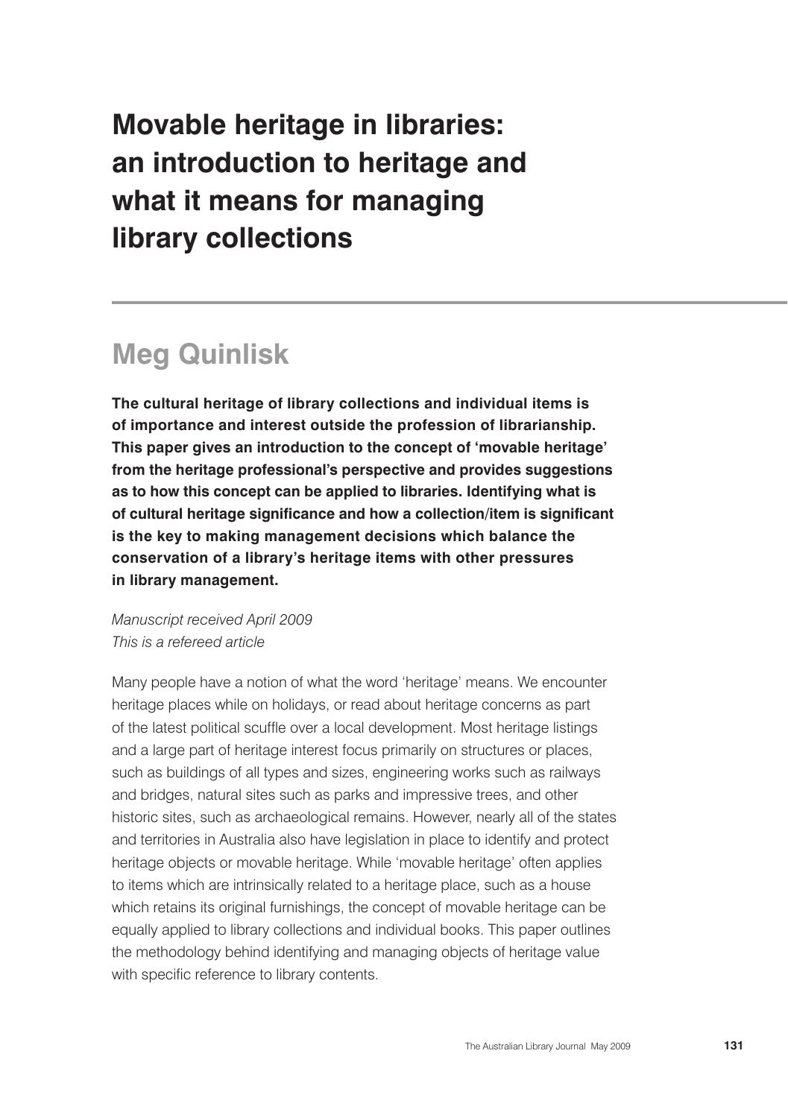# **Movable heritage in libraries: an introduction to heritage and what it means for managing library collections**

# **Meg Quinlisk**

**The cultural heritage of library collections and individual items is of importance and interest outside the profession of librarianship. This paper gives an introduction to the concept of 'movable heritage' from the heritage professional's perspective and provides suggestions as to how this concept can be applied to libraries. Identifying what is of cultural heritage significance and how a collection/item is significant is the key to making management decisions which balance the conservation of a library's heritage items with other pressures in library management.**

*Manuscript received April 2009 This is a refereed article*

Many people have a notion of what the word 'heritage' means. We encounter heritage places while on holidays, or read about heritage concerns as part of the latest political scuffle over a local development. Most heritage listings and a large part of heritage interest focus primarily on structures or places, such as buildings of all types and sizes, engineering works such as railways and bridges, natural sites such as parks and impressive trees, and other historic sites, such as archaeological remains. However, nearly all of the states and territories in Australia also have legislation in place to identify and protect heritage objects or movable heritage. While 'movable heritage' often applies to items which are intrinsically related to a heritage place, such as a house which retains its original furnishings, the concept of movable heritage can be equally applied to library collections and individual books. This paper outlines the methodology behind identifying and managing objects of heritage value with specific reference to library contents.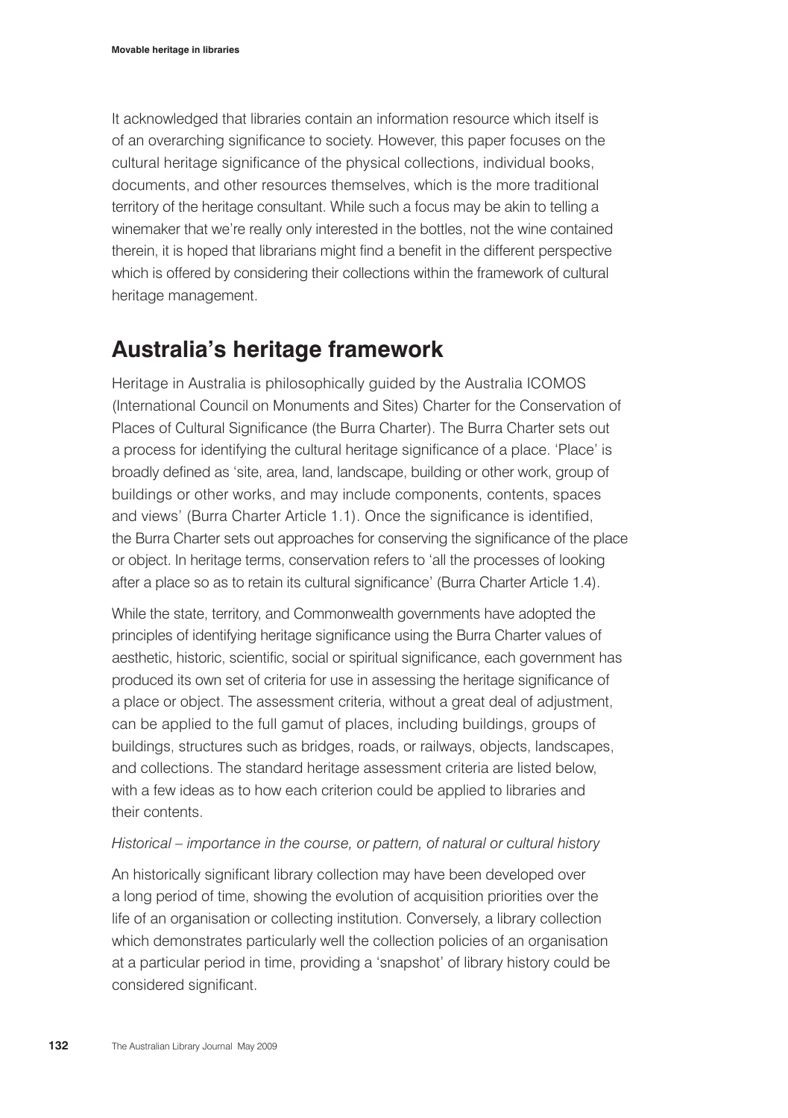It acknowledged that libraries contain an information resource which itself is of an overarching significance to society. However, this paper focuses on the cultural heritage significance of the physical collections, individual books, documents, and other resources themselves, which is the more traditional territory of the heritage consultant. While such a focus may be akin to telling a winemaker that we're really only interested in the bottles, not the wine contained therein, it is hoped that librarians might find a benefit in the different perspective which is offered by considering their collections within the framework of cultural heritage management.

#### **Australia's heritage framework**

Heritage in Australia is philosophically guided by the Australia ICOMOS (International Council on Monuments and Sites) Charter for the Conservation of Places of Cultural Significance (the Burra Charter). The Burra Charter sets out a process for identifying the cultural heritage significance of a place. 'Place' is broadly defined as 'site, area, land, landscape, building or other work, group of buildings or other works, and may include components, contents, spaces and views' (Burra Charter Article 1.1). Once the significance is identified, the Burra Charter sets out approaches for conserving the significance of the place or object. In heritage terms, conservation refers to 'all the processes of looking after a place so as to retain its cultural significance' (Burra Charter Article 1.4).

While the state, territory, and Commonwealth governments have adopted the principles of identifying heritage significance using the Burra Charter values of aesthetic, historic, scientific, social or spiritual significance, each government has produced its own set of criteria for use in assessing the heritage significance of a place or object. The assessment criteria, without a great deal of adjustment, can be applied to the full gamut of places, including buildings, groups of buildings, structures such as bridges, roads, or railways, objects, landscapes, and collections. The standard heritage assessment criteria are listed below, with a few ideas as to how each criterion could be applied to libraries and their contents.

#### *Historical – importance in the course, or pattern, of natural or cultural history*

An historically significant library collection may have been developed over a long period of time, showing the evolution of acquisition priorities over the life of an organisation or collecting institution. Conversely, a library collection which demonstrates particularly well the collection policies of an organisation at a particular period in time, providing a 'snapshot' of library history could be considered significant.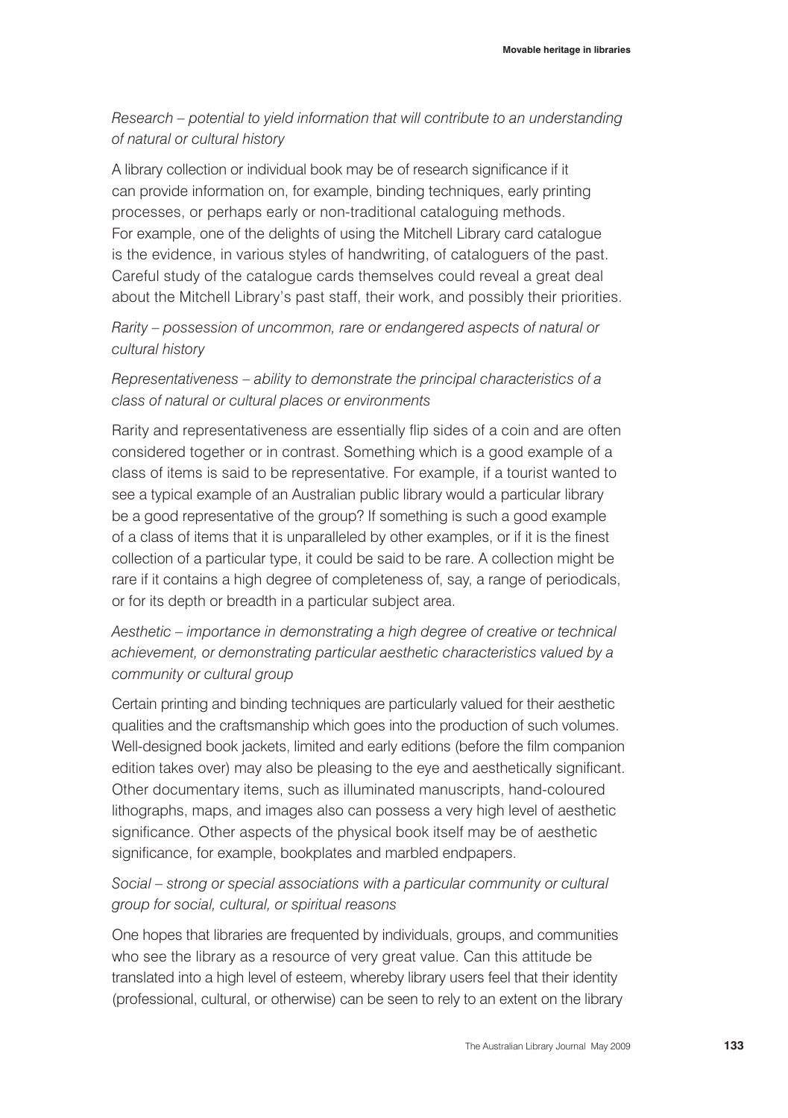#### *Research – potential to yield information that will contribute to an understanding of natural or cultural history*

A library collection or individual book may be of research significance if it can provide information on, for example, binding techniques, early printing processes, or perhaps early or non-traditional cataloguing methods. For example, one of the delights of using the Mitchell Library card catalogue is the evidence, in various styles of handwriting, of cataloguers of the past. Careful study of the catalogue cards themselves could reveal a great deal about the Mitchell Library's past staff, their work, and possibly their priorities.

*Rarity – possession of uncommon, rare or endangered aspects of natural or cultural history*

#### *Representativeness – ability to demonstrate the principal characteristics of a class of natural or cultural places or environments*

Rarity and representativeness are essentially flip sides of a coin and are often considered together or in contrast. Something which is a good example of a class of items is said to be representative. For example, if a tourist wanted to see a typical example of an Australian public library would a particular library be a good representative of the group? If something is such a good example of a class of items that it is unparalleled by other examples, or if it is the finest collection of a particular type, it could be said to be rare. A collection might be rare if it contains a high degree of completeness of, say, a range of periodicals, or for its depth or breadth in a particular subject area.

*Aesthetic – importance in demonstrating a high degree of creative or technical achievement, or demonstrating particular aesthetic characteristics valued by a community or cultural group*

Certain printing and binding techniques are particularly valued for their aesthetic qualities and the craftsmanship which goes into the production of such volumes. Well-designed book jackets, limited and early editions (before the film companion edition takes over) may also be pleasing to the eye and aesthetically significant. Other documentary items, such as illuminated manuscripts, hand-coloured lithographs, maps, and images also can possess a very high level of aesthetic significance. Other aspects of the physical book itself may be of aesthetic significance, for example, bookplates and marbled endpapers.

#### *Social – strong or special associations with a particular community or cultural group for social, cultural, or spiritual reasons*

One hopes that libraries are frequented by individuals, groups, and communities who see the library as a resource of very great value. Can this attitude be translated into a high level of esteem, whereby library users feel that their identity (professional, cultural, or otherwise) can be seen to rely to an extent on the library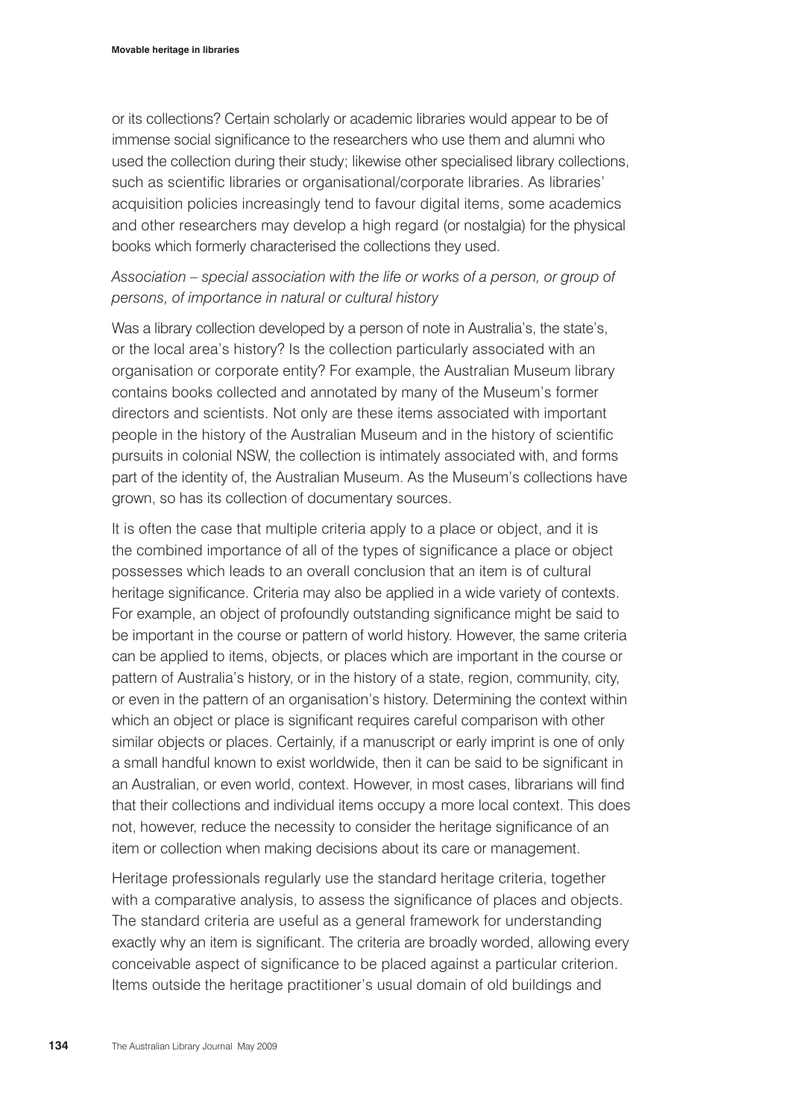or its collections? Certain scholarly or academic libraries would appear to be of immense social significance to the researchers who use them and alumni who used the collection during their study; likewise other specialised library collections, such as scientific libraries or organisational/corporate libraries. As libraries' acquisition policies increasingly tend to favour digital items, some academics and other researchers may develop a high regard (or nostalgia) for the physical books which formerly characterised the collections they used.

#### *Association – special association with the life or works of a person, or group of persons, of importance in natural or cultural history*

Was a library collection developed by a person of note in Australia's, the state's, or the local area's history? Is the collection particularly associated with an organisation or corporate entity? For example, the Australian Museum library contains books collected and annotated by many of the Museum's former directors and scientists. Not only are these items associated with important people in the history of the Australian Museum and in the history of scientific pursuits in colonial NSW, the collection is intimately associated with, and forms part of the identity of, the Australian Museum. As the Museum's collections have grown, so has its collection of documentary sources.

It is often the case that multiple criteria apply to a place or object, and it is the combined importance of all of the types of significance a place or object possesses which leads to an overall conclusion that an item is of cultural heritage significance. Criteria may also be applied in a wide variety of contexts. For example, an object of profoundly outstanding significance might be said to be important in the course or pattern of world history. However, the same criteria can be applied to items, objects, or places which are important in the course or pattern of Australia's history, or in the history of a state, region, community, city, or even in the pattern of an organisation's history. Determining the context within which an object or place is significant requires careful comparison with other similar objects or places. Certainly, if a manuscript or early imprint is one of only a small handful known to exist worldwide, then it can be said to be significant in an Australian, or even world, context. However, in most cases, librarians will find that their collections and individual items occupy a more local context. This does not, however, reduce the necessity to consider the heritage significance of an item or collection when making decisions about its care or management.

Heritage professionals regularly use the standard heritage criteria, together with a comparative analysis, to assess the significance of places and objects. The standard criteria are useful as a general framework for understanding exactly why an item is significant. The criteria are broadly worded, allowing every conceivable aspect of significance to be placed against a particular criterion. Items outside the heritage practitioner's usual domain of old buildings and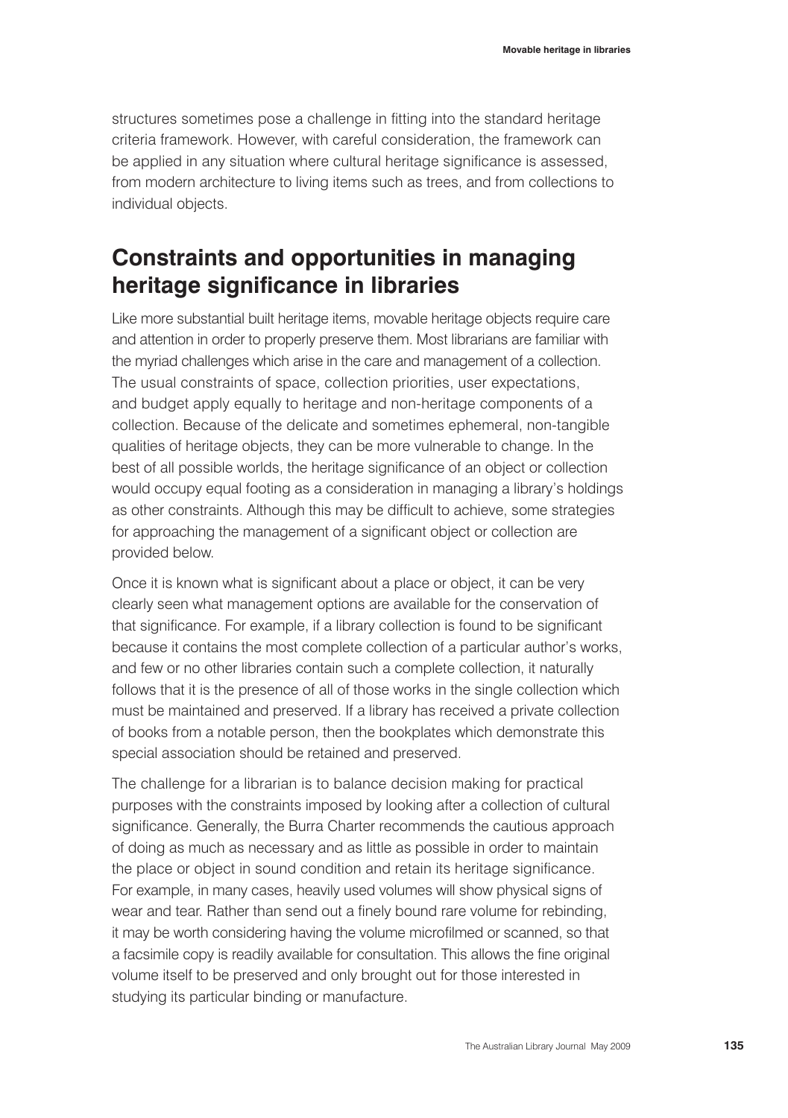structures sometimes pose a challenge in fitting into the standard heritage criteria framework. However, with careful consideration, the framework can be applied in any situation where cultural heritage significance is assessed, from modern architecture to living items such as trees, and from collections to individual objects.

#### **Constraints and opportunities in managing heritage significance in libraries**

Like more substantial built heritage items, movable heritage objects require care and attention in order to properly preserve them. Most librarians are familiar with the myriad challenges which arise in the care and management of a collection. The usual constraints of space, collection priorities, user expectations, and budget apply equally to heritage and non-heritage components of a collection. Because of the delicate and sometimes ephemeral, non-tangible qualities of heritage objects, they can be more vulnerable to change. In the best of all possible worlds, the heritage significance of an object or collection would occupy equal footing as a consideration in managing a library's holdings as other constraints. Although this may be difficult to achieve, some strategies for approaching the management of a significant object or collection are provided below.

Once it is known what is significant about a place or object, it can be very clearly seen what management options are available for the conservation of that significance. For example, if a library collection is found to be significant because it contains the most complete collection of a particular author's works, and few or no other libraries contain such a complete collection, it naturally follows that it is the presence of all of those works in the single collection which must be maintained and preserved. If a library has received a private collection of books from a notable person, then the bookplates which demonstrate this special association should be retained and preserved.

The challenge for a librarian is to balance decision making for practical purposes with the constraints imposed by looking after a collection of cultural significance. Generally, the Burra Charter recommends the cautious approach of doing as much as necessary and as little as possible in order to maintain the place or object in sound condition and retain its heritage significance. For example, in many cases, heavily used volumes will show physical signs of wear and tear. Rather than send out a finely bound rare volume for rebinding, it may be worth considering having the volume microfilmed or scanned, so that a facsimile copy is readily available for consultation. This allows the fine original volume itself to be preserved and only brought out for those interested in studying its particular binding or manufacture.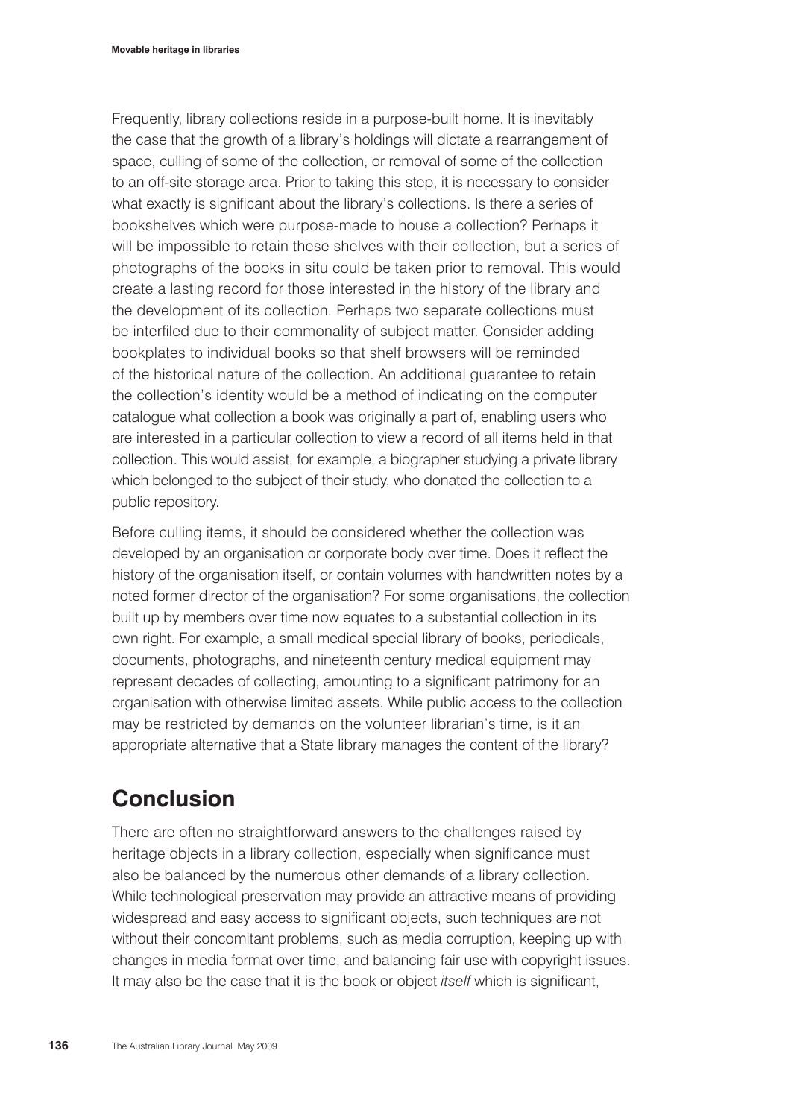Frequently, library collections reside in a purpose-built home. It is inevitably the case that the growth of a library's holdings will dictate a rearrangement of space, culling of some of the collection, or removal of some of the collection to an off-site storage area. Prior to taking this step, it is necessary to consider what exactly is significant about the library's collections. Is there a series of bookshelves which were purpose-made to house a collection? Perhaps it will be impossible to retain these shelves with their collection, but a series of photographs of the books in situ could be taken prior to removal. This would create a lasting record for those interested in the history of the library and the development of its collection. Perhaps two separate collections must be interfiled due to their commonality of subject matter. Consider adding bookplates to individual books so that shelf browsers will be reminded of the historical nature of the collection. An additional guarantee to retain the collection's identity would be a method of indicating on the computer catalogue what collection a book was originally a part of, enabling users who are interested in a particular collection to view a record of all items held in that collection. This would assist, for example, a biographer studying a private library which belonged to the subject of their study, who donated the collection to a public repository.

Before culling items, it should be considered whether the collection was developed by an organisation or corporate body over time. Does it reflect the history of the organisation itself, or contain volumes with handwritten notes by a noted former director of the organisation? For some organisations, the collection built up by members over time now equates to a substantial collection in its own right. For example, a small medical special library of books, periodicals, documents, photographs, and nineteenth century medical equipment may represent decades of collecting, amounting to a significant patrimony for an organisation with otherwise limited assets. While public access to the collection may be restricted by demands on the volunteer librarian's time, is it an appropriate alternative that a State library manages the content of the library?

### **Conclusion**

There are often no straightforward answers to the challenges raised by heritage objects in a library collection, especially when significance must also be balanced by the numerous other demands of a library collection. While technological preservation may provide an attractive means of providing widespread and easy access to significant objects, such techniques are not without their concomitant problems, such as media corruption, keeping up with changes in media format over time, and balancing fair use with copyright issues. It may also be the case that it is the book or object *itself* which is significant,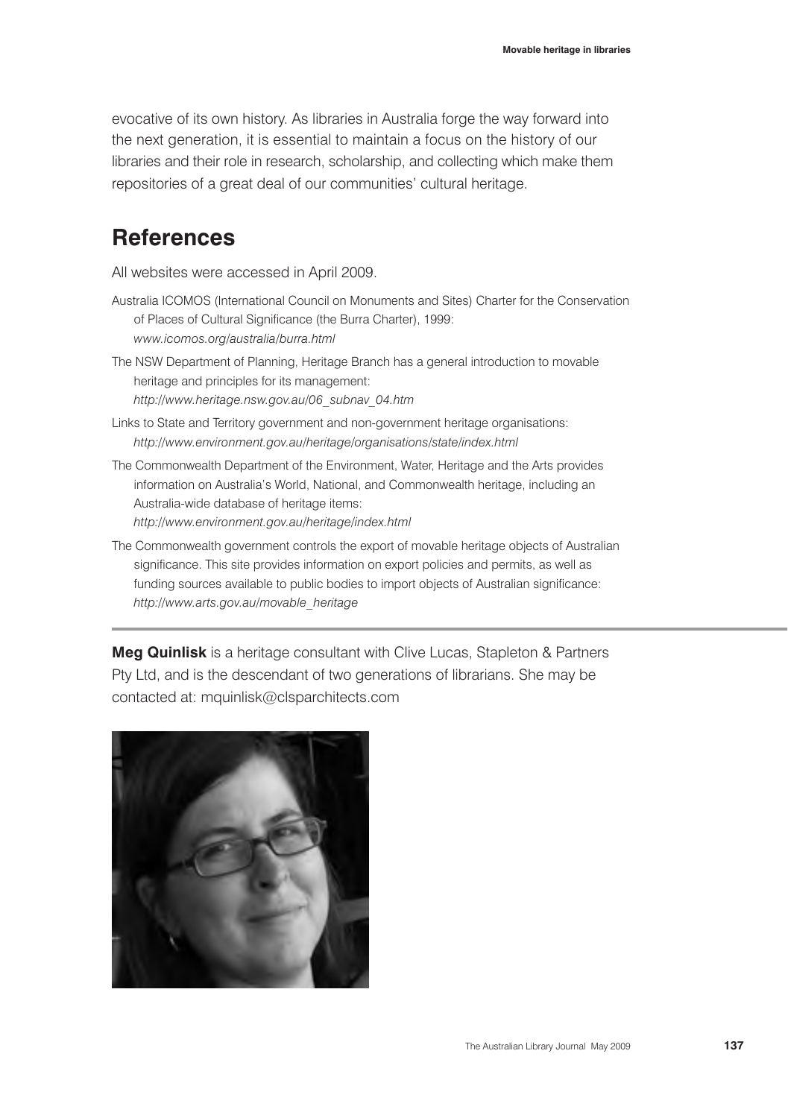evocative of its own history. As libraries in Australia forge the way forward into the next generation, it is essential to maintain a focus on the history of our libraries and their role in research, scholarship, and collecting which make them repositories of a great deal of our communities' cultural heritage.

#### **References**

All websites were accessed in April 2009.

- Australia ICOMOS (International Council on Monuments and Sites) Charter for the Conservation of Places of Cultural Significance (the Burra Charter), 1999: *www.icomos.org/australia/burra.html*
- The NSW Department of Planning, Heritage Branch has a general introduction to movable heritage and principles for its management: *http://www.heritage.nsw.gov.au/06\_subnav\_04.htm*
- Links to State and Territory government and non-government heritage organisations: *http://www.environment.gov.au/heritage/organisations/state/index.html*
- The Commonwealth Department of the Environment, Water, Heritage and the Arts provides information on Australia's World, National, and Commonwealth heritage, including an Australia-wide database of heritage items: *http://www.environment.gov.au/heritage/index.html*
- The Commonwealth government controls the export of movable heritage objects of Australian significance. This site provides information on export policies and permits, as well as funding sources available to public bodies to import objects of Australian significance: *http://www.arts.gov.au/movable\_heritage*

**Meg Quinlisk** is a heritage consultant with Clive Lucas, Stapleton & Partners Pty Ltd, and is the descendant of two generations of librarians. She may be contacted at: mquinlisk@clsparchitects.com

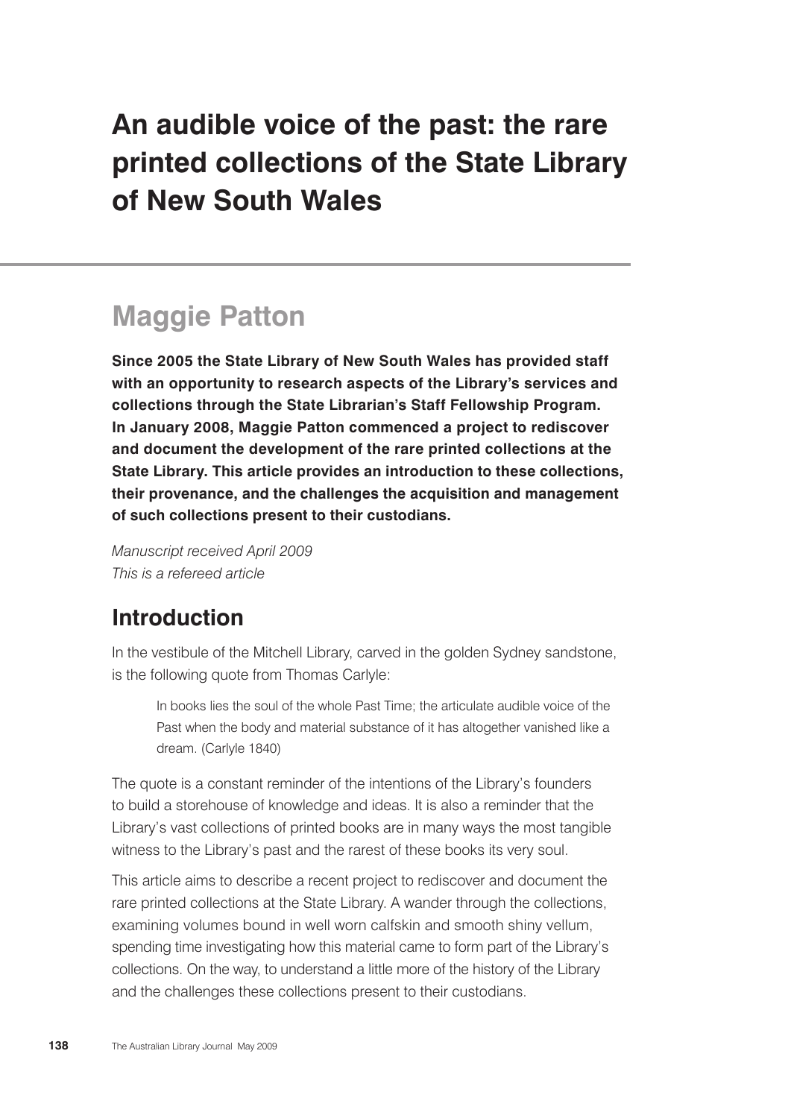**An audible voice of the past: the rare printed collections of the State Library of New South Wales**

# **Maggie Patton**

**Since 2005 the State Library of New South Wales has provided staff with an opportunity to research aspects of the Library's services and collections through the State Librarian's Staff Fellowship Program. In January 2008, Maggie Patton commenced a project to rediscover and document the development of the rare printed collections at the State Library. This article provides an introduction to these collections, their provenance, and the challenges the acquisition and management of such collections present to their custodians.**

*Manuscript received April 2009 This is a refereed article*

#### **Introduction**

In the vestibule of the Mitchell Library, carved in the golden Sydney sandstone, is the following quote from Thomas Carlyle:

In books lies the soul of the whole Past Time; the articulate audible voice of the Past when the body and material substance of it has altogether vanished like a dream. (Carlyle 1840)

The quote is a constant reminder of the intentions of the Library's founders to build a storehouse of knowledge and ideas. It is also a reminder that the Library's vast collections of printed books are in many ways the most tangible witness to the Library's past and the rarest of these books its very soul.

This article aims to describe a recent project to rediscover and document the rare printed collections at the State Library. A wander through the collections, examining volumes bound in well worn calfskin and smooth shiny vellum, spending time investigating how this material came to form part of the Library's collections. On the way, to understand a little more of the history of the Library and the challenges these collections present to their custodians.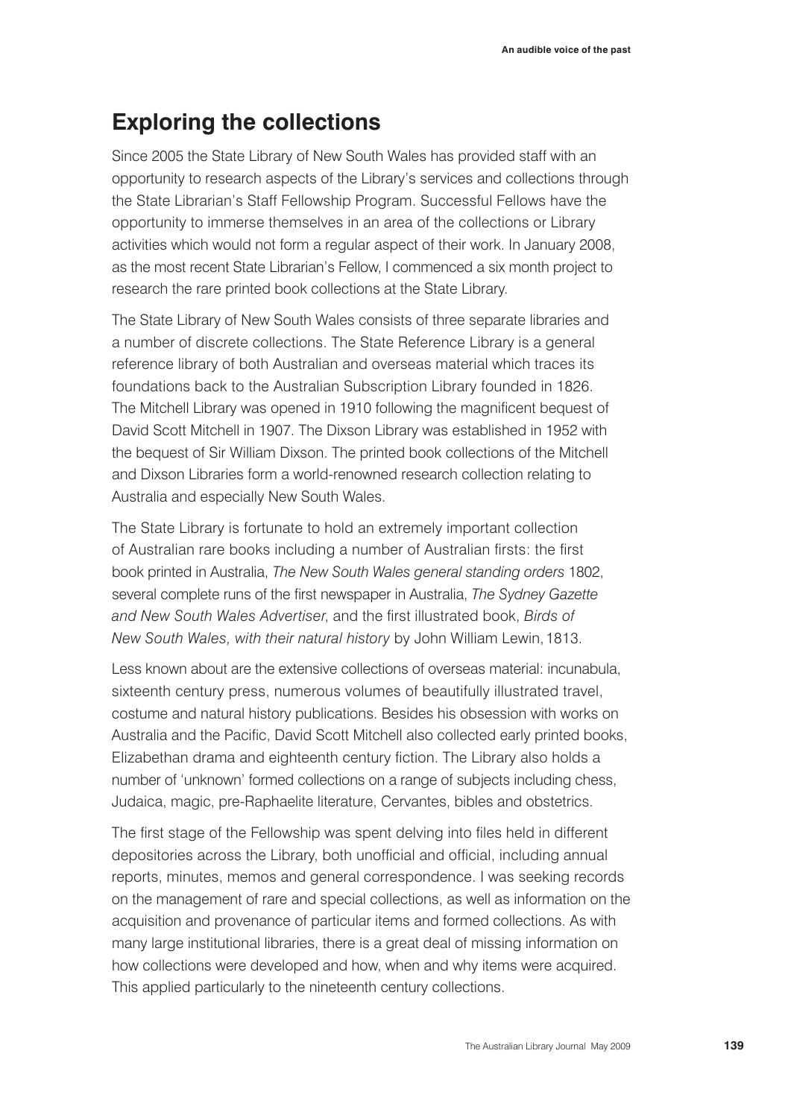### **Exploring the collections**

Since 2005 the State Library of New South Wales has provided staff with an opportunity to research aspects of the Library's services and collections through the State Librarian's Staff Fellowship Program. Successful Fellows have the opportunity to immerse themselves in an area of the collections or Library activities which would not form a regular aspect of their work. In January 2008, as the most recent State Librarian's Fellow, I commenced a six month project to research the rare printed book collections at the State Library.

The State Library of New South Wales consists of three separate libraries and a number of discrete collections. The State Reference Library is a general reference library of both Australian and overseas material which traces its foundations back to the Australian Subscription Library founded in 1826. The Mitchell Library was opened in 1910 following the magnificent bequest of David Scott Mitchell in 1907. The Dixson Library was established in 1952 with the bequest of Sir William Dixson. The printed book collections of the Mitchell and Dixson Libraries form a world-renowned research collection relating to Australia and especially New South Wales.

The State Library is fortunate to hold an extremely important collection of Australian rare books including a number of Australian firsts: the first book printed in Australia, *The New South Wales general standing orders* 1802, several complete runs of the first newspaper in Australia, *The Sydney Gazette and New South Wales Advertiser*, and the first illustrated book, *Birds of New South Wales, with their natural history* by John William Lewin, 1813.

Less known about are the extensive collections of overseas material: incunabula, sixteenth century press, numerous volumes of beautifully illustrated travel, costume and natural history publications. Besides his obsession with works on Australia and the Pacific, David Scott Mitchell also collected early printed books, Elizabethan drama and eighteenth century fiction. The Library also holds a number of 'unknown' formed collections on a range of subjects including chess, Judaica, magic, pre-Raphaelite literature, Cervantes, bibles and obstetrics.

The first stage of the Fellowship was spent delving into files held in different depositories across the Library, both unofficial and official, including annual reports, minutes, memos and general correspondence. I was seeking records on the management of rare and special collections, as well as information on the acquisition and provenance of particular items and formed collections. As with many large institutional libraries, there is a great deal of missing information on how collections were developed and how, when and why items were acquired. This applied particularly to the nineteenth century collections.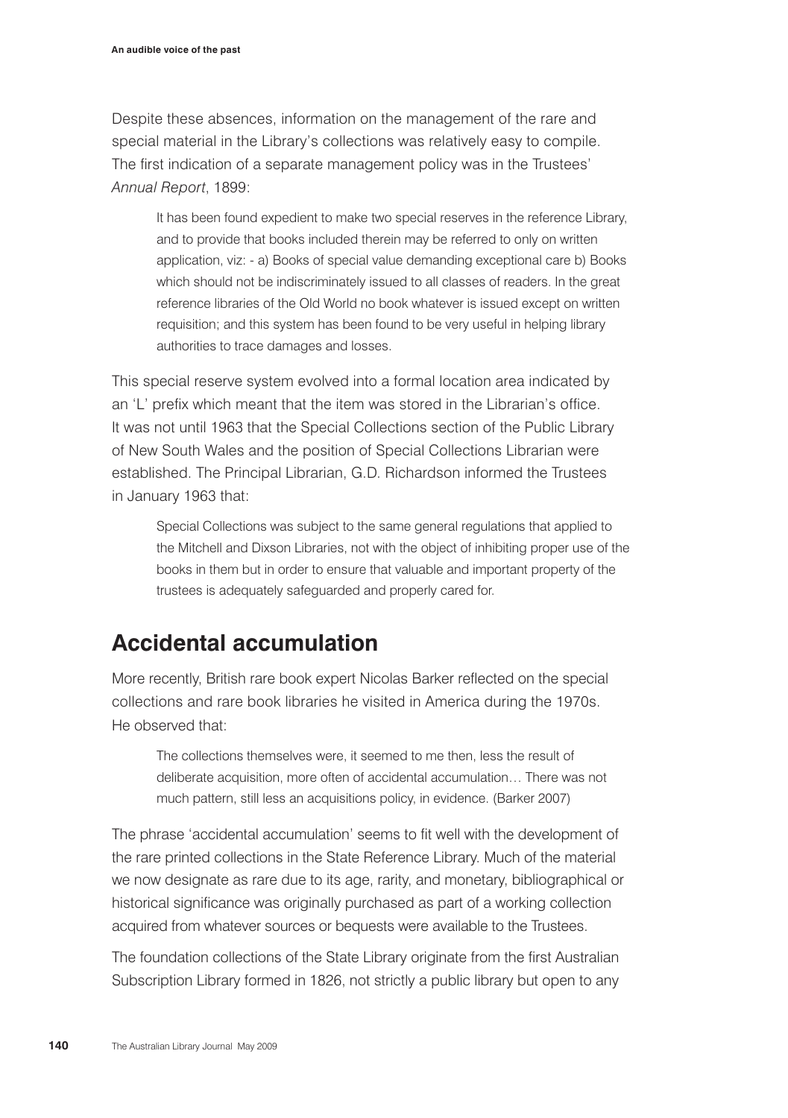Despite these absences, information on the management of the rare and special material in the Library's collections was relatively easy to compile. The first indication of a separate management policy was in the Trustees' *Annual Report*, 1899:

It has been found expedient to make two special reserves in the reference Library, and to provide that books included therein may be referred to only on written application, viz: - a) Books of special value demanding exceptional care b) Books which should not be indiscriminately issued to all classes of readers. In the great reference libraries of the Old World no book whatever is issued except on written requisition; and this system has been found to be very useful in helping library authorities to trace damages and losses.

This special reserve system evolved into a formal location area indicated by an 'L' prefix which meant that the item was stored in the Librarian's office. It was not until 1963 that the Special Collections section of the Public Library of New South Wales and the position of Special Collections Librarian were established. The Principal Librarian, G.D. Richardson informed the Trustees in January 1963 that:

Special Collections was subject to the same general regulations that applied to the Mitchell and Dixson Libraries, not with the object of inhibiting proper use of the books in them but in order to ensure that valuable and important property of the trustees is adequately safeguarded and properly cared for.

#### **Accidental accumulation**

More recently, British rare book expert Nicolas Barker reflected on the special collections and rare book libraries he visited in America during the 1970s. He observed that:

The collections themselves were, it seemed to me then, less the result of deliberate acquisition, more often of accidental accumulation… There was not much pattern, still less an acquisitions policy, in evidence. (Barker 2007)

The phrase 'accidental accumulation' seems to fit well with the development of the rare printed collections in the State Reference Library. Much of the material we now designate as rare due to its age, rarity, and monetary, bibliographical or historical significance was originally purchased as part of a working collection acquired from whatever sources or bequests were available to the Trustees.

The foundation collections of the State Library originate from the first Australian Subscription Library formed in 1826, not strictly a public library but open to any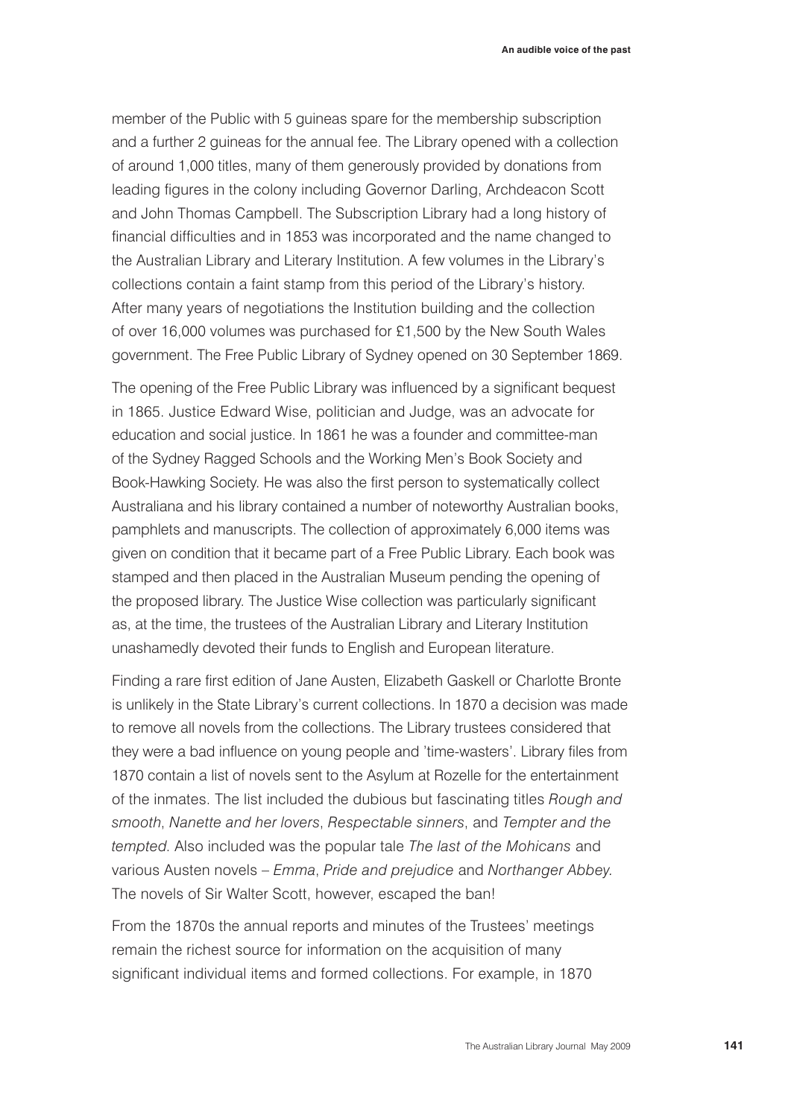member of the Public with 5 guineas spare for the membership subscription and a further 2 guineas for the annual fee. The Library opened with a collection of around 1,000 titles, many of them generously provided by donations from leading figures in the colony including Governor Darling, Archdeacon Scott and John Thomas Campbell. The Subscription Library had a long history of financial difficulties and in 1853 was incorporated and the name changed to the Australian Library and Literary Institution. A few volumes in the Library's collections contain a faint stamp from this period of the Library's history. After many years of negotiations the Institution building and the collection of over 16,000 volumes was purchased for £1,500 by the New South Wales government. The Free Public Library of Sydney opened on 30 September 1869.

The opening of the Free Public Library was influenced by a significant bequest in 1865. Justice Edward Wise, politician and Judge, was an advocate for education and social justice. In 1861 he was a founder and committee-man of the Sydney Ragged Schools and the Working Men's Book Society and Book-Hawking Society. He was also the first person to systematically collect Australiana and his library contained a number of noteworthy Australian books, pamphlets and manuscripts. The collection of approximately 6,000 items was given on condition that it became part of a Free Public Library. Each book was stamped and then placed in the Australian Museum pending the opening of the proposed library. The Justice Wise collection was particularly significant as, at the time, the trustees of the Australian Library and Literary Institution unashamedly devoted their funds to English and European literature.

Finding a rare first edition of Jane Austen, Elizabeth Gaskell or Charlotte Bronte is unlikely in the State Library's current collections. In 1870 a decision was made to remove all novels from the collections. The Library trustees considered that they were a bad influence on young people and 'time-wasters'. Library files from 1870 contain a list of novels sent to the Asylum at Rozelle for the entertainment of the inmates. The list included the dubious but fascinating titles *Rough and smooth*, *Nanette and her lovers*, *Respectable sinners*, and *Tempter and the tempted*. Also included was the popular tale *The last of the Mohicans* and various Austen novels – *Emma*, *Pride and prejudice* and *Northanger Abbey.*  The novels of Sir Walter Scott, however, escaped the ban!

From the 1870s the annual reports and minutes of the Trustees' meetings remain the richest source for information on the acquisition of many significant individual items and formed collections. For example, in 1870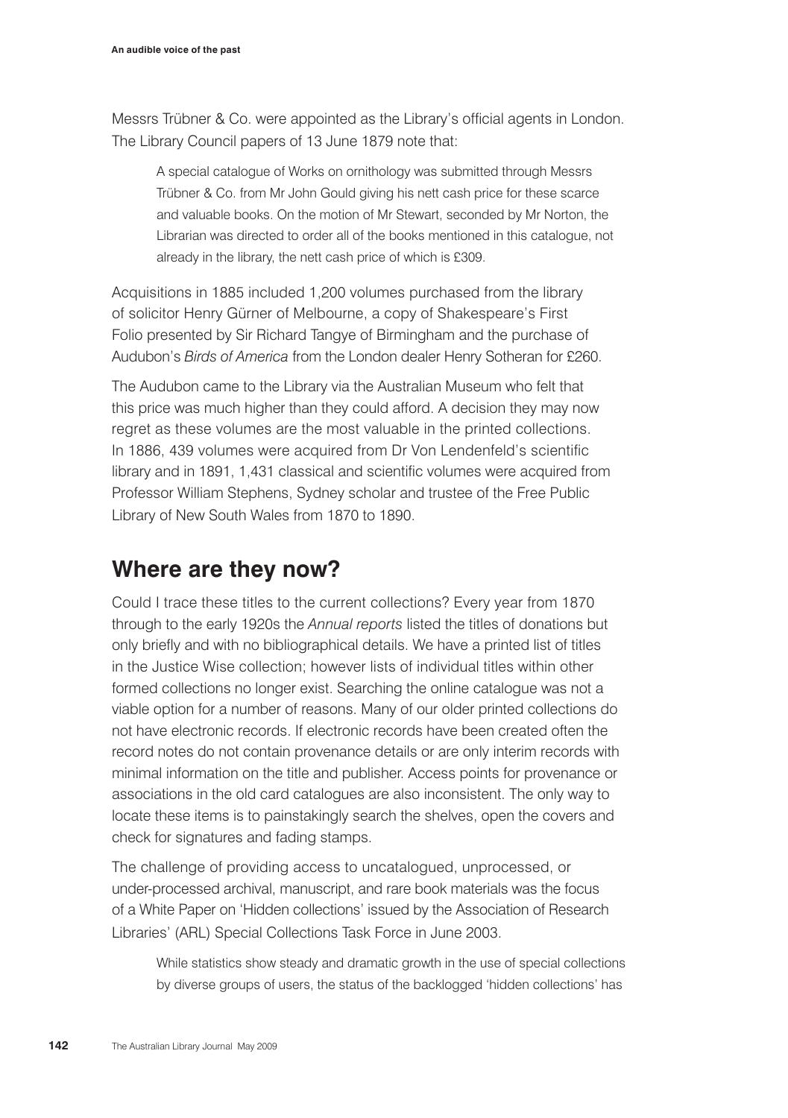Messrs Trübner & Co. were appointed as the Library's official agents in London. The Library Council papers of 13 June 1879 note that:

A special catalogue of Works on ornithology was submitted through Messrs Trübner & Co. from Mr John Gould giving his nett cash price for these scarce and valuable books. On the motion of Mr Stewart, seconded by Mr Norton, the Librarian was directed to order all of the books mentioned in this catalogue, not already in the library, the nett cash price of which is £309.

Acquisitions in 1885 included 1,200 volumes purchased from the library of solicitor Henry Gürner of Melbourne, a copy of Shakespeare's First Folio presented by Sir Richard Tangye of Birmingham and the purchase of Audubon's *Birds of America* from the London dealer Henry Sotheran for £260.

The Audubon came to the Library via the Australian Museum who felt that this price was much higher than they could afford. A decision they may now regret as these volumes are the most valuable in the printed collections. In 1886, 439 volumes were acquired from Dr Von Lendenfeld's scientific library and in 1891, 1,431 classical and scientific volumes were acquired from Professor William Stephens, Sydney scholar and trustee of the Free Public Library of New South Wales from 1870 to 1890.

#### **Where are they now?**

Could I trace these titles to the current collections? Every year from 1870 through to the early 1920s the *Annual reports* listed the titles of donations but only briefly and with no bibliographical details. We have a printed list of titles in the Justice Wise collection; however lists of individual titles within other formed collections no longer exist. Searching the online catalogue was not a viable option for a number of reasons. Many of our older printed collections do not have electronic records. If electronic records have been created often the record notes do not contain provenance details or are only interim records with minimal information on the title and publisher. Access points for provenance or associations in the old card catalogues are also inconsistent. The only way to locate these items is to painstakingly search the shelves, open the covers and check for signatures and fading stamps.

The challenge of providing access to uncatalogued, unprocessed, or under-processed archival, manuscript, and rare book materials was the focus of a White Paper on 'Hidden collections' issued by the Association of Research Libraries' (ARL) Special Collections Task Force in June 2003.

While statistics show steady and dramatic growth in the use of special collections by diverse groups of users, the status of the backlogged 'hidden collections' has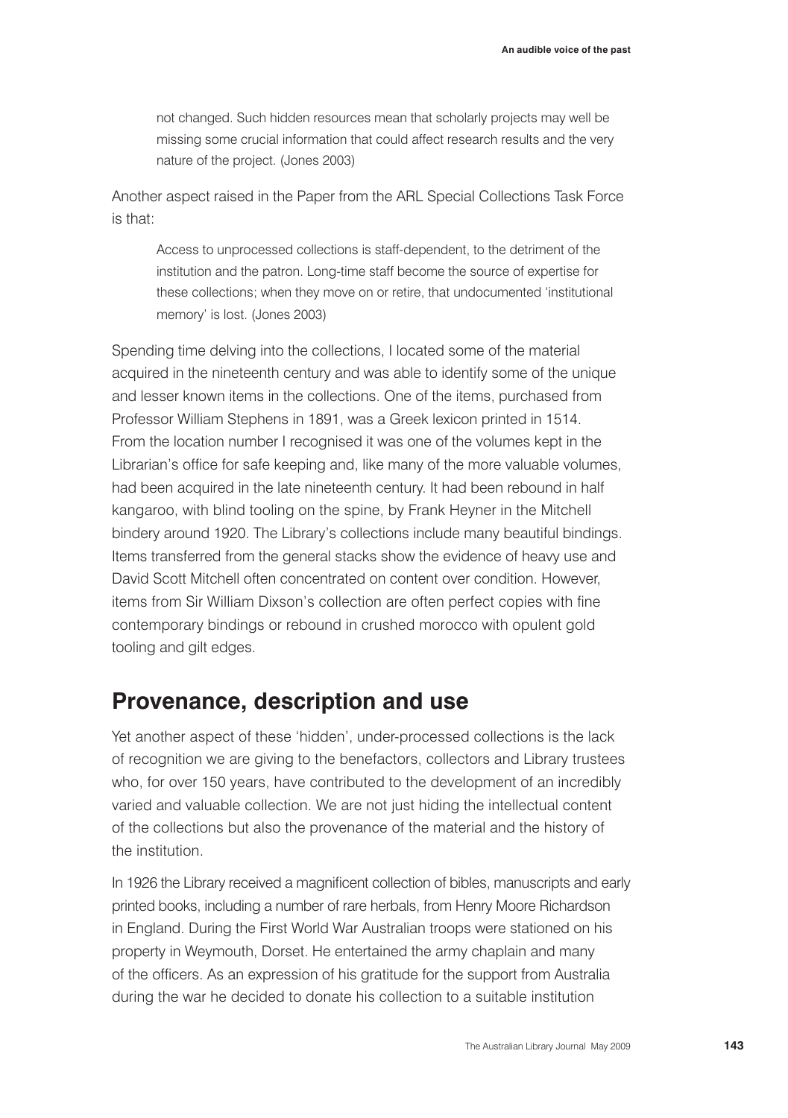not changed. Such hidden resources mean that scholarly projects may well be missing some crucial information that could affect research results and the very nature of the project. (Jones 2003)

Another aspect raised in the Paper from the ARL Special Collections Task Force is that:

Access to unprocessed collections is staff-dependent, to the detriment of the institution and the patron. Long-time staff become the source of expertise for these collections; when they move on or retire, that undocumented 'institutional memory' is lost. (Jones 2003)

Spending time delving into the collections, I located some of the material acquired in the nineteenth century and was able to identify some of the unique and lesser known items in the collections. One of the items, purchased from Professor William Stephens in 1891, was a Greek lexicon printed in 1514. From the location number I recognised it was one of the volumes kept in the Librarian's office for safe keeping and, like many of the more valuable volumes, had been acquired in the late nineteenth century. It had been rebound in half kangaroo, with blind tooling on the spine, by Frank Heyner in the Mitchell bindery around 1920. The Library's collections include many beautiful bindings. Items transferred from the general stacks show the evidence of heavy use and David Scott Mitchell often concentrated on content over condition. However, items from Sir William Dixson's collection are often perfect copies with fine contemporary bindings or rebound in crushed morocco with opulent gold tooling and gilt edges.

#### **Provenance, description and use**

Yet another aspect of these 'hidden', under-processed collections is the lack of recognition we are giving to the benefactors, collectors and Library trustees who, for over 150 years, have contributed to the development of an incredibly varied and valuable collection. We are not just hiding the intellectual content of the collections but also the provenance of the material and the history of the institution.

In 1926 the Library received a magnificent collection of bibles, manuscripts and early printed books, including a number of rare herbals, from Henry Moore Richardson in England. During the First World War Australian troops were stationed on his property in Weymouth, Dorset. He entertained the army chaplain and many of the officers. As an expression of his gratitude for the support from Australia during the war he decided to donate his collection to a suitable institution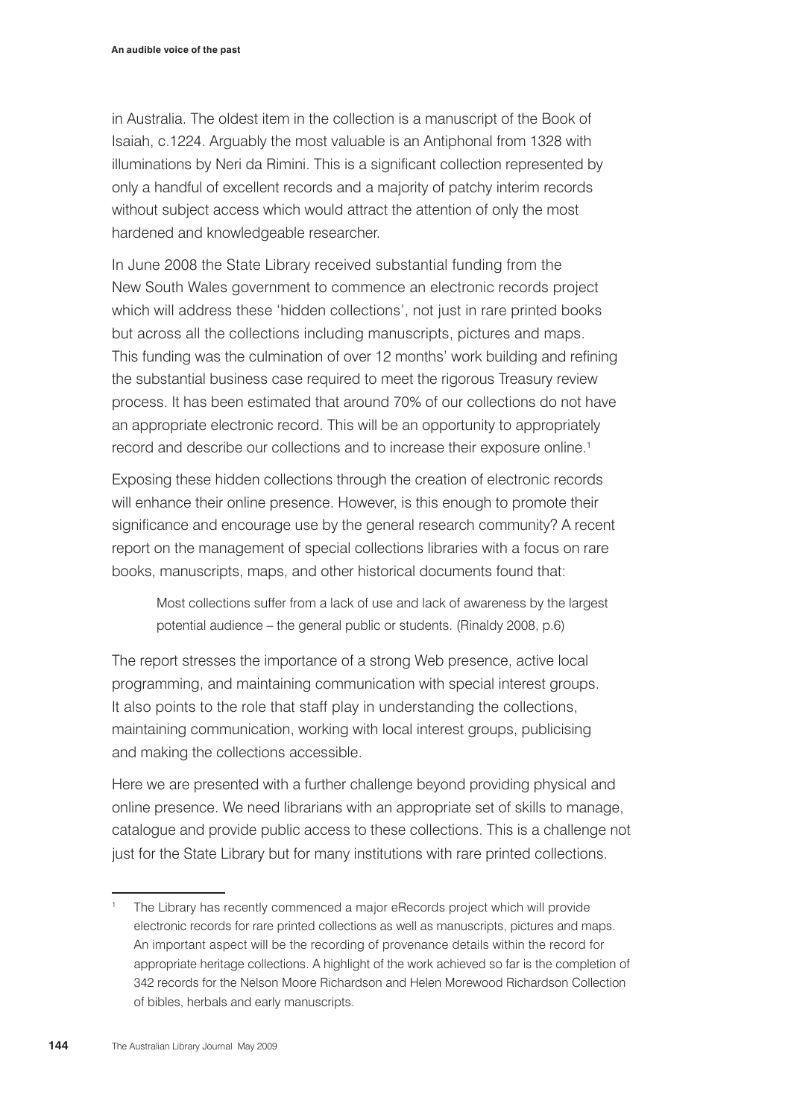in Australia. The oldest item in the collection is a manuscript of the Book of Isaiah, c.1224. Arguably the most valuable is an Antiphonal from 1328 with illuminations by Neri da Rimini. This is a significant collection represented by only a handful of excellent records and a majority of patchy interim records without subject access which would attract the attention of only the most hardened and knowledgeable researcher.

In June 2008 the State Library received substantial funding from the New South Wales government to commence an electronic records project which will address these 'hidden collections', not just in rare printed books but across all the collections including manuscripts, pictures and maps. This funding was the culmination of over 12 months' work building and refining the substantial business case required to meet the rigorous Treasury review process. It has been estimated that around 70% of our collections do not have an appropriate electronic record. This will be an opportunity to appropriately record and describe our collections and to increase their exposure online.<sup>1</sup>

Exposing these hidden collections through the creation of electronic records will enhance their online presence. However, is this enough to promote their significance and encourage use by the general research community? A recent report on the management of special collections libraries with a focus on rare books, manuscripts, maps, and other historical documents found that:

Most collections suffer from a lack of use and lack of awareness by the largest potential audience – the general public or students. (Rinaldy 2008, p.6)

The report stresses the importance of a strong Web presence, active local programming, and maintaining communication with special interest groups. It also points to the role that staff play in understanding the collections, maintaining communication, working with local interest groups, publicising and making the collections accessible.

Here we are presented with a further challenge beyond providing physical and online presence. We need librarians with an appropriate set of skills to manage, catalogue and provide public access to these collections. This is a challenge not just for the State Library but for many institutions with rare printed collections.

<sup>1</sup> The Library has recently commenced a major eRecords project which will provide electronic records for rare printed collections as well as manuscripts, pictures and maps. An important aspect will be the recording of provenance details within the record for appropriate heritage collections. A highlight of the work achieved so far is the completion of 342 records for the Nelson Moore Richardson and Helen Morewood Richardson Collection of bibles, herbals and early manuscripts.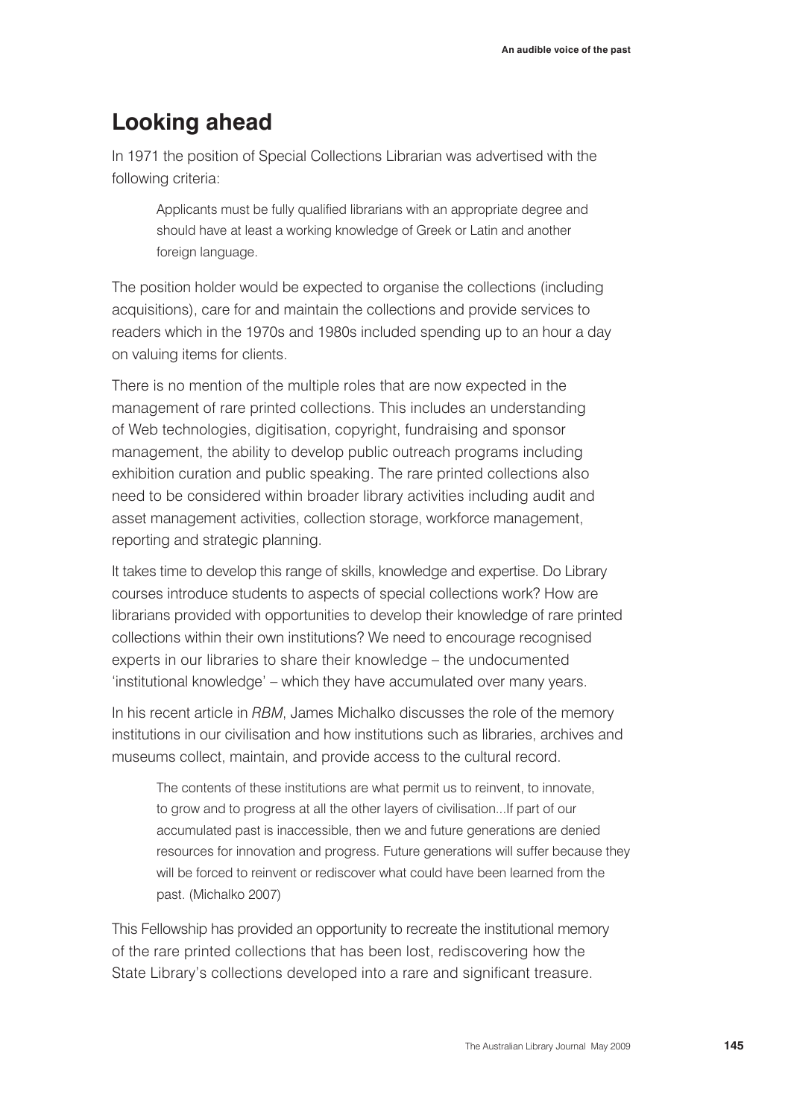### **Looking ahead**

In 1971 the position of Special Collections Librarian was advertised with the following criteria:

Applicants must be fully qualified librarians with an appropriate degree and should have at least a working knowledge of Greek or Latin and another foreign language.

The position holder would be expected to organise the collections (including acquisitions), care for and maintain the collections and provide services to readers which in the 1970s and 1980s included spending up to an hour a day on valuing items for clients.

There is no mention of the multiple roles that are now expected in the management of rare printed collections. This includes an understanding of Web technologies, digitisation, copyright, fundraising and sponsor management, the ability to develop public outreach programs including exhibition curation and public speaking. The rare printed collections also need to be considered within broader library activities including audit and asset management activities, collection storage, workforce management, reporting and strategic planning.

It takes time to develop this range of skills, knowledge and expertise. Do Library courses introduce students to aspects of special collections work? How are librarians provided with opportunities to develop their knowledge of rare printed collections within their own institutions? We need to encourage recognised experts in our libraries to share their knowledge – the undocumented 'institutional knowledge' – which they have accumulated over many years.

In his recent article in *RBM*, James Michalko discusses the role of the memory institutions in our civilisation and how institutions such as libraries, archives and museums collect, maintain, and provide access to the cultural record.

The contents of these institutions are what permit us to reinvent, to innovate, to grow and to progress at all the other layers of civilisation...If part of our accumulated past is inaccessible, then we and future generations are denied resources for innovation and progress. Future generations will suffer because they will be forced to reinvent or rediscover what could have been learned from the past. (Michalko 2007)

This Fellowship has provided an opportunity to recreate the institutional memory of the rare printed collections that has been lost, rediscovering how the State Library's collections developed into a rare and significant treasure.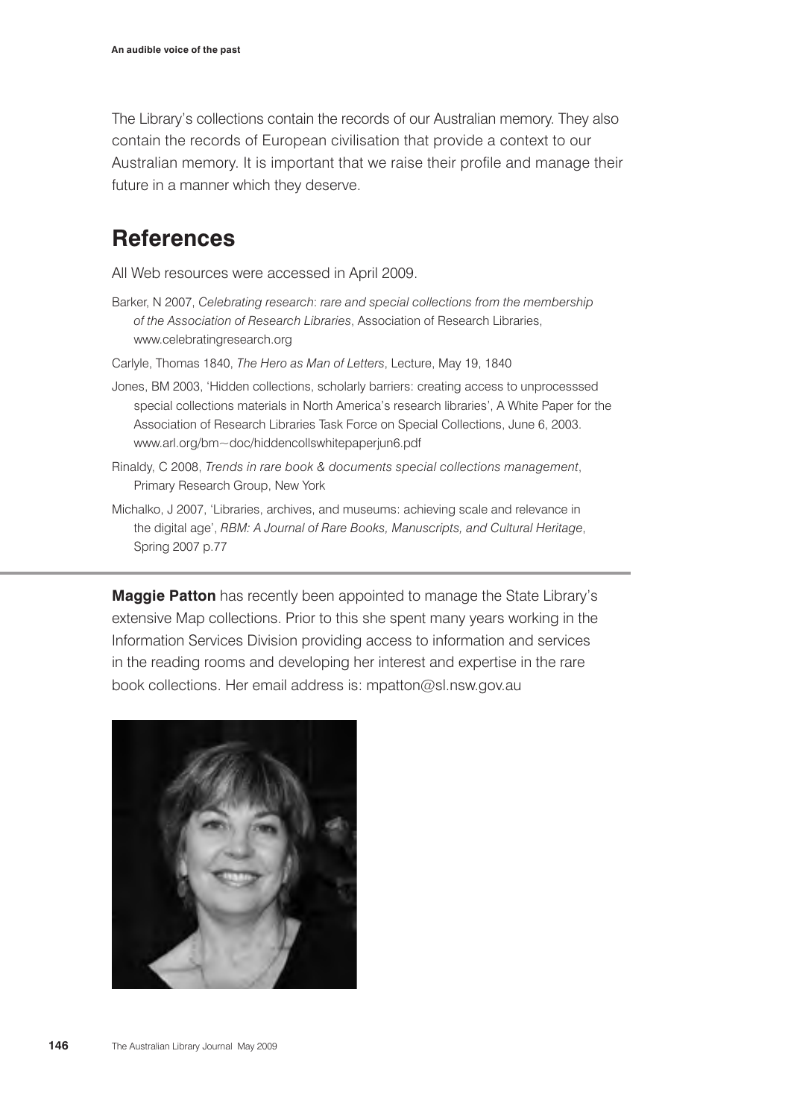The Library's collections contain the records of our Australian memory. They also contain the records of European civilisation that provide a context to our Australian memory. It is important that we raise their profile and manage their future in a manner which they deserve.

#### **References**

All Web resources were accessed in April 2009.

Barker, N 2007, *Celebrating research*: *rare and special collections from the membership of the Association of Research Libraries*, Association of Research Libraries, www.celebratingresearch.org

Carlyle, Thomas 1840, *The Hero as Man of Letters*, Lecture, May 19, 1840

- Jones, BM 2003, 'Hidden collections, scholarly barriers: creating access to unprocesssed special collections materials in North America's research libraries', A White Paper for the Association of Research Libraries Task Force on Special Collections, June 6, 2003. www.arl.org/bm~doc/hiddencollswhitepaperjun6.pdf
- Rinaldy, C 2008, *Trends in rare book & documents special collections management*, Primary Research Group, New York
- Michalko, J 2007, 'Libraries, archives, and museums: achieving scale and relevance in the digital age', *RBM: A Journal of Rare Books, Manuscripts, and Cultural Heritage*, Spring 2007 p.77

**Maggie Patton** has recently been appointed to manage the State Library's extensive Map collections. Prior to this she spent many years working in the Information Services Division providing access to information and services in the reading rooms and developing her interest and expertise in the rare book collections. Her email address is: mpatton@sl.nsw.gov.au

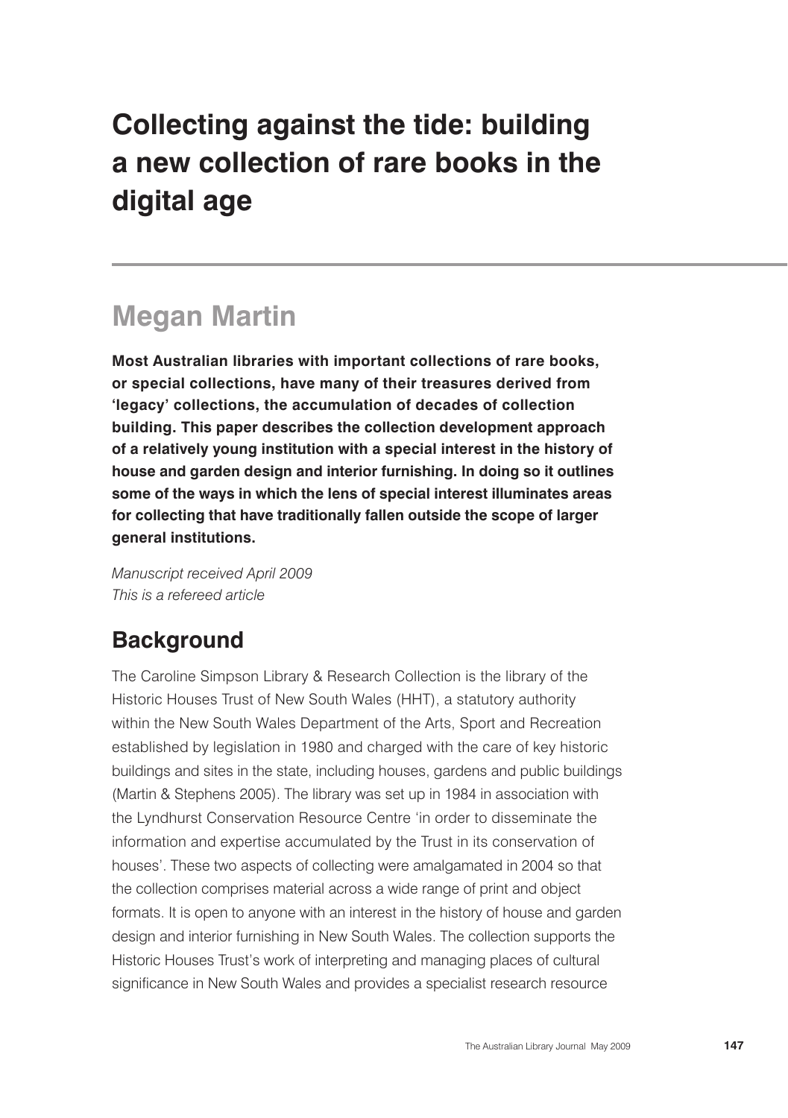# **Collecting against the tide: building a new collection of rare books in the digital age**

# **Megan Martin**

**Most Australian libraries with important collections of rare books, or special collections, have many of their treasures derived from 'legacy' collections, the accumulation of decades of collection building. This paper describes the collection development approach of a relatively young institution with a special interest in the history of house and garden design and interior furnishing. In doing so it outlines some of the ways in which the lens of special interest illuminates areas for collecting that have traditionally fallen outside the scope of larger general institutions.**

*Manuscript received April 2009 This is a refereed article*

### **Background**

The Caroline Simpson Library & Research Collection is the library of the Historic Houses Trust of New South Wales (HHT), a statutory authority within the New South Wales Department of the Arts, Sport and Recreation established by legislation in 1980 and charged with the care of key historic buildings and sites in the state, including houses, gardens and public buildings (Martin & Stephens 2005). The library was set up in 1984 in association with the Lyndhurst Conservation Resource Centre 'in order to disseminate the information and expertise accumulated by the Trust in its conservation of houses'. These two aspects of collecting were amalgamated in 2004 so that the collection comprises material across a wide range of print and object formats. It is open to anyone with an interest in the history of house and garden design and interior furnishing in New South Wales. The collection supports the Historic Houses Trust's work of interpreting and managing places of cultural significance in New South Wales and provides a specialist research resource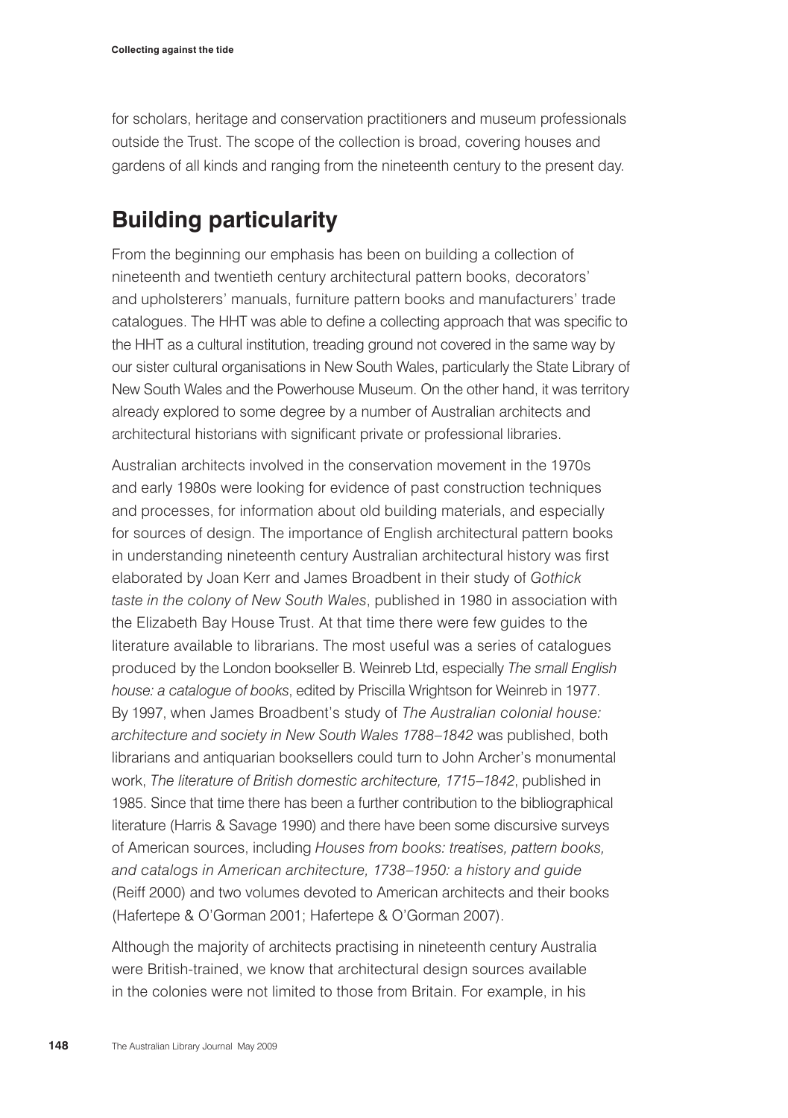for scholars, heritage and conservation practitioners and museum professionals outside the Trust. The scope of the collection is broad, covering houses and gardens of all kinds and ranging from the nineteenth century to the present day.

### **Building particularity**

From the beginning our emphasis has been on building a collection of nineteenth and twentieth century architectural pattern books, decorators' and upholsterers' manuals, furniture pattern books and manufacturers' trade catalogues. The HHT was able to define a collecting approach that was specific to the HHT as a cultural institution, treading ground not covered in the same way by our sister cultural organisations in New South Wales, particularly the State Library of New South Wales and the Powerhouse Museum. On the other hand, it was territory already explored to some degree by a number of Australian architects and architectural historians with significant private or professional libraries.

Australian architects involved in the conservation movement in the 1970s and early 1980s were looking for evidence of past construction techniques and processes, for information about old building materials, and especially for sources of design. The importance of English architectural pattern books in understanding nineteenth century Australian architectural history was first elaborated by Joan Kerr and James Broadbent in their study of *Gothick taste in the colony of New South Wales*, published in 1980 in association with the Elizabeth Bay House Trust. At that time there were few guides to the literature available to librarians. The most useful was a series of catalogues produced by the London bookseller B. Weinreb Ltd, especially *The small English house: a catalogue of books*, edited by Priscilla Wrightson for Weinreb in 1977. By 1997, when James Broadbent's study of *The Australian colonial house: architecture and society in New South Wales 1788–1842* was published, both librarians and antiquarian booksellers could turn to John Archer's monumental work, *The literature of British domestic architecture, 1715–1842*, published in 1985. Since that time there has been a further contribution to the bibliographical literature (Harris & Savage 1990) and there have been some discursive surveys of American sources, including *Houses from books: treatises, pattern books, and catalogs in American architecture, 1738–1950: a history and guide*  (Reiff 2000) and two volumes devoted to American architects and their books (Hafertepe & O'Gorman 2001; Hafertepe & O'Gorman 2007).

Although the majority of architects practising in nineteenth century Australia were British-trained, we know that architectural design sources available in the colonies were not limited to those from Britain. For example, in his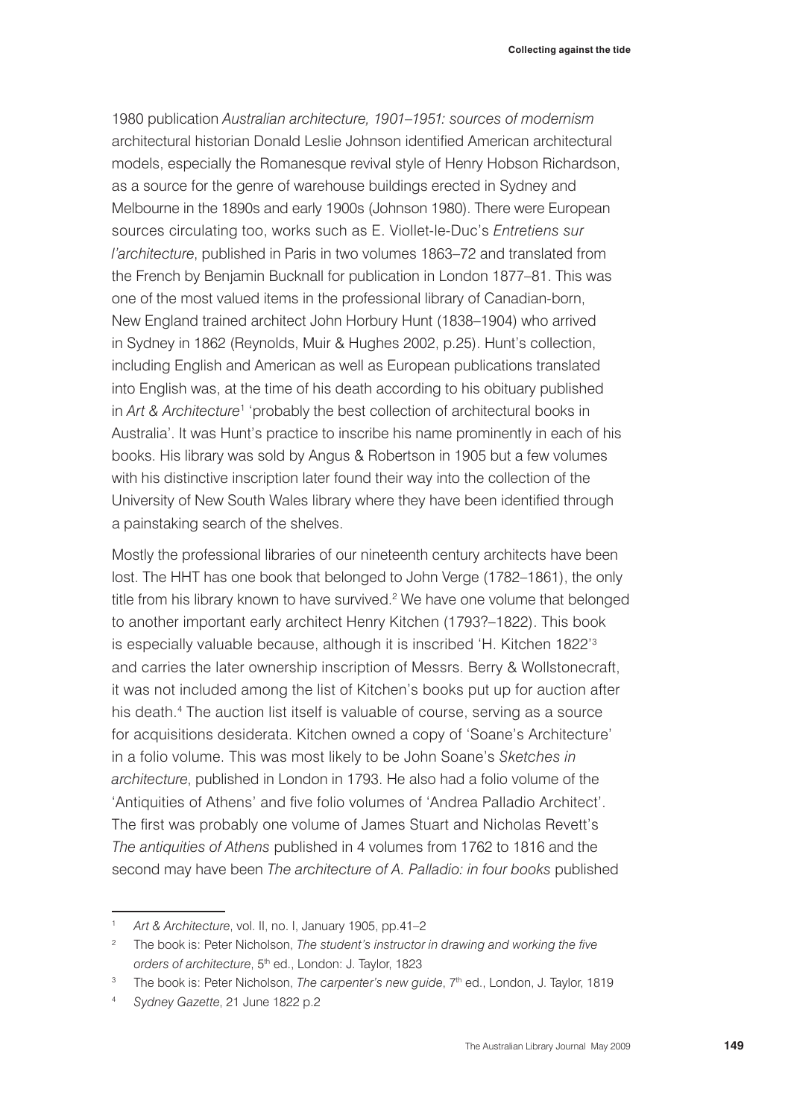1980 publication *Australian architecture, 1901–1951: sources of modernism* architectural historian Donald Leslie Johnson identified American architectural models, especially the Romanesque revival style of Henry Hobson Richardson, as a source for the genre of warehouse buildings erected in Sydney and Melbourne in the 1890s and early 1900s (Johnson 1980). There were European sources circulating too, works such as E. Viollet-le-Duc's *Entretiens sur l'architecture*, published in Paris in two volumes 1863–72 and translated from the French by Benjamin Bucknall for publication in London 1877–81. This was one of the most valued items in the professional library of Canadian-born, New England trained architect John Horbury Hunt (1838–1904) who arrived in Sydney in 1862 (Reynolds, Muir & Hughes 2002, p.25). Hunt's collection, including English and American as well as European publications translated into English was, at the time of his death according to his obituary published in *Art & Architecture*<sup>1</sup> 'probably the best collection of architectural books in Australia'. It was Hunt's practice to inscribe his name prominently in each of his books. His library was sold by Angus & Robertson in 1905 but a few volumes with his distinctive inscription later found their way into the collection of the University of New South Wales library where they have been identified through a painstaking search of the shelves.

Mostly the professional libraries of our nineteenth century architects have been lost. The HHT has one book that belonged to John Verge (1782–1861), the only title from his library known to have survived.<sup>2</sup> We have one volume that belonged to another important early architect Henry Kitchen (1793?–1822). This book is especially valuable because, although it is inscribed 'H. Kitchen 1822'3 and carries the later ownership inscription of Messrs. Berry & Wollstonecraft, it was not included among the list of Kitchen's books put up for auction after his death.<sup>4</sup> The auction list itself is valuable of course, serving as a source for acquisitions desiderata. Kitchen owned a copy of 'Soane's Architecture' in a folio volume. This was most likely to be John Soane's *Sketches in architecture*, published in London in 1793. He also had a folio volume of the 'Antiquities of Athens' and five folio volumes of 'Andrea Palladio Architect'. The first was probably one volume of James Stuart and Nicholas Revett's *The antiquities of Athens* published in 4 volumes from 1762 to 1816 and the second may have been *The architecture of A. Palladio: in four books* published

<sup>1</sup> *Art & Architecture*, vol. II, no. I, January 1905, pp.41–2

<sup>&</sup>lt;sup>2</sup> The book is: Peter Nicholson, *The student's instructor in drawing and working the five* orders of architecture, 5<sup>th</sup> ed., London: J. Taylor, 1823

The book is: Peter Nicholson, *The carpenter's new quide*, 7<sup>th</sup> ed., London, J. Taylor, 1819

<sup>4</sup> *Sydney Gazette*, 21 June 1822 p.2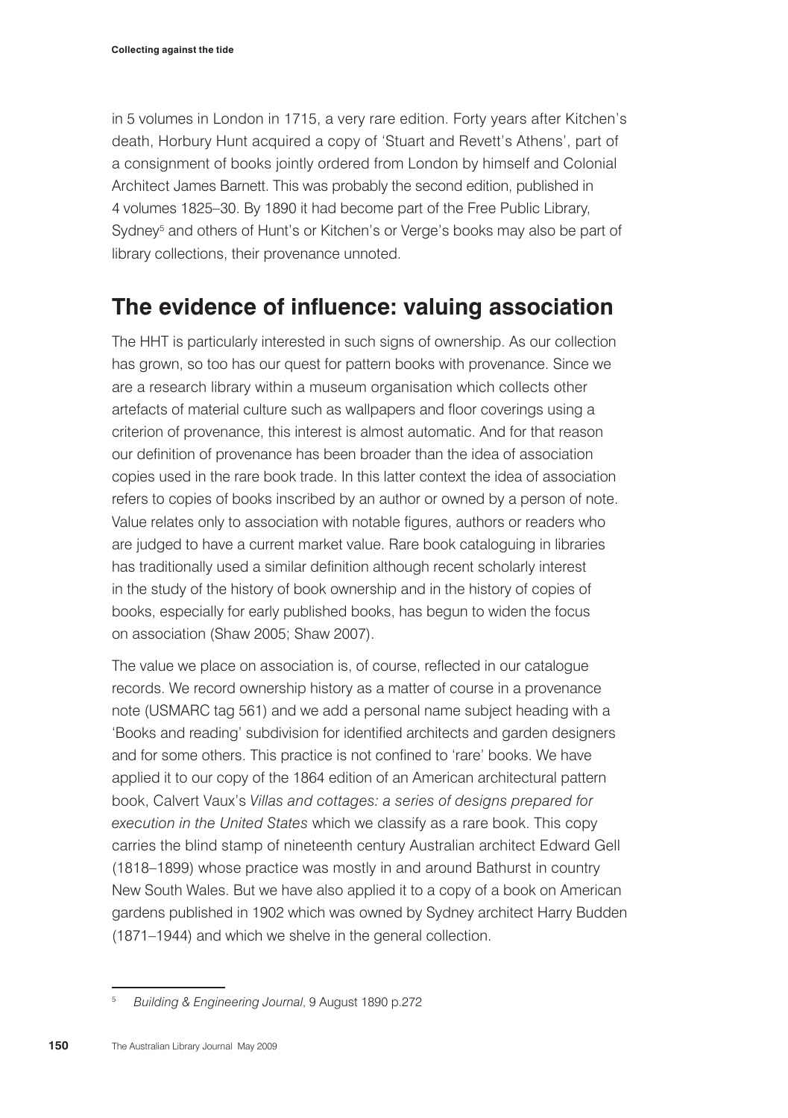in 5 volumes in London in 1715, a very rare edition. Forty years after Kitchen's death, Horbury Hunt acquired a copy of 'Stuart and Revett's Athens', part of a consignment of books jointly ordered from London by himself and Colonial Architect James Barnett. This was probably the second edition, published in 4 volumes 1825–30. By 1890 it had become part of the Free Public Library, Sydney<sup>5</sup> and others of Hunt's or Kitchen's or Verge's books may also be part of library collections, their provenance unnoted.

### **The evidence of influence: valuing association**

The HHT is particularly interested in such signs of ownership. As our collection has grown, so too has our quest for pattern books with provenance. Since we are a research library within a museum organisation which collects other artefacts of material culture such as wallpapers and floor coverings using a criterion of provenance, this interest is almost automatic. And for that reason our definition of provenance has been broader than the idea of association copies used in the rare book trade. In this latter context the idea of association refers to copies of books inscribed by an author or owned by a person of note. Value relates only to association with notable figures, authors or readers who are judged to have a current market value. Rare book cataloguing in libraries has traditionally used a similar definition although recent scholarly interest in the study of the history of book ownership and in the history of copies of books, especially for early published books, has begun to widen the focus on association (Shaw 2005; Shaw 2007).

The value we place on association is, of course, reflected in our catalogue records. We record ownership history as a matter of course in a provenance note (USMARC tag 561) and we add a personal name subject heading with a 'Books and reading' subdivision for identified architects and garden designers and for some others. This practice is not confined to 'rare' books. We have applied it to our copy of the 1864 edition of an American architectural pattern book, Calvert Vaux's *Villas and cottages: a series of designs prepared for execution in the United States* which we classify as a rare book. This copy carries the blind stamp of nineteenth century Australian architect Edward Gell (1818–1899) whose practice was mostly in and around Bathurst in country New South Wales. But we have also applied it to a copy of a book on American gardens published in 1902 which was owned by Sydney architect Harry Budden (1871–1944) and which we shelve in the general collection.

<sup>5</sup> *Building & Engineering Journal*, 9 August 1890 p.272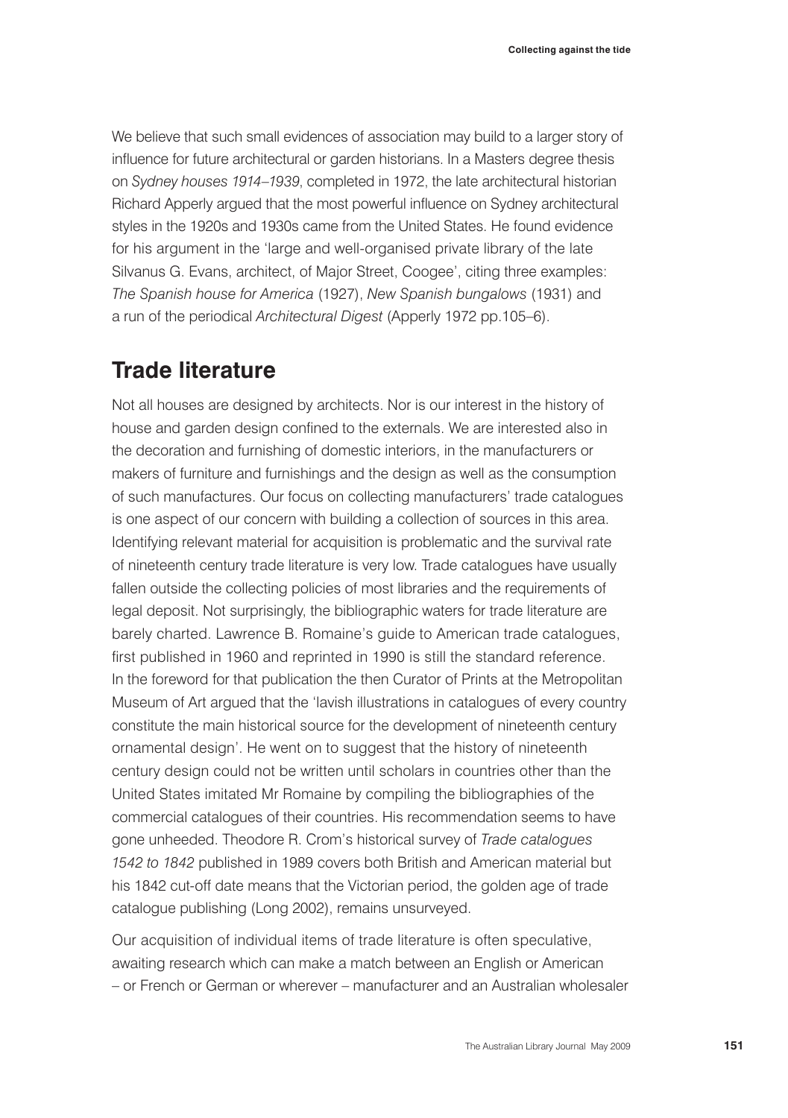We believe that such small evidences of association may build to a larger story of influence for future architectural or garden historians. In a Masters degree thesis on *Sydney houses 1914–1939*, completed in 1972, the late architectural historian Richard Apperly argued that the most powerful influence on Sydney architectural styles in the 1920s and 1930s came from the United States. He found evidence for his argument in the 'large and well-organised private library of the late Silvanus G. Evans, architect, of Major Street, Coogee', citing three examples: *The Spanish house for America* (1927), *New Spanish bungalows* (1931) and a run of the periodical *Architectural Digest* (Apperly 1972 pp.105–6).

#### **Trade literature**

Not all houses are designed by architects. Nor is our interest in the history of house and garden design confined to the externals. We are interested also in the decoration and furnishing of domestic interiors, in the manufacturers or makers of furniture and furnishings and the design as well as the consumption of such manufactures. Our focus on collecting manufacturers' trade catalogues is one aspect of our concern with building a collection of sources in this area. Identifying relevant material for acquisition is problematic and the survival rate of nineteenth century trade literature is very low. Trade catalogues have usually fallen outside the collecting policies of most libraries and the requirements of legal deposit. Not surprisingly, the bibliographic waters for trade literature are barely charted. Lawrence B. Romaine's guide to American trade catalogues, first published in 1960 and reprinted in 1990 is still the standard reference. In the foreword for that publication the then Curator of Prints at the Metropolitan Museum of Art argued that the 'lavish illustrations in catalogues of every country constitute the main historical source for the development of nineteenth century ornamental design'. He went on to suggest that the history of nineteenth century design could not be written until scholars in countries other than the United States imitated Mr Romaine by compiling the bibliographies of the commercial catalogues of their countries. His recommendation seems to have gone unheeded. Theodore R. Crom's historical survey of *Trade catalogues 1542 to 1842* published in 1989 covers both British and American material but his 1842 cut-off date means that the Victorian period, the golden age of trade catalogue publishing (Long 2002), remains unsurveyed.

Our acquisition of individual items of trade literature is often speculative, awaiting research which can make a match between an English or American – or French or German or wherever – manufacturer and an Australian wholesaler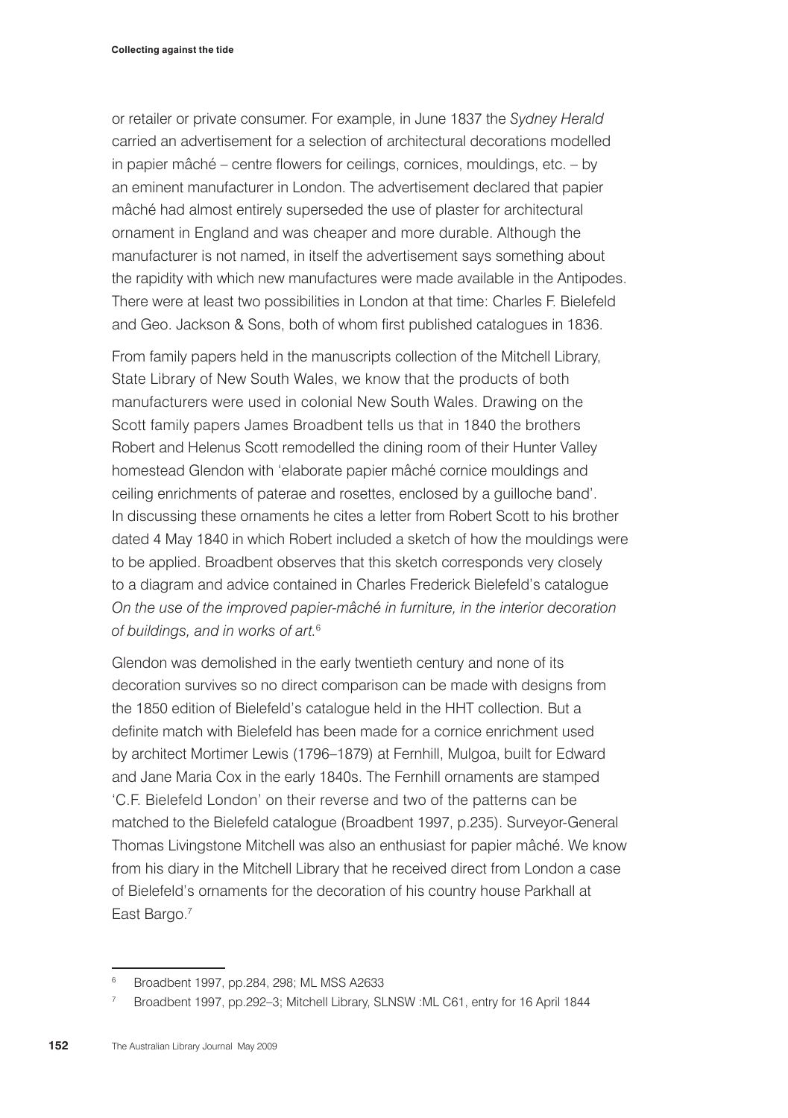or retailer or private consumer. For example, in June 1837 the *Sydney Herald* carried an advertisement for a selection of architectural decorations modelled in papier mâché – centre flowers for ceilings, cornices, mouldings, etc. – by an eminent manufacturer in London. The advertisement declared that papier mâché had almost entirely superseded the use of plaster for architectural ornament in England and was cheaper and more durable. Although the manufacturer is not named, in itself the advertisement says something about the rapidity with which new manufactures were made available in the Antipodes. There were at least two possibilities in London at that time: Charles F. Bielefeld and Geo. Jackson & Sons, both of whom first published catalogues in 1836.

From family papers held in the manuscripts collection of the Mitchell Library, State Library of New South Wales, we know that the products of both manufacturers were used in colonial New South Wales. Drawing on the Scott family papers James Broadbent tells us that in 1840 the brothers Robert and Helenus Scott remodelled the dining room of their Hunter Valley homestead Glendon with 'elaborate papier mâché cornice mouldings and ceiling enrichments of paterae and rosettes, enclosed by a guilloche band'. In discussing these ornaments he cites a letter from Robert Scott to his brother dated 4 May 1840 in which Robert included a sketch of how the mouldings were to be applied. Broadbent observes that this sketch corresponds very closely to a diagram and advice contained in Charles Frederick Bielefeld's catalogue *On the use of the improved papier*-*mâché in furniture, in the interior decoration of buildings, and in works of art.*<sup>6</sup>

Glendon was demolished in the early twentieth century and none of its decoration survives so no direct comparison can be made with designs from the 1850 edition of Bielefeld's catalogue held in the HHT collection. But a definite match with Bielefeld has been made for a cornice enrichment used by architect Mortimer Lewis (1796–1879) at Fernhill, Mulgoa, built for Edward and Jane Maria Cox in the early 1840s. The Fernhill ornaments are stamped 'C.F. Bielefeld London' on their reverse and two of the patterns can be matched to the Bielefeld catalogue (Broadbent 1997, p.235). Surveyor-General Thomas Livingstone Mitchell was also an enthusiast for papier mâché. We know from his diary in the Mitchell Library that he received direct from London a case of Bielefeld's ornaments for the decoration of his country house Parkhall at East Bargo.<sup>7</sup>

<sup>6</sup> Broadbent 1997, pp.284, 298; ML MSS A2633

<sup>7</sup> Broadbent 1997, pp.292–3; Mitchell Library, SLNSW :ML C61, entry for 16 April 1844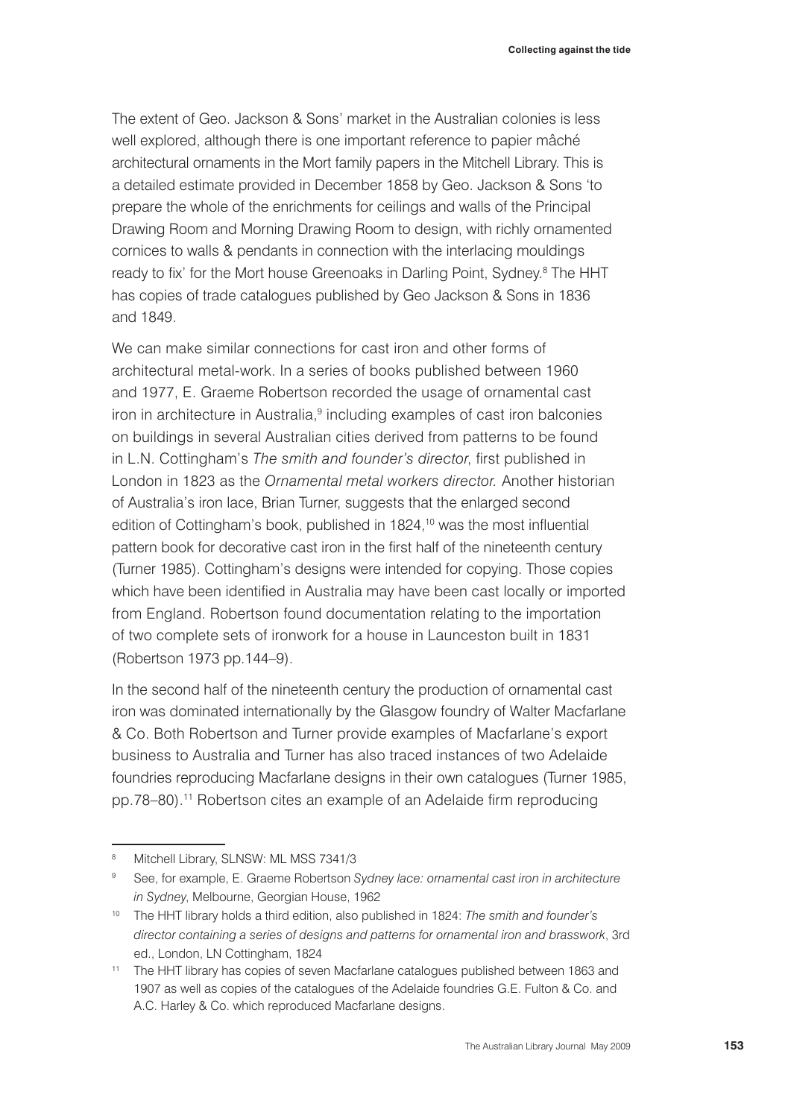The extent of Geo. Jackson & Sons' market in the Australian colonies is less well explored, although there is one important reference to papier mâché architectural ornaments in the Mort family papers in the Mitchell Library. This is a detailed estimate provided in December 1858 by Geo. Jackson & Sons 'to prepare the whole of the enrichments for ceilings and walls of the Principal Drawing Room and Morning Drawing Room to design, with richly ornamented cornices to walls & pendants in connection with the interlacing mouldings ready to fix' for the Mort house Greenoaks in Darling Point, Sydney.<sup>8</sup> The HHT has copies of trade catalogues published by Geo Jackson & Sons in 1836 and 1849.

We can make similar connections for cast iron and other forms of architectural metal-work. In a series of books published between 1960 and 1977, E. Graeme Robertson recorded the usage of ornamental cast iron in architecture in Australia,<sup>9</sup> including examples of cast iron balconies on buildings in several Australian cities derived from patterns to be found in L.N. Cottingham's *The smith and founder's director*, first published in London in 1823 as the *Ornamental metal workers director.* Another historian of Australia's iron lace, Brian Turner, suggests that the enlarged second edition of Cottingham's book, published in 1824,<sup>10</sup> was the most influential pattern book for decorative cast iron in the first half of the nineteenth century (Turner 1985). Cottingham's designs were intended for copying. Those copies which have been identified in Australia may have been cast locally or imported from England. Robertson found documentation relating to the importation of two complete sets of ironwork for a house in Launceston built in 1831 (Robertson 1973 pp.144–9).

In the second half of the nineteenth century the production of ornamental cast iron was dominated internationally by the Glasgow foundry of Walter Macfarlane & Co. Both Robertson and Turner provide examples of Macfarlane's export business to Australia and Turner has also traced instances of two Adelaide foundries reproducing Macfarlane designs in their own catalogues (Turner 1985, pp.78–80).11 Robertson cites an example of an Adelaide firm reproducing

Mitchell Library, SLNSW: ML MSS 7341/3

<sup>9</sup> See, for example, E. Graeme Robertson *Sydney lace: ornamental cast iron in architecture in Sydney*, Melbourne, Georgian House, 1962

<sup>10</sup> The HHT library holds a third edition, also published in 1824: *The smith and founder's director containing a series of designs and patterns for ornamental iron and brasswork*, 3rd ed., London, LN Cottingham, 1824

<sup>11</sup> The HHT library has copies of seven Macfarlane catalogues published between 1863 and 1907 as well as copies of the catalogues of the Adelaide foundries G.E. Fulton & Co. and A.C. Harley & Co. which reproduced Macfarlane designs.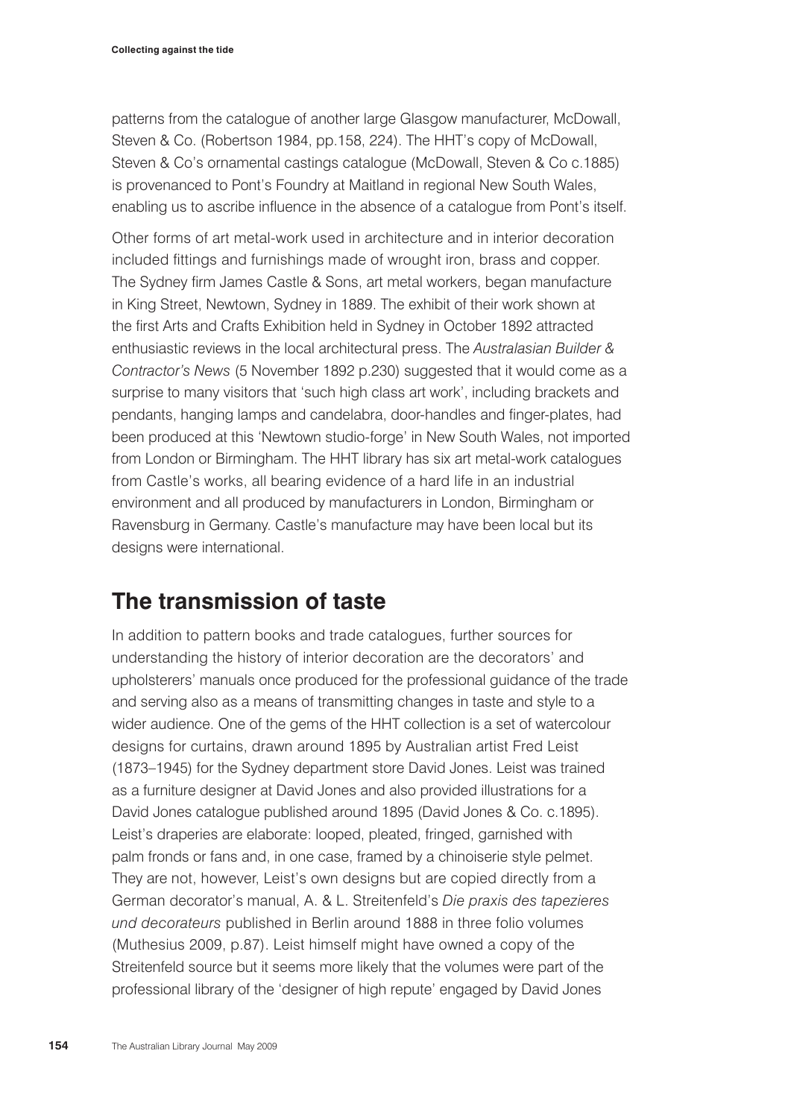patterns from the catalogue of another large Glasgow manufacturer, McDowall, Steven & Co. (Robertson 1984, pp.158, 224). The HHT's copy of McDowall, Steven & Co's ornamental castings catalogue (McDowall, Steven & Co c.1885) is provenanced to Pont's Foundry at Maitland in regional New South Wales, enabling us to ascribe influence in the absence of a catalogue from Pont's itself.

Other forms of art metal-work used in architecture and in interior decoration included fittings and furnishings made of wrought iron, brass and copper. The Sydney firm James Castle & Sons, art metal workers, began manufacture in King Street, Newtown, Sydney in 1889. The exhibit of their work shown at the first Arts and Crafts Exhibition held in Sydney in October 1892 attracted enthusiastic reviews in the local architectural press. The *Australasian Builder & Contractor's News* (5 November 1892 p.230) suggested that it would come as a surprise to many visitors that 'such high class art work', including brackets and pendants, hanging lamps and candelabra, door-handles and finger-plates, had been produced at this 'Newtown studio-forge' in New South Wales, not imported from London or Birmingham. The HHT library has six art metal-work catalogues from Castle's works, all bearing evidence of a hard life in an industrial environment and all produced by manufacturers in London, Birmingham or Ravensburg in Germany. Castle's manufacture may have been local but its designs were international.

#### **The transmission of taste**

In addition to pattern books and trade catalogues, further sources for understanding the history of interior decoration are the decorators' and upholsterers' manuals once produced for the professional guidance of the trade and serving also as a means of transmitting changes in taste and style to a wider audience. One of the gems of the HHT collection is a set of watercolour designs for curtains, drawn around 1895 by Australian artist Fred Leist (1873–1945) for the Sydney department store David Jones. Leist was trained as a furniture designer at David Jones and also provided illustrations for a David Jones catalogue published around 1895 (David Jones & Co. c.1895). Leist's draperies are elaborate: looped, pleated, fringed, garnished with palm fronds or fans and, in one case, framed by a chinoiserie style pelmet. They are not, however, Leist's own designs but are copied directly from a German decorator's manual, A. & L. Streitenfeld's *Die praxis des tapezieres und decorateurs* published in Berlin around 1888 in three folio volumes (Muthesius 2009, p.87). Leist himself might have owned a copy of the Streitenfeld source but it seems more likely that the volumes were part of the professional library of the 'designer of high repute' engaged by David Jones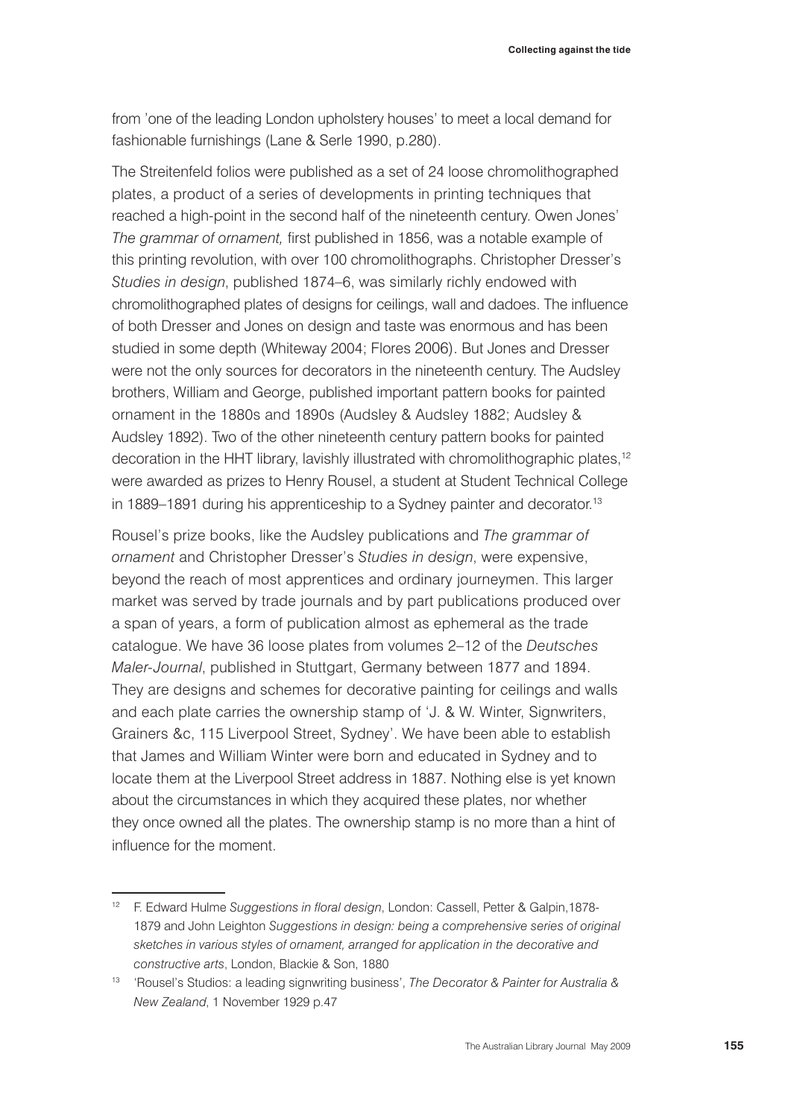from 'one of the leading London upholstery houses' to meet a local demand for fashionable furnishings (Lane & Serle 1990, p.280).

The Streitenfeld folios were published as a set of 24 loose chromolithographed plates, a product of a series of developments in printing techniques that reached a high-point in the second half of the nineteenth century. Owen Jones' *The grammar of ornament,* first published in 1856, was a notable example of this printing revolution, with over 100 chromolithographs. Christopher Dresser's *Studies in design*, published 1874–6, was similarly richly endowed with chromolithographed plates of designs for ceilings, wall and dadoes. The influence of both Dresser and Jones on design and taste was enormous and has been studied in some depth (Whiteway 2004; Flores 2006). But Jones and Dresser were not the only sources for decorators in the nineteenth century. The Audsley brothers, William and George, published important pattern books for painted ornament in the 1880s and 1890s (Audsley & Audsley 1882; Audsley & Audsley 1892). Two of the other nineteenth century pattern books for painted decoration in the HHT library, lavishly illustrated with chromolithographic plates,12 were awarded as prizes to Henry Rousel, a student at Student Technical College in 1889–1891 during his apprenticeship to a Sydney painter and decorator.<sup>13</sup>

Rousel's prize books, like the Audsley publications and *The grammar of ornament* and Christopher Dresser's *Studies in design*, were expensive, beyond the reach of most apprentices and ordinary journeymen. This larger market was served by trade journals and by part publications produced over a span of years, a form of publication almost as ephemeral as the trade catalogue. We have 36 loose plates from volumes 2–12 of the *Deutsches Maler-Journal*, published in Stuttgart, Germany between 1877 and 1894. They are designs and schemes for decorative painting for ceilings and walls and each plate carries the ownership stamp of 'J. & W. Winter, Signwriters, Grainers &c, 115 Liverpool Street, Sydney'. We have been able to establish that James and William Winter were born and educated in Sydney and to locate them at the Liverpool Street address in 1887. Nothing else is yet known about the circumstances in which they acquired these plates, nor whether they once owned all the plates. The ownership stamp is no more than a hint of influence for the moment.

<sup>12</sup> F. Edward Hulme *Suggestions in floral design*, London: Cassell, Petter & Galpin,1878- 1879 and John Leighton *Suggestions in design: being a comprehensive series of original sketches in various styles of ornament, arranged for application in the decorative and constructive arts*, London, Blackie & Son, 1880

<sup>13</sup> 'Rousel's Studios: a leading signwriting business', *The Decorator & Painter for Australia & New Zealand*, 1 November 1929 p.47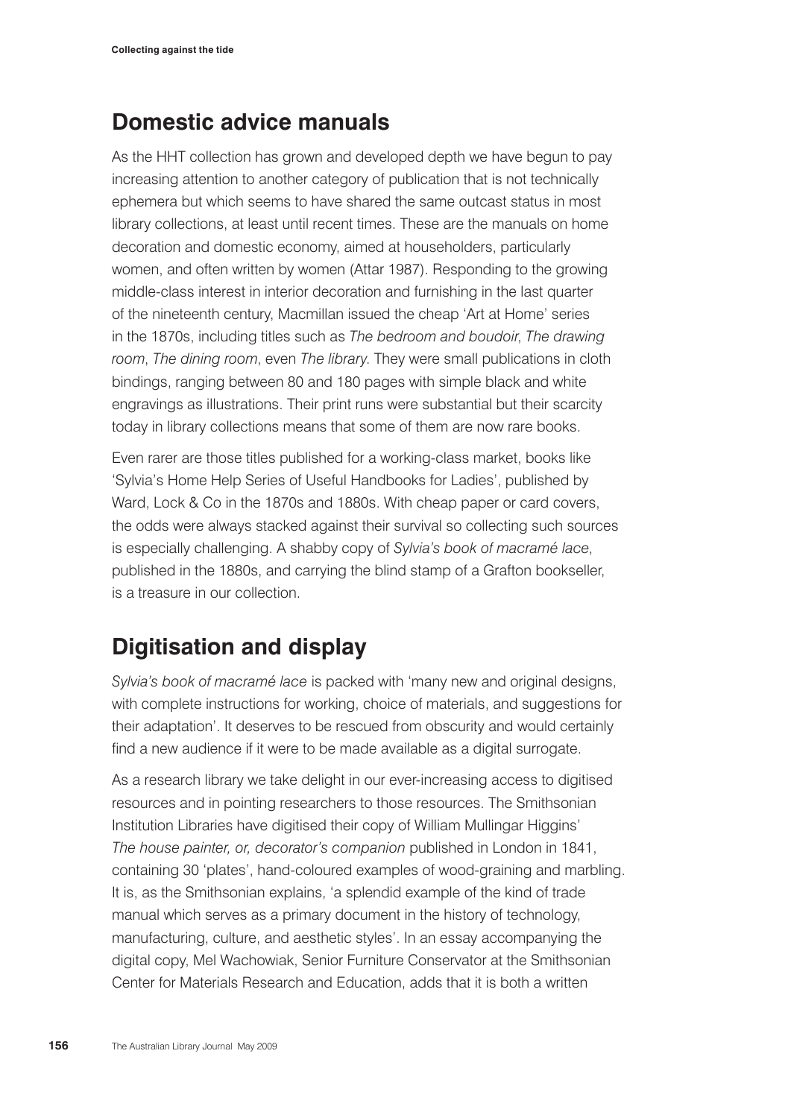#### **Domestic advice manuals**

As the HHT collection has grown and developed depth we have begun to pay increasing attention to another category of publication that is not technically ephemera but which seems to have shared the same outcast status in most library collections, at least until recent times. These are the manuals on home decoration and domestic economy, aimed at householders, particularly women, and often written by women (Attar 1987). Responding to the growing middle-class interest in interior decoration and furnishing in the last quarter of the nineteenth century, Macmillan issued the cheap 'Art at Home' series in the 1870s, including titles such as *The bedroom and boudoir*, *The drawing room*, *The dining room*, even *The library*. They were small publications in cloth bindings, ranging between 80 and 180 pages with simple black and white engravings as illustrations. Their print runs were substantial but their scarcity today in library collections means that some of them are now rare books.

Even rarer are those titles published for a working-class market, books like 'Sylvia's Home Help Series of Useful Handbooks for Ladies', published by Ward, Lock & Co in the 1870s and 1880s. With cheap paper or card covers, the odds were always stacked against their survival so collecting such sources is especially challenging. A shabby copy of *Sylvia's book of macramé lace*, published in the 1880s, and carrying the blind stamp of a Grafton bookseller, is a treasure in our collection.

### **Digitisation and display**

*Sylvia's book of macramé lace* is packed with 'many new and original designs, with complete instructions for working, choice of materials, and suggestions for their adaptation'. It deserves to be rescued from obscurity and would certainly find a new audience if it were to be made available as a digital surrogate.

As a research library we take delight in our ever-increasing access to digitised resources and in pointing researchers to those resources. The Smithsonian Institution Libraries have digitised their copy of William Mullingar Higgins' *The house painter, or, decorator's companion* published in London in 1841, containing 30 'plates', hand-coloured examples of wood-graining and marbling. It is, as the Smithsonian explains, 'a splendid example of the kind of trade manual which serves as a primary document in the history of technology, manufacturing, culture, and aesthetic styles'. In an essay accompanying the digital copy, Mel Wachowiak, Senior Furniture Conservator at the Smithsonian Center for Materials Research and Education, adds that it is both a written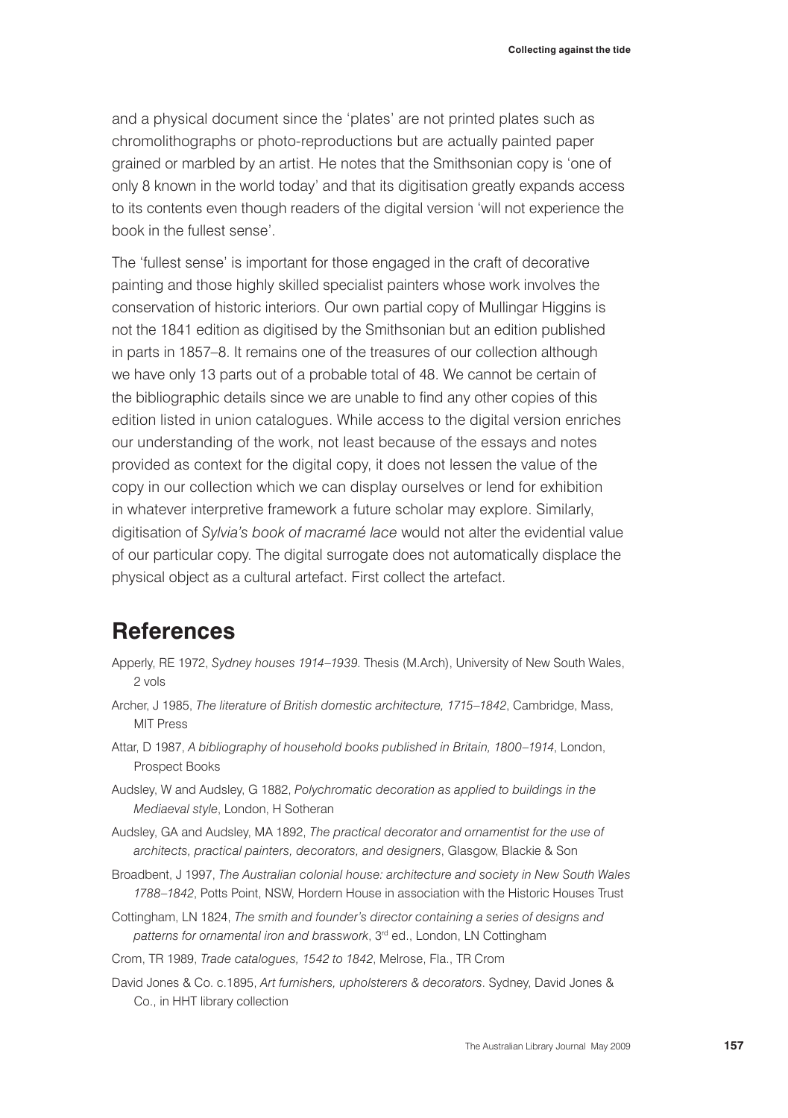and a physical document since the 'plates' are not printed plates such as chromolithographs or photo-reproductions but are actually painted paper grained or marbled by an artist. He notes that the Smithsonian copy is 'one of only 8 known in the world today' and that its digitisation greatly expands access to its contents even though readers of the digital version 'will not experience the book in the fullest sense'.

The 'fullest sense' is important for those engaged in the craft of decorative painting and those highly skilled specialist painters whose work involves the conservation of historic interiors. Our own partial copy of Mullingar Higgins is not the 1841 edition as digitised by the Smithsonian but an edition published in parts in 1857–8. It remains one of the treasures of our collection although we have only 13 parts out of a probable total of 48. We cannot be certain of the bibliographic details since we are unable to find any other copies of this edition listed in union catalogues. While access to the digital version enriches our understanding of the work, not least because of the essays and notes provided as context for the digital copy, it does not lessen the value of the copy in our collection which we can display ourselves or lend for exhibition in whatever interpretive framework a future scholar may explore. Similarly, digitisation of *Sylvia's book of macramé lace* would not alter the evidential value of our particular copy. The digital surrogate does not automatically displace the physical object as a cultural artefact. First collect the artefact.

#### **References**

- Apperly, RE 1972, *Sydney houses 1914–1939*. Thesis (M.Arch), University of New South Wales, 2 vols
- Archer, J 1985, *The literature of British domestic architecture, 1715–1842*, Cambridge, Mass, MIT Press
- Attar, D 1987, *A bibliography of household books published in Britain, 1800–1914*, London, Prospect Books
- Audsley, W and Audsley, G 1882, *Polychromatic decoration as applied to buildings in the Mediaeval style*, London, H Sotheran
- Audsley, GA and Audsley, MA 1892, *The practical decorator and ornamentist for the use of architects, practical painters, decorators, and designers*, Glasgow, Blackie & Son
- Broadbent, J 1997, *The Australian colonial house: architecture and society in New South Wales 1788–1842*, Potts Point, NSW, Hordern House in association with the Historic Houses Trust
- Cottingham, LN 1824, *The smith and founder's director containing a series of designs and*  patterns for ornamental iron and brasswork, 3<sup>rd</sup> ed., London, LN Cottingham
- Crom, TR 1989, *Trade catalogues, 1542 to 1842*, Melrose, Fla., TR Crom
- David Jones & Co. c.1895, *Art furnishers, upholsterers & decorators*. Sydney, David Jones & Co., in HHT library collection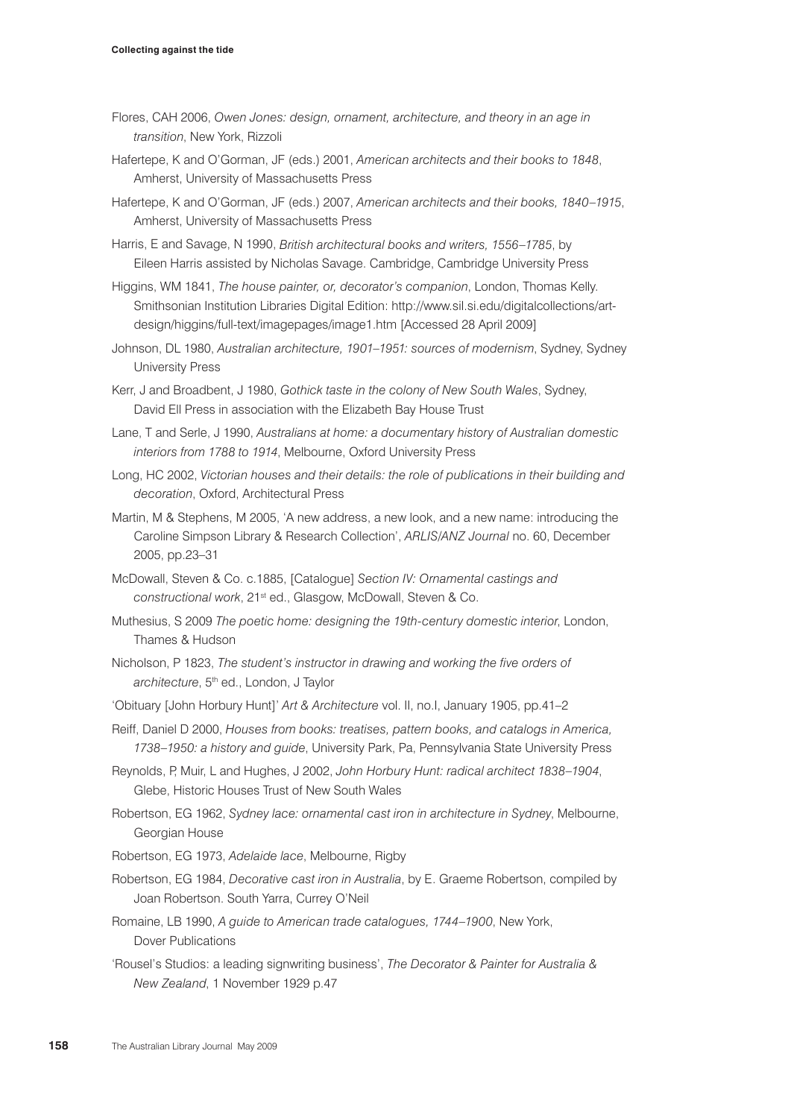- Flores, CAH 2006, *Owen Jones: design, ornament, architecture, and theory in an age in transition*, New York, Rizzoli
- Hafertepe, K and O'Gorman, JF (eds.) 2001, *American architects and their books to 1848*, Amherst, University of Massachusetts Press
- Hafertepe, K and O'Gorman, JF (eds.) 2007, *American architects and their books, 1840–1915*, Amherst, University of Massachusetts Press
- Harris, E and Savage, N 1990, *British architectural books and writers, 1556–1785*, by Eileen Harris assisted by Nicholas Savage. Cambridge, Cambridge University Press
- Higgins, WM 1841, *The house painter, or, decorator's companion*, London, Thomas Kelly. Smithsonian Institution Libraries Digital Edition: http://www.sil.si.edu/digitalcollections/artdesign/higgins/full-text/imagepages/image1.htm [Accessed 28 April 2009]
- Johnson, DL 1980, *Australian architecture, 1901–1951: sources of modernism*, Sydney, Sydney University Press
- Kerr, J and Broadbent, J 1980, *Gothick taste in the colony of New South Wales*, Sydney, David Ell Press in association with the Elizabeth Bay House Trust
- Lane, T and Serle, J 1990, *Australians at home: a documentary history of Australian domestic interiors from 1788 to 1914*, Melbourne, Oxford University Press
- Long, HC 2002, *Victorian houses and their details: the role of publications in their building and decoration*, Oxford, Architectural Press
- Martin, M & Stephens, M 2005, 'A new address, a new look, and a new name: introducing the Caroline Simpson Library & Research Collection', *ARLIS/ANZ Journal* no. 60, December 2005, pp.23–31
- McDowall, Steven & Co. c.1885, [Catalogue] *Section IV: Ornamental castings and constructional work*, 21st ed., Glasgow, McDowall, Steven & Co.
- Muthesius, S 2009 *The poetic home: designing the 19th-century domestic interior*, London, Thames & Hudson
- Nicholson, P 1823, *The student's instructor in drawing and working the five orders of architecture*, 5th ed., London, J Taylor
- 'Obituary [John Horbury Hunt]' *Art & Architecture* vol. II, no.I, January 1905, pp.41–2
- Reiff, Daniel D 2000, *Houses from books: treatises, pattern books, and catalogs in America, 1738–1950: a history and guide*, University Park, Pa, Pennsylvania State University Press
- Reynolds, P, Muir, L and Hughes, J 2002, *John Horbury Hunt: radical architect 1838–1904*, Glebe, Historic Houses Trust of New South Wales
- Robertson, EG 1962, *Sydney lace: ornamental cast iron in architecture in Sydney*, Melbourne, Georgian House
- Robertson, EG 1973, *Adelaide lace*, Melbourne, Rigby
- Robertson, EG 1984, *Decorative cast iron in Australia*, by E. Graeme Robertson, compiled by Joan Robertson. South Yarra, Currey O'Neil
- Romaine, LB 1990, *A guide to American trade catalogues, 1744–1900*, New York, Dover Publications
- 'Rousel's Studios: a leading signwriting business', *The Decorator & Painter for Australia & New Zealand*, 1 November 1929 p.47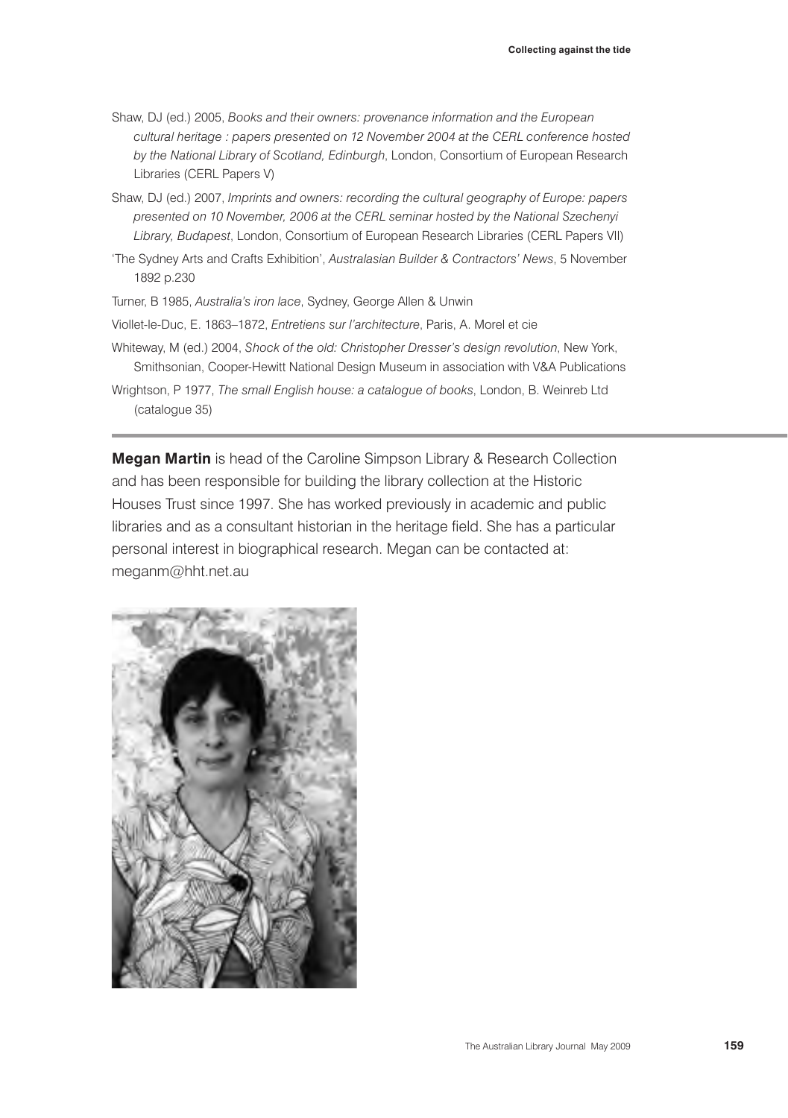- Shaw, DJ (ed.) 2005, *Books and their owners: provenance information and the European cultural heritage : papers presented on 12 November 2004 at the CERL conference hosted by the National Library of Scotland, Edinburgh*, London, Consortium of European Research Libraries (CERL Papers V)
- Shaw, DJ (ed.) 2007, *Imprints and owners: recording the cultural geography of Europe: papers presented on 10 November, 2006 at the CERL seminar hosted by the National Szechenyi Library, Budapest*, London, Consortium of European Research Libraries (CERL Papers VII)
- 'The Sydney Arts and Crafts Exhibition', *Australasian Builder & Contractors' News*, 5 November 1892 p.230
- Turner, B 1985, *Australia's iron lace*, Sydney, George Allen & Unwin
- Viollet-le-Duc, E. 1863–1872, *Entretiens sur l'architecture*, Paris, A. Morel et cie
- Whiteway, M (ed.) 2004, *Shock of the old: Christopher Dresser's design revolution*, New York, Smithsonian, Cooper-Hewitt National Design Museum in association with V&A Publications
- Wrightson, P 1977, *The small English house: a catalogue of books*, London, B. Weinreb Ltd (catalogue 35)

**Megan Martin** is head of the Caroline Simpson Library & Research Collection and has been responsible for building the library collection at the Historic Houses Trust since 1997. She has worked previously in academic and public libraries and as a consultant historian in the heritage field. She has a particular personal interest in biographical research. Megan can be contacted at: meganm@hht.net.au

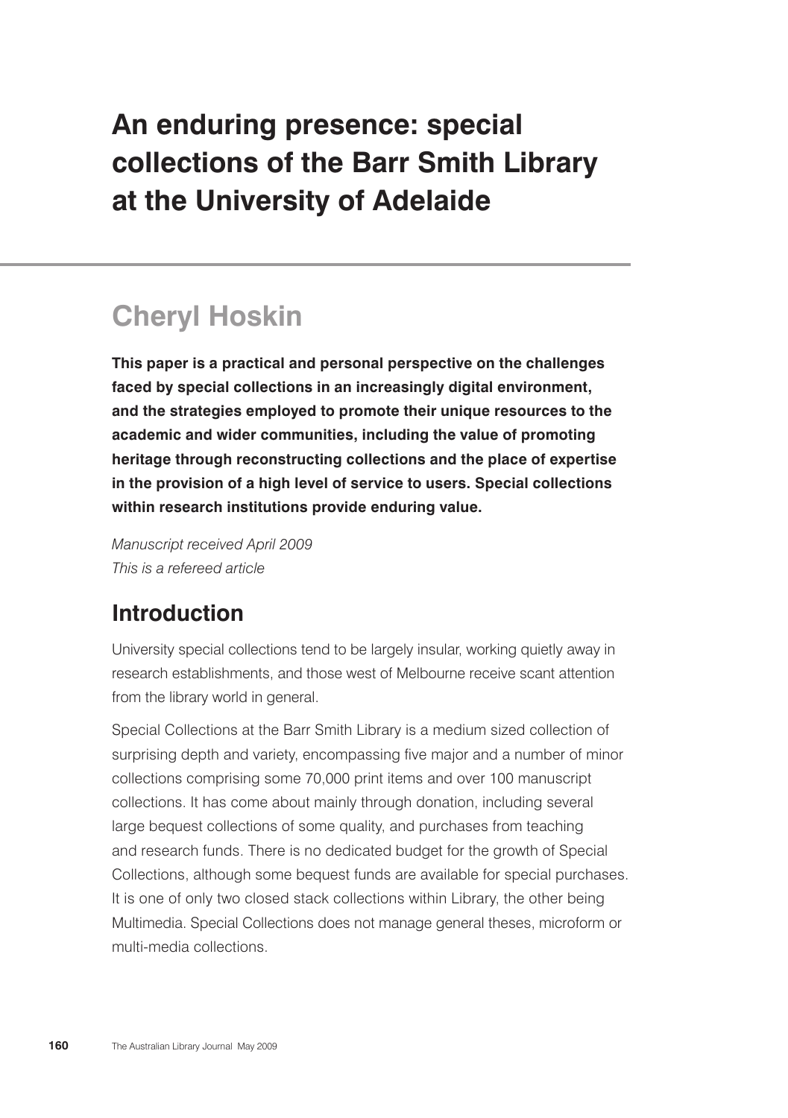# **An enduring presence: special collections of the Barr Smith Library at the University of Adelaide**

# **Cheryl Hoskin**

**This paper is a practical and personal perspective on the challenges faced by special collections in an increasingly digital environment, and the strategies employed to promote their unique resources to the academic and wider communities, including the value of promoting heritage through reconstructing collections and the place of expertise in the provision of a high level of service to users. Special collections within research institutions provide enduring value.**

*Manuscript received April 2009 This is a refereed article*

## **Introduction**

University special collections tend to be largely insular, working quietly away in research establishments, and those west of Melbourne receive scant attention from the library world in general.

Special Collections at the Barr Smith Library is a medium sized collection of surprising depth and variety, encompassing five major and a number of minor collections comprising some 70,000 print items and over 100 manuscript collections. It has come about mainly through donation, including several large bequest collections of some quality, and purchases from teaching and research funds. There is no dedicated budget for the growth of Special Collections, although some bequest funds are available for special purchases. It is one of only two closed stack collections within Library, the other being Multimedia. Special Collections does not manage general theses, microform or multi-media collections.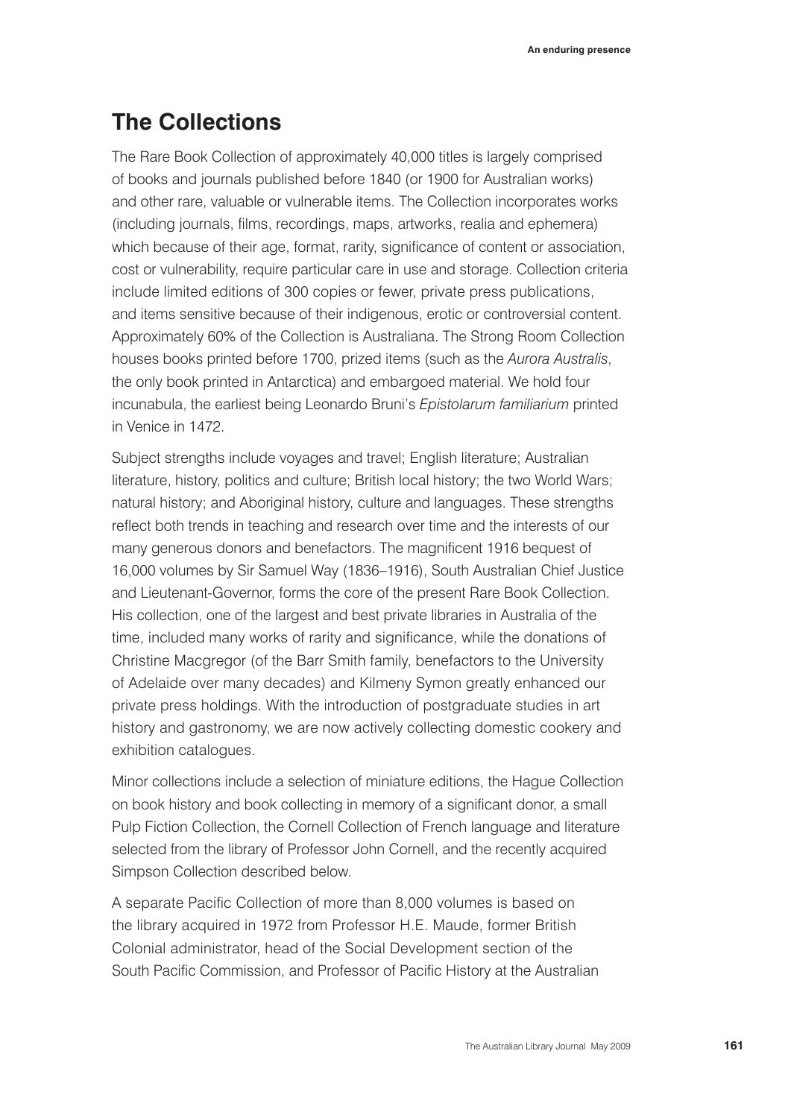# **The Collections**

The Rare Book Collection of approximately 40,000 titles is largely comprised of books and journals published before 1840 (or 1900 for Australian works) and other rare, valuable or vulnerable items. The Collection incorporates works (including journals, films, recordings, maps, artworks, realia and ephemera) which because of their age, format, rarity, significance of content or association, cost or vulnerability, require particular care in use and storage. Collection criteria include limited editions of 300 copies or fewer, private press publications, and items sensitive because of their indigenous, erotic or controversial content. Approximately 60% of the Collection is Australiana. The Strong Room Collection houses books printed before 1700, prized items (such as the *Aurora Australis*, the only book printed in Antarctica) and embargoed material. We hold four incunabula, the earliest being Leonardo Bruni's *Epistolarum familiarium* printed in Venice in 1472.

Subject strengths include voyages and travel; English literature; Australian literature, history, politics and culture; British local history; the two World Wars; natural history; and Aboriginal history, culture and languages. These strengths reflect both trends in teaching and research over time and the interests of our many generous donors and benefactors. The magnificent 1916 bequest of 16,000 volumes by Sir Samuel Way (1836–1916), South Australian Chief Justice and Lieutenant-Governor, forms the core of the present Rare Book Collection. His collection, one of the largest and best private libraries in Australia of the time, included many works of rarity and significance, while the donations of Christine Macgregor (of the Barr Smith family, benefactors to the University of Adelaide over many decades) and Kilmeny Symon greatly enhanced our private press holdings. With the introduction of postgraduate studies in art history and gastronomy, we are now actively collecting domestic cookery and exhibition catalogues.

Minor collections include a selection of miniature editions, the Hague Collection on book history and book collecting in memory of a significant donor, a small Pulp Fiction Collection, the Cornell Collection of French language and literature selected from the library of Professor John Cornell, and the recently acquired Simpson Collection described below.

A separate Pacific Collection of more than 8,000 volumes is based on the library acquired in 1972 from Professor H.E. Maude, former British Colonial administrator, head of the Social Development section of the South Pacific Commission, and Professor of Pacific History at the Australian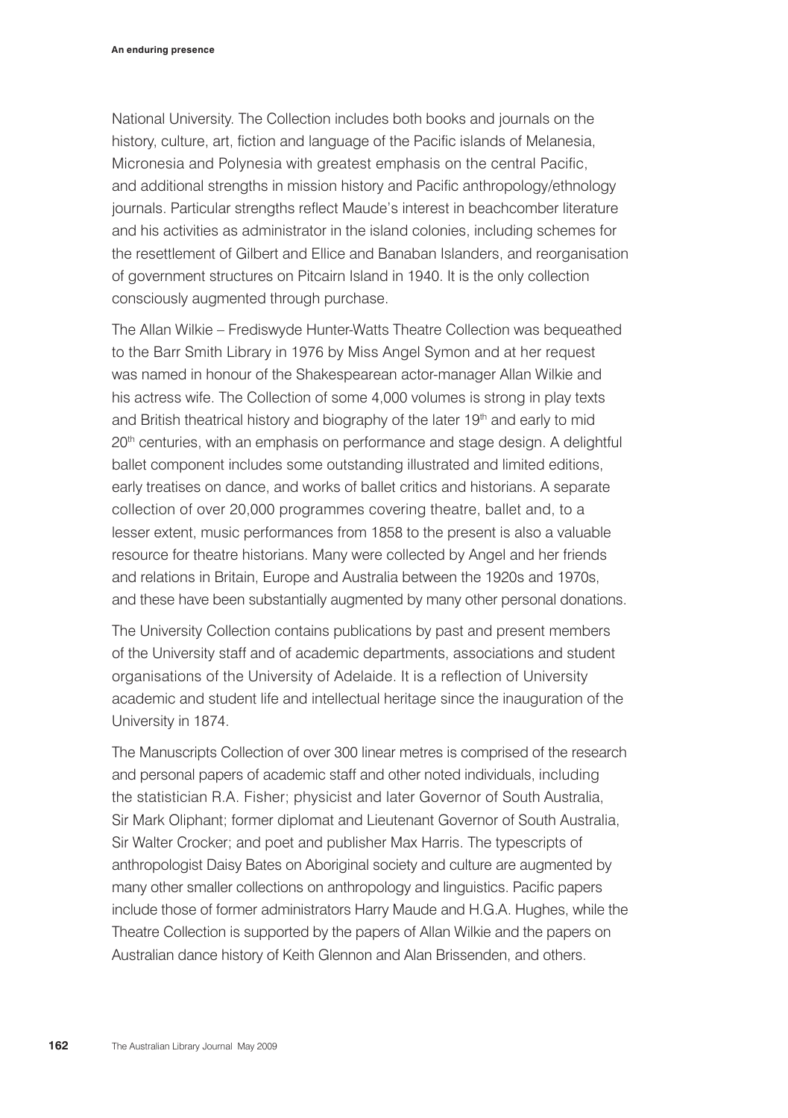National University. The Collection includes both books and journals on the history, culture, art, fiction and language of the Pacific islands of Melanesia, Micronesia and Polynesia with greatest emphasis on the central Pacific, and additional strengths in mission history and Pacific anthropology/ethnology journals. Particular strengths reflect Maude's interest in beachcomber literature and his activities as administrator in the island colonies, including schemes for the resettlement of Gilbert and Ellice and Banaban Islanders, and reorganisation of government structures on Pitcairn Island in 1940. It is the only collection consciously augmented through purchase.

The Allan Wilkie – Frediswyde Hunter-Watts Theatre Collection was bequeathed to the Barr Smith Library in 1976 by Miss Angel Symon and at her request was named in honour of the Shakespearean actor-manager Allan Wilkie and his actress wife. The Collection of some 4,000 volumes is strong in play texts and British theatrical history and biography of the later 19<sup>th</sup> and early to mid 20<sup>th</sup> centuries, with an emphasis on performance and stage design. A delightful ballet component includes some outstanding illustrated and limited editions, early treatises on dance, and works of ballet critics and historians. A separate collection of over 20,000 programmes covering theatre, ballet and, to a lesser extent, music performances from 1858 to the present is also a valuable resource for theatre historians. Many were collected by Angel and her friends and relations in Britain, Europe and Australia between the 1920s and 1970s, and these have been substantially augmented by many other personal donations.

The University Collection contains publications by past and present members of the University staff and of academic departments, associations and student organisations of the University of Adelaide. It is a reflection of University academic and student life and intellectual heritage since the inauguration of the University in 1874.

The Manuscripts Collection of over 300 linear metres is comprised of the research and personal papers of academic staff and other noted individuals, including the statistician R.A. Fisher; physicist and later Governor of South Australia, Sir Mark Oliphant; former diplomat and Lieutenant Governor of South Australia, Sir Walter Crocker; and poet and publisher Max Harris. The typescripts of anthropologist Daisy Bates on Aboriginal society and culture are augmented by many other smaller collections on anthropology and linguistics. Pacific papers include those of former administrators Harry Maude and H.G.A. Hughes, while the Theatre Collection is supported by the papers of Allan Wilkie and the papers on Australian dance history of Keith Glennon and Alan Brissenden, and others.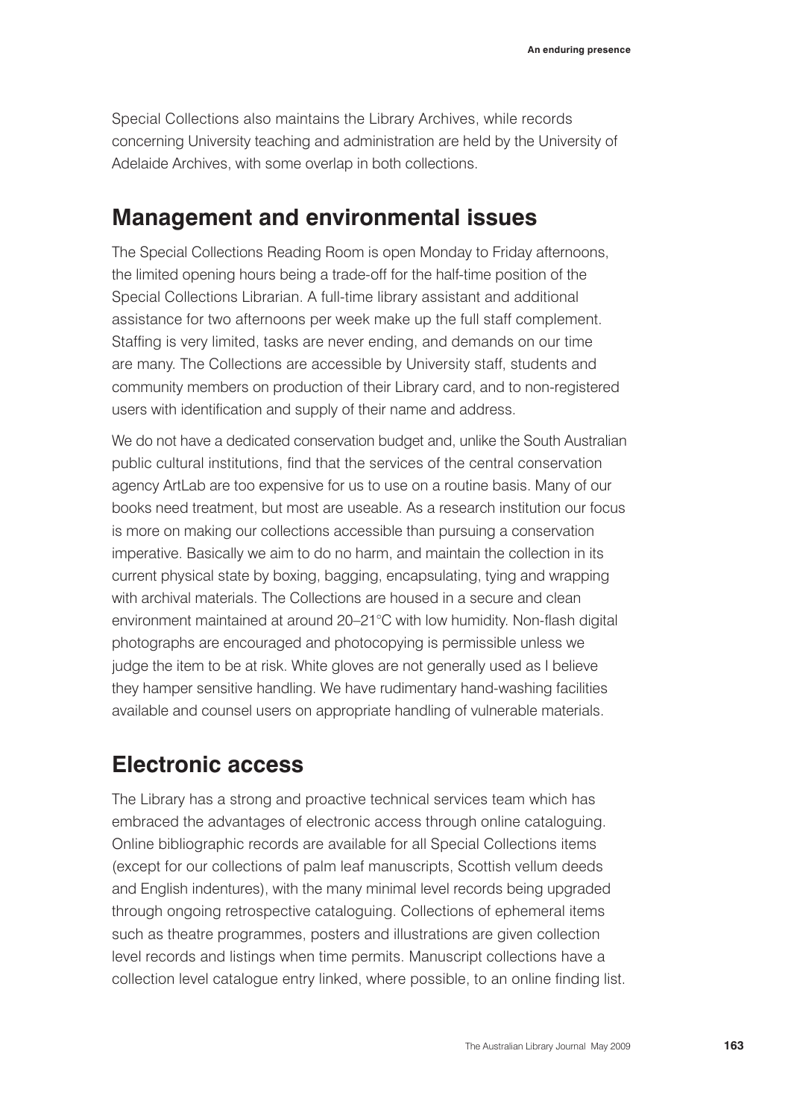Special Collections also maintains the Library Archives, while records concerning University teaching and administration are held by the University of Adelaide Archives, with some overlap in both collections.

### **Management and environmental issues**

The Special Collections Reading Room is open Monday to Friday afternoons, the limited opening hours being a trade-off for the half-time position of the Special Collections Librarian. A full-time library assistant and additional assistance for two afternoons per week make up the full staff complement. Staffing is very limited, tasks are never ending, and demands on our time are many. The Collections are accessible by University staff, students and community members on production of their Library card, and to non-registered users with identification and supply of their name and address.

We do not have a dedicated conservation budget and, unlike the South Australian public cultural institutions, find that the services of the central conservation agency ArtLab are too expensive for us to use on a routine basis. Many of our books need treatment, but most are useable. As a research institution our focus is more on making our collections accessible than pursuing a conservation imperative. Basically we aim to do no harm, and maintain the collection in its current physical state by boxing, bagging, encapsulating, tying and wrapping with archival materials. The Collections are housed in a secure and clean environment maintained at around 20–21°C with low humidity. Non-flash digital photographs are encouraged and photocopying is permissible unless we judge the item to be at risk. White gloves are not generally used as I believe they hamper sensitive handling. We have rudimentary hand-washing facilities available and counsel users on appropriate handling of vulnerable materials.

### **Electronic access**

The Library has a strong and proactive technical services team which has embraced the advantages of electronic access through online cataloguing. Online bibliographic records are available for all Special Collections items (except for our collections of palm leaf manuscripts, Scottish vellum deeds and English indentures), with the many minimal level records being upgraded through ongoing retrospective cataloguing. Collections of ephemeral items such as theatre programmes, posters and illustrations are given collection level records and listings when time permits. Manuscript collections have a collection level catalogue entry linked, where possible, to an online finding list.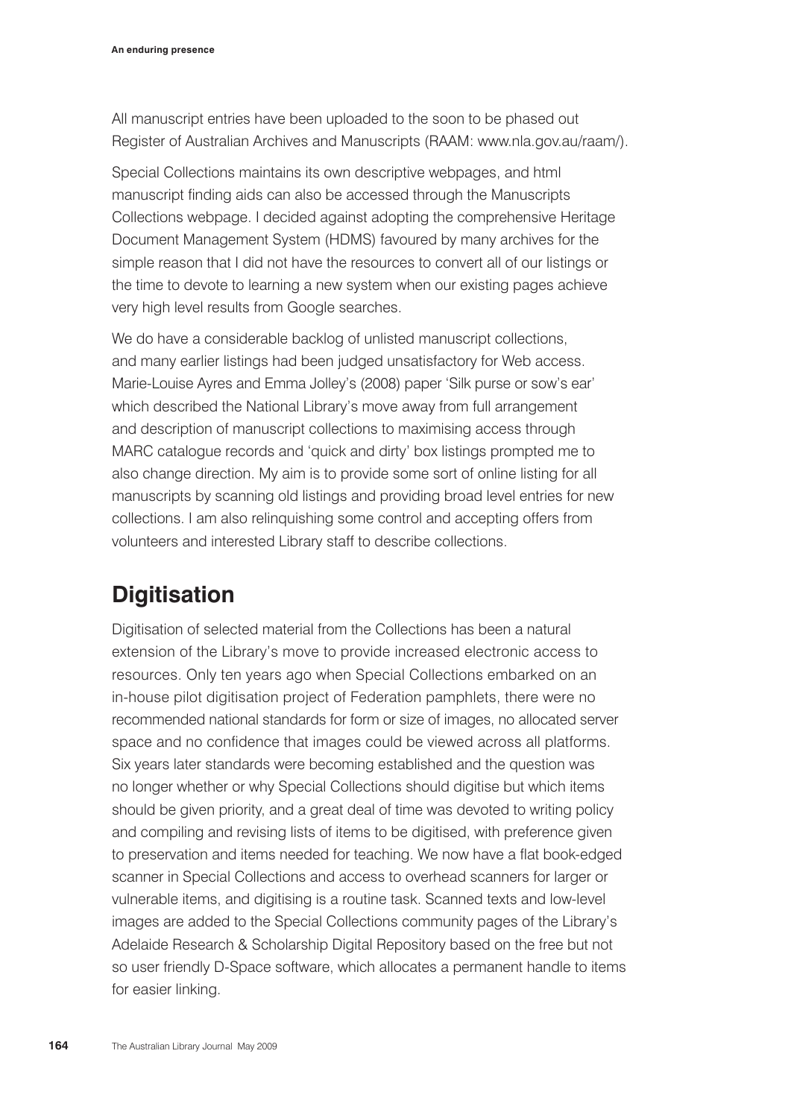All manuscript entries have been uploaded to the soon to be phased out Register of Australian Archives and Manuscripts (RAAM: www.nla.gov.au/raam/).

Special Collections maintains its own descriptive webpages, and html manuscript finding aids can also be accessed through the Manuscripts Collections webpage. I decided against adopting the comprehensive Heritage Document Management System (HDMS) favoured by many archives for the simple reason that I did not have the resources to convert all of our listings or the time to devote to learning a new system when our existing pages achieve very high level results from Google searches.

We do have a considerable backlog of unlisted manuscript collections, and many earlier listings had been judged unsatisfactory for Web access. Marie-Louise Ayres and Emma Jolley's (2008) paper 'Silk purse or sow's ear' which described the National Library's move away from full arrangement and description of manuscript collections to maximising access through MARC catalogue records and 'quick and dirty' box listings prompted me to also change direction. My aim is to provide some sort of online listing for all manuscripts by scanning old listings and providing broad level entries for new collections. I am also relinquishing some control and accepting offers from volunteers and interested Library staff to describe collections.

## **Digitisation**

Digitisation of selected material from the Collections has been a natural extension of the Library's move to provide increased electronic access to resources. Only ten years ago when Special Collections embarked on an in-house pilot digitisation project of Federation pamphlets, there were no recommended national standards for form or size of images, no allocated server space and no confidence that images could be viewed across all platforms. Six years later standards were becoming established and the question was no longer whether or why Special Collections should digitise but which items should be given priority, and a great deal of time was devoted to writing policy and compiling and revising lists of items to be digitised, with preference given to preservation and items needed for teaching. We now have a flat book-edged scanner in Special Collections and access to overhead scanners for larger or vulnerable items, and digitising is a routine task. Scanned texts and low-level images are added to the Special Collections community pages of the Library's Adelaide Research & Scholarship Digital Repository based on the free but not so user friendly D-Space software, which allocates a permanent handle to items for easier linking.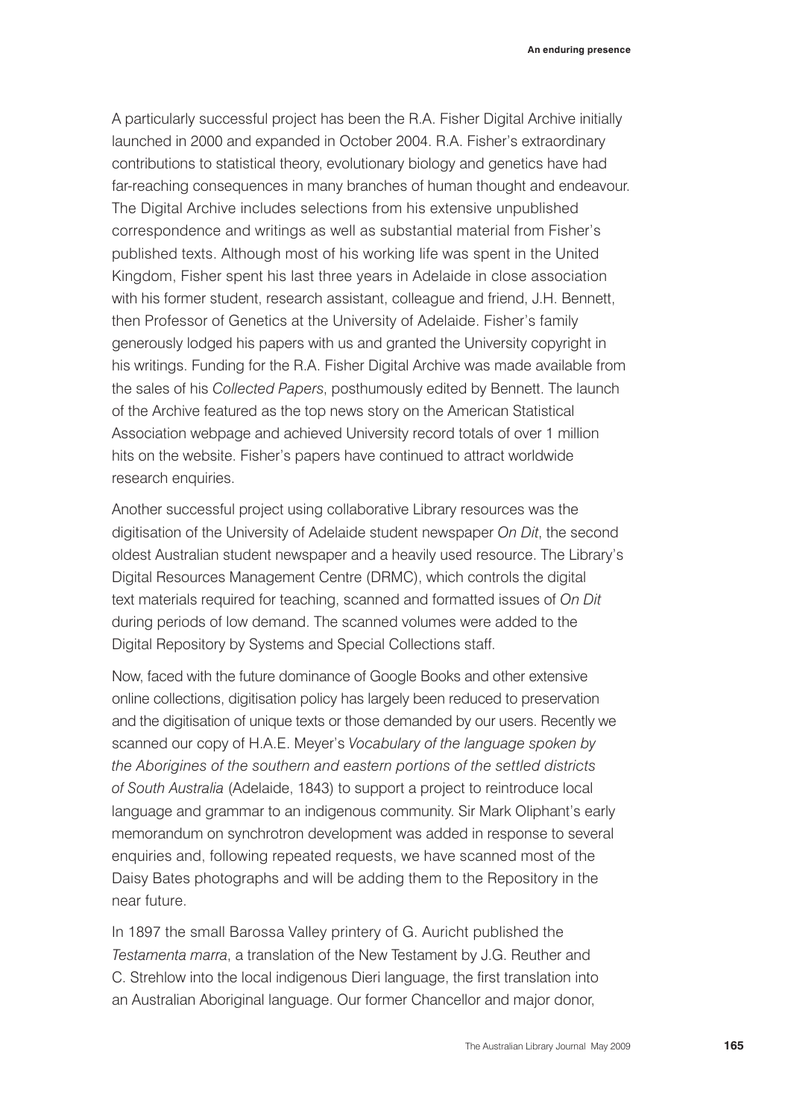A particularly successful project has been the R.A. Fisher Digital Archive initially launched in 2000 and expanded in October 2004. R.A. Fisher's extraordinary contributions to statistical theory, evolutionary biology and genetics have had far-reaching consequences in many branches of human thought and endeavour. The Digital Archive includes selections from his extensive unpublished correspondence and writings as well as substantial material from Fisher's published texts. Although most of his working life was spent in the United Kingdom, Fisher spent his last three years in Adelaide in close association with his former student, research assistant, colleague and friend, J.H. Bennett, then Professor of Genetics at the University of Adelaide. Fisher's family generously lodged his papers with us and granted the University copyright in his writings. Funding for the R.A. Fisher Digital Archive was made available from the sales of his *Collected Papers*, posthumously edited by Bennett. The launch of the Archive featured as the top news story on the American Statistical Association webpage and achieved University record totals of over 1 million hits on the website. Fisher's papers have continued to attract worldwide research enquiries.

Another successful project using collaborative Library resources was the digitisation of the University of Adelaide student newspaper *On Dit*, the second oldest Australian student newspaper and a heavily used resource. The Library's Digital Resources Management Centre (DRMC), which controls the digital text materials required for teaching, scanned and formatted issues of *On Dit* during periods of low demand. The scanned volumes were added to the Digital Repository by Systems and Special Collections staff.

Now, faced with the future dominance of Google Books and other extensive online collections, digitisation policy has largely been reduced to preservation and the digitisation of unique texts or those demanded by our users. Recently we scanned our copy of H.A.E. Meyer's *Vocabulary of the language spoken by the Aborigines of the southern and eastern portions of the settled districts of South Australia* (Adelaide, 1843) to support a project to reintroduce local language and grammar to an indigenous community. Sir Mark Oliphant's early memorandum on synchrotron development was added in response to several enquiries and, following repeated requests, we have scanned most of the Daisy Bates photographs and will be adding them to the Repository in the near future.

In 1897 the small Barossa Valley printery of G. Auricht published the *Testamenta marra*, a translation of the New Testament by J.G. Reuther and C. Strehlow into the local indigenous Dieri language, the first translation into an Australian Aboriginal language. Our former Chancellor and major donor,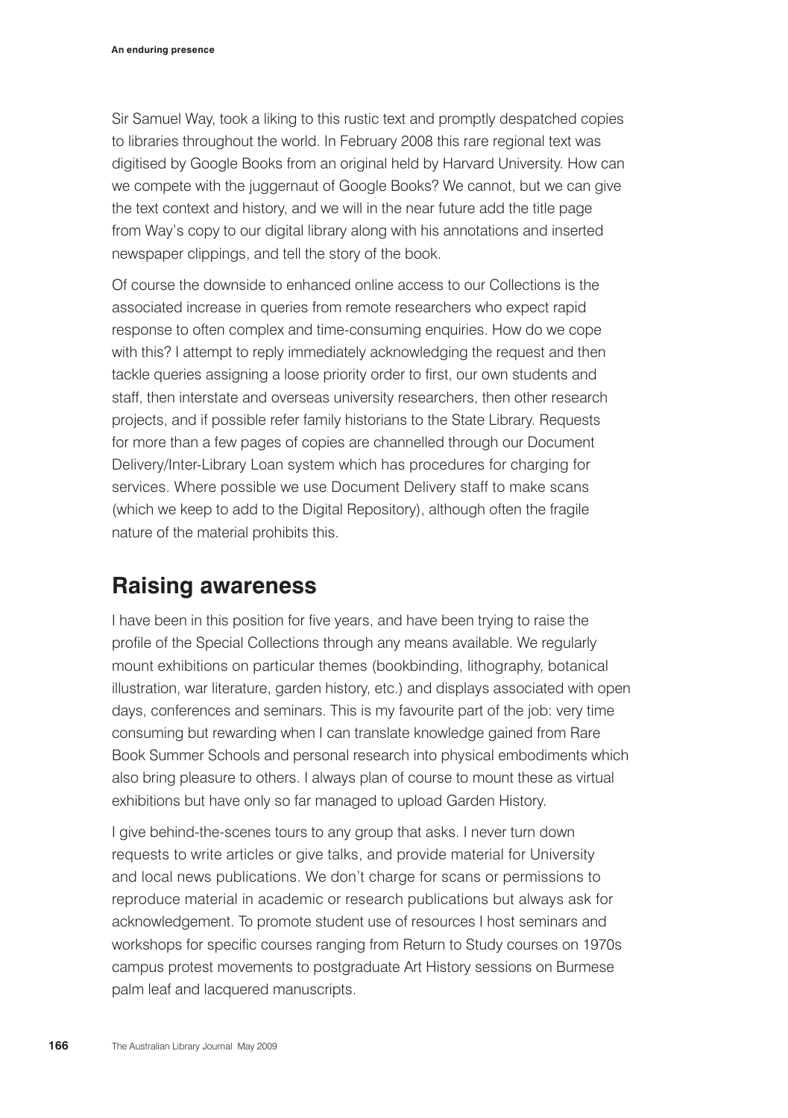Sir Samuel Way, took a liking to this rustic text and promptly despatched copies to libraries throughout the world. In February 2008 this rare regional text was digitised by Google Books from an original held by Harvard University. How can we compete with the juggernaut of Google Books? We cannot, but we can give the text context and history, and we will in the near future add the title page from Way's copy to our digital library along with his annotations and inserted newspaper clippings, and tell the story of the book.

Of course the downside to enhanced online access to our Collections is the associated increase in queries from remote researchers who expect rapid response to often complex and time-consuming enquiries. How do we cope with this? I attempt to reply immediately acknowledging the request and then tackle queries assigning a loose priority order to first, our own students and staff, then interstate and overseas university researchers, then other research projects, and if possible refer family historians to the State Library. Requests for more than a few pages of copies are channelled through our Document Delivery/Inter-Library Loan system which has procedures for charging for services. Where possible we use Document Delivery staff to make scans (which we keep to add to the Digital Repository), although often the fragile nature of the material prohibits this.

### **Raising awareness**

I have been in this position for five years, and have been trying to raise the profile of the Special Collections through any means available. We regularly mount exhibitions on particular themes (bookbinding, lithography, botanical illustration, war literature, garden history, etc.) and displays associated with open days, conferences and seminars. This is my favourite part of the job: very time consuming but rewarding when I can translate knowledge gained from Rare Book Summer Schools and personal research into physical embodiments which also bring pleasure to others. I always plan of course to mount these as virtual exhibitions but have only so far managed to upload Garden History.

I give behind-the-scenes tours to any group that asks. I never turn down requests to write articles or give talks, and provide material for University and local news publications. We don't charge for scans or permissions to reproduce material in academic or research publications but always ask for acknowledgement. To promote student use of resources I host seminars and workshops for specific courses ranging from Return to Study courses on 1970s campus protest movements to postgraduate Art History sessions on Burmese palm leaf and lacquered manuscripts.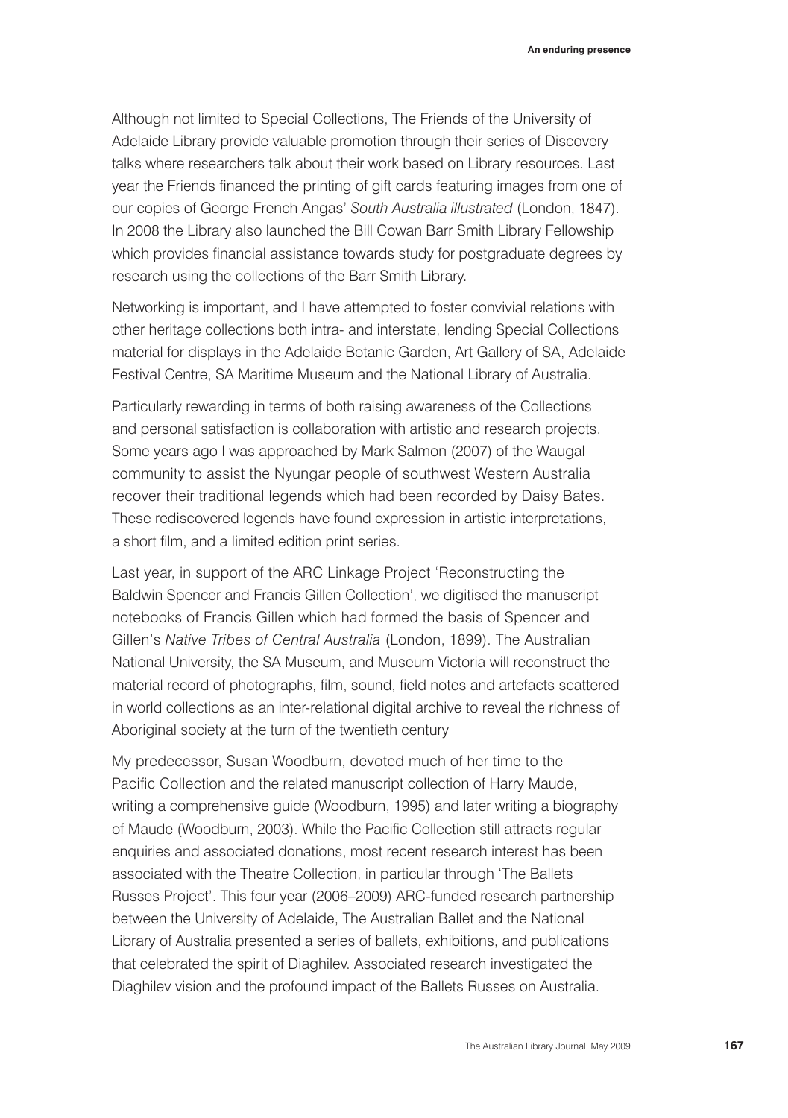Although not limited to Special Collections, The Friends of the University of Adelaide Library provide valuable promotion through their series of Discovery talks where researchers talk about their work based on Library resources. Last year the Friends financed the printing of gift cards featuring images from one of our copies of George French Angas' *South Australia illustrated* (London, 1847). In 2008 the Library also launched the Bill Cowan Barr Smith Library Fellowship which provides financial assistance towards study for postgraduate degrees by research using the collections of the Barr Smith Library.

Networking is important, and I have attempted to foster convivial relations with other heritage collections both intra- and interstate, lending Special Collections material for displays in the Adelaide Botanic Garden, Art Gallery of SA, Adelaide Festival Centre, SA Maritime Museum and the National Library of Australia.

Particularly rewarding in terms of both raising awareness of the Collections and personal satisfaction is collaboration with artistic and research projects. Some years ago I was approached by Mark Salmon (2007) of the Waugal community to assist the Nyungar people of southwest Western Australia recover their traditional legends which had been recorded by Daisy Bates. These rediscovered legends have found expression in artistic interpretations, a short film, and a limited edition print series.

Last year, in support of the ARC Linkage Project 'Reconstructing the Baldwin Spencer and Francis Gillen Collection', we digitised the manuscript notebooks of Francis Gillen which had formed the basis of Spencer and Gillen's *Native Tribes of Central Australia* (London, 1899). The Australian National University, the SA Museum, and Museum Victoria will reconstruct the material record of photographs, film, sound, field notes and artefacts scattered in world collections as an inter-relational digital archive to reveal the richness of Aboriginal society at the turn of the twentieth century

My predecessor, Susan Woodburn, devoted much of her time to the Pacific Collection and the related manuscript collection of Harry Maude, writing a comprehensive guide (Woodburn, 1995) and later writing a biography of Maude (Woodburn, 2003). While the Pacific Collection still attracts regular enquiries and associated donations, most recent research interest has been associated with the Theatre Collection, in particular through 'The Ballets Russes Project'. This four year (2006–2009) ARC-funded research partnership between the University of Adelaide, The Australian Ballet and the National Library of Australia presented a series of ballets, exhibitions, and publications that celebrated the spirit of Diaghilev. Associated research investigated the Diaghilev vision and the profound impact of the Ballets Russes on Australia.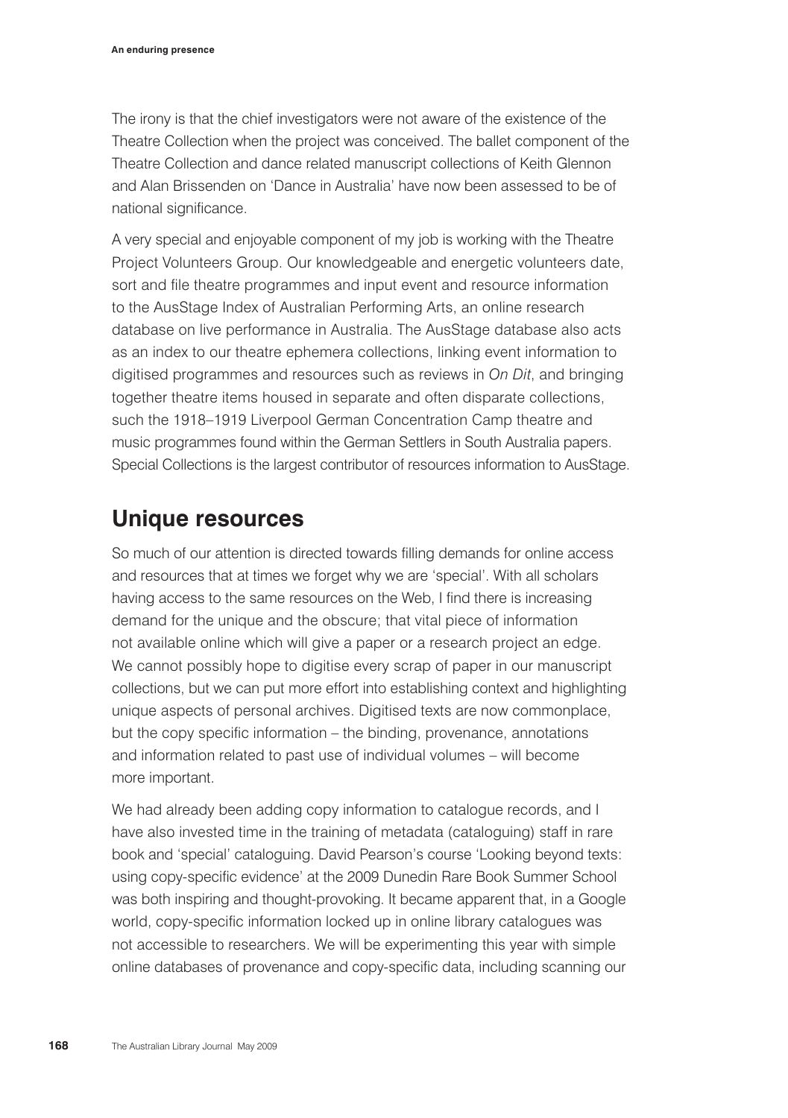The irony is that the chief investigators were not aware of the existence of the Theatre Collection when the project was conceived. The ballet component of the Theatre Collection and dance related manuscript collections of Keith Glennon and Alan Brissenden on 'Dance in Australia' have now been assessed to be of national significance.

A very special and enjoyable component of my job is working with the Theatre Project Volunteers Group. Our knowledgeable and energetic volunteers date, sort and file theatre programmes and input event and resource information to the AusStage Index of Australian Performing Arts, an online research database on live performance in Australia. The AusStage database also acts as an index to our theatre ephemera collections, linking event information to digitised programmes and resources such as reviews in *On Dit*, and bringing together theatre items housed in separate and often disparate collections, such the 1918–1919 Liverpool German Concentration Camp theatre and music programmes found within the German Settlers in South Australia papers. Special Collections is the largest contributor of resources information to AusStage.

### **Unique resources**

So much of our attention is directed towards filling demands for online access and resources that at times we forget why we are 'special'. With all scholars having access to the same resources on the Web, I find there is increasing demand for the unique and the obscure; that vital piece of information not available online which will give a paper or a research project an edge. We cannot possibly hope to digitise every scrap of paper in our manuscript collections, but we can put more effort into establishing context and highlighting unique aspects of personal archives. Digitised texts are now commonplace, but the copy specific information – the binding, provenance, annotations and information related to past use of individual volumes – will become more important.

We had already been adding copy information to catalogue records, and I have also invested time in the training of metadata (cataloguing) staff in rare book and 'special' cataloguing. David Pearson's course 'Looking beyond texts: using copy-specific evidence' at the 2009 Dunedin Rare Book Summer School was both inspiring and thought-provoking. It became apparent that, in a Google world, copy-specific information locked up in online library catalogues was not accessible to researchers. We will be experimenting this year with simple online databases of provenance and copy-specific data, including scanning our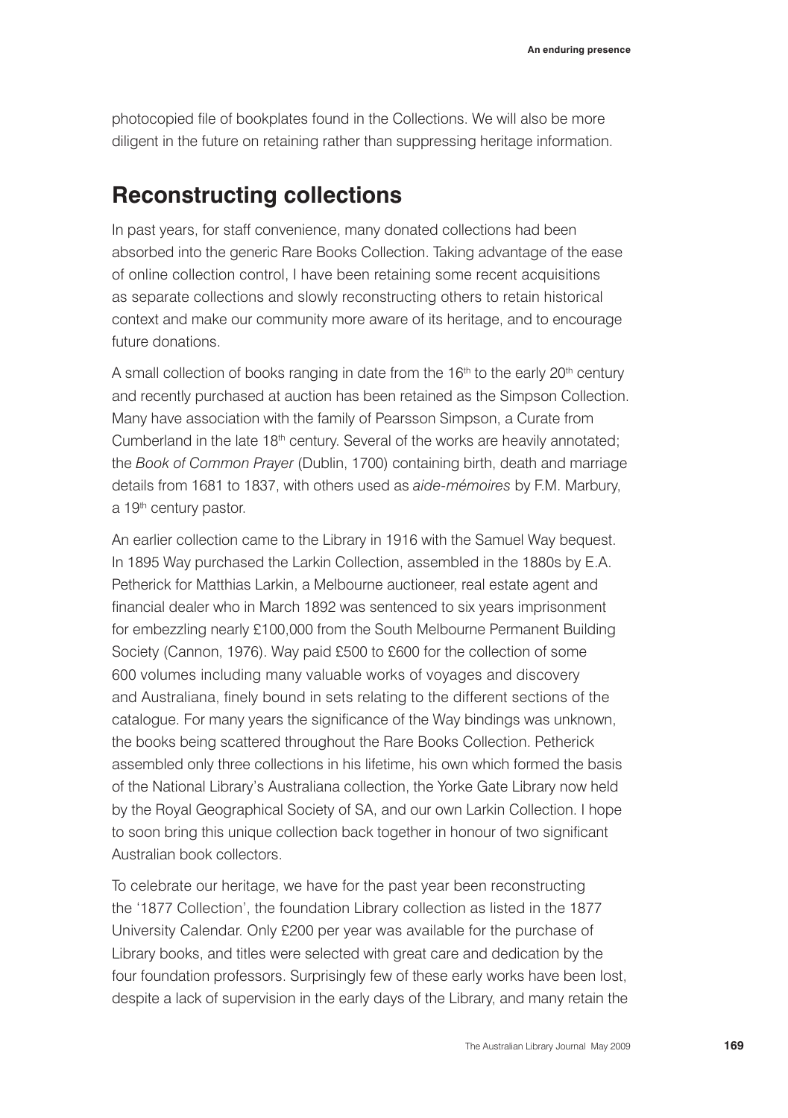photocopied file of bookplates found in the Collections. We will also be more diligent in the future on retaining rather than suppressing heritage information.

### **Reconstructing collections**

In past years, for staff convenience, many donated collections had been absorbed into the generic Rare Books Collection. Taking advantage of the ease of online collection control, I have been retaining some recent acquisitions as separate collections and slowly reconstructing others to retain historical context and make our community more aware of its heritage, and to encourage future donations.

A small collection of books ranging in date from the 16<sup>th</sup> to the early 20<sup>th</sup> century and recently purchased at auction has been retained as the Simpson Collection. Many have association with the family of Pearsson Simpson, a Curate from Cumberland in the late 18<sup>th</sup> century. Several of the works are heavily annotated; the *Book of Common Prayer* (Dublin, 1700) containing birth, death and marriage details from 1681 to 1837, with others used as *aide-mémoires* by F.M. Marbury, a 19<sup>th</sup> century pastor.

An earlier collection came to the Library in 1916 with the Samuel Way bequest. In 1895 Way purchased the Larkin Collection, assembled in the 1880s by E.A. Petherick for Matthias Larkin, a Melbourne auctioneer, real estate agent and financial dealer who in March 1892 was sentenced to six years imprisonment for embezzling nearly £100,000 from the South Melbourne Permanent Building Society (Cannon, 1976). Way paid £500 to £600 for the collection of some 600 volumes including many valuable works of voyages and discovery and Australiana, finely bound in sets relating to the different sections of the catalogue. For many years the significance of the Way bindings was unknown, the books being scattered throughout the Rare Books Collection. Petherick assembled only three collections in his lifetime, his own which formed the basis of the National Library's Australiana collection, the Yorke Gate Library now held by the Royal Geographical Society of SA, and our own Larkin Collection. I hope to soon bring this unique collection back together in honour of two significant Australian book collectors.

To celebrate our heritage, we have for the past year been reconstructing the '1877 Collection', the foundation Library collection as listed in the 1877 University Calendar. Only £200 per year was available for the purchase of Library books, and titles were selected with great care and dedication by the four foundation professors. Surprisingly few of these early works have been lost, despite a lack of supervision in the early days of the Library, and many retain the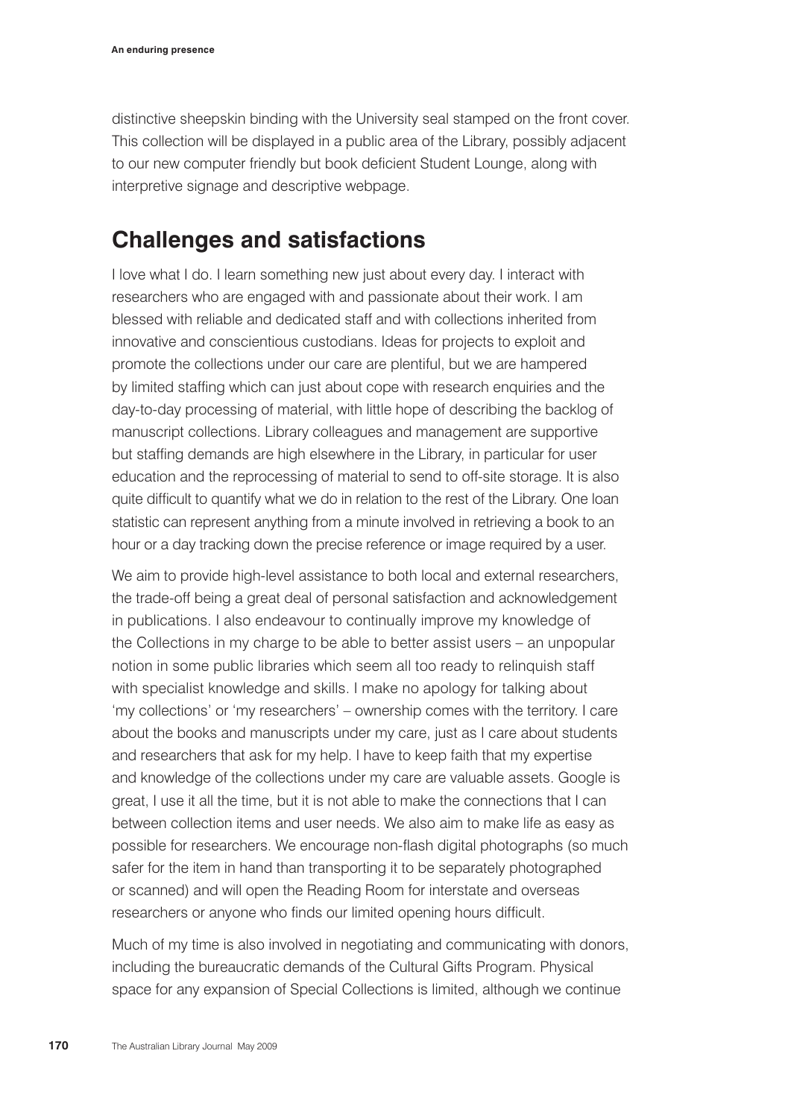distinctive sheepskin binding with the University seal stamped on the front cover. This collection will be displayed in a public area of the Library, possibly adjacent to our new computer friendly but book deficient Student Lounge, along with interpretive signage and descriptive webpage.

### **Challenges and satisfactions**

I love what I do. I learn something new just about every day. I interact with researchers who are engaged with and passionate about their work. I am blessed with reliable and dedicated staff and with collections inherited from innovative and conscientious custodians. Ideas for projects to exploit and promote the collections under our care are plentiful, but we are hampered by limited staffing which can just about cope with research enquiries and the day-to-day processing of material, with little hope of describing the backlog of manuscript collections. Library colleagues and management are supportive but staffing demands are high elsewhere in the Library, in particular for user education and the reprocessing of material to send to off-site storage. It is also quite difficult to quantify what we do in relation to the rest of the Library. One loan statistic can represent anything from a minute involved in retrieving a book to an hour or a day tracking down the precise reference or image required by a user.

We aim to provide high-level assistance to both local and external researchers, the trade-off being a great deal of personal satisfaction and acknowledgement in publications. I also endeavour to continually improve my knowledge of the Collections in my charge to be able to better assist users – an unpopular notion in some public libraries which seem all too ready to relinquish staff with specialist knowledge and skills. I make no apology for talking about 'my collections' or 'my researchers' – ownership comes with the territory. I care about the books and manuscripts under my care, just as I care about students and researchers that ask for my help. I have to keep faith that my expertise and knowledge of the collections under my care are valuable assets. Google is great, I use it all the time, but it is not able to make the connections that I can between collection items and user needs. We also aim to make life as easy as possible for researchers. We encourage non-flash digital photographs (so much safer for the item in hand than transporting it to be separately photographed or scanned) and will open the Reading Room for interstate and overseas researchers or anyone who finds our limited opening hours difficult.

Much of my time is also involved in negotiating and communicating with donors, including the bureaucratic demands of the Cultural Gifts Program. Physical space for any expansion of Special Collections is limited, although we continue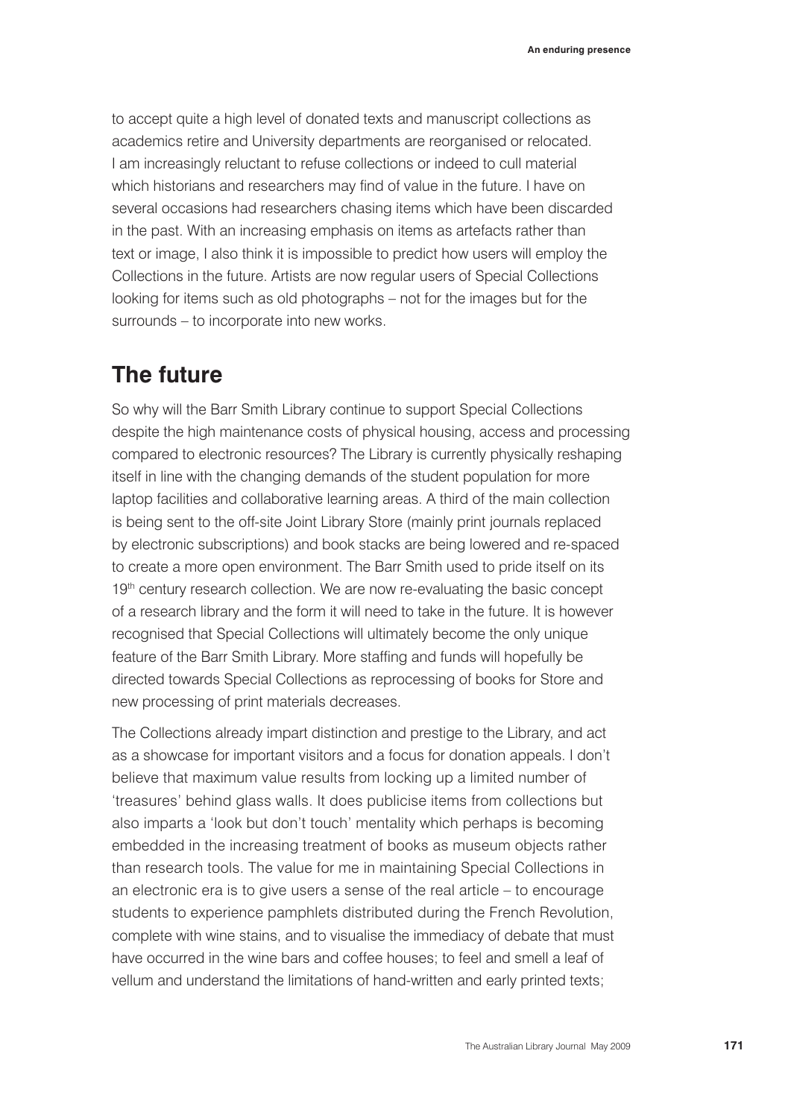to accept quite a high level of donated texts and manuscript collections as academics retire and University departments are reorganised or relocated. I am increasingly reluctant to refuse collections or indeed to cull material which historians and researchers may find of value in the future. I have on several occasions had researchers chasing items which have been discarded in the past. With an increasing emphasis on items as artefacts rather than text or image, I also think it is impossible to predict how users will employ the Collections in the future. Artists are now regular users of Special Collections looking for items such as old photographs – not for the images but for the surrounds – to incorporate into new works.

### **The future**

So why will the Barr Smith Library continue to support Special Collections despite the high maintenance costs of physical housing, access and processing compared to electronic resources? The Library is currently physically reshaping itself in line with the changing demands of the student population for more laptop facilities and collaborative learning areas. A third of the main collection is being sent to the off-site Joint Library Store (mainly print journals replaced by electronic subscriptions) and book stacks are being lowered and re-spaced to create a more open environment. The Barr Smith used to pride itself on its 19<sup>th</sup> century research collection. We are now re-evaluating the basic concept of a research library and the form it will need to take in the future. It is however recognised that Special Collections will ultimately become the only unique feature of the Barr Smith Library. More staffing and funds will hopefully be directed towards Special Collections as reprocessing of books for Store and new processing of print materials decreases.

The Collections already impart distinction and prestige to the Library, and act as a showcase for important visitors and a focus for donation appeals. I don't believe that maximum value results from locking up a limited number of 'treasures' behind glass walls. It does publicise items from collections but also imparts a 'look but don't touch' mentality which perhaps is becoming embedded in the increasing treatment of books as museum objects rather than research tools. The value for me in maintaining Special Collections in an electronic era is to give users a sense of the real article – to encourage students to experience pamphlets distributed during the French Revolution, complete with wine stains, and to visualise the immediacy of debate that must have occurred in the wine bars and coffee houses; to feel and smell a leaf of vellum and understand the limitations of hand-written and early printed texts;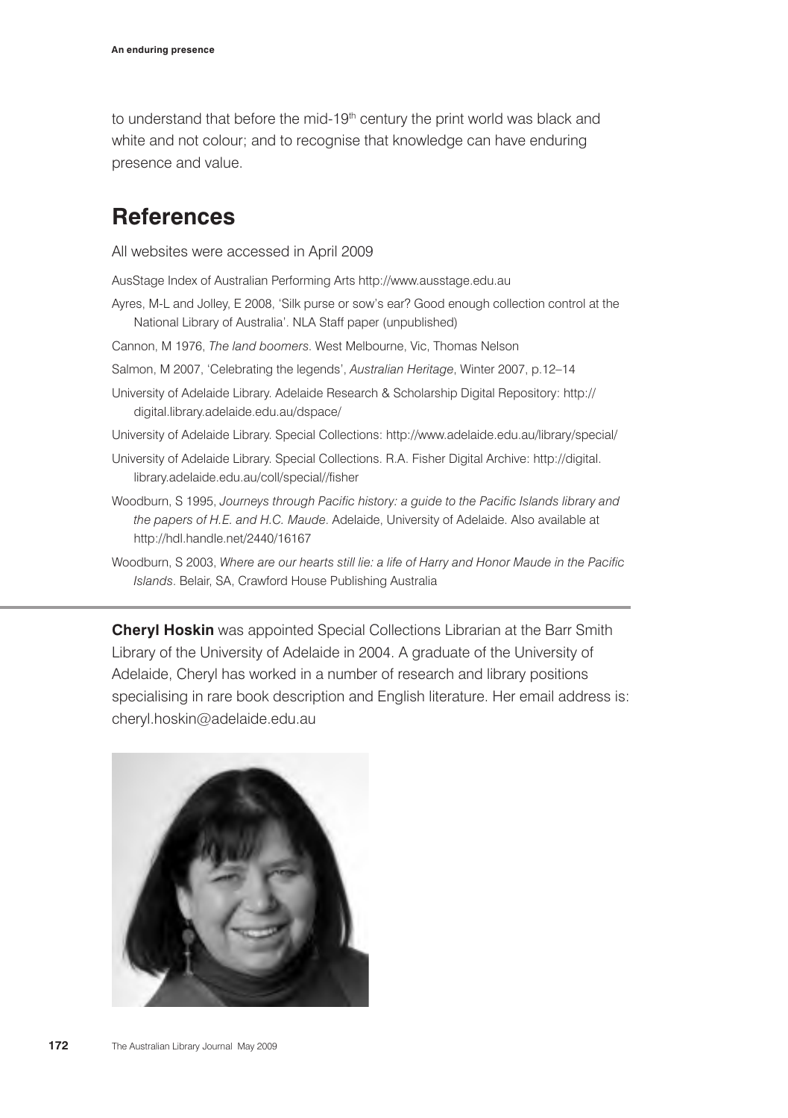to understand that before the mid-19<sup>th</sup> century the print world was black and white and not colour; and to recognise that knowledge can have enduring presence and value.

#### **References**

All websites were accessed in April 2009

AusStage Index of Australian Performing Arts http://www.ausstage.edu.au

Ayres, M-L and Jolley, E 2008, 'Silk purse or sow's ear? Good enough collection control at the National Library of Australia'. NLA Staff paper (unpublished)

Cannon, M 1976, *The land boomers*. West Melbourne, Vic, Thomas Nelson

Salmon, M 2007, 'Celebrating the legends', *Australian Heritage*, Winter 2007, p.12–14

University of Adelaide Library. Adelaide Research & Scholarship Digital Repository: http:// digital.library.adelaide.edu.au/dspace/

University of Adelaide Library. Special Collections: http://www.adelaide.edu.au/library/special/

- University of Adelaide Library. Special Collections. R.A. Fisher Digital Archive: http://digital. library.adelaide.edu.au/coll/special//fisher
- Woodburn, S 1995, *Journeys through Pacific history: a guide to the Pacific Islands library and the papers of H.E. and H.C. Maude*. Adelaide, University of Adelaide. Also available at http://hdl.handle.net/2440/16167
- Woodburn, S 2003, *Where are our hearts still lie: a life of Harry and Honor Maude in the Pacific Islands*. Belair, SA, Crawford House Publishing Australia

**Cheryl Hoskin** was appointed Special Collections Librarian at the Barr Smith Library of the University of Adelaide in 2004. A graduate of the University of Adelaide, Cheryl has worked in a number of research and library positions specialising in rare book description and English literature. Her email address is: cheryl.hoskin@adelaide.edu.au

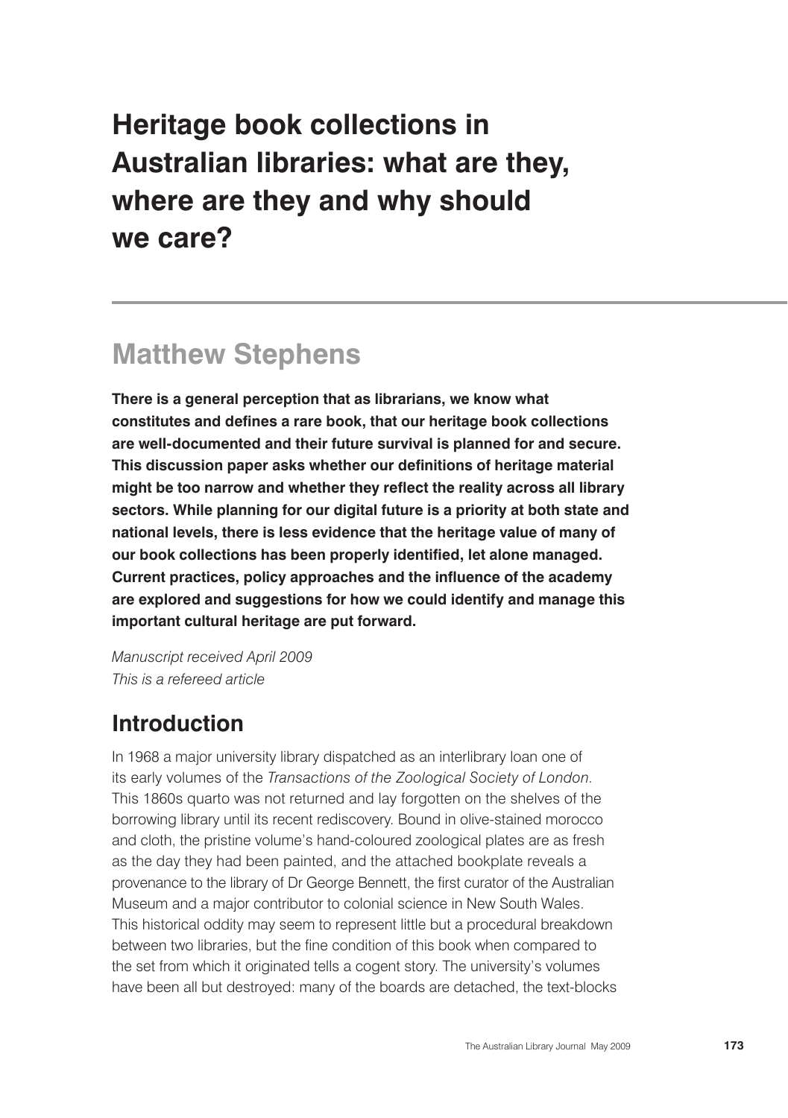# **Heritage book collections in Australian libraries: what are they, where are they and why should we care?**

# **Matthew Stephens**

**There is a general perception that as librarians, we know what constitutes and defines a rare book, that our heritage book collections are well-documented and their future survival is planned for and secure. This discussion paper asks whether our definitions of heritage material might be too narrow and whether they reflect the reality across all library sectors. While planning for our digital future is a priority at both state and national levels, there is less evidence that the heritage value of many of our book collections has been properly identified, let alone managed. Current practices, policy approaches and the influence of the academy are explored and suggestions for how we could identify and manage this important cultural heritage are put forward.**

*Manuscript received April 2009 This is a refereed article*

### **Introduction**

In 1968 a major university library dispatched as an interlibrary loan one of its early volumes of the *Transactions of the Zoological Society of London*. This 1860s quarto was not returned and lay forgotten on the shelves of the borrowing library until its recent rediscovery. Bound in olive-stained morocco and cloth, the pristine volume's hand-coloured zoological plates are as fresh as the day they had been painted, and the attached bookplate reveals a provenance to the library of Dr George Bennett, the first curator of the Australian Museum and a major contributor to colonial science in New South Wales. This historical oddity may seem to represent little but a procedural breakdown between two libraries, but the fine condition of this book when compared to the set from which it originated tells a cogent story. The university's volumes have been all but destroyed: many of the boards are detached, the text-blocks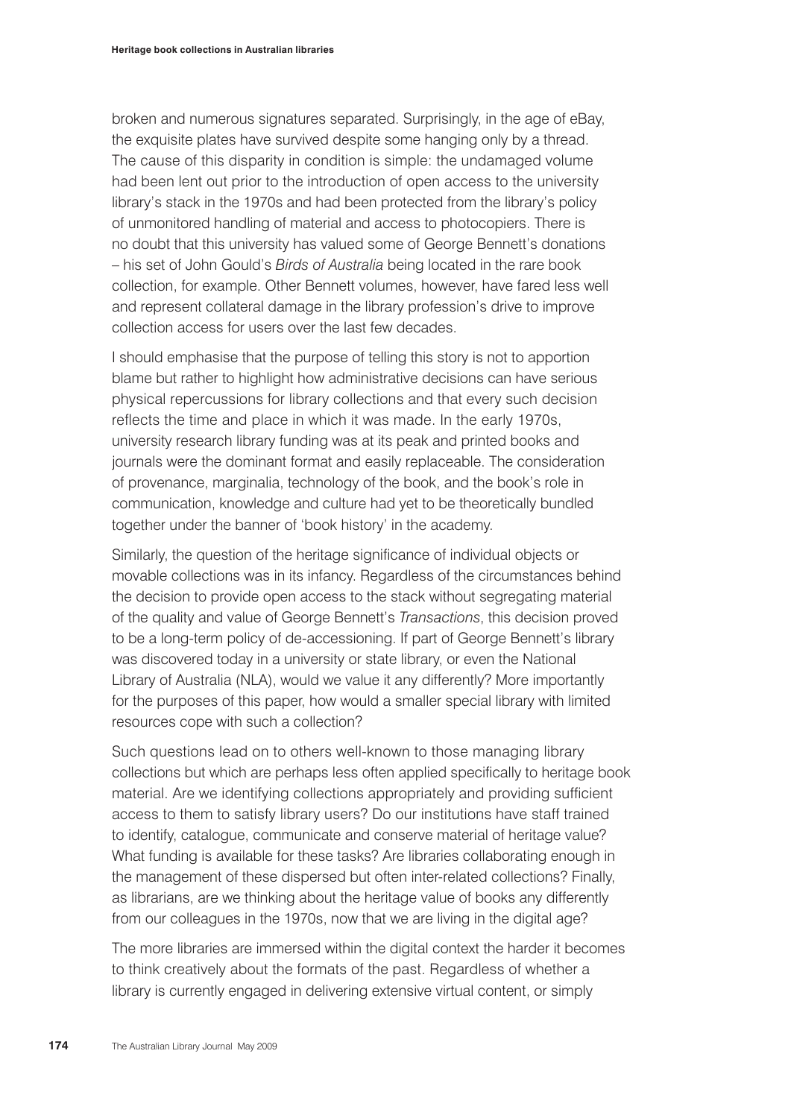broken and numerous signatures separated. Surprisingly, in the age of eBay, the exquisite plates have survived despite some hanging only by a thread. The cause of this disparity in condition is simple: the undamaged volume had been lent out prior to the introduction of open access to the university library's stack in the 1970s and had been protected from the library's policy of unmonitored handling of material and access to photocopiers. There is no doubt that this university has valued some of George Bennett's donations – his set of John Gould's *Birds of Australia* being located in the rare book collection, for example. Other Bennett volumes, however, have fared less well and represent collateral damage in the library profession's drive to improve collection access for users over the last few decades.

I should emphasise that the purpose of telling this story is not to apportion blame but rather to highlight how administrative decisions can have serious physical repercussions for library collections and that every such decision reflects the time and place in which it was made. In the early 1970s, university research library funding was at its peak and printed books and journals were the dominant format and easily replaceable. The consideration of provenance, marginalia, technology of the book, and the book's role in communication, knowledge and culture had yet to be theoretically bundled together under the banner of 'book history' in the academy.

Similarly, the question of the heritage significance of individual objects or movable collections was in its infancy. Regardless of the circumstances behind the decision to provide open access to the stack without segregating material of the quality and value of George Bennett's *Transactions*, this decision proved to be a long-term policy of de-accessioning. If part of George Bennett's library was discovered today in a university or state library, or even the National Library of Australia (NLA), would we value it any differently? More importantly for the purposes of this paper, how would a smaller special library with limited resources cope with such a collection?

Such questions lead on to others well-known to those managing library collections but which are perhaps less often applied specifically to heritage book material. Are we identifying collections appropriately and providing sufficient access to them to satisfy library users? Do our institutions have staff trained to identify, catalogue, communicate and conserve material of heritage value? What funding is available for these tasks? Are libraries collaborating enough in the management of these dispersed but often inter-related collections? Finally, as librarians, are we thinking about the heritage value of books any differently from our colleagues in the 1970s, now that we are living in the digital age?

The more libraries are immersed within the digital context the harder it becomes to think creatively about the formats of the past. Regardless of whether a library is currently engaged in delivering extensive virtual content, or simply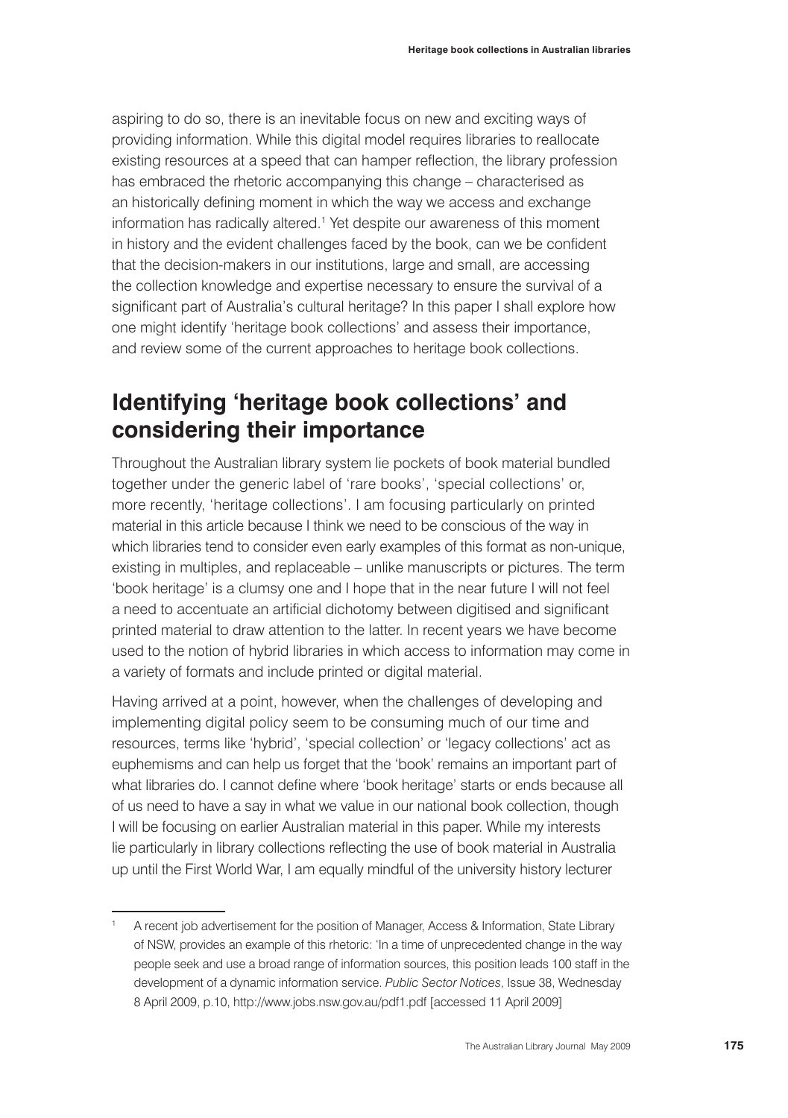aspiring to do so, there is an inevitable focus on new and exciting ways of providing information. While this digital model requires libraries to reallocate existing resources at a speed that can hamper reflection, the library profession has embraced the rhetoric accompanying this change – characterised as an historically defining moment in which the way we access and exchange information has radically altered.<sup>1</sup> Yet despite our awareness of this moment in history and the evident challenges faced by the book, can we be confident that the decision-makers in our institutions, large and small, are accessing the collection knowledge and expertise necessary to ensure the survival of a significant part of Australia's cultural heritage? In this paper I shall explore how one might identify 'heritage book collections' and assess their importance, and review some of the current approaches to heritage book collections.

### **Identifying 'heritage book collections' and considering their importance**

Throughout the Australian library system lie pockets of book material bundled together under the generic label of 'rare books', 'special collections' or, more recently, 'heritage collections'. I am focusing particularly on printed material in this article because I think we need to be conscious of the way in which libraries tend to consider even early examples of this format as non-unique, existing in multiples, and replaceable – unlike manuscripts or pictures. The term 'book heritage' is a clumsy one and I hope that in the near future I will not feel a need to accentuate an artificial dichotomy between digitised and significant printed material to draw attention to the latter. In recent years we have become used to the notion of hybrid libraries in which access to information may come in a variety of formats and include printed or digital material.

Having arrived at a point, however, when the challenges of developing and implementing digital policy seem to be consuming much of our time and resources, terms like 'hybrid', 'special collection' or 'legacy collections' act as euphemisms and can help us forget that the 'book' remains an important part of what libraries do. I cannot define where 'book heritage' starts or ends because all of us need to have a say in what we value in our national book collection, though I will be focusing on earlier Australian material in this paper. While my interests lie particularly in library collections reflecting the use of book material in Australia up until the First World War, I am equally mindful of the university history lecturer

A recent job advertisement for the position of Manager, Access & Information, State Library of NSW, provides an example of this rhetoric: 'In a time of unprecedented change in the way people seek and use a broad range of information sources, this position leads 100 staff in the development of a dynamic information service. *Public Sector Notices*, Issue 38, Wednesday 8 April 2009, p.10, http://www.jobs.nsw.gov.au/pdf1.pdf [accessed 11 April 2009]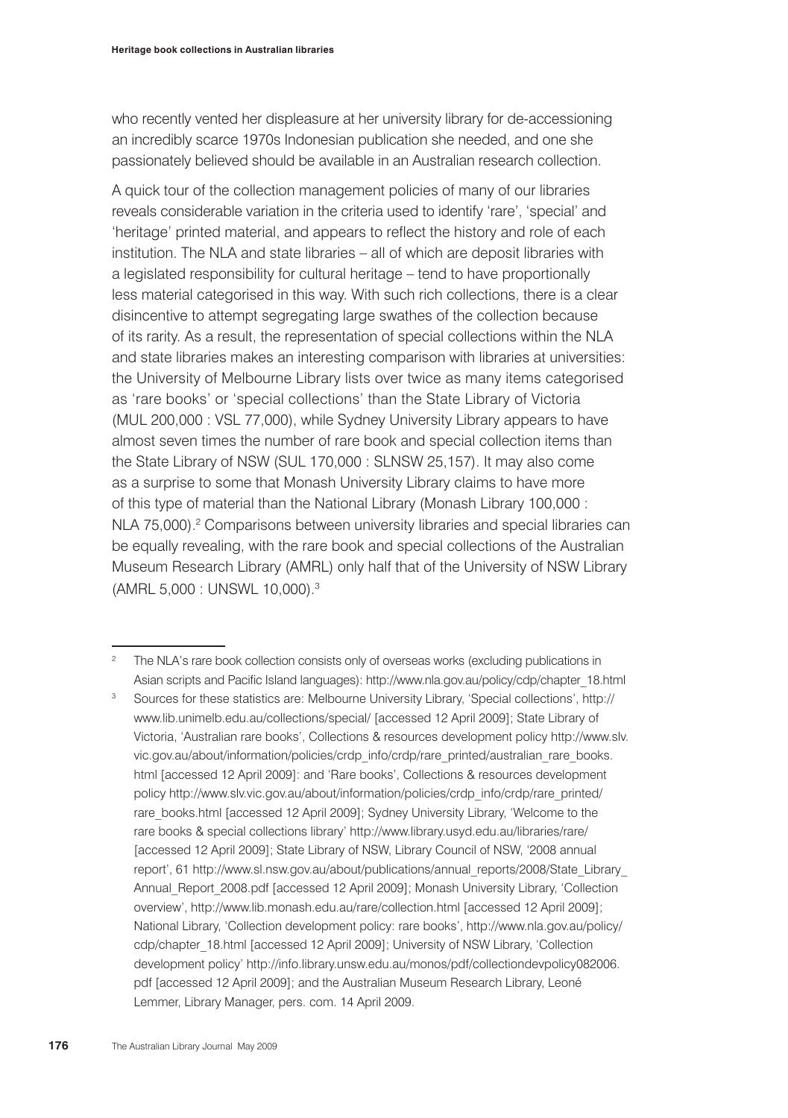who recently vented her displeasure at her university library for de-accessioning an incredibly scarce 1970s Indonesian publication she needed, and one she passionately believed should be available in an Australian research collection.

A quick tour of the collection management policies of many of our libraries reveals considerable variation in the criteria used to identify 'rare', 'special' and 'heritage' printed material, and appears to reflect the history and role of each institution. The NLA and state libraries – all of which are deposit libraries with a legislated responsibility for cultural heritage – tend to have proportionally less material categorised in this way. With such rich collections, there is a clear disincentive to attempt segregating large swathes of the collection because of its rarity. As a result, the representation of special collections within the NLA and state libraries makes an interesting comparison with libraries at universities: the University of Melbourne Library lists over twice as many items categorised as 'rare books' or 'special collections' than the State Library of Victoria (MUL 200,000 : VSL 77,000), while Sydney University Library appears to have almost seven times the number of rare book and special collection items than the State Library of NSW (SUL 170,000 : SLNSW 25,157). It may also come as a surprise to some that Monash University Library claims to have more of this type of material than the National Library (Monash Library 100,000 : NLA 75,000).<sup>2</sup> Comparisons between university libraries and special libraries can be equally revealing, with the rare book and special collections of the Australian Museum Research Library (AMRL) only half that of the University of NSW Library (AMRL 5,000 : UNSWL 10,000).3

<sup>2</sup> The NLA's rare book collection consists only of overseas works (excluding publications in Asian scripts and Pacific Island languages): http://www.nla.gov.au/policy/cdp/chapter\_18.html

<sup>3</sup> Sources for these statistics are: Melbourne University Library, 'Special collections', http:// www.lib.unimelb.edu.au/collections/special/ [accessed 12 April 2009]; State Library of Victoria, 'Australian rare books', Collections & resources development policy http://www.slv. vic.gov.au/about/information/policies/crdp\_info/crdp/rare\_printed/australian\_rare\_books. html [accessed 12 April 2009]: and 'Rare books', Collections & resources development policy http://www.slv.vic.gov.au/about/information/policies/crdp\_info/crdp/rare\_printed/ rare\_books.html [accessed 12 April 2009]; Sydney University Library, 'Welcome to the rare books & special collections library' http://www.library.usyd.edu.au/libraries/rare/ [accessed 12 April 2009]; State Library of NSW, Library Council of NSW, '2008 annual report', 61 http://www.sl.nsw.gov.au/about/publications/annual\_reports/2008/State\_Library\_ Annual\_Report\_2008.pdf [accessed 12 April 2009]; Monash University Library, 'Collection overview', http://www.lib.monash.edu.au/rare/collection.html [accessed 12 April 2009]; National Library, 'Collection development policy: rare books', http://www.nla.gov.au/policy/ cdp/chapter\_18.html [accessed 12 April 2009]; University of NSW Library, 'Collection development policy' http://info.library.unsw.edu.au/monos/pdf/collectiondevpolicy082006. pdf [accessed 12 April 2009]; and the Australian Museum Research Library, Leoné Lemmer, Library Manager, pers. com. 14 April 2009.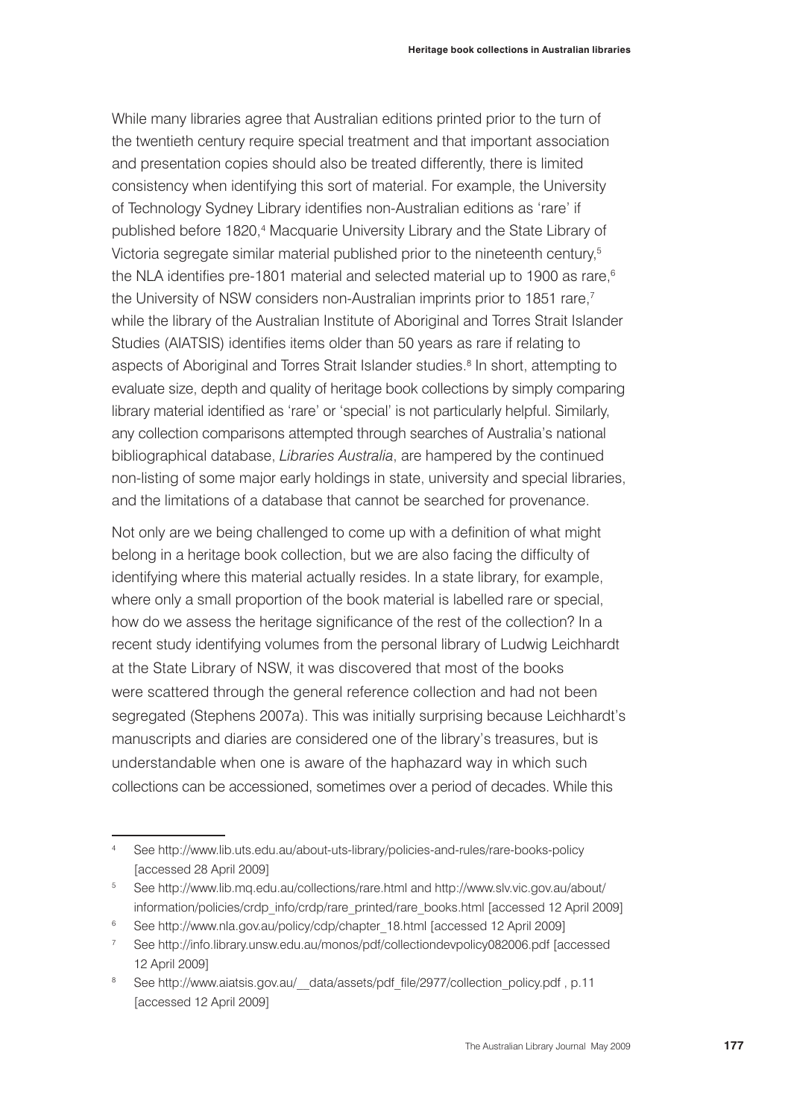While many libraries agree that Australian editions printed prior to the turn of the twentieth century require special treatment and that important association and presentation copies should also be treated differently, there is limited consistency when identifying this sort of material. For example, the University of Technology Sydney Library identifies non-Australian editions as 'rare' if published before 1820,<sup>4</sup> Macquarie University Library and the State Library of Victoria segregate similar material published prior to the nineteenth century,<sup>5</sup> the NLA identifies pre-1801 material and selected material up to 1900 as rare,<sup>6</sup> the University of NSW considers non-Australian imprints prior to 1851 rare,<sup>7</sup> while the library of the Australian Institute of Aboriginal and Torres Strait Islander Studies (AIATSIS) identifies items older than 50 years as rare if relating to aspects of Aboriginal and Torres Strait Islander studies.<sup>8</sup> In short, attempting to evaluate size, depth and quality of heritage book collections by simply comparing library material identified as 'rare' or 'special' is not particularly helpful. Similarly, any collection comparisons attempted through searches of Australia's national bibliographical database, *Libraries Australia*, are hampered by the continued non-listing of some major early holdings in state, university and special libraries, and the limitations of a database that cannot be searched for provenance.

Not only are we being challenged to come up with a definition of what might belong in a heritage book collection, but we are also facing the difficulty of identifying where this material actually resides. In a state library, for example, where only a small proportion of the book material is labelled rare or special, how do we assess the heritage significance of the rest of the collection? In a recent study identifying volumes from the personal library of Ludwig Leichhardt at the State Library of NSW, it was discovered that most of the books were scattered through the general reference collection and had not been segregated (Stephens 2007a). This was initially surprising because Leichhardt's manuscripts and diaries are considered one of the library's treasures, but is understandable when one is aware of the haphazard way in which such collections can be accessioned, sometimes over a period of decades. While this

<sup>4</sup> See http://www.lib.uts.edu.au/about-uts-library/policies-and-rules/rare-books-policy [accessed 28 April 2009]

<sup>5</sup> See http://www.lib.mq.edu.au/collections/rare.html and http://www.slv.vic.gov.au/about/ information/policies/crdp\_info/crdp/rare\_printed/rare\_books.html [accessed 12 April 2009]

<sup>6</sup> See http://www.nla.gov.au/policy/cdp/chapter\_18.html [accessed 12 April 2009]

<sup>7</sup> See http://info.library.unsw.edu.au/monos/pdf/collectiondevpolicy082006.pdf [accessed 12 April 2009]

<sup>8</sup> See http://www.aiatsis.gov.au/ data/assets/pdf file/2977/collection\_policy.pdf, p.11 [accessed 12 April 2009]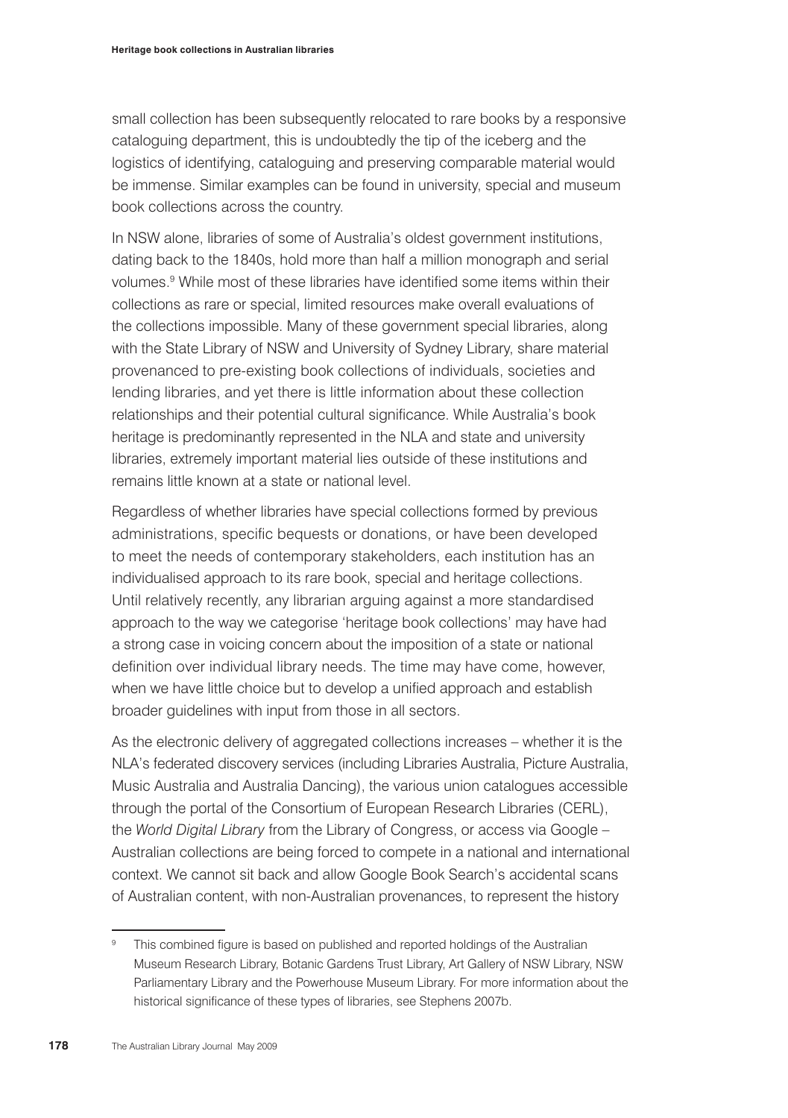small collection has been subsequently relocated to rare books by a responsive cataloguing department, this is undoubtedly the tip of the iceberg and the logistics of identifying, cataloguing and preserving comparable material would be immense. Similar examples can be found in university, special and museum book collections across the country.

In NSW alone, libraries of some of Australia's oldest government institutions, dating back to the 1840s, hold more than half a million monograph and serial volumes.<sup>9</sup> While most of these libraries have identified some items within their collections as rare or special, limited resources make overall evaluations of the collections impossible. Many of these government special libraries, along with the State Library of NSW and University of Sydney Library, share material provenanced to pre-existing book collections of individuals, societies and lending libraries, and yet there is little information about these collection relationships and their potential cultural significance. While Australia's book heritage is predominantly represented in the NLA and state and university libraries, extremely important material lies outside of these institutions and remains little known at a state or national level.

Regardless of whether libraries have special collections formed by previous administrations, specific bequests or donations, or have been developed to meet the needs of contemporary stakeholders, each institution has an individualised approach to its rare book, special and heritage collections. Until relatively recently, any librarian arguing against a more standardised approach to the way we categorise 'heritage book collections' may have had a strong case in voicing concern about the imposition of a state or national definition over individual library needs. The time may have come, however, when we have little choice but to develop a unified approach and establish broader guidelines with input from those in all sectors.

As the electronic delivery of aggregated collections increases – whether it is the NLA's federated discovery services (including Libraries Australia, Picture Australia, Music Australia and Australia Dancing), the various union catalogues accessible through the portal of the Consortium of European Research Libraries (CERL), the *World Digital Library* from the Library of Congress, or access via Google – Australian collections are being forced to compete in a national and international context. We cannot sit back and allow Google Book Search's accidental scans of Australian content, with non-Australian provenances, to represent the history

This combined figure is based on published and reported holdings of the Australian Museum Research Library, Botanic Gardens Trust Library, Art Gallery of NSW Library, NSW Parliamentary Library and the Powerhouse Museum Library. For more information about the historical significance of these types of libraries, see Stephens 2007b.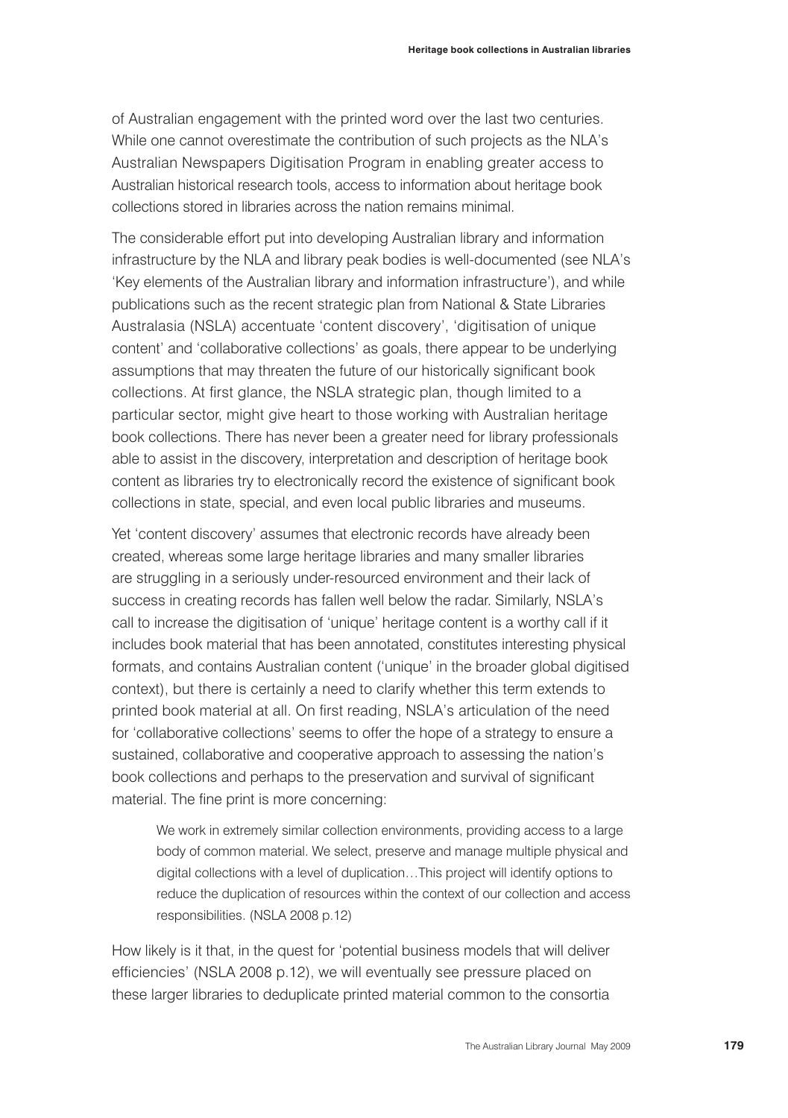of Australian engagement with the printed word over the last two centuries. While one cannot overestimate the contribution of such projects as the NLA's Australian Newspapers Digitisation Program in enabling greater access to Australian historical research tools, access to information about heritage book collections stored in libraries across the nation remains minimal.

The considerable effort put into developing Australian library and information infrastructure by the NLA and library peak bodies is well-documented (see NLA's 'Key elements of the Australian library and information infrastructure'), and while publications such as the recent strategic plan from National & State Libraries Australasia (NSLA) accentuate 'content discovery', 'digitisation of unique content' and 'collaborative collections' as goals, there appear to be underlying assumptions that may threaten the future of our historically significant book collections. At first glance, the NSLA strategic plan, though limited to a particular sector, might give heart to those working with Australian heritage book collections. There has never been a greater need for library professionals able to assist in the discovery, interpretation and description of heritage book content as libraries try to electronically record the existence of significant book collections in state, special, and even local public libraries and museums.

Yet 'content discovery' assumes that electronic records have already been created, whereas some large heritage libraries and many smaller libraries are struggling in a seriously under-resourced environment and their lack of success in creating records has fallen well below the radar. Similarly, NSLA's call to increase the digitisation of 'unique' heritage content is a worthy call if it includes book material that has been annotated, constitutes interesting physical formats, and contains Australian content ('unique' in the broader global digitised context), but there is certainly a need to clarify whether this term extends to printed book material at all. On first reading, NSLA's articulation of the need for 'collaborative collections' seems to offer the hope of a strategy to ensure a sustained, collaborative and cooperative approach to assessing the nation's book collections and perhaps to the preservation and survival of significant material. The fine print is more concerning:

We work in extremely similar collection environments, providing access to a large body of common material. We select, preserve and manage multiple physical and digital collections with a level of duplication…This project will identify options to reduce the duplication of resources within the context of our collection and access responsibilities. (NSLA 2008 p.12)

How likely is it that, in the quest for 'potential business models that will deliver efficiencies' (NSLA 2008 p.12), we will eventually see pressure placed on these larger libraries to deduplicate printed material common to the consortia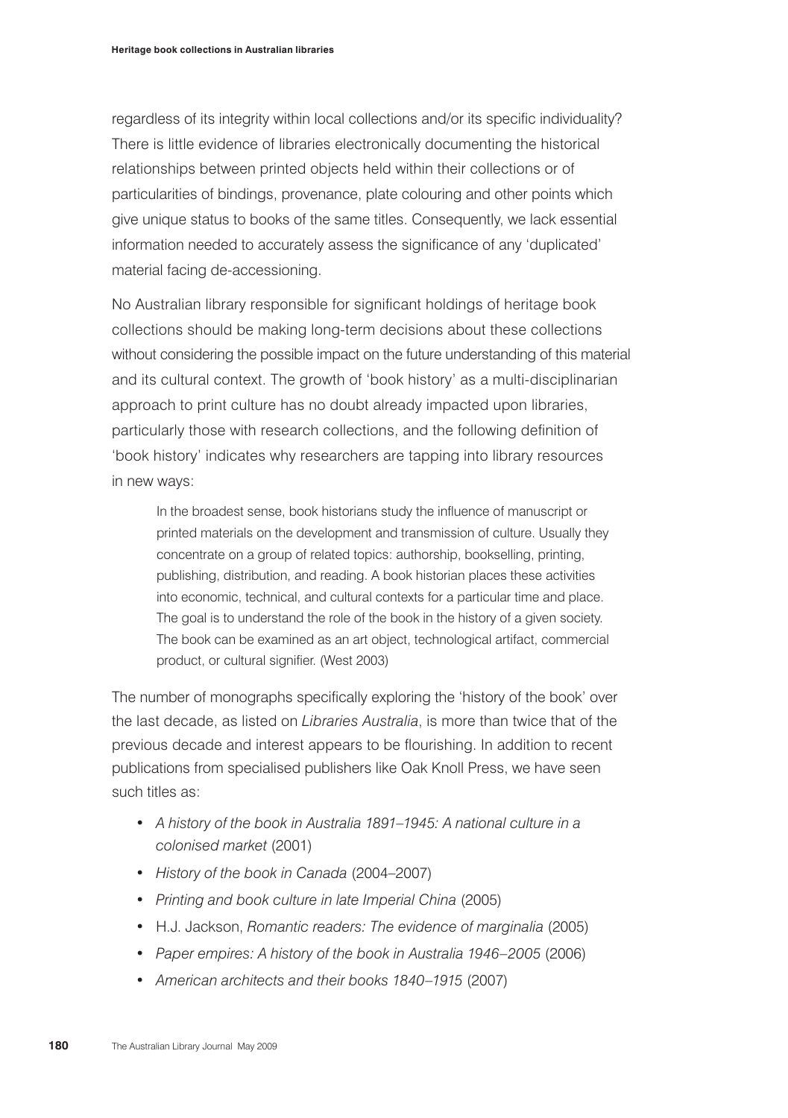regardless of its integrity within local collections and/or its specific individuality? There is little evidence of libraries electronically documenting the historical relationships between printed objects held within their collections or of particularities of bindings, provenance, plate colouring and other points which give unique status to books of the same titles. Consequently, we lack essential information needed to accurately assess the significance of any 'duplicated' material facing de-accessioning.

No Australian library responsible for significant holdings of heritage book collections should be making long-term decisions about these collections without considering the possible impact on the future understanding of this material and its cultural context. The growth of 'book history' as a multi-disciplinarian approach to print culture has no doubt already impacted upon libraries, particularly those with research collections, and the following definition of 'book history' indicates why researchers are tapping into library resources in new ways:

In the broadest sense, book historians study the influence of manuscript or printed materials on the development and transmission of culture. Usually they concentrate on a group of related topics: authorship, bookselling, printing, publishing, distribution, and reading. A book historian places these activities into economic, technical, and cultural contexts for a particular time and place. The goal is to understand the role of the book in the history of a given society. The book can be examined as an art object, technological artifact, commercial product, or cultural signifier. (West 2003)

The number of monographs specifically exploring the 'history of the book' over the last decade, as listed on *Libraries Australia*, is more than twice that of the previous decade and interest appears to be flourishing. In addition to recent publications from specialised publishers like Oak Knoll Press, we have seen such titles as:

- • *A history of the book in Australia 1891–1945: A national culture in a colonised market* (2001)
- • *History of the book in Canada* (2004–2007)
- • *Printing and book culture in late Imperial China* (2005)
- • H.J. Jackson, *Romantic readers: The evidence of marginalia* (2005)
- • *Paper empires: A history of the book in Australia 1946–2005* (2006)
- • *American architects and their books 1840–1915* (2007)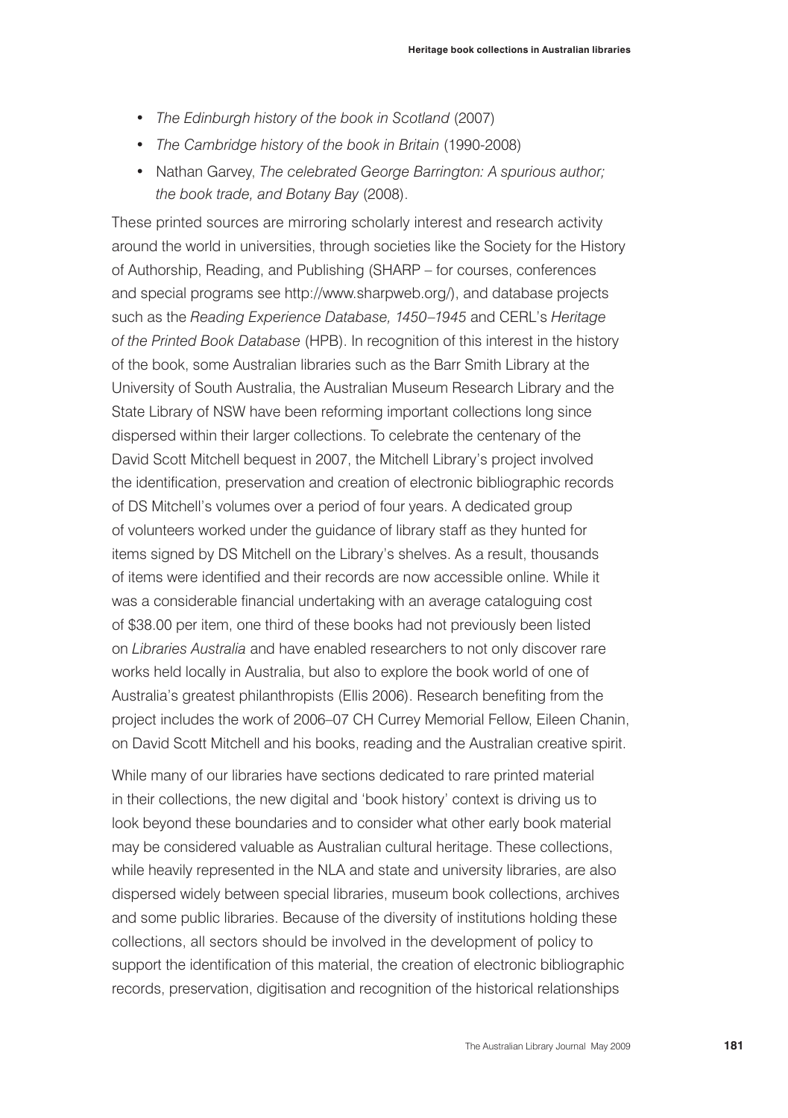- • *The Edinburgh history of the book in Scotland* (2007)
- • *The Cambridge history of the book in Britain* (1990-2008)
- Nathan Garvey, *The celebrated George Barrington: A spurious author; the book trade, and Botany Bay* (2008).

These printed sources are mirroring scholarly interest and research activity around the world in universities, through societies like the Society for the History of Authorship, Reading, and Publishing (SHARP – for courses, conferences and special programs see http://www.sharpweb.org/), and database projects such as the *Reading Experience Database, 1450–1945* and CERL's *Heritage of the Printed Book Database* (HPB). In recognition of this interest in the history of the book, some Australian libraries such as the Barr Smith Library at the University of South Australia, the Australian Museum Research Library and the State Library of NSW have been reforming important collections long since dispersed within their larger collections. To celebrate the centenary of the David Scott Mitchell bequest in 2007, the Mitchell Library's project involved the identification, preservation and creation of electronic bibliographic records of DS Mitchell's volumes over a period of four years. A dedicated group of volunteers worked under the guidance of library staff as they hunted for items signed by DS Mitchell on the Library's shelves. As a result, thousands of items were identified and their records are now accessible online. While it was a considerable financial undertaking with an average cataloguing cost of \$38.00 per item, one third of these books had not previously been listed on *Libraries Australia* and have enabled researchers to not only discover rare works held locally in Australia, but also to explore the book world of one of Australia's greatest philanthropists (Ellis 2006). Research benefiting from the project includes the work of 2006–07 CH Currey Memorial Fellow, Eileen Chanin, on David Scott Mitchell and his books, reading and the Australian creative spirit.

While many of our libraries have sections dedicated to rare printed material in their collections, the new digital and 'book history' context is driving us to look beyond these boundaries and to consider what other early book material may be considered valuable as Australian cultural heritage. These collections, while heavily represented in the NLA and state and university libraries, are also dispersed widely between special libraries, museum book collections, archives and some public libraries. Because of the diversity of institutions holding these collections, all sectors should be involved in the development of policy to support the identification of this material, the creation of electronic bibliographic records, preservation, digitisation and recognition of the historical relationships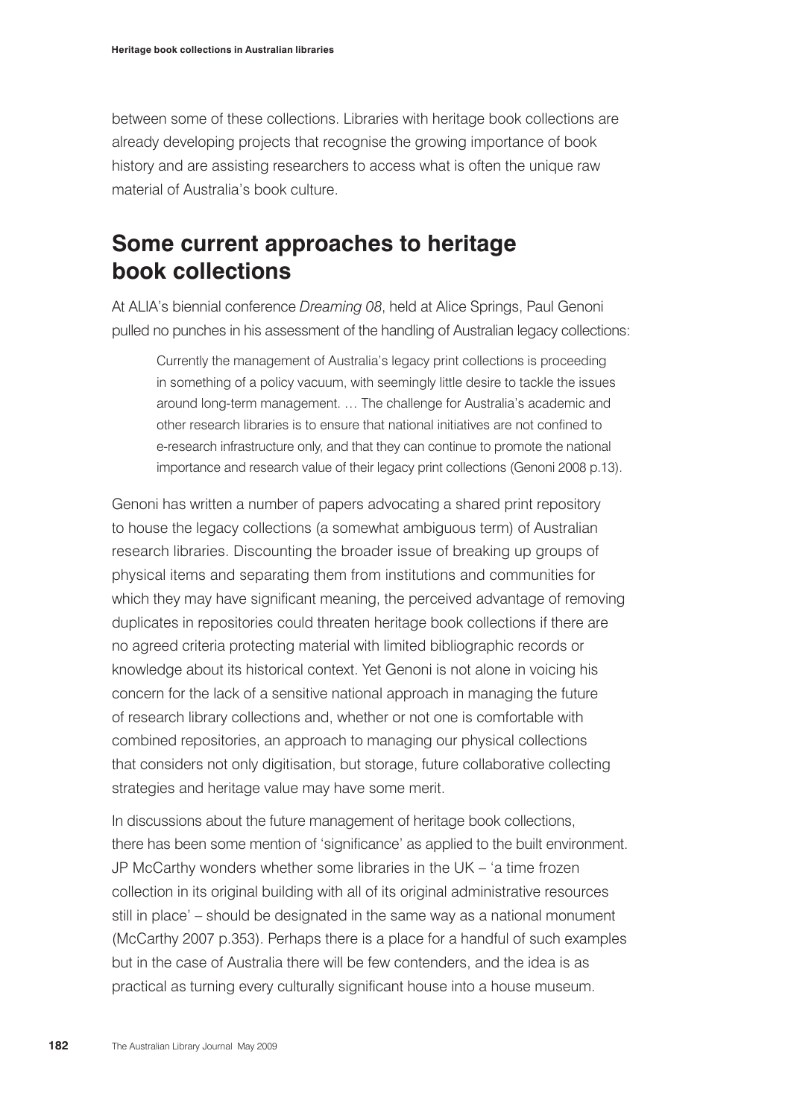between some of these collections. Libraries with heritage book collections are already developing projects that recognise the growing importance of book history and are assisting researchers to access what is often the unique raw material of Australia's book culture.

### **Some current approaches to heritage book collections**

At ALIA's biennial conference *Dreaming 08*, held at Alice Springs, Paul Genoni pulled no punches in his assessment of the handling of Australian legacy collections:

Currently the management of Australia's legacy print collections is proceeding in something of a policy vacuum, with seemingly little desire to tackle the issues around long-term management. … The challenge for Australia's academic and other research libraries is to ensure that national initiatives are not confined to e-research infrastructure only, and that they can continue to promote the national importance and research value of their legacy print collections (Genoni 2008 p.13).

Genoni has written a number of papers advocating a shared print repository to house the legacy collections (a somewhat ambiguous term) of Australian research libraries. Discounting the broader issue of breaking up groups of physical items and separating them from institutions and communities for which they may have significant meaning, the perceived advantage of removing duplicates in repositories could threaten heritage book collections if there are no agreed criteria protecting material with limited bibliographic records or knowledge about its historical context. Yet Genoni is not alone in voicing his concern for the lack of a sensitive national approach in managing the future of research library collections and, whether or not one is comfortable with combined repositories, an approach to managing our physical collections that considers not only digitisation, but storage, future collaborative collecting strategies and heritage value may have some merit.

In discussions about the future management of heritage book collections, there has been some mention of 'significance' as applied to the built environment. JP McCarthy wonders whether some libraries in the UK – 'a time frozen collection in its original building with all of its original administrative resources still in place' – should be designated in the same way as a national monument (McCarthy 2007 p.353). Perhaps there is a place for a handful of such examples but in the case of Australia there will be few contenders, and the idea is as practical as turning every culturally significant house into a house museum.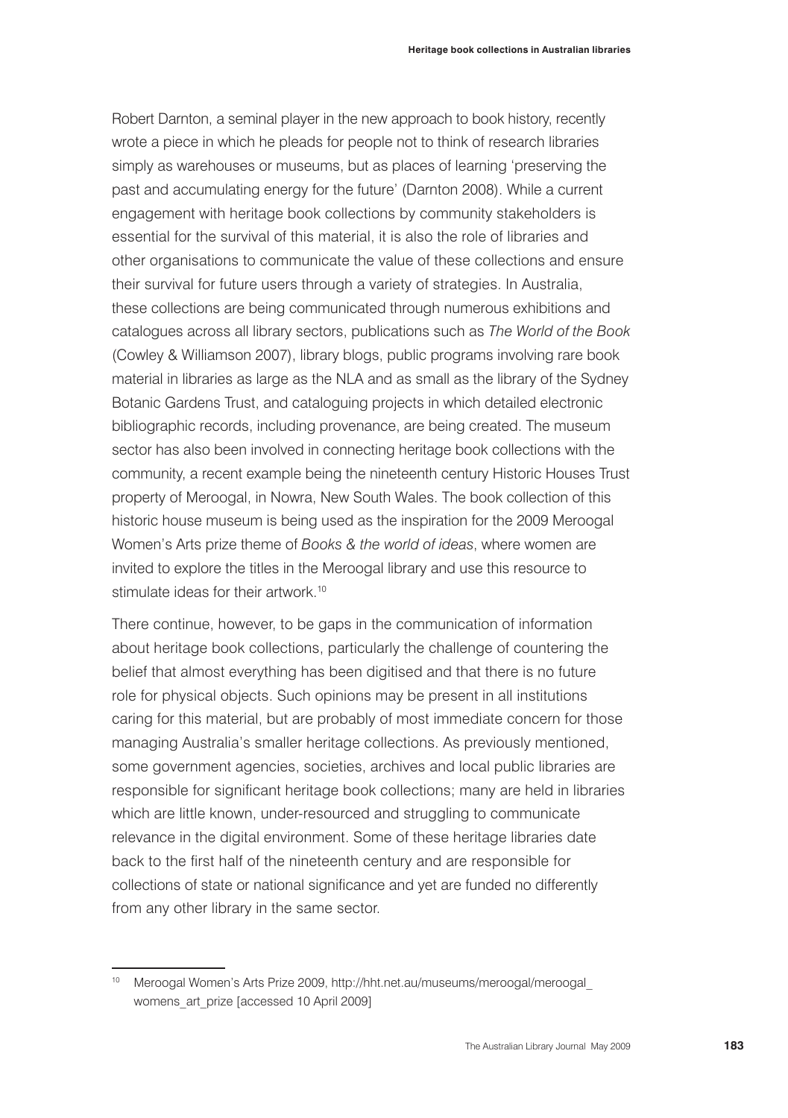Robert Darnton, a seminal player in the new approach to book history, recently wrote a piece in which he pleads for people not to think of research libraries simply as warehouses or museums, but as places of learning 'preserving the past and accumulating energy for the future' (Darnton 2008). While a current engagement with heritage book collections by community stakeholders is essential for the survival of this material, it is also the role of libraries and other organisations to communicate the value of these collections and ensure their survival for future users through a variety of strategies. In Australia, these collections are being communicated through numerous exhibitions and catalogues across all library sectors, publications such as *The World of the Book* (Cowley & Williamson 2007), library blogs, public programs involving rare book material in libraries as large as the NLA and as small as the library of the Sydney Botanic Gardens Trust, and cataloguing projects in which detailed electronic bibliographic records, including provenance, are being created. The museum sector has also been involved in connecting heritage book collections with the community, a recent example being the nineteenth century Historic Houses Trust property of Meroogal, in Nowra, New South Wales. The book collection of this historic house museum is being used as the inspiration for the 2009 Meroogal Women's Arts prize theme of *Books & the world of ideas*, where women are invited to explore the titles in the Meroogal library and use this resource to stimulate ideas for their artwork.<sup>10</sup>

There continue, however, to be gaps in the communication of information about heritage book collections, particularly the challenge of countering the belief that almost everything has been digitised and that there is no future role for physical objects. Such opinions may be present in all institutions caring for this material, but are probably of most immediate concern for those managing Australia's smaller heritage collections. As previously mentioned, some government agencies, societies, archives and local public libraries are responsible for significant heritage book collections; many are held in libraries which are little known, under-resourced and struggling to communicate relevance in the digital environment. Some of these heritage libraries date back to the first half of the nineteenth century and are responsible for collections of state or national significance and yet are funded no differently from any other library in the same sector.

<sup>10</sup> Meroogal Women's Arts Prize 2009, http://hht.net.au/museums/meroogal/meroogal\_ womens\_art\_prize [accessed 10 April 2009]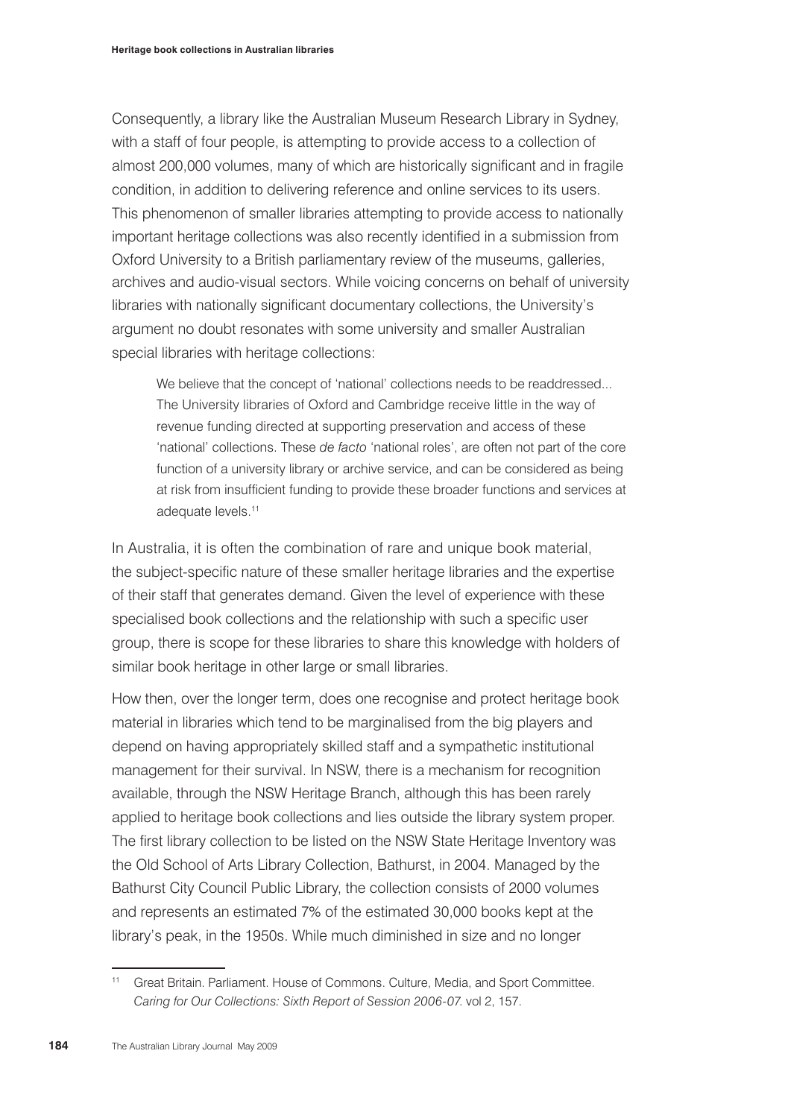Consequently, a library like the Australian Museum Research Library in Sydney, with a staff of four people, is attempting to provide access to a collection of almost 200,000 volumes, many of which are historically significant and in fragile condition, in addition to delivering reference and online services to its users. This phenomenon of smaller libraries attempting to provide access to nationally important heritage collections was also recently identified in a submission from Oxford University to a British parliamentary review of the museums, galleries, archives and audio-visual sectors. While voicing concerns on behalf of university libraries with nationally significant documentary collections, the University's argument no doubt resonates with some university and smaller Australian special libraries with heritage collections:

We believe that the concept of 'national' collections needs to be readdressed... The University libraries of Oxford and Cambridge receive little in the way of revenue funding directed at supporting preservation and access of these 'national' collections. These *de facto* 'national roles', are often not part of the core function of a university library or archive service, and can be considered as being at risk from insufficient funding to provide these broader functions and services at adequate levels.<sup>11</sup>

In Australia, it is often the combination of rare and unique book material, the subject-specific nature of these smaller heritage libraries and the expertise of their staff that generates demand. Given the level of experience with these specialised book collections and the relationship with such a specific user group, there is scope for these libraries to share this knowledge with holders of similar book heritage in other large or small libraries.

How then, over the longer term, does one recognise and protect heritage book material in libraries which tend to be marginalised from the big players and depend on having appropriately skilled staff and a sympathetic institutional management for their survival. In NSW, there is a mechanism for recognition available, through the NSW Heritage Branch, although this has been rarely applied to heritage book collections and lies outside the library system proper. The first library collection to be listed on the NSW State Heritage Inventory was the Old School of Arts Library Collection, Bathurst, in 2004. Managed by the Bathurst City Council Public Library, the collection consists of 2000 volumes and represents an estimated 7% of the estimated 30,000 books kept at the library's peak, in the 1950s. While much diminished in size and no longer

<sup>11</sup> Great Britain. Parliament. House of Commons. Culture, Media, and Sport Committee. *Caring for Our Collections: Sixth Report of Session 2006-07*. vol 2, 157.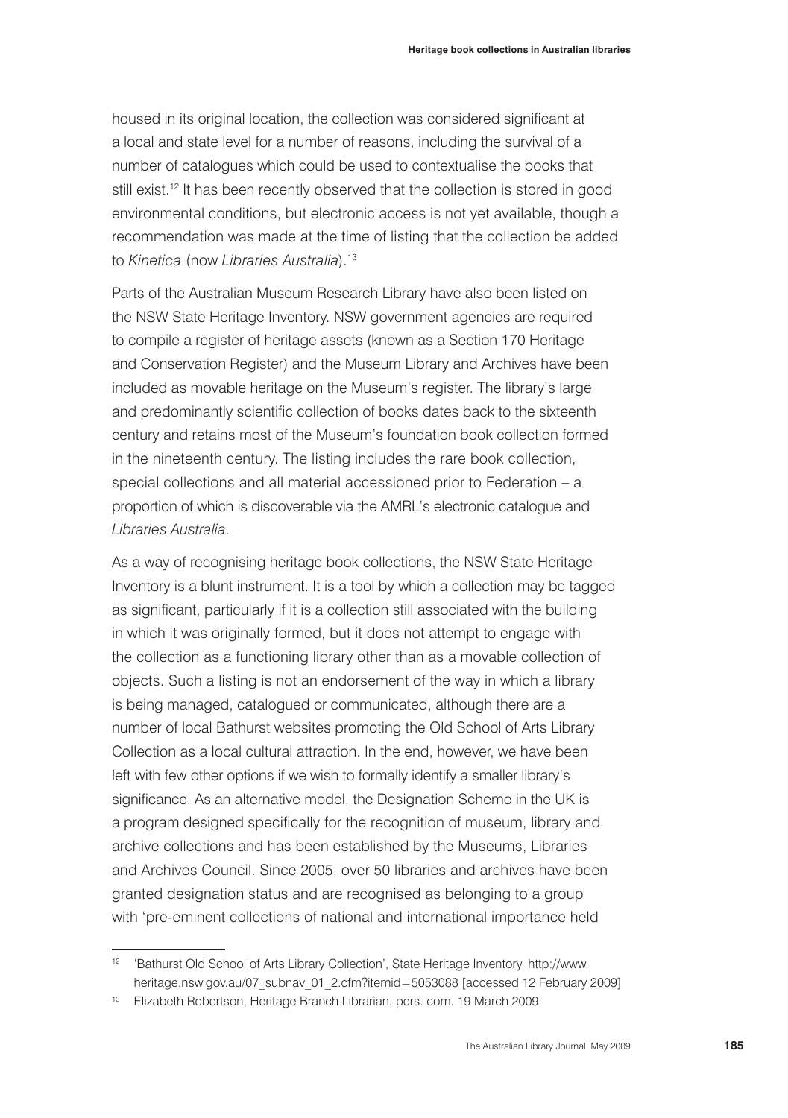housed in its original location, the collection was considered significant at a local and state level for a number of reasons, including the survival of a number of catalogues which could be used to contextualise the books that still exist.<sup>12</sup> It has been recently observed that the collection is stored in good environmental conditions, but electronic access is not yet available, though a recommendation was made at the time of listing that the collection be added to *Kinetica* (now *Libraries Australia*).13

Parts of the Australian Museum Research Library have also been listed on the NSW State Heritage Inventory. NSW government agencies are required to compile a register of heritage assets (known as a Section 170 Heritage and Conservation Register) and the Museum Library and Archives have been included as movable heritage on the Museum's register. The library's large and predominantly scientific collection of books dates back to the sixteenth century and retains most of the Museum's foundation book collection formed in the nineteenth century. The listing includes the rare book collection, special collections and all material accessioned prior to Federation – a proportion of which is discoverable via the AMRL's electronic catalogue and *Libraries Australia*.

As a way of recognising heritage book collections, the NSW State Heritage Inventory is a blunt instrument. It is a tool by which a collection may be tagged as significant, particularly if it is a collection still associated with the building in which it was originally formed, but it does not attempt to engage with the collection as a functioning library other than as a movable collection of objects. Such a listing is not an endorsement of the way in which a library is being managed, catalogued or communicated, although there are a number of local Bathurst websites promoting the Old School of Arts Library Collection as a local cultural attraction. In the end, however, we have been left with few other options if we wish to formally identify a smaller library's significance. As an alternative model, the Designation Scheme in the UK is a program designed specifically for the recognition of museum, library and archive collections and has been established by the Museums, Libraries and Archives Council. Since 2005, over 50 libraries and archives have been granted designation status and are recognised as belonging to a group with 'pre-eminent collections of national and international importance held

<sup>12</sup> 'Bathurst Old School of Arts Library Collection', State Heritage Inventory, http://www. heritage.nsw.gov.au/07\_subnav\_01\_2.cfm?itemid=5053088 [accessed 12 February 2009]

<sup>13</sup> Elizabeth Robertson, Heritage Branch Librarian, pers. com. 19 March 2009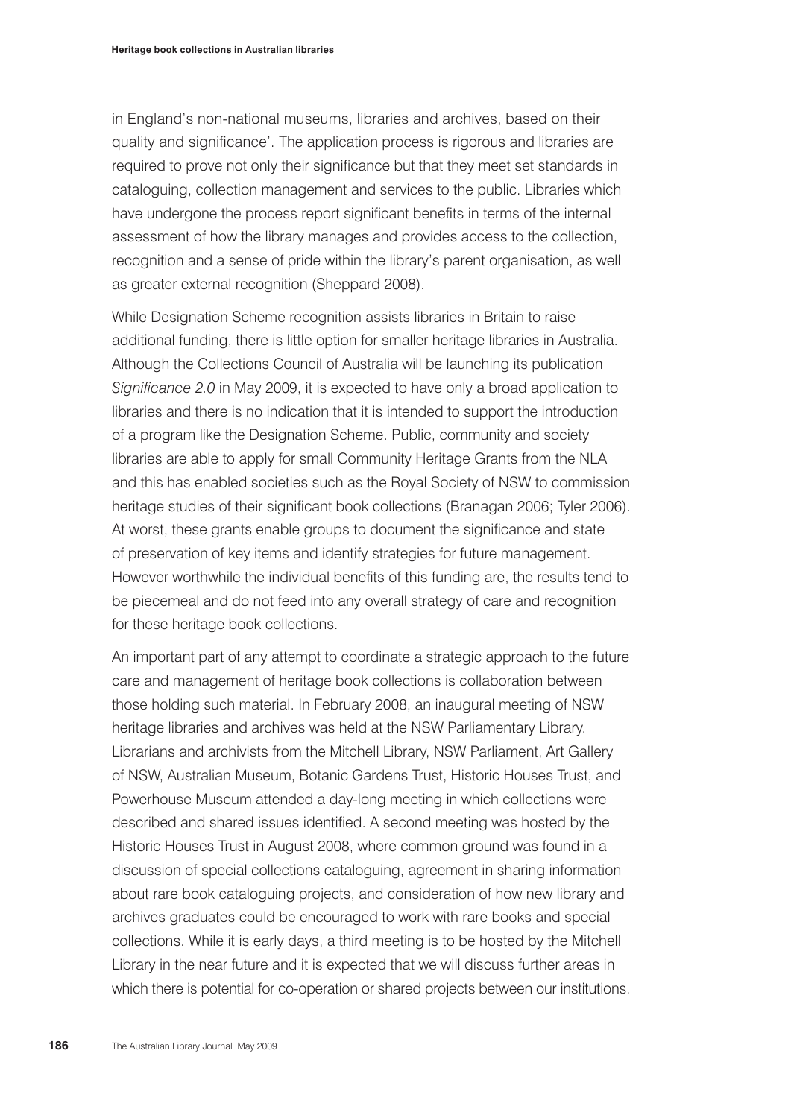in England's non-national museums, libraries and archives, based on their quality and significance'. The application process is rigorous and libraries are required to prove not only their significance but that they meet set standards in cataloguing, collection management and services to the public. Libraries which have undergone the process report significant benefits in terms of the internal assessment of how the library manages and provides access to the collection, recognition and a sense of pride within the library's parent organisation, as well as greater external recognition (Sheppard 2008).

While Designation Scheme recognition assists libraries in Britain to raise additional funding, there is little option for smaller heritage libraries in Australia. Although the Collections Council of Australia will be launching its publication *Significance 2.0* in May 2009, it is expected to have only a broad application to libraries and there is no indication that it is intended to support the introduction of a program like the Designation Scheme. Public, community and society libraries are able to apply for small Community Heritage Grants from the NLA and this has enabled societies such as the Royal Society of NSW to commission heritage studies of their significant book collections (Branagan 2006; Tyler 2006). At worst, these grants enable groups to document the significance and state of preservation of key items and identify strategies for future management. However worthwhile the individual benefits of this funding are, the results tend to be piecemeal and do not feed into any overall strategy of care and recognition for these heritage book collections.

An important part of any attempt to coordinate a strategic approach to the future care and management of heritage book collections is collaboration between those holding such material. In February 2008, an inaugural meeting of NSW heritage libraries and archives was held at the NSW Parliamentary Library. Librarians and archivists from the Mitchell Library, NSW Parliament, Art Gallery of NSW, Australian Museum, Botanic Gardens Trust, Historic Houses Trust, and Powerhouse Museum attended a day-long meeting in which collections were described and shared issues identified. A second meeting was hosted by the Historic Houses Trust in August 2008, where common ground was found in a discussion of special collections cataloguing, agreement in sharing information about rare book cataloguing projects, and consideration of how new library and archives graduates could be encouraged to work with rare books and special collections. While it is early days, a third meeting is to be hosted by the Mitchell Library in the near future and it is expected that we will discuss further areas in which there is potential for co-operation or shared projects between our institutions.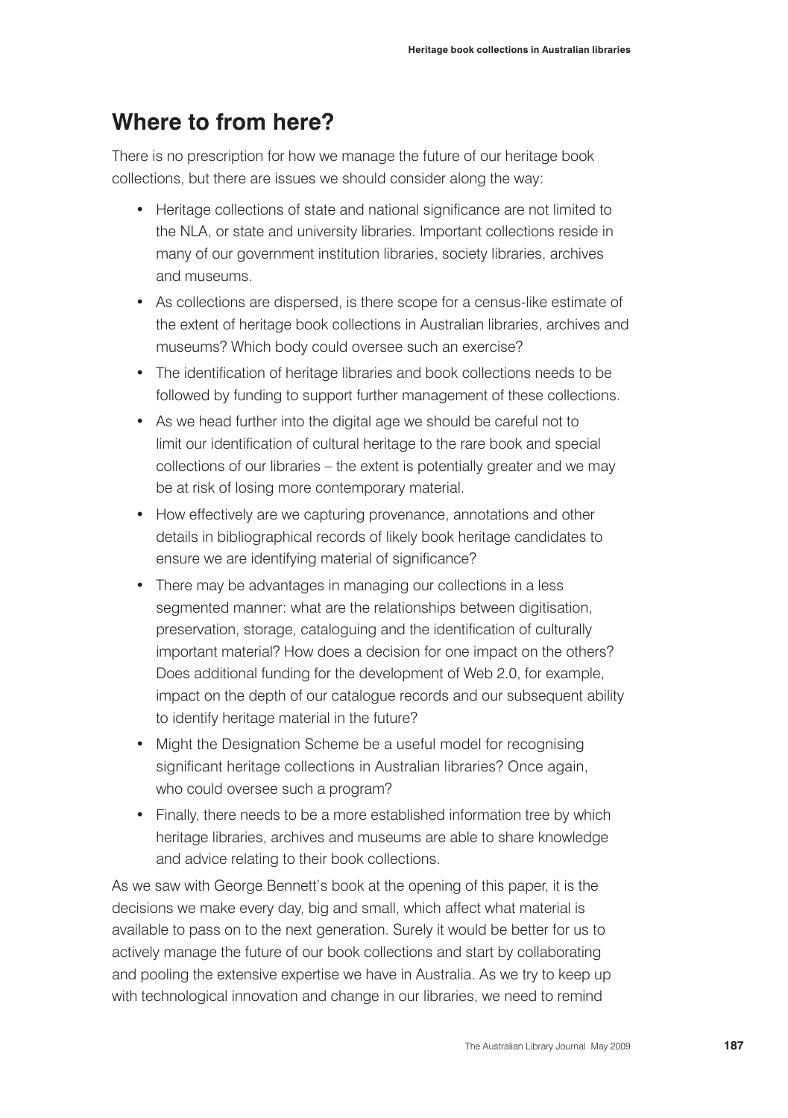### **Where to from here?**

There is no prescription for how we manage the future of our heritage book collections, but there are issues we should consider along the way:

- Heritage collections of state and national significance are not limited to the NLA, or state and university libraries. Important collections reside in many of our government institution libraries, society libraries, archives and museums.
- As collections are dispersed, is there scope for a census-like estimate of the extent of heritage book collections in Australian libraries, archives and museums? Which body could oversee such an exercise?
- The identification of heritage libraries and book collections needs to be followed by funding to support further management of these collections.
- As we head further into the digital age we should be careful not to limit our identification of cultural heritage to the rare book and special collections of our libraries – the extent is potentially greater and we may be at risk of losing more contemporary material.
- How effectively are we capturing provenance, annotations and other details in bibliographical records of likely book heritage candidates to ensure we are identifying material of significance?
- There may be advantages in managing our collections in a less segmented manner: what are the relationships between digitisation, preservation, storage, cataloguing and the identification of culturally important material? How does a decision for one impact on the others? Does additional funding for the development of Web 2.0, for example, impact on the depth of our catalogue records and our subsequent ability to identify heritage material in the future?
- Might the Designation Scheme be a useful model for recognising significant heritage collections in Australian libraries? Once again, who could oversee such a program?
- Finally, there needs to be a more established information tree by which heritage libraries, archives and museums are able to share knowledge and advice relating to their book collections.

As we saw with George Bennett's book at the opening of this paper, it is the decisions we make every day, big and small, which affect what material is available to pass on to the next generation. Surely it would be better for us to actively manage the future of our book collections and start by collaborating and pooling the extensive expertise we have in Australia. As we try to keep up with technological innovation and change in our libraries, we need to remind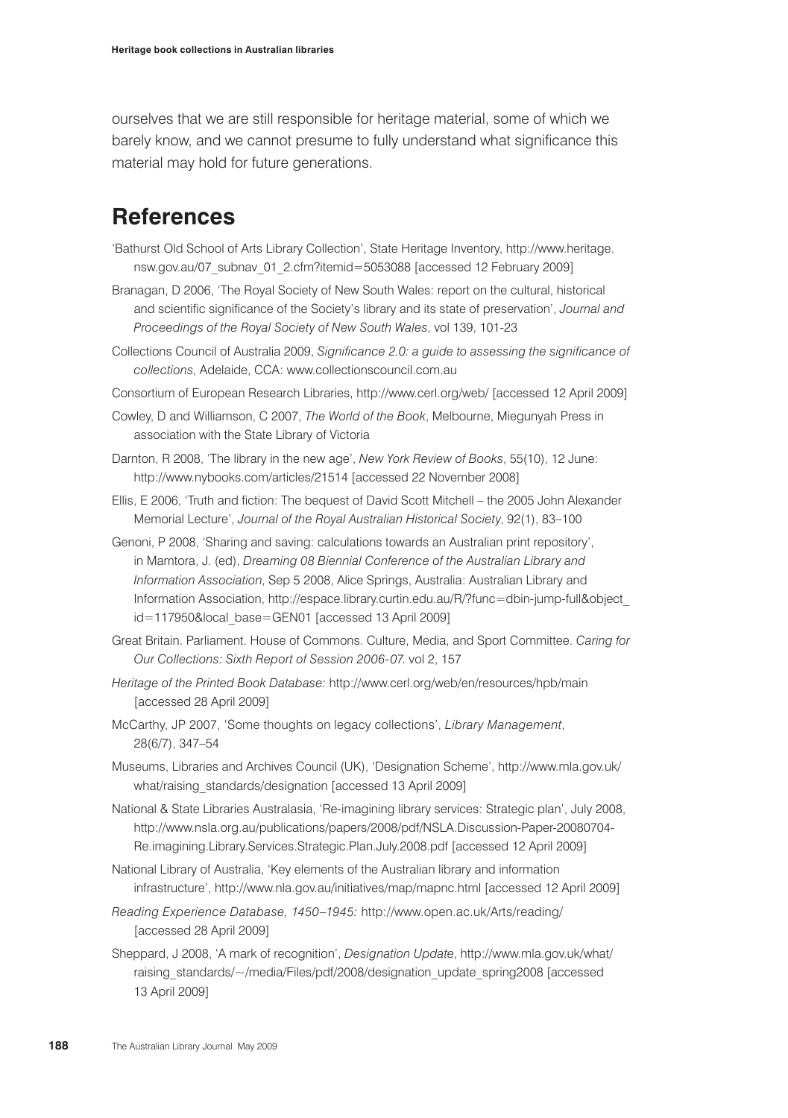ourselves that we are still responsible for heritage material, some of which we barely know, and we cannot presume to fully understand what significance this material may hold for future generations.

#### **References**

- 'Bathurst Old School of Arts Library Collection', State Heritage Inventory, http://www.heritage. nsw.gov.au/07\_subnav\_01\_2.cfm?itemid=5053088 [accessed 12 February 2009]
- Branagan, D 2006, 'The Royal Society of New South Wales: report on the cultural, historical and scientific significance of the Society's library and its state of preservation', *Journal and Proceedings of the Royal Society of New South Wales*, vol 139, 101-23
- Collections Council of Australia 2009, *Significance 2.0: a guide to assessing the significance of collections*, Adelaide, CCA: www.collectionscouncil.com.au
- Consortium of European Research Libraries, http://www.cerl.org/web/ [accessed 12 April 2009]
- Cowley, D and Williamson, C 2007, *The World of the Book*, Melbourne, Miegunyah Press in association with the State Library of Victoria
- Darnton, R 2008, 'The library in the new age', *New York Review of Books*, 55(10), 12 June: http://www.nybooks.com/articles/21514 [accessed 22 November 2008]
- Ellis, E 2006, 'Truth and fiction: The bequest of David Scott Mitchell the 2005 John Alexander Memorial Lecture', *Journal of the Royal Australian Historical Society*, 92(1), 83–100
- Genoni, P 2008, 'Sharing and saving: calculations towards an Australian print repository', in Mamtora, J. (ed), *Dreaming 08 Biennial Conference of the Australian Library and Information Association*, Sep 5 2008, Alice Springs, Australia: Australian Library and Information Association, http://espace.library.curtin.edu.au/R/?func=dbin-jump-full&object\_ id=117950&local\_base=GEN01 [accessed 13 April 2009]
- Great Britain. Parliament. House of Commons. Culture, Media, and Sport Committee. *Caring for Our Collections: Sixth Report of Session 2006-07*. vol 2, 157
- *Heritage of the Printed Book Database:* http://www.cerl.org/web/en/resources/hpb/main [accessed 28 April 2009]
- McCarthy, JP 2007, 'Some thoughts on legacy collections', *Library Management*, 28(6/7), 347–54
- Museums, Libraries and Archives Council (UK), 'Designation Scheme', http://www.mla.gov.uk/ what/raising\_standards/designation [accessed 13 April 2009]
- National & State Libraries Australasia, 'Re-imagining library services: Strategic plan', July 2008, http://www.nsla.org.au/publications/papers/2008/pdf/NSLA.Discussion-Paper-20080704- Re.imagining.Library.Services.Strategic.Plan.July.2008.pdf [accessed 12 April 2009]
- National Library of Australia, 'Key elements of the Australian library and information infrastructure', http://www.nla.gov.au/initiatives/map/mapnc.html [accessed 12 April 2009]
- *Reading Experience Database, 1450–1945:* http://www.open.ac.uk/Arts/reading/ [accessed 28 April 2009]
- Sheppard, J 2008, 'A mark of recognition', *Designation Update*, http://www.mla.gov.uk/what/ raising\_standards/~/media/Files/pdf/2008/designation\_update\_spring2008 [accessed 13 April 2009]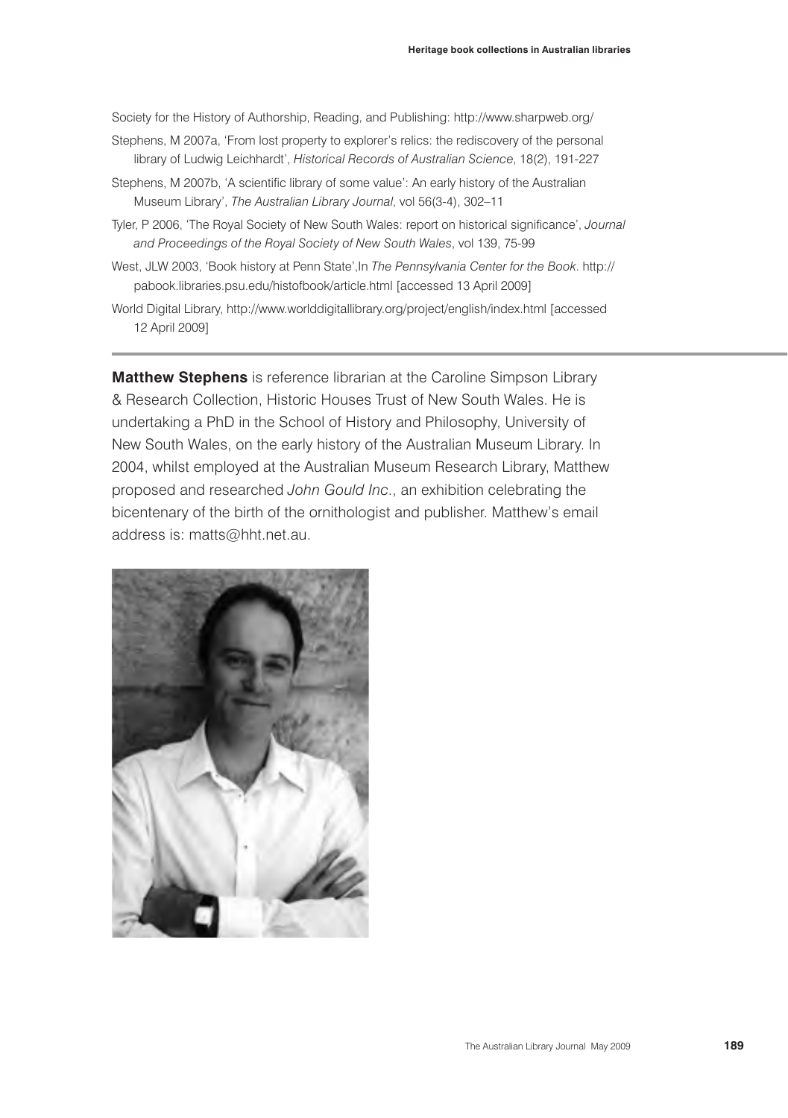Society for the History of Authorship, Reading, and Publishing: http://www.sharpweb.org/

- Stephens, M 2007a, 'From lost property to explorer's relics: the rediscovery of the personal library of Ludwig Leichhardt', *Historical Records of Australian Science*, 18(2), 191-227
- Stephens, M 2007b, 'A scientific library of some value': An early history of the Australian Museum Library', *The Australian Library Journal*, vol 56(3-4), 302–11
- Tyler, P 2006, 'The Royal Society of New South Wales: report on historical significance', *Journal and Proceedings of the Royal Society of New South Wales*, vol 139, 75-99
- West, JLW 2003, 'Book history at Penn State',In *The Pennsylvania Center for the Book*. http:// pabook.libraries.psu.edu/histofbook/article.html [accessed 13 April 2009]
- World Digital Library, http://www.worlddigitallibrary.org/project/english/index.html [accessed 12 April 2009]

**Matthew Stephens** is reference librarian at the Caroline Simpson Library & Research Collection, Historic Houses Trust of New South Wales. He is undertaking a PhD in the School of History and Philosophy, University of New South Wales, on the early history of the Australian Museum Library. In 2004, whilst employed at the Australian Museum Research Library, Matthew proposed and researched *John Gould Inc*., an exhibition celebrating the bicentenary of the birth of the ornithologist and publisher. Matthew's email address is: matts@hht.net.au.

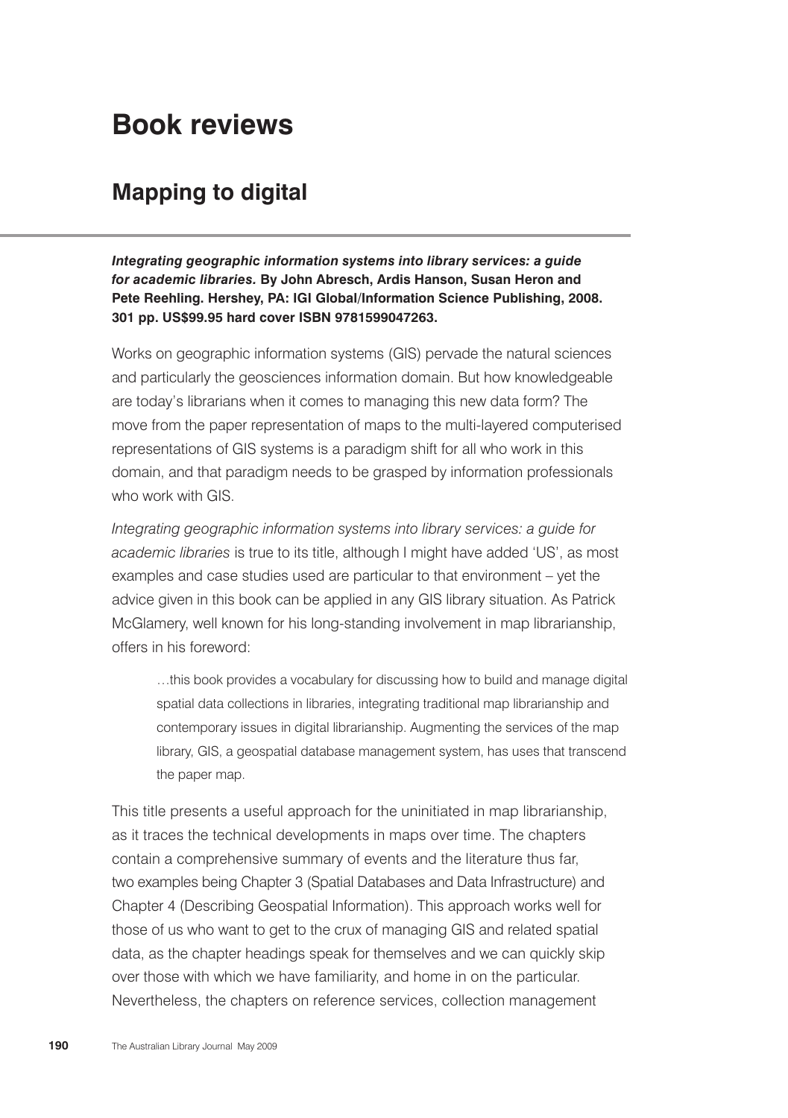# **Book reviews**

### **Mapping to digital**

*Integrating geographic information systems into library services: a guide for academic libraries.* **By John Abresch, Ardis Hanson, Susan Heron and Pete Reehling. Hershey, PA: IGI Global/Information Science Publishing, 2008. 301 pp. US\$99.95 hard cover ISBN 9781599047263.**

Works on geographic information systems (GIS) pervade the natural sciences and particularly the geosciences information domain. But how knowledgeable are today's librarians when it comes to managing this new data form? The move from the paper representation of maps to the multi-layered computerised representations of GIS systems is a paradigm shift for all who work in this domain, and that paradigm needs to be grasped by information professionals who work with GIS.

*Integrating geographic information systems into library services: a guide for academic libraries* is true to its title, although I might have added 'US', as most examples and case studies used are particular to that environment – yet the advice given in this book can be applied in any GIS library situation. As Patrick McGlamery, well known for his long-standing involvement in map librarianship, offers in his foreword:

…this book provides a vocabulary for discussing how to build and manage digital spatial data collections in libraries, integrating traditional map librarianship and contemporary issues in digital librarianship. Augmenting the services of the map library, GIS, a geospatial database management system, has uses that transcend the paper map.

This title presents a useful approach for the uninitiated in map librarianship, as it traces the technical developments in maps over time. The chapters contain a comprehensive summary of events and the literature thus far, two examples being Chapter 3 (Spatial Databases and Data Infrastructure) and Chapter 4 (Describing Geospatial Information). This approach works well for those of us who want to get to the crux of managing GIS and related spatial data, as the chapter headings speak for themselves and we can quickly skip over those with which we have familiarity, and home in on the particular. Nevertheless, the chapters on reference services, collection management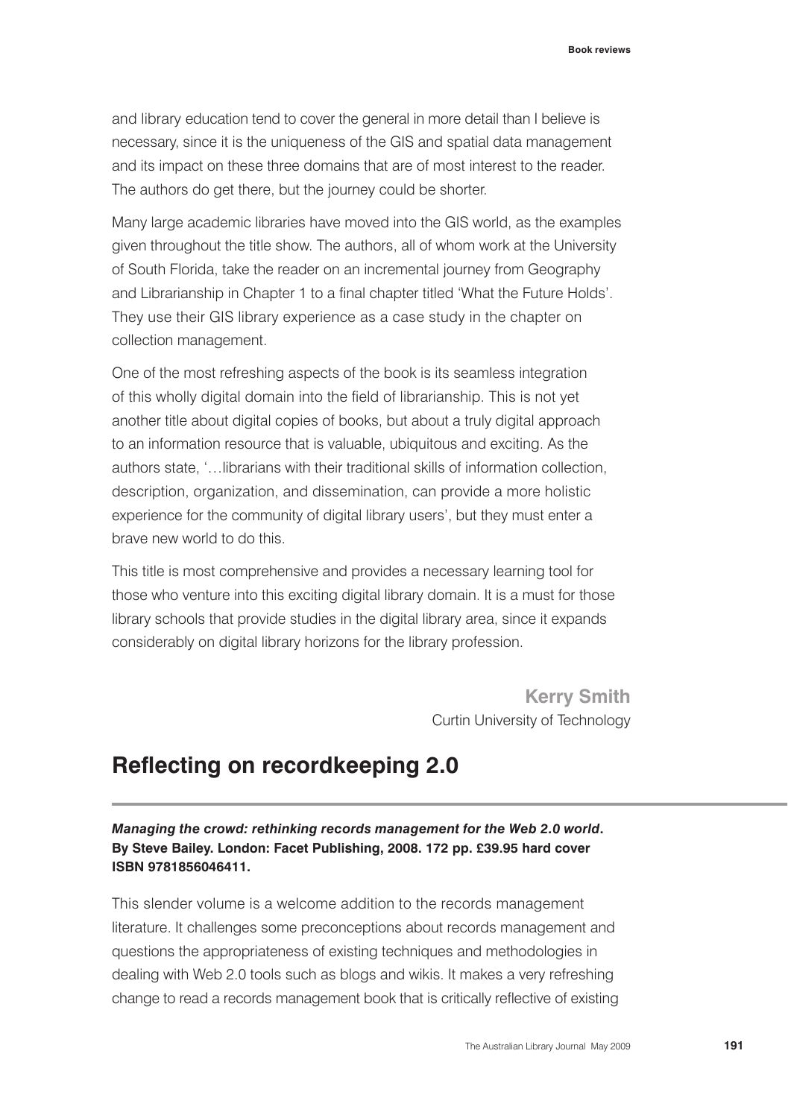**Book reviews**

and library education tend to cover the general in more detail than I believe is necessary, since it is the uniqueness of the GIS and spatial data management and its impact on these three domains that are of most interest to the reader. The authors do get there, but the journey could be shorter.

Many large academic libraries have moved into the GIS world, as the examples given throughout the title show. The authors, all of whom work at the University of South Florida, take the reader on an incremental journey from Geography and Librarianship in Chapter 1 to a final chapter titled 'What the Future Holds'. They use their GIS library experience as a case study in the chapter on collection management.

One of the most refreshing aspects of the book is its seamless integration of this wholly digital domain into the field of librarianship. This is not yet another title about digital copies of books, but about a truly digital approach to an information resource that is valuable, ubiquitous and exciting. As the authors state, '…librarians with their traditional skills of information collection, description, organization, and dissemination, can provide a more holistic experience for the community of digital library users', but they must enter a brave new world to do this.

This title is most comprehensive and provides a necessary learning tool for those who venture into this exciting digital library domain. It is a must for those library schools that provide studies in the digital library area, since it expands considerably on digital library horizons for the library profession.

> **Kerry Smith** Curtin University of Technology

### **Reflecting on recordkeeping 2.0**

*Managing the crowd: rethinking records management for the Web 2.0 world***. By Steve Bailey. London: Facet Publishing, 2008. 172 pp. £39.95 hard cover ISBN 9781856046411.**

This slender volume is a welcome addition to the records management literature. It challenges some preconceptions about records management and questions the appropriateness of existing techniques and methodologies in dealing with Web 2.0 tools such as blogs and wikis. It makes a very refreshing change to read a records management book that is critically reflective of existing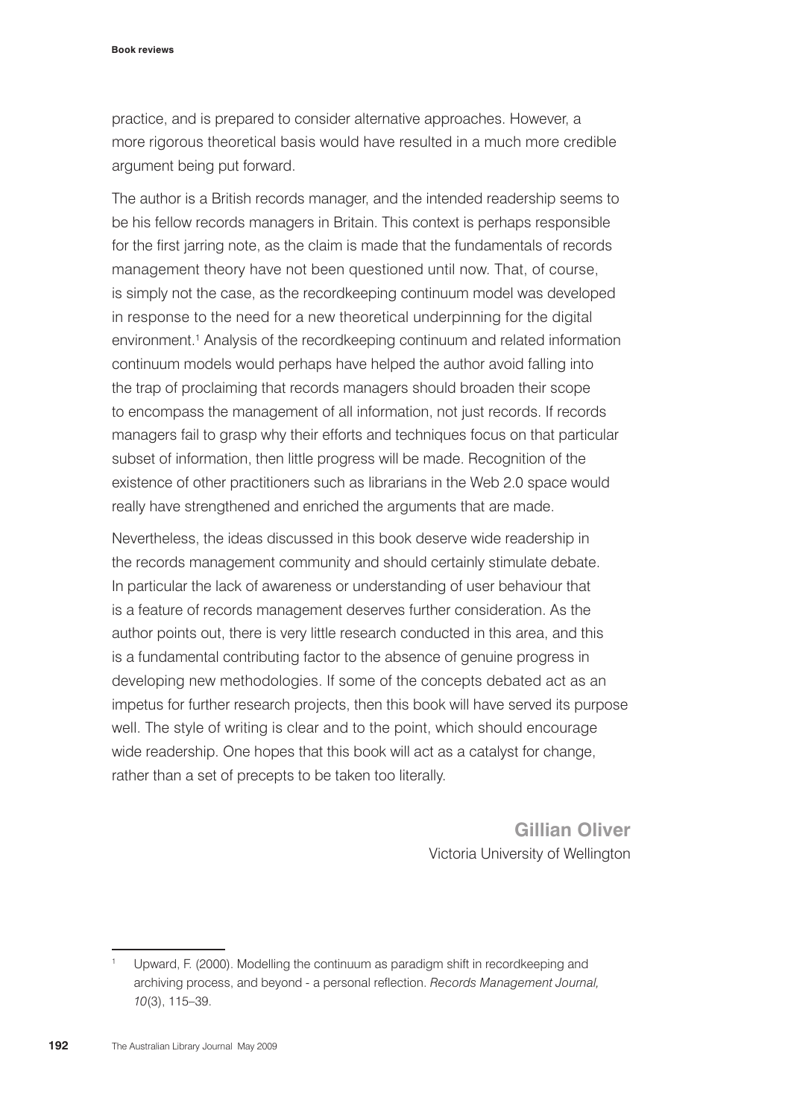**Book reviews**

practice, and is prepared to consider alternative approaches. However, a more rigorous theoretical basis would have resulted in a much more credible argument being put forward.

The author is a British records manager, and the intended readership seems to be his fellow records managers in Britain. This context is perhaps responsible for the first jarring note, as the claim is made that the fundamentals of records management theory have not been questioned until now. That, of course, is simply not the case, as the recordkeeping continuum model was developed in response to the need for a new theoretical underpinning for the digital environment.<sup>1</sup> Analysis of the recordkeeping continuum and related information continuum models would perhaps have helped the author avoid falling into the trap of proclaiming that records managers should broaden their scope to encompass the management of all information, not just records. If records managers fail to grasp why their efforts and techniques focus on that particular subset of information, then little progress will be made. Recognition of the existence of other practitioners such as librarians in the Web 2.0 space would really have strengthened and enriched the arguments that are made.

Nevertheless, the ideas discussed in this book deserve wide readership in the records management community and should certainly stimulate debate. In particular the lack of awareness or understanding of user behaviour that is a feature of records management deserves further consideration. As the author points out, there is very little research conducted in this area, and this is a fundamental contributing factor to the absence of genuine progress in developing new methodologies. If some of the concepts debated act as an impetus for further research projects, then this book will have served its purpose well. The style of writing is clear and to the point, which should encourage wide readership. One hopes that this book will act as a catalyst for change, rather than a set of precepts to be taken too literally.

> **Gillian Oliver** Victoria University of Wellington

<sup>1</sup> Upward, F. (2000). Modelling the continuum as paradigm shift in recordkeeping and archiving process, and beyond - a personal reflection. *Records Management Journal, 10*(3), 115–39.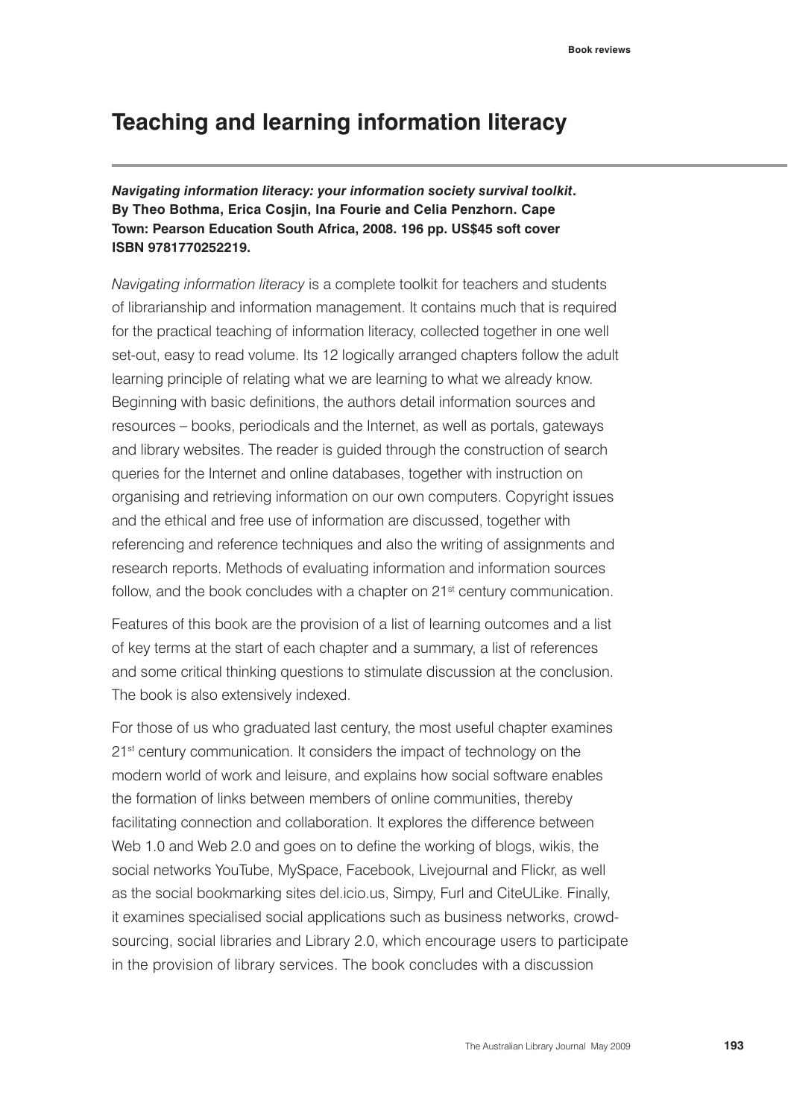### **Teaching and learning information literacy**

*Navigating information literacy: your information society survival toolkit***. By Theo Bothma, Erica Cosjin, Ina Fourie and Celia Penzhorn. Cape Town: Pearson Education South Africa, 2008. 196 pp. US\$45 soft cover ISBN 9781770252219.**

*Navigating information literacy* is a complete toolkit for teachers and students of librarianship and information management. It contains much that is required for the practical teaching of information literacy, collected together in one well set-out, easy to read volume. Its 12 logically arranged chapters follow the adult learning principle of relating what we are learning to what we already know. Beginning with basic definitions, the authors detail information sources and resources – books, periodicals and the Internet, as well as portals, gateways and library websites. The reader is guided through the construction of search queries for the Internet and online databases, together with instruction on organising and retrieving information on our own computers. Copyright issues and the ethical and free use of information are discussed, together with referencing and reference techniques and also the writing of assignments and research reports. Methods of evaluating information and information sources follow, and the book concludes with a chapter on 21<sup>st</sup> century communication.

Features of this book are the provision of a list of learning outcomes and a list of key terms at the start of each chapter and a summary, a list of references and some critical thinking questions to stimulate discussion at the conclusion. The book is also extensively indexed.

For those of us who graduated last century, the most useful chapter examines 21<sup>st</sup> century communication. It considers the impact of technology on the modern world of work and leisure, and explains how social software enables the formation of links between members of online communities, thereby facilitating connection and collaboration. It explores the difference between Web 1.0 and Web 2.0 and goes on to define the working of blogs, wikis, the social networks YouTube, MySpace, Facebook, Livejournal and Flickr, as well as the social bookmarking sites del.icio.us, Simpy, Furl and CiteULike. Finally, it examines specialised social applications such as business networks, crowdsourcing, social libraries and Library 2.0, which encourage users to participate in the provision of library services. The book concludes with a discussion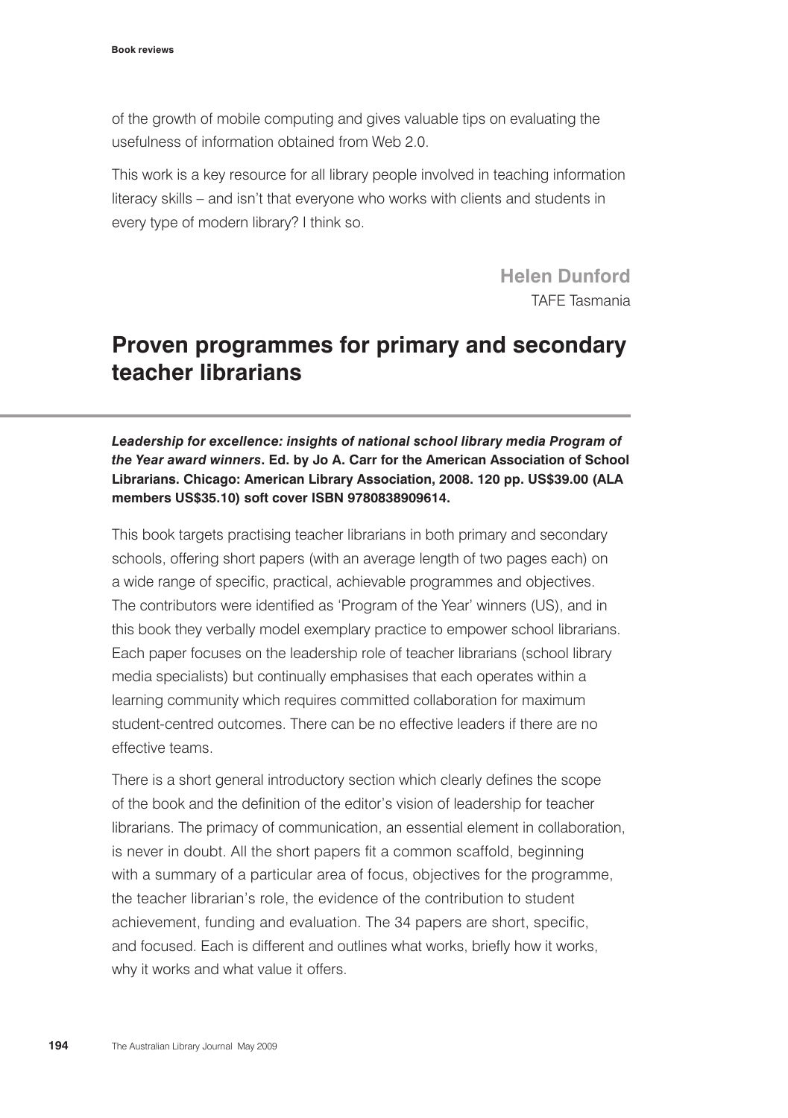of the growth of mobile computing and gives valuable tips on evaluating the usefulness of information obtained from Web 2.0.

This work is a key resource for all library people involved in teaching information literacy skills – and isn't that everyone who works with clients and students in every type of modern library? I think so.

> **Helen Dunford** TAFE Tasmania

### **Proven programmes for primary and secondary teacher librarians**

Leadership for excellence: insights of national school library media Program of *the Year award winners***. Ed. by Jo A. Carr for the American Association of School Librarians. Chicago: American Library Association, 2008. 120 pp. US\$39.00 (ALA members US\$35.10) soft cover ISBN 9780838909614.**

This book targets practising teacher librarians in both primary and secondary schools, offering short papers (with an average length of two pages each) on a wide range of specific, practical, achievable programmes and objectives. The contributors were identified as 'Program of the Year' winners (US), and in this book they verbally model exemplary practice to empower school librarians. Each paper focuses on the leadership role of teacher librarians (school library media specialists) but continually emphasises that each operates within a learning community which requires committed collaboration for maximum student-centred outcomes. There can be no effective leaders if there are no effective teams.

There is a short general introductory section which clearly defines the scope of the book and the definition of the editor's vision of leadership for teacher librarians. The primacy of communication, an essential element in collaboration, is never in doubt. All the short papers fit a common scaffold, beginning with a summary of a particular area of focus, objectives for the programme, the teacher librarian's role, the evidence of the contribution to student achievement, funding and evaluation. The 34 papers are short, specific, and focused. Each is different and outlines what works, briefly how it works, why it works and what value it offers.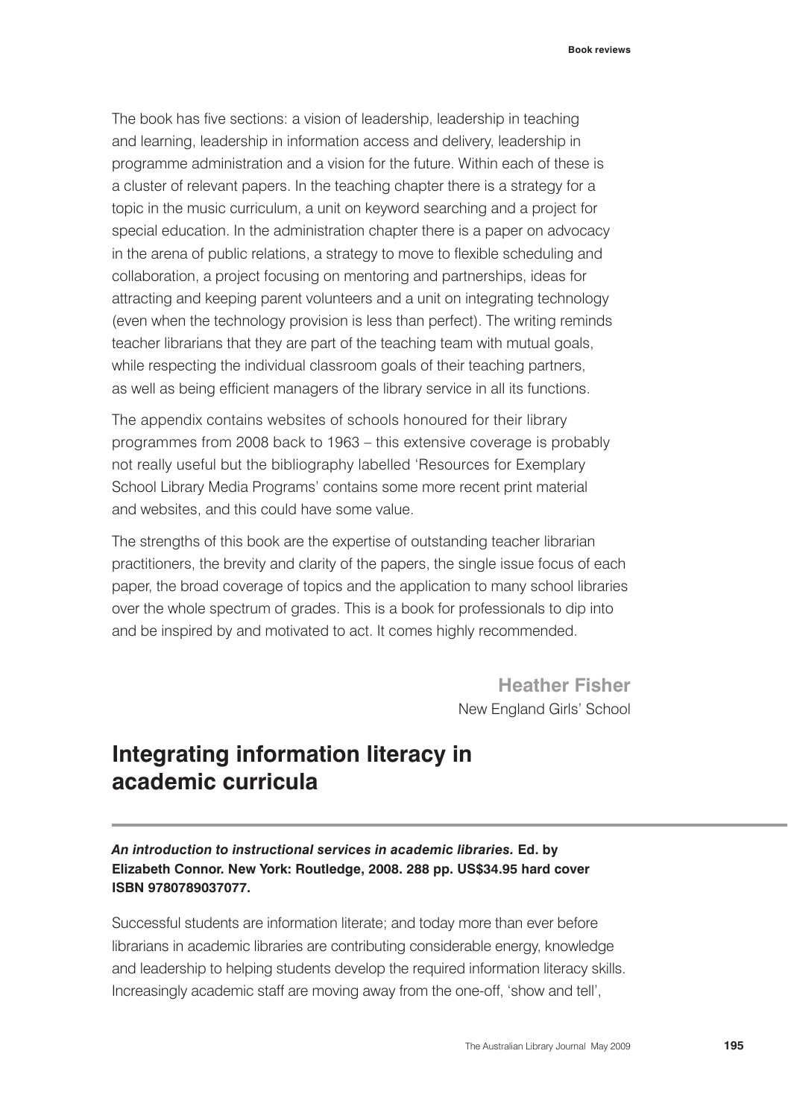The book has five sections: a vision of leadership, leadership in teaching and learning, leadership in information access and delivery, leadership in programme administration and a vision for the future. Within each of these is a cluster of relevant papers. In the teaching chapter there is a strategy for a topic in the music curriculum, a unit on keyword searching and a project for special education. In the administration chapter there is a paper on advocacy in the arena of public relations, a strategy to move to flexible scheduling and collaboration, a project focusing on mentoring and partnerships, ideas for attracting and keeping parent volunteers and a unit on integrating technology (even when the technology provision is less than perfect). The writing reminds teacher librarians that they are part of the teaching team with mutual goals, while respecting the individual classroom goals of their teaching partners, as well as being efficient managers of the library service in all its functions.

The appendix contains websites of schools honoured for their library programmes from 2008 back to 1963 – this extensive coverage is probably not really useful but the bibliography labelled 'Resources for Exemplary School Library Media Programs' contains some more recent print material and websites, and this could have some value.

The strengths of this book are the expertise of outstanding teacher librarian practitioners, the brevity and clarity of the papers, the single issue focus of each paper, the broad coverage of topics and the application to many school libraries over the whole spectrum of grades. This is a book for professionals to dip into and be inspired by and motivated to act. It comes highly recommended.

> **Heather Fisher** New England Girls' School

### **Integrating information literacy in academic curricula**

*An introduction to instructional services in academic libraries.* **Ed. by Elizabeth Connor. New York: Routledge, 2008. 288 pp. US\$34.95 hard cover ISBN 9780789037077.**

Successful students are information literate; and today more than ever before librarians in academic libraries are contributing considerable energy, knowledge and leadership to helping students develop the required information literacy skills. Increasingly academic staff are moving away from the one-off, 'show and tell',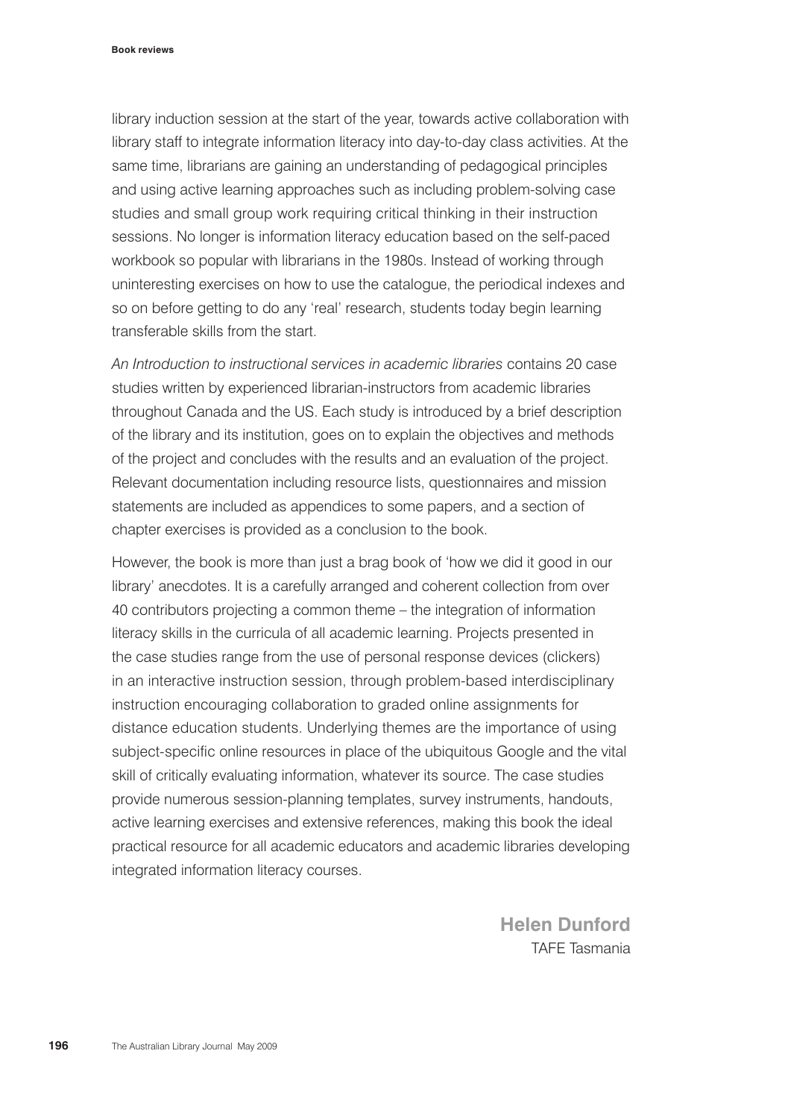library induction session at the start of the year, towards active collaboration with library staff to integrate information literacy into day-to-day class activities. At the same time, librarians are gaining an understanding of pedagogical principles and using active learning approaches such as including problem-solving case studies and small group work requiring critical thinking in their instruction sessions. No longer is information literacy education based on the self-paced workbook so popular with librarians in the 1980s. Instead of working through uninteresting exercises on how to use the catalogue, the periodical indexes and so on before getting to do any 'real' research, students today begin learning transferable skills from the start.

*An Introduction to instructional services in academic libraries* contains 20 case studies written by experienced librarian-instructors from academic libraries throughout Canada and the US. Each study is introduced by a brief description of the library and its institution, goes on to explain the objectives and methods of the project and concludes with the results and an evaluation of the project. Relevant documentation including resource lists, questionnaires and mission statements are included as appendices to some papers, and a section of chapter exercises is provided as a conclusion to the book.

However, the book is more than just a brag book of 'how we did it good in our library' anecdotes. It is a carefully arranged and coherent collection from over 40 contributors projecting a common theme – the integration of information literacy skills in the curricula of all academic learning. Projects presented in the case studies range from the use of personal response devices (clickers) in an interactive instruction session, through problem-based interdisciplinary instruction encouraging collaboration to graded online assignments for distance education students. Underlying themes are the importance of using subject-specific online resources in place of the ubiquitous Google and the vital skill of critically evaluating information, whatever its source. The case studies provide numerous session-planning templates, survey instruments, handouts, active learning exercises and extensive references, making this book the ideal practical resource for all academic educators and academic libraries developing integrated information literacy courses.

> **Helen Dunford** TAFE Tasmania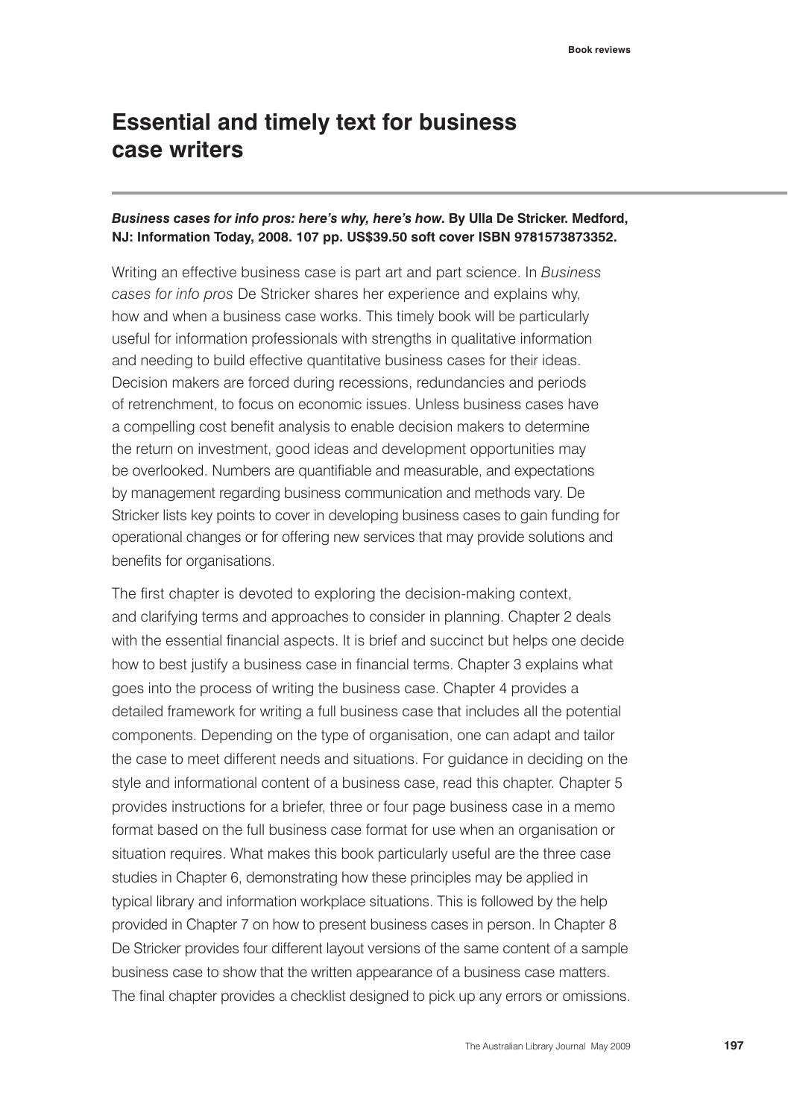# **Essential and timely text for business case writers**

#### *Business cases for info pros: here's why, here's how***. By Ulla De Stricker. Medford, NJ: Information Today, 2008. 107 pp. US\$39.50 soft cover ISBN 9781573873352.**

Writing an effective business case is part art and part science. In *Business cases for info pros* De Stricker shares her experience and explains why, how and when a business case works. This timely book will be particularly useful for information professionals with strengths in qualitative information and needing to build effective quantitative business cases for their ideas. Decision makers are forced during recessions, redundancies and periods of retrenchment, to focus on economic issues. Unless business cases have a compelling cost benefit analysis to enable decision makers to determine the return on investment, good ideas and development opportunities may be overlooked. Numbers are quantifiable and measurable, and expectations by management regarding business communication and methods vary. De Stricker lists key points to cover in developing business cases to gain funding for operational changes or for offering new services that may provide solutions and benefits for organisations.

The first chapter is devoted to exploring the decision-making context, and clarifying terms and approaches to consider in planning. Chapter 2 deals with the essential financial aspects. It is brief and succinct but helps one decide how to best justify a business case in financial terms. Chapter 3 explains what goes into the process of writing the business case. Chapter 4 provides a detailed framework for writing a full business case that includes all the potential components. Depending on the type of organisation, one can adapt and tailor the case to meet different needs and situations. For guidance in deciding on the style and informational content of a business case, read this chapter. Chapter 5 provides instructions for a briefer, three or four page business case in a memo format based on the full business case format for use when an organisation or situation requires. What makes this book particularly useful are the three case studies in Chapter 6, demonstrating how these principles may be applied in typical library and information workplace situations. This is followed by the help provided in Chapter 7 on how to present business cases in person. In Chapter 8 De Stricker provides four different layout versions of the same content of a sample business case to show that the written appearance of a business case matters. The final chapter provides a checklist designed to pick up any errors or omissions.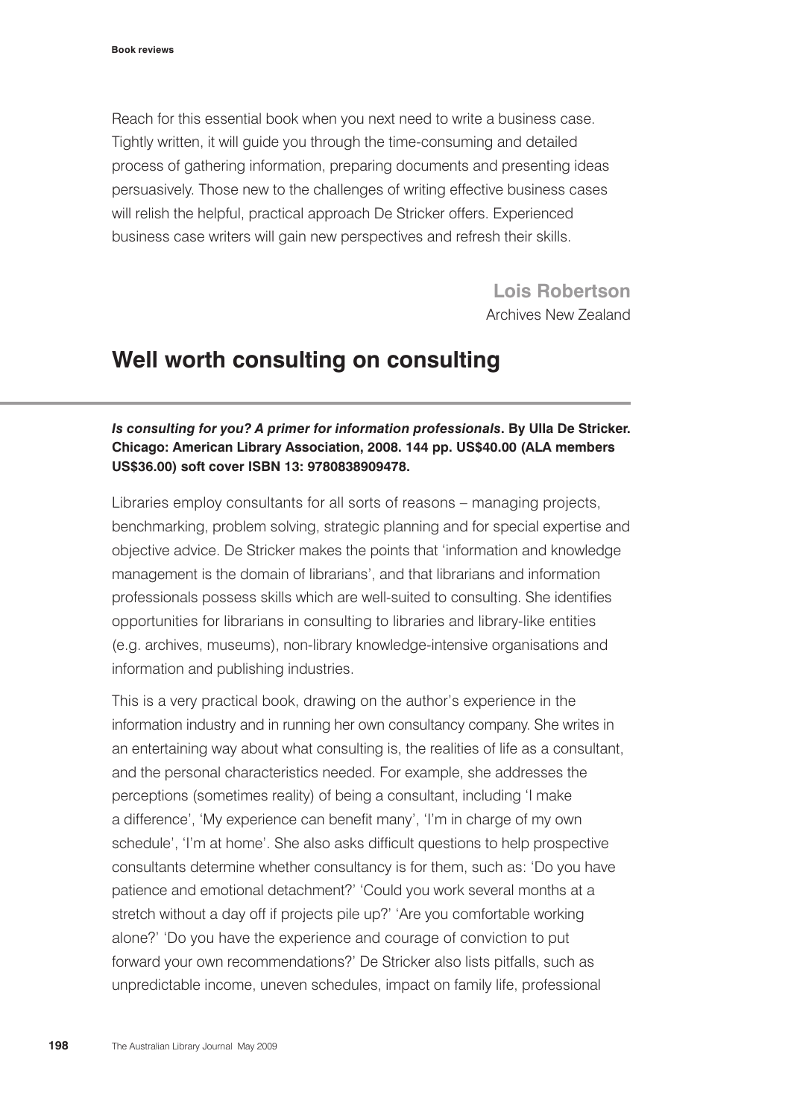Reach for this essential book when you next need to write a business case. Tightly written, it will guide you through the time-consuming and detailed process of gathering information, preparing documents and presenting ideas persuasively. Those new to the challenges of writing effective business cases will relish the helpful, practical approach De Stricker offers. Experienced business case writers will gain new perspectives and refresh their skills.

> **Lois Robertson** Archives New Zealand

# **Well worth consulting on consulting**

*Is consulting for you? A primer for information professionals***. By Ulla De Stricker. Chicago: American Library Association, 2008. 144 pp. US\$40.00 (ALA members US\$36.00) soft cover ISBN 13: 9780838909478.**

Libraries employ consultants for all sorts of reasons – managing projects, benchmarking, problem solving, strategic planning and for special expertise and objective advice. De Stricker makes the points that 'information and knowledge management is the domain of librarians', and that librarians and information professionals possess skills which are well-suited to consulting. She identifies opportunities for librarians in consulting to libraries and library-like entities (e.g. archives, museums), non-library knowledge-intensive organisations and information and publishing industries.

This is a very practical book, drawing on the author's experience in the information industry and in running her own consultancy company. She writes in an entertaining way about what consulting is, the realities of life as a consultant, and the personal characteristics needed. For example, she addresses the perceptions (sometimes reality) of being a consultant, including 'I make a difference', 'My experience can benefit many', 'I'm in charge of my own schedule', 'I'm at home'. She also asks difficult questions to help prospective consultants determine whether consultancy is for them, such as: 'Do you have patience and emotional detachment?' 'Could you work several months at a stretch without a day off if projects pile up?' 'Are you comfortable working alone?' 'Do you have the experience and courage of conviction to put forward your own recommendations?' De Stricker also lists pitfalls, such as unpredictable income, uneven schedules, impact on family life, professional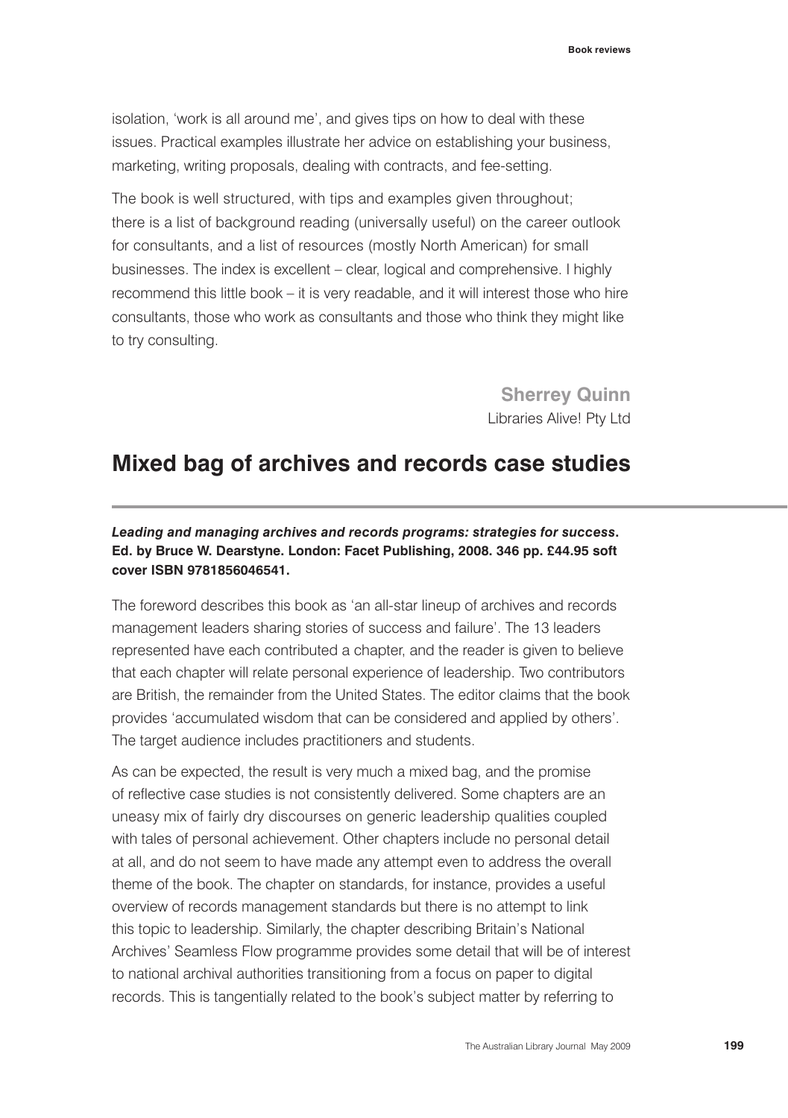isolation, 'work is all around me', and gives tips on how to deal with these issues. Practical examples illustrate her advice on establishing your business, marketing, writing proposals, dealing with contracts, and fee-setting.

The book is well structured, with tips and examples given throughout; there is a list of background reading (universally useful) on the career outlook for consultants, and a list of resources (mostly North American) for small businesses. The index is excellent – clear, logical and comprehensive. I highly recommend this little book – it is very readable, and it will interest those who hire consultants, those who work as consultants and those who think they might like to try consulting.

> **Sherrey Quinn** Libraries Alive! Pty Ltd

#### **Mixed bag of archives and records case studies**

*Leading and managing archives and records programs: strategies for success***. Ed. by Bruce W. Dearstyne. London: Facet Publishing, 2008. 346 pp. £44.95 soft cover ISBN 9781856046541.**

The foreword describes this book as 'an all-star lineup of archives and records management leaders sharing stories of success and failure'. The 13 leaders represented have each contributed a chapter, and the reader is given to believe that each chapter will relate personal experience of leadership. Two contributors are British, the remainder from the United States. The editor claims that the book provides 'accumulated wisdom that can be considered and applied by others'. The target audience includes practitioners and students.

As can be expected, the result is very much a mixed bag, and the promise of reflective case studies is not consistently delivered. Some chapters are an uneasy mix of fairly dry discourses on generic leadership qualities coupled with tales of personal achievement. Other chapters include no personal detail at all, and do not seem to have made any attempt even to address the overall theme of the book. The chapter on standards, for instance, provides a useful overview of records management standards but there is no attempt to link this topic to leadership. Similarly, the chapter describing Britain's National Archives' Seamless Flow programme provides some detail that will be of interest to national archival authorities transitioning from a focus on paper to digital records. This is tangentially related to the book's subject matter by referring to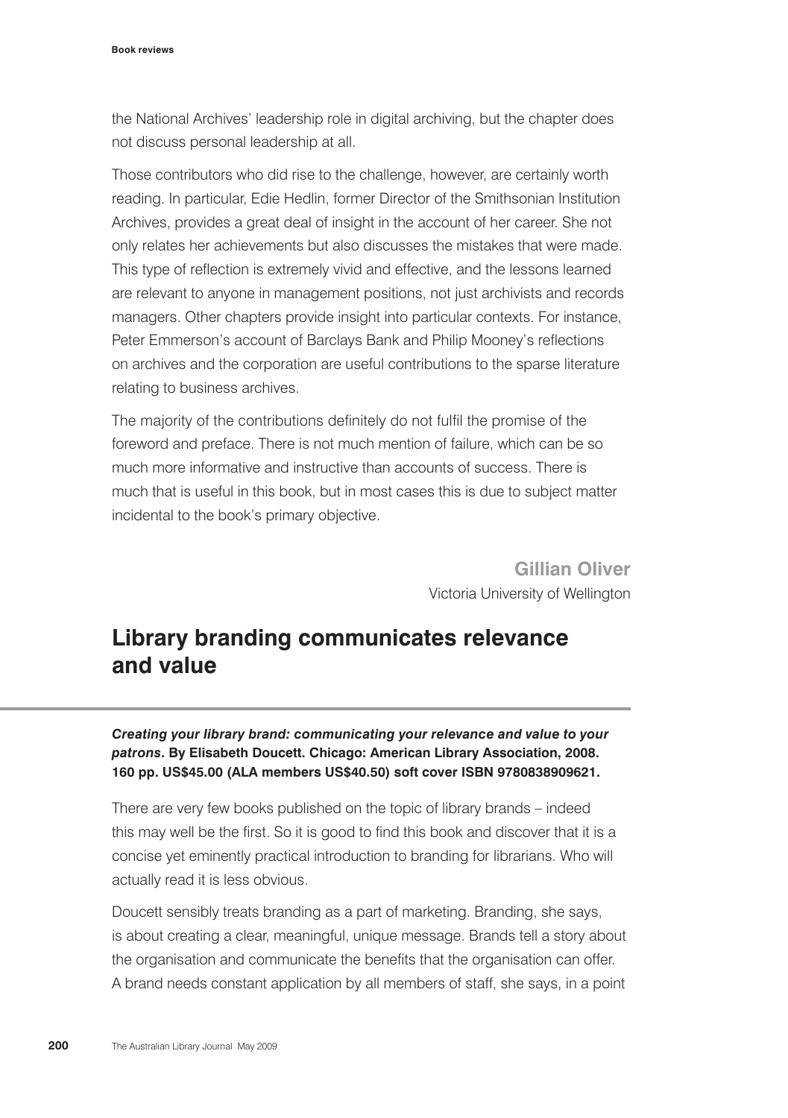the National Archives' leadership role in digital archiving, but the chapter does not discuss personal leadership at all.

Those contributors who did rise to the challenge, however, are certainly worth reading. In particular, Edie Hedlin, former Director of the Smithsonian Institution Archives, provides a great deal of insight in the account of her career. She not only relates her achievements but also discusses the mistakes that were made. This type of reflection is extremely vivid and effective, and the lessons learned are relevant to anyone in management positions, not just archivists and records managers. Other chapters provide insight into particular contexts. For instance, Peter Emmerson's account of Barclays Bank and Philip Mooney's reflections on archives and the corporation are useful contributions to the sparse literature relating to business archives.

The majority of the contributions definitely do not fulfil the promise of the foreword and preface. There is not much mention of failure, which can be so much more informative and instructive than accounts of success. There is much that is useful in this book, but in most cases this is due to subject matter incidental to the book's primary objective.

> **Gillian Oliver** Victoria University of Wellington

# **Library branding communicates relevance and value**

*Creating your library brand: communicating your relevance and value to your patrons***. By Elisabeth Doucett. Chicago: American Library Association, 2008. 160 pp. US\$45.00 (ALA members US\$40.50) soft cover ISBN 9780838909621.**

There are very few books published on the topic of library brands – indeed this may well be the first. So it is good to find this book and discover that it is a concise yet eminently practical introduction to branding for librarians. Who will actually read it is less obvious.

Doucett sensibly treats branding as a part of marketing. Branding, she says, is about creating a clear, meaningful, unique message. Brands tell a story about the organisation and communicate the benefits that the organisation can offer. A brand needs constant application by all members of staff, she says, in a point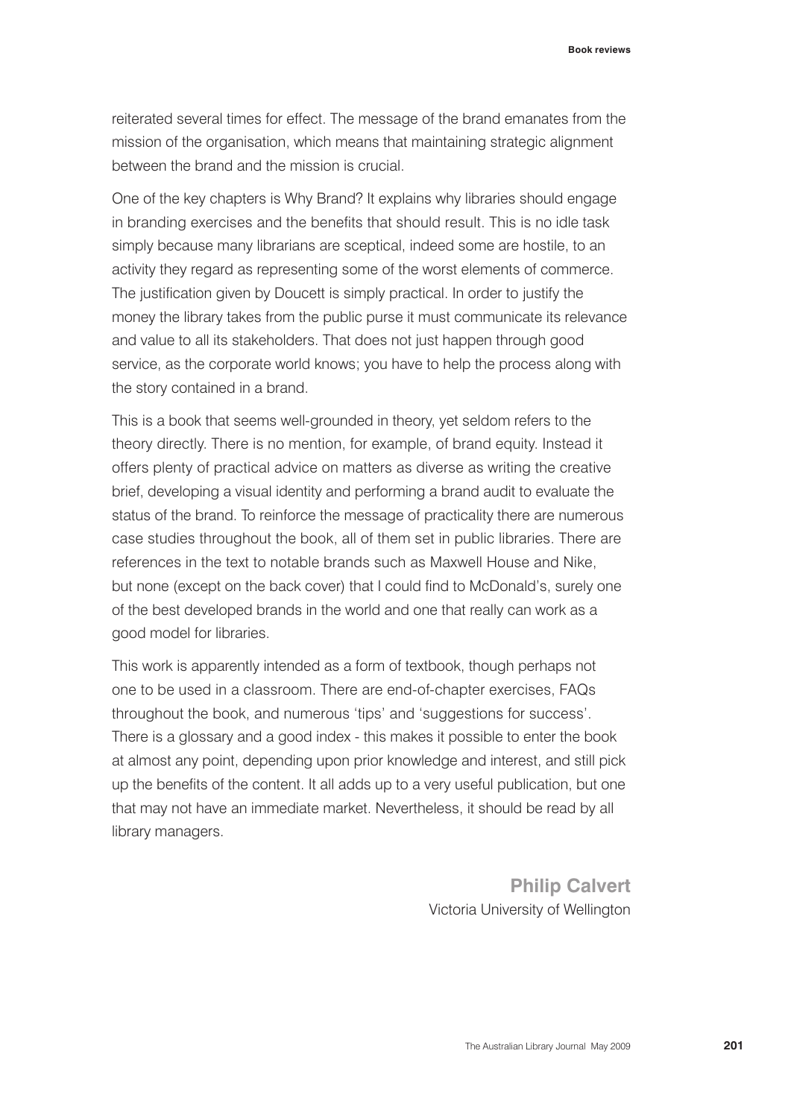reiterated several times for effect. The message of the brand emanates from the mission of the organisation, which means that maintaining strategic alignment between the brand and the mission is crucial.

One of the key chapters is Why Brand? It explains why libraries should engage in branding exercises and the benefits that should result. This is no idle task simply because many librarians are sceptical, indeed some are hostile, to an activity they regard as representing some of the worst elements of commerce. The justification given by Doucett is simply practical. In order to justify the money the library takes from the public purse it must communicate its relevance and value to all its stakeholders. That does not just happen through good service, as the corporate world knows; you have to help the process along with the story contained in a brand.

This is a book that seems well-grounded in theory, yet seldom refers to the theory directly. There is no mention, for example, of brand equity. Instead it offers plenty of practical advice on matters as diverse as writing the creative brief, developing a visual identity and performing a brand audit to evaluate the status of the brand. To reinforce the message of practicality there are numerous case studies throughout the book, all of them set in public libraries. There are references in the text to notable brands such as Maxwell House and Nike, but none (except on the back cover) that I could find to McDonald's, surely one of the best developed brands in the world and one that really can work as a good model for libraries.

This work is apparently intended as a form of textbook, though perhaps not one to be used in a classroom. There are end-of-chapter exercises, FAQs throughout the book, and numerous 'tips' and 'suggestions for success'. There is a glossary and a good index - this makes it possible to enter the book at almost any point, depending upon prior knowledge and interest, and still pick up the benefits of the content. It all adds up to a very useful publication, but one that may not have an immediate market. Nevertheless, it should be read by all library managers.

> **Philip Calvert** Victoria University of Wellington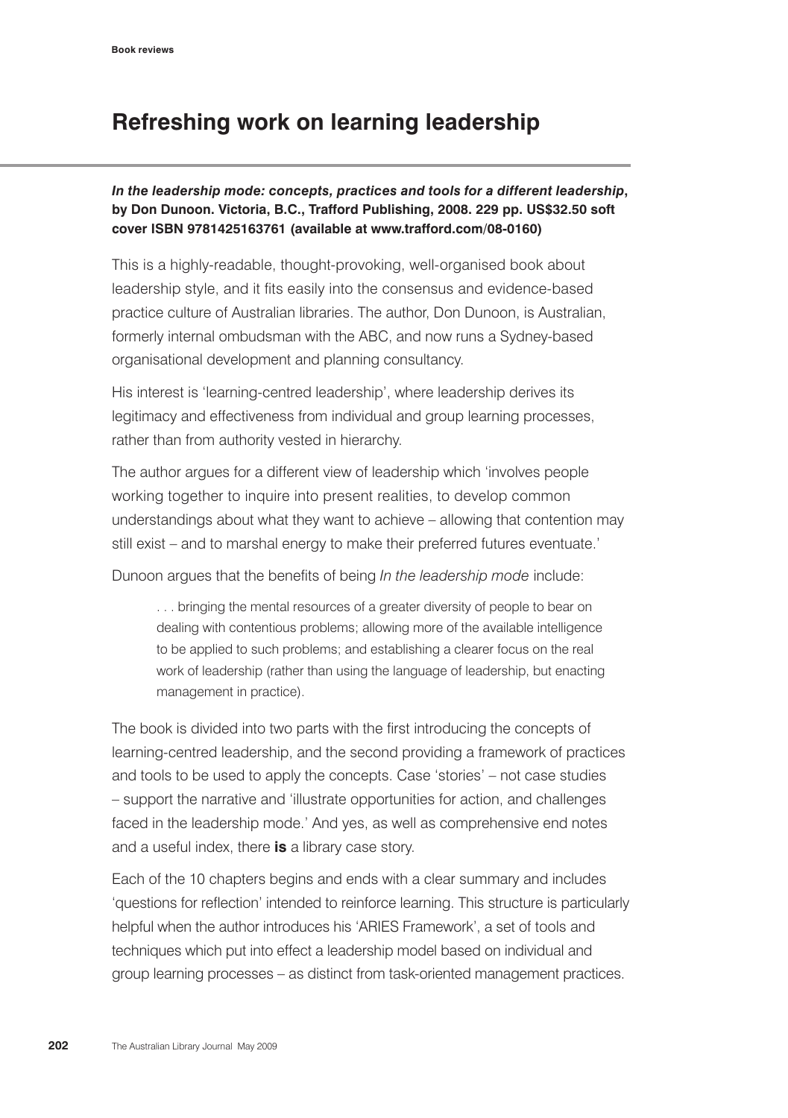# **Refreshing work on learning leadership**

*In the leadership mode: concepts, practices and tools for a different leadership***, by Don Dunoon. Victoria, B.C., Trafford Publishing, 2008. 229 pp. US\$32.50 soft cover ISBN 9781425163761 (available at www.trafford.com/08-0160)**

This is a highly-readable, thought-provoking, well-organised book about leadership style, and it fits easily into the consensus and evidence-based practice culture of Australian libraries. The author, Don Dunoon, is Australian, formerly internal ombudsman with the ABC, and now runs a Sydney-based organisational development and planning consultancy.

His interest is 'learning-centred leadership', where leadership derives its legitimacy and effectiveness from individual and group learning processes, rather than from authority vested in hierarchy.

The author argues for a different view of leadership which 'involves people working together to inquire into present realities, to develop common understandings about what they want to achieve – allowing that contention may still exist – and to marshal energy to make their preferred futures eventuate.'

Dunoon argues that the benefits of being *In the leadership mode* include:

... bringing the mental resources of a greater diversity of people to bear on dealing with contentious problems; allowing more of the available intelligence to be applied to such problems; and establishing a clearer focus on the real work of leadership (rather than using the language of leadership, but enacting management in practice).

The book is divided into two parts with the first introducing the concepts of learning-centred leadership, and the second providing a framework of practices and tools to be used to apply the concepts. Case 'stories' – not case studies – support the narrative and 'illustrate opportunities for action, and challenges faced in the leadership mode.' And yes, as well as comprehensive end notes and a useful index, there **is** a library case story.

Each of the 10 chapters begins and ends with a clear summary and includes 'questions for reflection' intended to reinforce learning. This structure is particularly helpful when the author introduces his 'ARIES Framework', a set of tools and techniques which put into effect a leadership model based on individual and group learning processes – as distinct from task-oriented management practices.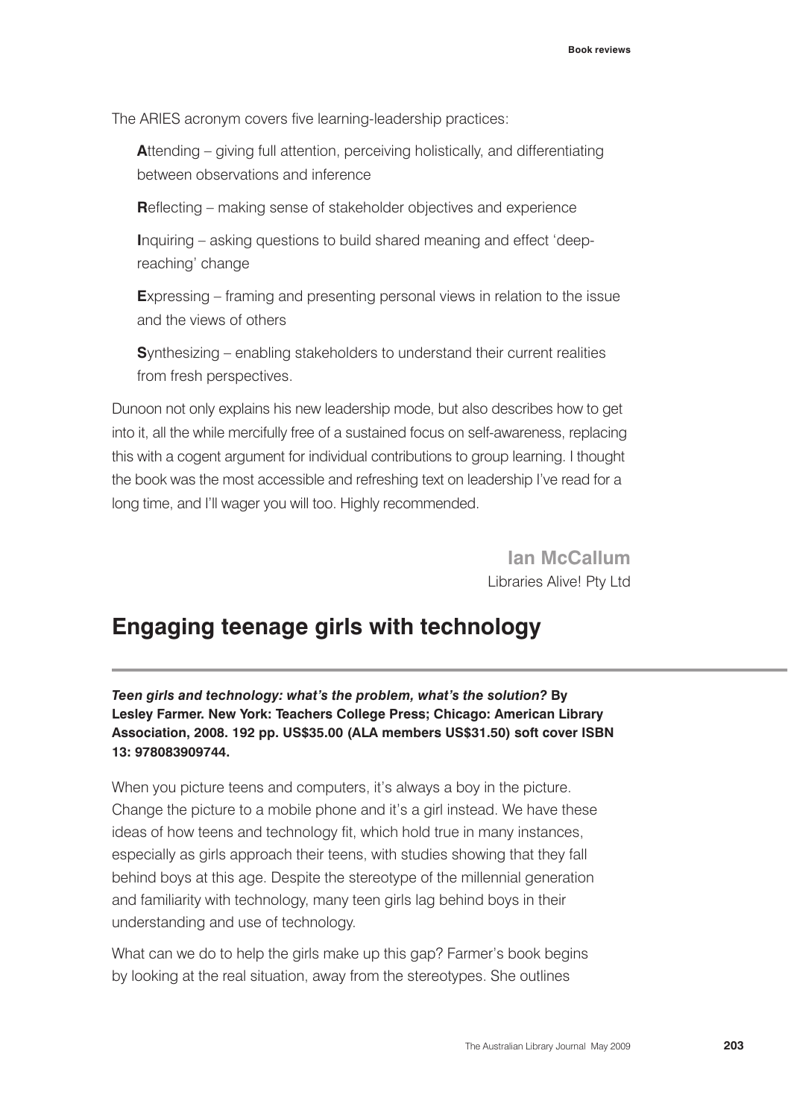The ARIES acronym covers five learning-leadership practices:

**A**ttending – giving full attention, perceiving holistically, and differentiating between observations and inference

**R**eflecting – making sense of stakeholder objectives and experience

**I**nquiring – asking questions to build shared meaning and effect 'deepreaching' change

**E**xpressing – framing and presenting personal views in relation to the issue and the views of others

**S**ynthesizing – enabling stakeholders to understand their current realities from fresh perspectives.

Dunoon not only explains his new leadership mode, but also describes how to get into it, all the while mercifully free of a sustained focus on self-awareness, replacing this with a cogent argument for individual contributions to group learning. I thought the book was the most accessible and refreshing text on leadership I've read for a long time, and I'll wager you will too. Highly recommended.

> **Ian McCallum** Libraries Alive! Pty Ltd

#### **Engaging teenage girls with technology**

*Teen girls and technology: what's the problem, what's the solution?* **By Lesley Farmer. New York: Teachers College Press; Chicago: American Library Association, 2008. 192 pp. US\$35.00 (ALA members US\$31.50) soft cover ISBN 13: 978083909744.**

When you picture teens and computers, it's always a boy in the picture. Change the picture to a mobile phone and it's a girl instead. We have these ideas of how teens and technology fit, which hold true in many instances, especially as girls approach their teens, with studies showing that they fall behind boys at this age. Despite the stereotype of the millennial generation and familiarity with technology, many teen girls lag behind boys in their understanding and use of technology.

What can we do to help the girls make up this gap? Farmer's book begins by looking at the real situation, away from the stereotypes. She outlines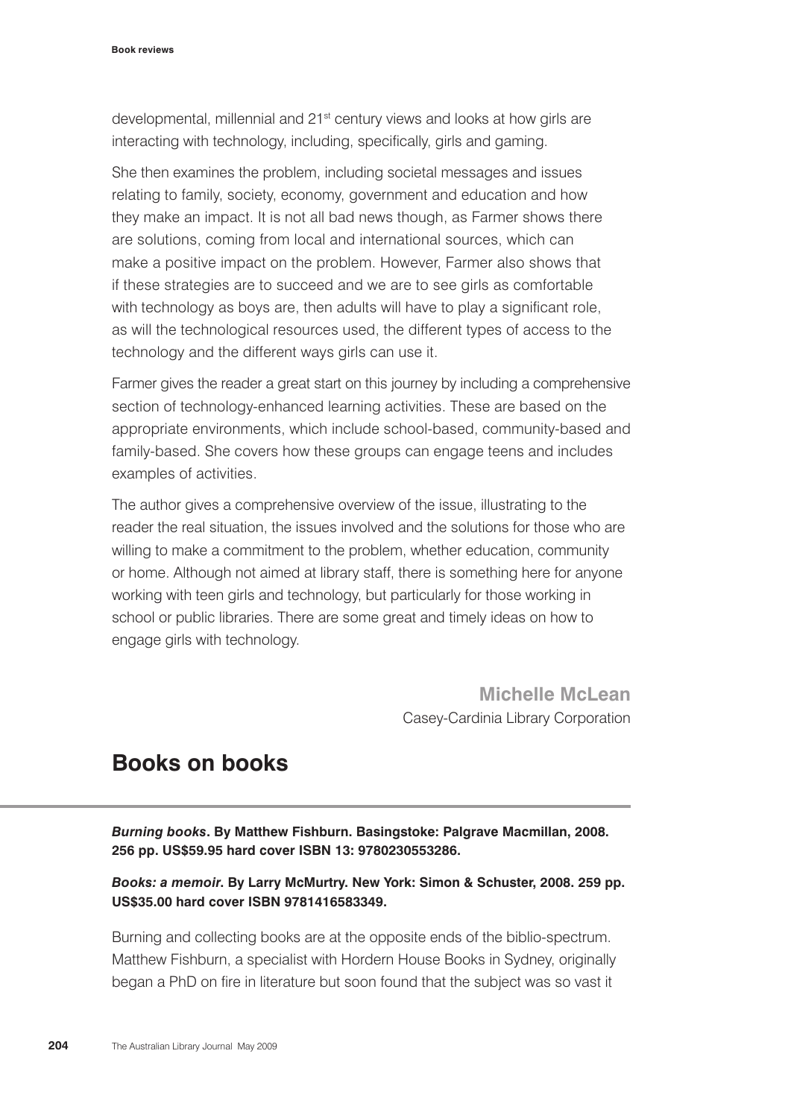developmental, millennial and 21<sup>st</sup> century views and looks at how girls are interacting with technology, including, specifically, girls and gaming.

She then examines the problem, including societal messages and issues relating to family, society, economy, government and education and how they make an impact. It is not all bad news though, as Farmer shows there are solutions, coming from local and international sources, which can make a positive impact on the problem. However, Farmer also shows that if these strategies are to succeed and we are to see girls as comfortable with technology as boys are, then adults will have to play a significant role, as will the technological resources used, the different types of access to the technology and the different ways girls can use it.

Farmer gives the reader a great start on this journey by including a comprehensive section of technology-enhanced learning activities. These are based on the appropriate environments, which include school-based, community-based and family-based. She covers how these groups can engage teens and includes examples of activities.

The author gives a comprehensive overview of the issue, illustrating to the reader the real situation, the issues involved and the solutions for those who are willing to make a commitment to the problem, whether education, community or home. Although not aimed at library staff, there is something here for anyone working with teen girls and technology, but particularly for those working in school or public libraries. There are some great and timely ideas on how to engage girls with technology.

> **Michelle McLean** Casey-Cardinia Library Corporation

# **Books on books**

*Burning books***. By Matthew Fishburn. Basingstoke: Palgrave Macmillan, 2008. 256 pp. US\$59.95 hard cover ISBN 13: 9780230553286.**

*Books: a memoir***. By Larry McMurtry. New York: Simon & Schuster, 2008. 259 pp. US\$35.00 hard cover ISBN 9781416583349.**

Burning and collecting books are at the opposite ends of the biblio-spectrum. Matthew Fishburn, a specialist with Hordern House Books in Sydney, originally began a PhD on fire in literature but soon found that the subject was so vast it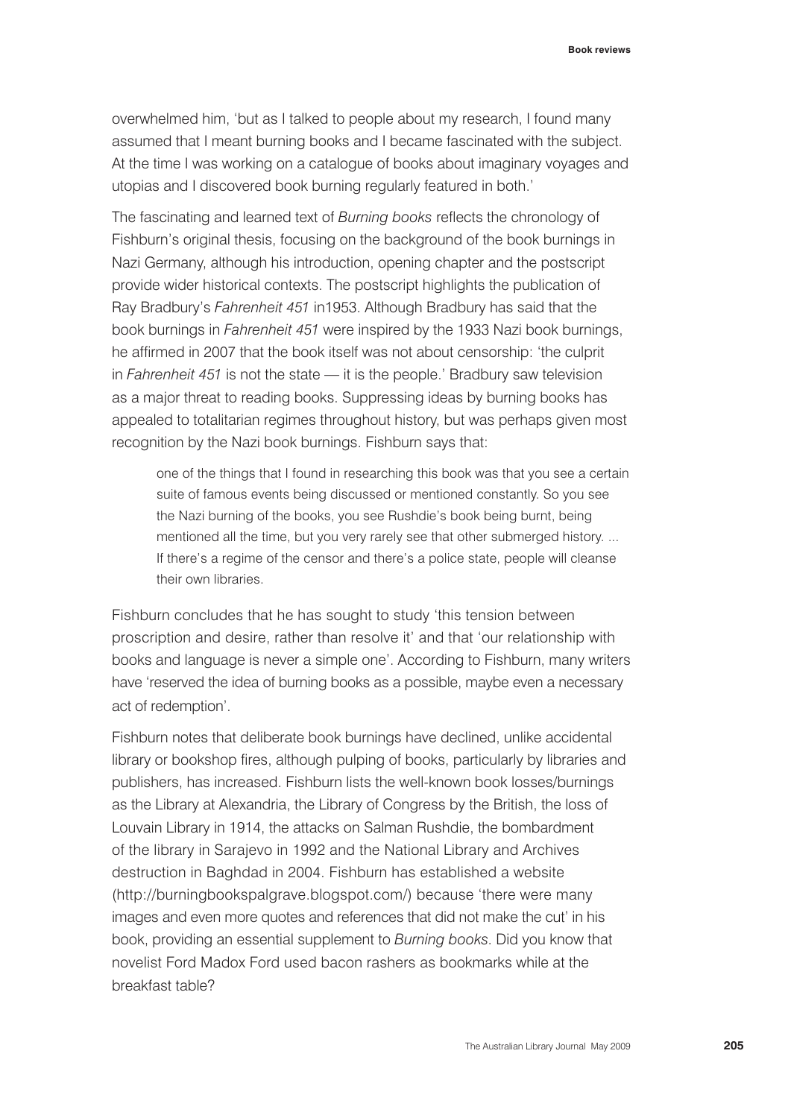overwhelmed him, 'but as I talked to people about my research, I found many assumed that I meant burning books and I became fascinated with the subject. At the time I was working on a catalogue of books about imaginary voyages and utopias and I discovered book burning regularly featured in both.'

The fascinating and learned text of *Burning books* reflects the chronology of Fishburn's original thesis, focusing on the background of the book burnings in Nazi Germany, although his introduction, opening chapter and the postscript provide wider historical contexts. The postscript highlights the publication of Ray Bradbury's *Fahrenheit 451* in1953. Although Bradbury has said that the book burnings in *Fahrenheit 451* were inspired by the 1933 Nazi book burnings, he affirmed in 2007 that the book itself was not about censorship: 'the culprit in *Fahrenheit 451* is not the state — it is the people.' Bradbury saw television as a major threat to reading books. Suppressing ideas by burning books has appealed to totalitarian regimes throughout history, but was perhaps given most recognition by the Nazi book burnings. Fishburn says that:

one of the things that I found in researching this book was that you see a certain suite of famous events being discussed or mentioned constantly. So you see the Nazi burning of the books, you see Rushdie's book being burnt, being mentioned all the time, but you very rarely see that other submerged history. ... If there's a regime of the censor and there's a police state, people will cleanse their own libraries.

Fishburn concludes that he has sought to study 'this tension between proscription and desire, rather than resolve it' and that 'our relationship with books and language is never a simple one'. According to Fishburn, many writers have 'reserved the idea of burning books as a possible, maybe even a necessary act of redemption'.

Fishburn notes that deliberate book burnings have declined, unlike accidental library or bookshop fires, although pulping of books, particularly by libraries and publishers, has increased. Fishburn lists the well-known book losses/burnings as the Library at Alexandria, the Library of Congress by the British, the loss of Louvain Library in 1914, the attacks on Salman Rushdie, the bombardment of the library in Sarajevo in 1992 and the National Library and Archives destruction in Baghdad in 2004. Fishburn has established a website (http://burningbookspalgrave.blogspot.com/) because 'there were many images and even more quotes and references that did not make the cut' in his book, providing an essential supplement to *Burning books*. Did you know that novelist Ford Madox Ford used bacon rashers as bookmarks while at the breakfast table?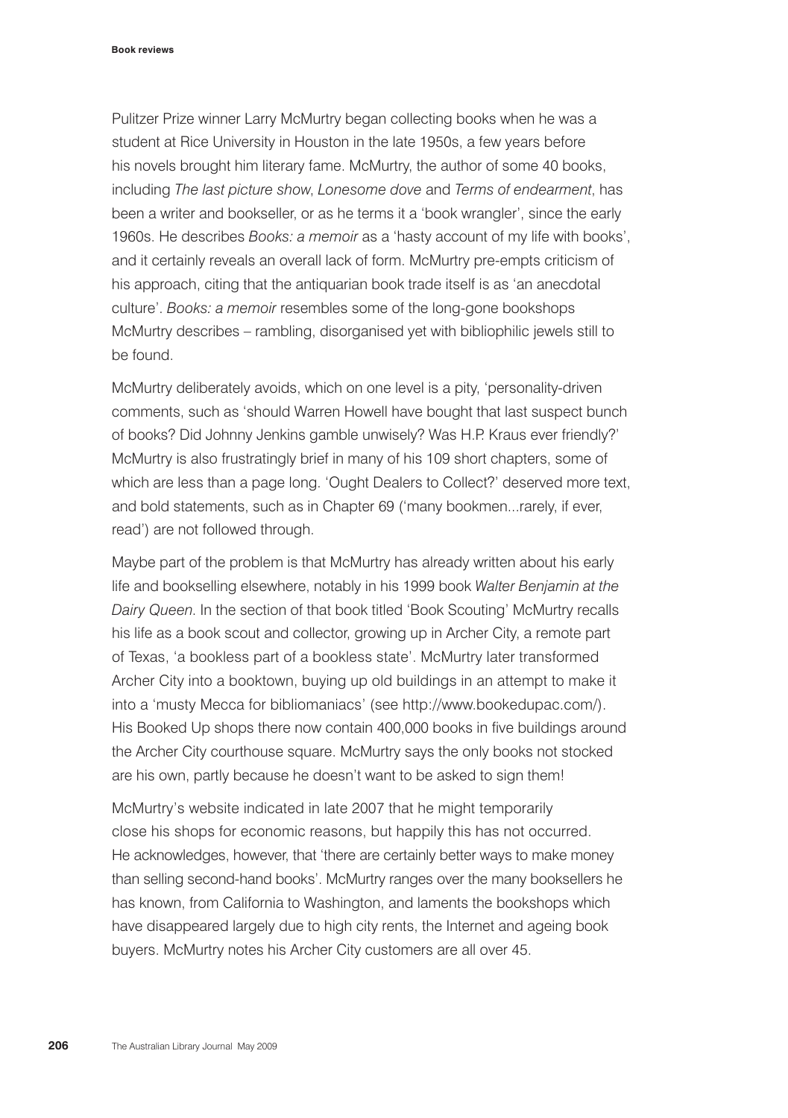Pulitzer Prize winner Larry McMurtry began collecting books when he was a student at Rice University in Houston in the late 1950s, a few years before his novels brought him literary fame. McMurtry, the author of some 40 books, including *The last picture show*, *Lonesome dove* and *Terms of endearment*, has been a writer and bookseller, or as he terms it a 'book wrangler', since the early 1960s. He describes *Books: a memoir* as a 'hasty account of my life with books', and it certainly reveals an overall lack of form. McMurtry pre-empts criticism of his approach, citing that the antiquarian book trade itself is as 'an anecdotal culture'. *Books: a memoir* resembles some of the long-gone bookshops McMurtry describes – rambling, disorganised yet with bibliophilic jewels still to be found.

McMurtry deliberately avoids, which on one level is a pity, 'personality-driven comments, such as 'should Warren Howell have bought that last suspect bunch of books? Did Johnny Jenkins gamble unwisely? Was H.P. Kraus ever friendly?' McMurtry is also frustratingly brief in many of his 109 short chapters, some of which are less than a page long. 'Ought Dealers to Collect?' deserved more text, and bold statements, such as in Chapter 69 ('many bookmen...rarely, if ever, read') are not followed through.

Maybe part of the problem is that McMurtry has already written about his early life and bookselling elsewhere, notably in his 1999 book *Walter Benjamin at the Dairy Queen*. In the section of that book titled 'Book Scouting' McMurtry recalls his life as a book scout and collector, growing up in Archer City, a remote part of Texas, 'a bookless part of a bookless state'. McMurtry later transformed Archer City into a booktown, buying up old buildings in an attempt to make it into a 'musty Mecca for bibliomaniacs' (see http://www.bookedupac.com/). His Booked Up shops there now contain 400,000 books in five buildings around the Archer City courthouse square. McMurtry says the only books not stocked are his own, partly because he doesn't want to be asked to sign them!

McMurtry's website indicated in late 2007 that he might temporarily close his shops for economic reasons, but happily this has not occurred. He acknowledges, however, that 'there are certainly better ways to make money than selling second-hand books'. McMurtry ranges over the many booksellers he has known, from California to Washington, and laments the bookshops which have disappeared largely due to high city rents, the Internet and ageing book buyers. McMurtry notes his Archer City customers are all over 45.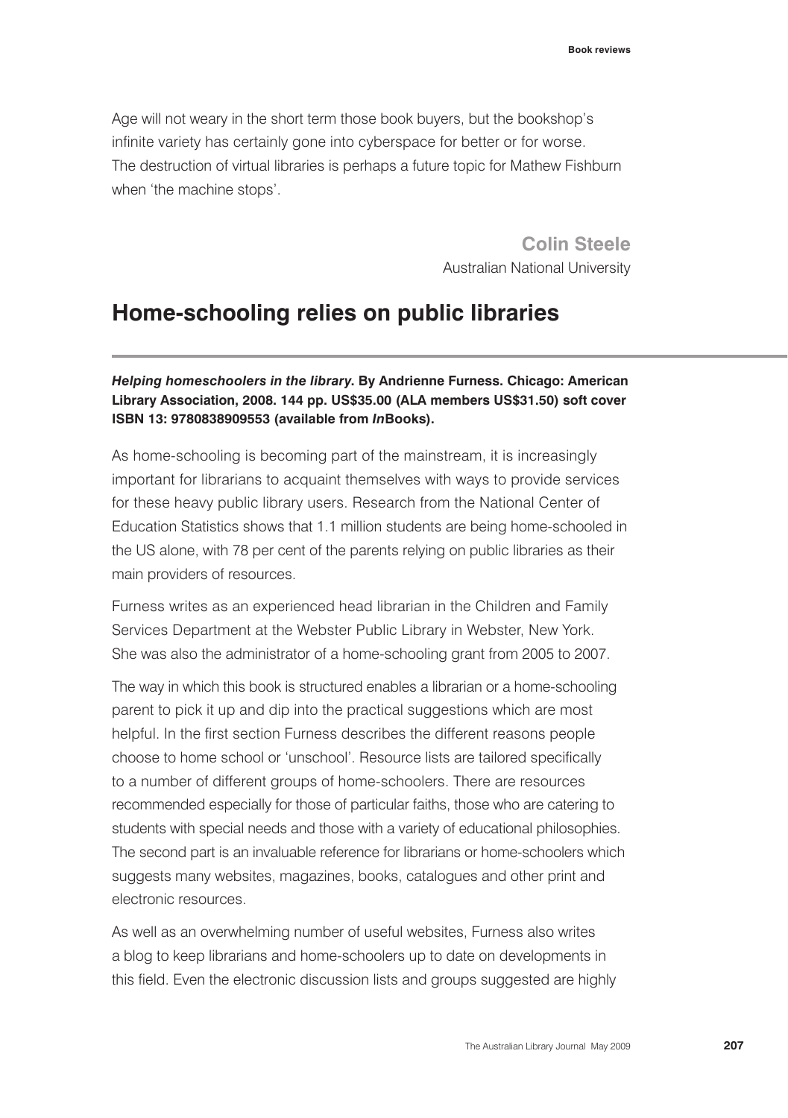Age will not weary in the short term those book buyers, but the bookshop's infinite variety has certainly gone into cyberspace for better or for worse. The destruction of virtual libraries is perhaps a future topic for Mathew Fishburn when 'the machine stops'.

> **Colin Steele** Australian National University

#### **Home-schooling relies on public libraries**

#### *Helping homeschoolers in the library***. By Andrienne Furness. Chicago: American Library Association, 2008. 144 pp. US\$35.00 (ALA members US\$31.50) soft cover ISBN 13: 9780838909553 (available from** *In***Books).**

As home-schooling is becoming part of the mainstream, it is increasingly important for librarians to acquaint themselves with ways to provide services for these heavy public library users. Research from the National Center of Education Statistics shows that 1.1 million students are being home-schooled in the US alone, with 78 per cent of the parents relying on public libraries as their main providers of resources.

Furness writes as an experienced head librarian in the Children and Family Services Department at the Webster Public Library in Webster, New York. She was also the administrator of a home-schooling grant from 2005 to 2007.

The way in which this book is structured enables a librarian or a home-schooling parent to pick it up and dip into the practical suggestions which are most helpful. In the first section Furness describes the different reasons people choose to home school or 'unschool'. Resource lists are tailored specifically to a number of different groups of home-schoolers. There are resources recommended especially for those of particular faiths, those who are catering to students with special needs and those with a variety of educational philosophies. The second part is an invaluable reference for librarians or home-schoolers which suggests many websites, magazines, books, catalogues and other print and electronic resources.

As well as an overwhelming number of useful websites, Furness also writes a blog to keep librarians and home-schoolers up to date on developments in this field. Even the electronic discussion lists and groups suggested are highly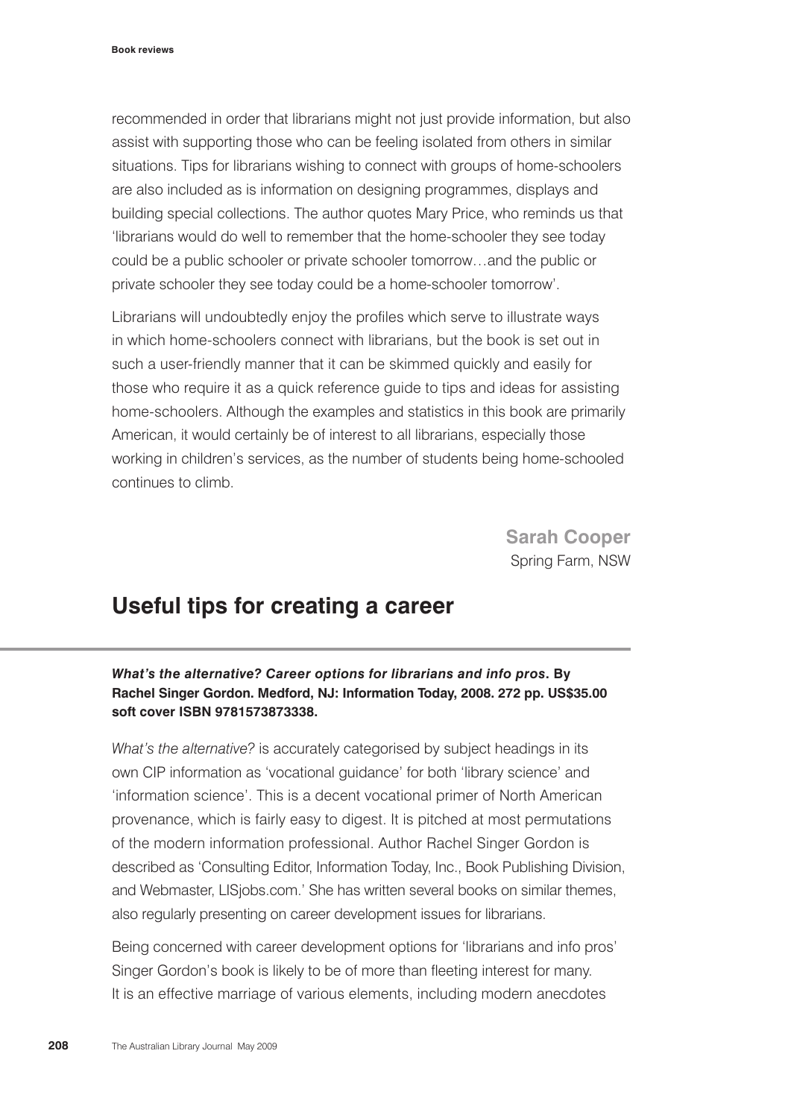recommended in order that librarians might not just provide information, but also assist with supporting those who can be feeling isolated from others in similar situations. Tips for librarians wishing to connect with groups of home-schoolers are also included as is information on designing programmes, displays and building special collections. The author quotes Mary Price, who reminds us that 'librarians would do well to remember that the home-schooler they see today could be a public schooler or private schooler tomorrow…and the public or private schooler they see today could be a home-schooler tomorrow'.

Librarians will undoubtedly enjoy the profiles which serve to illustrate ways in which home-schoolers connect with librarians, but the book is set out in such a user-friendly manner that it can be skimmed quickly and easily for those who require it as a quick reference guide to tips and ideas for assisting home-schoolers. Although the examples and statistics in this book are primarily American, it would certainly be of interest to all librarians, especially those working in children's services, as the number of students being home-schooled continues to climb.

> **Sarah Cooper** Spring Farm, NSW

# **Useful tips for creating a career**

*What's the alternative? Career options for librarians and info pros***. By Rachel Singer Gordon. Medford, NJ: Information Today, 2008. 272 pp. US\$35.00 soft cover ISBN 9781573873338.**

*What's the alternative?* is accurately categorised by subject headings in its own CIP information as 'vocational guidance' for both 'library science' and 'information science'. This is a decent vocational primer of North American provenance, which is fairly easy to digest. It is pitched at most permutations of the modern information professional. Author Rachel Singer Gordon is described as 'Consulting Editor, Information Today, Inc., Book Publishing Division, and Webmaster, LISjobs.com.' She has written several books on similar themes, also regularly presenting on career development issues for librarians.

Being concerned with career development options for 'librarians and info pros' Singer Gordon's book is likely to be of more than fleeting interest for many. It is an effective marriage of various elements, including modern anecdotes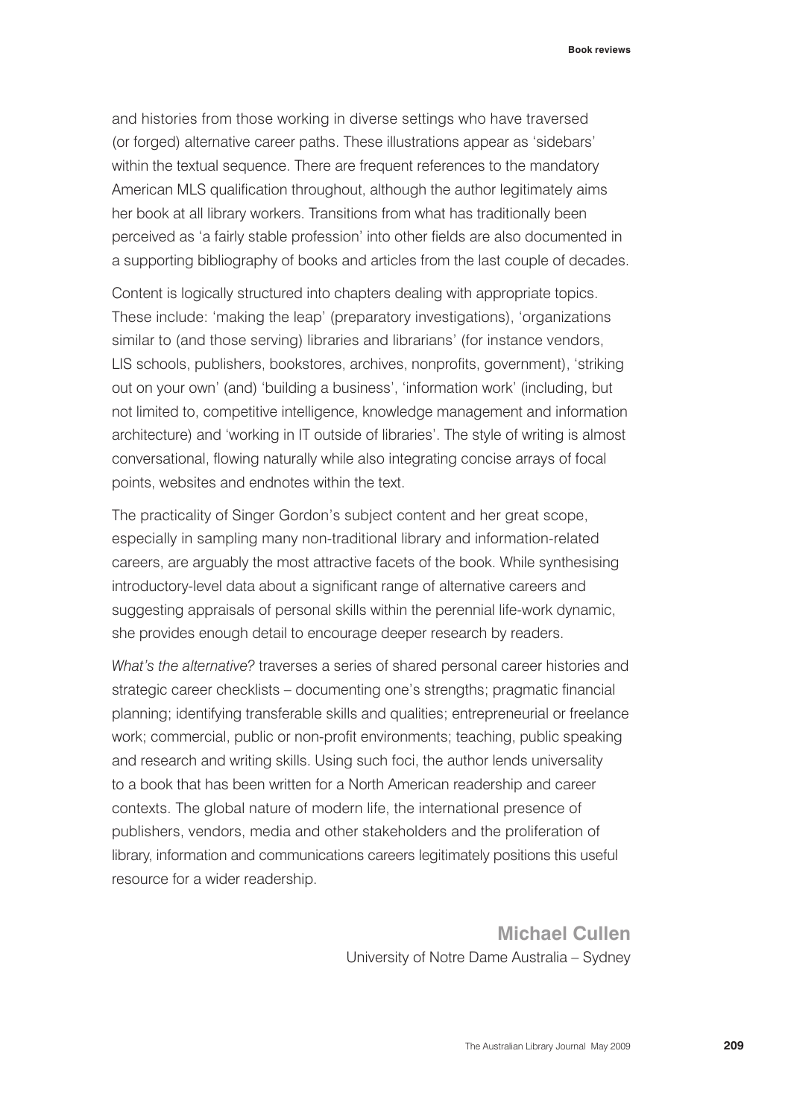and histories from those working in diverse settings who have traversed (or forged) alternative career paths. These illustrations appear as 'sidebars' within the textual sequence. There are frequent references to the mandatory American MLS qualification throughout, although the author legitimately aims her book at all library workers. Transitions from what has traditionally been perceived as 'a fairly stable profession' into other fields are also documented in a supporting bibliography of books and articles from the last couple of decades.

Content is logically structured into chapters dealing with appropriate topics. These include: 'making the leap' (preparatory investigations), 'organizations similar to (and those serving) libraries and librarians' (for instance vendors, LIS schools, publishers, bookstores, archives, nonprofits, government), 'striking out on your own' (and) 'building a business', 'information work' (including, but not limited to, competitive intelligence, knowledge management and information architecture) and 'working in IT outside of libraries'. The style of writing is almost conversational, flowing naturally while also integrating concise arrays of focal points, websites and endnotes within the text.

The practicality of Singer Gordon's subject content and her great scope, especially in sampling many non-traditional library and information-related careers, are arguably the most attractive facets of the book. While synthesising introductory-level data about a significant range of alternative careers and suggesting appraisals of personal skills within the perennial life-work dynamic, she provides enough detail to encourage deeper research by readers.

*What's the alternative?* traverses a series of shared personal career histories and strategic career checklists – documenting one's strengths; pragmatic financial planning; identifying transferable skills and qualities; entrepreneurial or freelance work; commercial, public or non-profit environments; teaching, public speaking and research and writing skills. Using such foci, the author lends universality to a book that has been written for a North American readership and career contexts. The global nature of modern life, the international presence of publishers, vendors, media and other stakeholders and the proliferation of library, information and communications careers legitimately positions this useful resource for a wider readership.

> **Michael Cullen** University of Notre Dame Australia – Sydney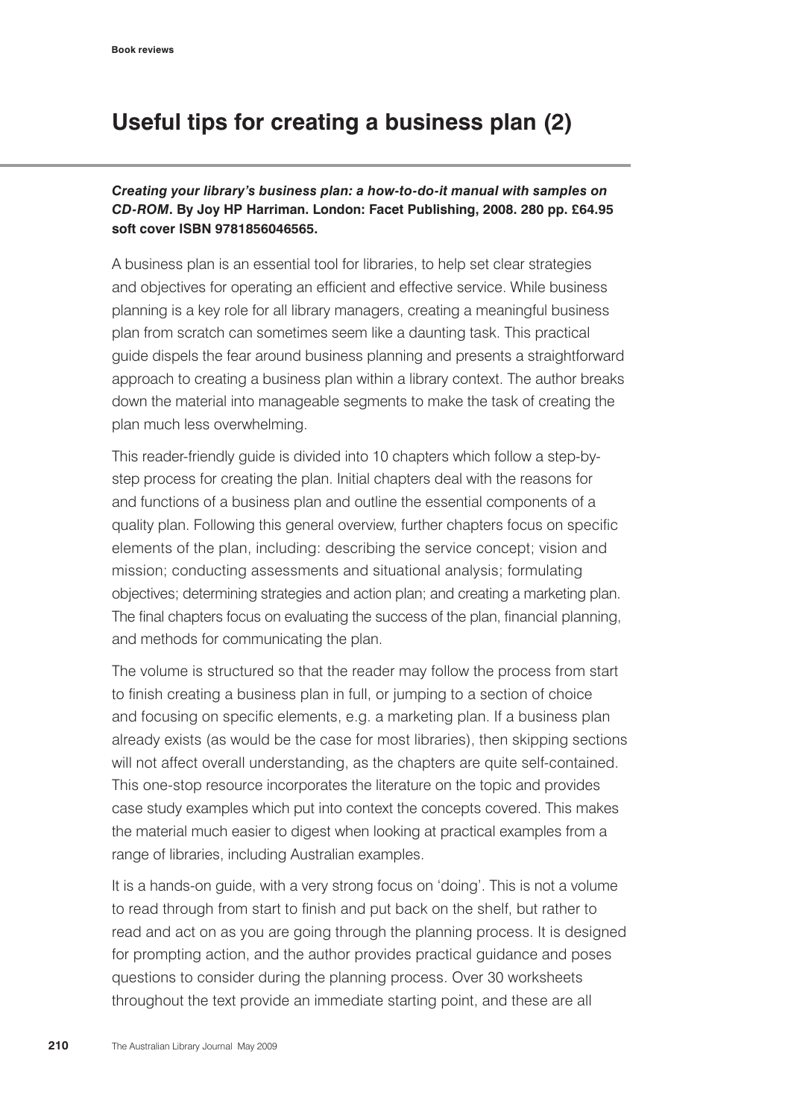# **Useful tips for creating a business plan (2)**

*Creating your library's business plan: a how-to-do-it manual with samples on CD-ROM***. By Joy HP Harriman. London: Facet Publishing, 2008. 280 pp. £64.95 soft cover ISBN 9781856046565.**

A business plan is an essential tool for libraries, to help set clear strategies and objectives for operating an efficient and effective service. While business planning is a key role for all library managers, creating a meaningful business plan from scratch can sometimes seem like a daunting task. This practical guide dispels the fear around business planning and presents a straightforward approach to creating a business plan within a library context. The author breaks down the material into manageable segments to make the task of creating the plan much less overwhelming.

This reader-friendly guide is divided into 10 chapters which follow a step-bystep process for creating the plan. Initial chapters deal with the reasons for and functions of a business plan and outline the essential components of a quality plan. Following this general overview, further chapters focus on specific elements of the plan, including: describing the service concept; vision and mission; conducting assessments and situational analysis; formulating objectives; determining strategies and action plan; and creating a marketing plan. The final chapters focus on evaluating the success of the plan, financial planning, and methods for communicating the plan.

The volume is structured so that the reader may follow the process from start to finish creating a business plan in full, or jumping to a section of choice and focusing on specific elements, e.g. a marketing plan. If a business plan already exists (as would be the case for most libraries), then skipping sections will not affect overall understanding, as the chapters are quite self-contained. This one-stop resource incorporates the literature on the topic and provides case study examples which put into context the concepts covered. This makes the material much easier to digest when looking at practical examples from a range of libraries, including Australian examples.

It is a hands-on guide, with a very strong focus on 'doing'. This is not a volume to read through from start to finish and put back on the shelf, but rather to read and act on as you are going through the planning process. It is designed for prompting action, and the author provides practical guidance and poses questions to consider during the planning process. Over 30 worksheets throughout the text provide an immediate starting point, and these are all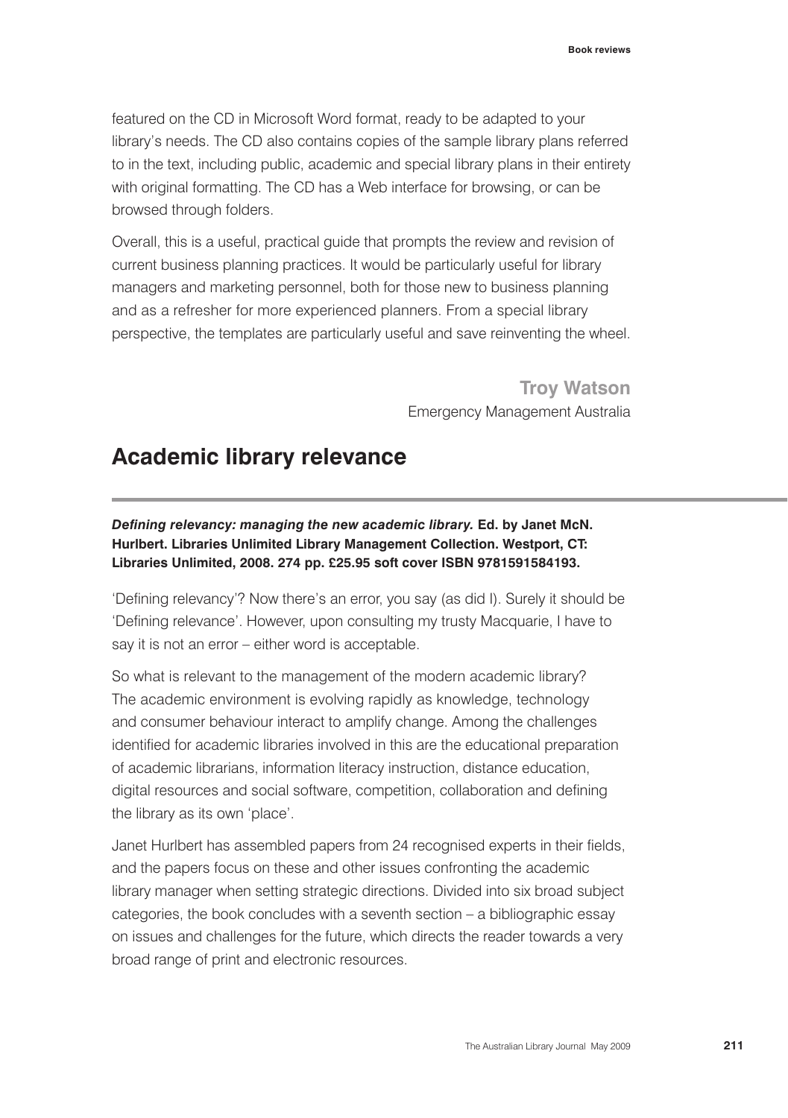featured on the CD in Microsoft Word format, ready to be adapted to your library's needs. The CD also contains copies of the sample library plans referred to in the text, including public, academic and special library plans in their entirety with original formatting. The CD has a Web interface for browsing, or can be browsed through folders.

Overall, this is a useful, practical guide that prompts the review and revision of current business planning practices. It would be particularly useful for library managers and marketing personnel, both for those new to business planning and as a refresher for more experienced planners. From a special library perspective, the templates are particularly useful and save reinventing the wheel.

> **Troy Watson** Emergency Management Australia

### **Academic library relevance**

*Defining relevancy: managing the new academic library.* **Ed. by Janet McN. Hurlbert. Libraries Unlimited Library Management Collection. Westport, CT: Libraries Unlimited, 2008. 274 pp. £25.95 soft cover ISBN 9781591584193.**

'Defining relevancy'? Now there's an error, you say (as did I). Surely it should be 'Defining relevance'. However, upon consulting my trusty Macquarie, I have to say it is not an error – either word is acceptable.

So what is relevant to the management of the modern academic library? The academic environment is evolving rapidly as knowledge, technology and consumer behaviour interact to amplify change. Among the challenges identified for academic libraries involved in this are the educational preparation of academic librarians, information literacy instruction, distance education, digital resources and social software, competition, collaboration and defining the library as its own 'place'.

Janet Hurlbert has assembled papers from 24 recognised experts in their fields, and the papers focus on these and other issues confronting the academic library manager when setting strategic directions. Divided into six broad subject categories, the book concludes with a seventh section – a bibliographic essay on issues and challenges for the future, which directs the reader towards a very broad range of print and electronic resources.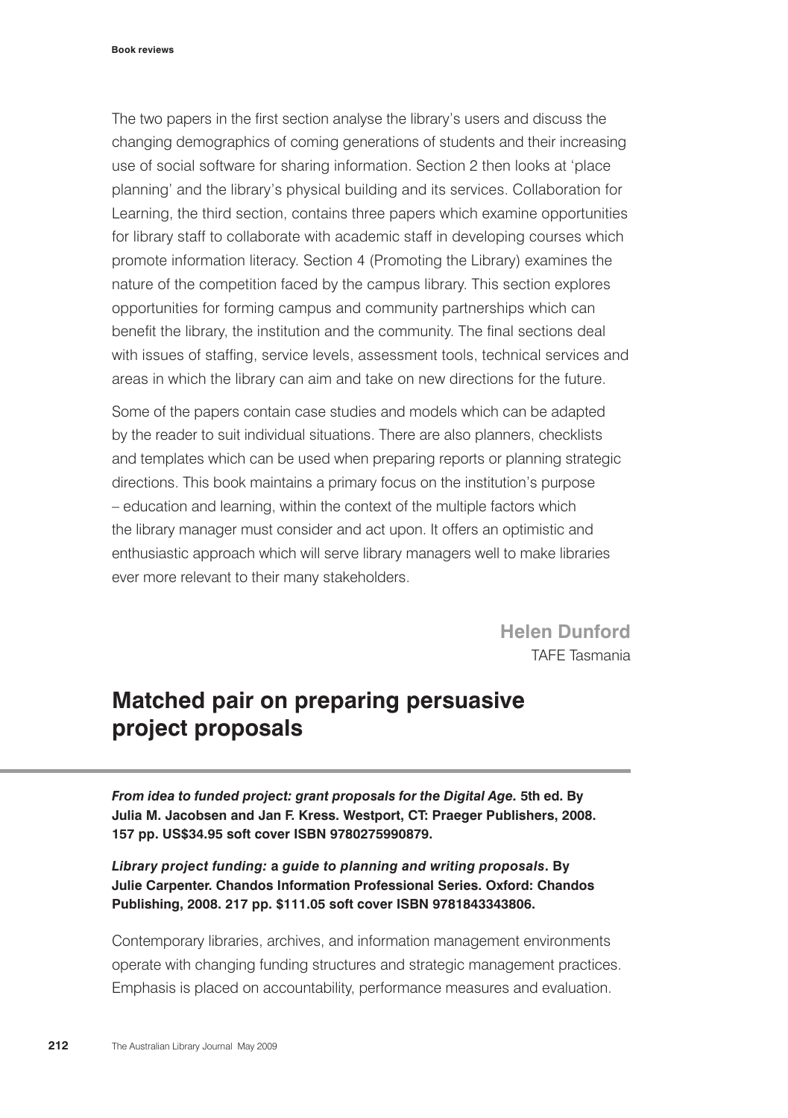The two papers in the first section analyse the library's users and discuss the changing demographics of coming generations of students and their increasing use of social software for sharing information. Section 2 then looks at 'place planning' and the library's physical building and its services. Collaboration for Learning, the third section, contains three papers which examine opportunities for library staff to collaborate with academic staff in developing courses which promote information literacy. Section 4 (Promoting the Library) examines the nature of the competition faced by the campus library. This section explores opportunities for forming campus and community partnerships which can benefit the library, the institution and the community. The final sections deal with issues of staffing, service levels, assessment tools, technical services and areas in which the library can aim and take on new directions for the future.

Some of the papers contain case studies and models which can be adapted by the reader to suit individual situations. There are also planners, checklists and templates which can be used when preparing reports or planning strategic directions. This book maintains a primary focus on the institution's purpose – education and learning, within the context of the multiple factors which the library manager must consider and act upon. It offers an optimistic and enthusiastic approach which will serve library managers well to make libraries ever more relevant to their many stakeholders.

> **Helen Dunford** TAFE Tasmania

# **Matched pair on preparing persuasive project proposals**

*From idea to funded project: grant proposals for the Digital Age.* **5th ed. By Julia M. Jacobsen and Jan F. Kress. Westport, CT: Praeger Publishers, 2008. 157 pp. US\$34.95 soft cover ISBN 9780275990879.**

*Library project funding:* **a** *guide to planning and writing proposals***. By Julie Carpenter. Chandos Information Professional Series. Oxford: Chandos Publishing, 2008. 217 pp. \$111.05 soft cover ISBN 9781843343806.**

Contemporary libraries, archives, and information management environments operate with changing funding structures and strategic management practices. Emphasis is placed on accountability, performance measures and evaluation.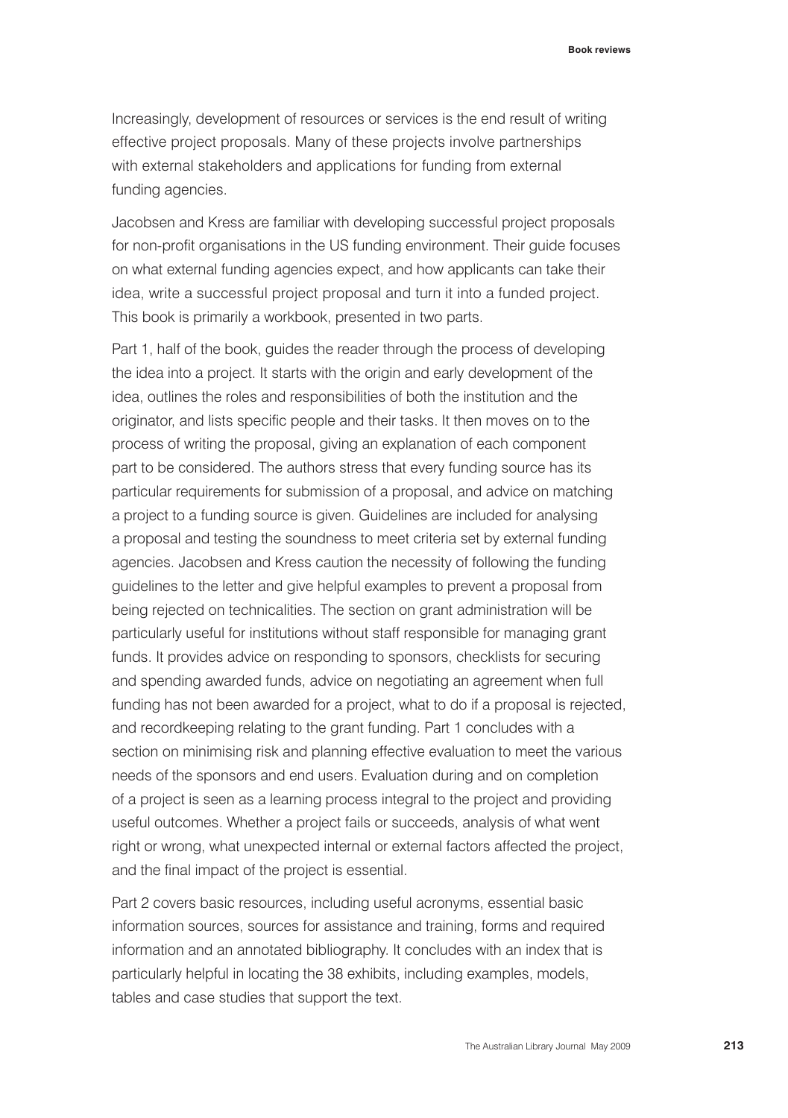Increasingly, development of resources or services is the end result of writing effective project proposals. Many of these projects involve partnerships with external stakeholders and applications for funding from external funding agencies.

Jacobsen and Kress are familiar with developing successful project proposals for non-profit organisations in the US funding environment. Their guide focuses on what external funding agencies expect, and how applicants can take their idea, write a successful project proposal and turn it into a funded project. This book is primarily a workbook, presented in two parts.

Part 1, half of the book, guides the reader through the process of developing the idea into a project. It starts with the origin and early development of the idea, outlines the roles and responsibilities of both the institution and the originator, and lists specific people and their tasks. It then moves on to the process of writing the proposal, giving an explanation of each component part to be considered. The authors stress that every funding source has its particular requirements for submission of a proposal, and advice on matching a project to a funding source is given. Guidelines are included for analysing a proposal and testing the soundness to meet criteria set by external funding agencies. Jacobsen and Kress caution the necessity of following the funding guidelines to the letter and give helpful examples to prevent a proposal from being rejected on technicalities. The section on grant administration will be particularly useful for institutions without staff responsible for managing grant funds. It provides advice on responding to sponsors, checklists for securing and spending awarded funds, advice on negotiating an agreement when full funding has not been awarded for a project, what to do if a proposal is rejected, and recordkeeping relating to the grant funding. Part 1 concludes with a section on minimising risk and planning effective evaluation to meet the various needs of the sponsors and end users. Evaluation during and on completion of a project is seen as a learning process integral to the project and providing useful outcomes. Whether a project fails or succeeds, analysis of what went right or wrong, what unexpected internal or external factors affected the project, and the final impact of the project is essential.

Part 2 covers basic resources, including useful acronyms, essential basic information sources, sources for assistance and training, forms and required information and an annotated bibliography. It concludes with an index that is particularly helpful in locating the 38 exhibits, including examples, models, tables and case studies that support the text.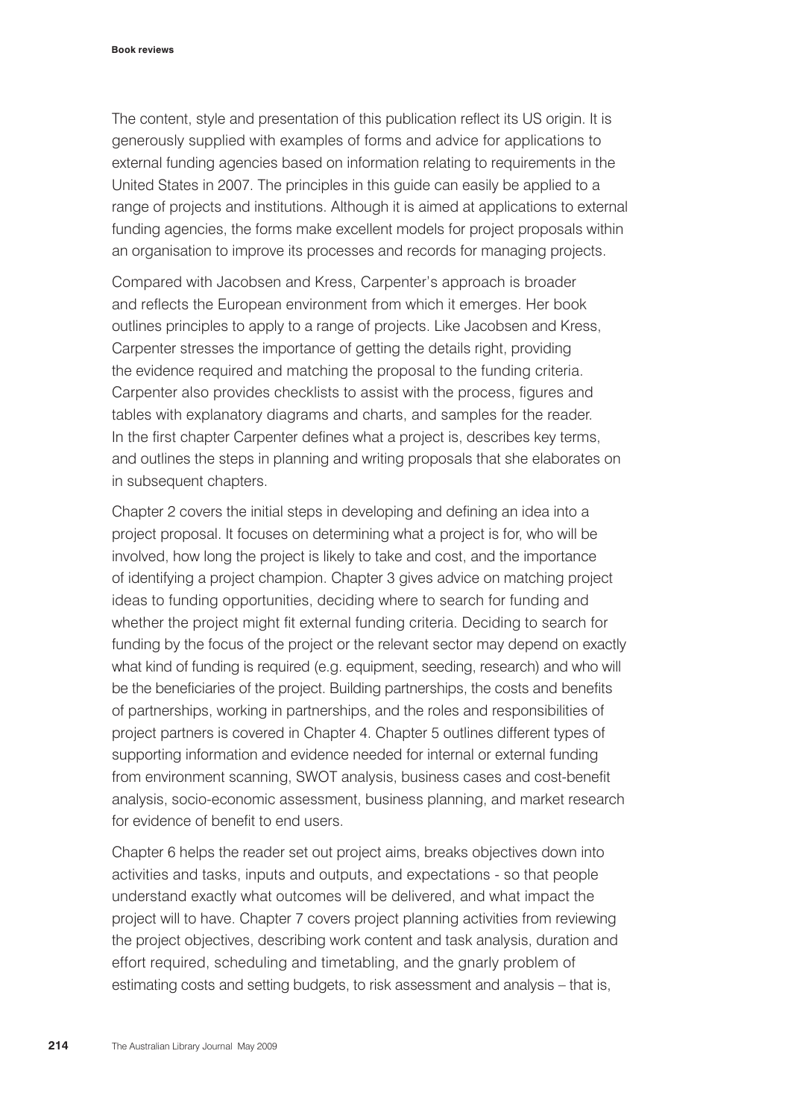The content, style and presentation of this publication reflect its US origin. It is generously supplied with examples of forms and advice for applications to external funding agencies based on information relating to requirements in the United States in 2007. The principles in this guide can easily be applied to a range of projects and institutions. Although it is aimed at applications to external funding agencies, the forms make excellent models for project proposals within an organisation to improve its processes and records for managing projects.

Compared with Jacobsen and Kress, Carpenter's approach is broader and reflects the European environment from which it emerges. Her book outlines principles to apply to a range of projects. Like Jacobsen and Kress, Carpenter stresses the importance of getting the details right, providing the evidence required and matching the proposal to the funding criteria. Carpenter also provides checklists to assist with the process, figures and tables with explanatory diagrams and charts, and samples for the reader. In the first chapter Carpenter defines what a project is, describes key terms, and outlines the steps in planning and writing proposals that she elaborates on in subsequent chapters.

Chapter 2 covers the initial steps in developing and defining an idea into a project proposal. It focuses on determining what a project is for, who will be involved, how long the project is likely to take and cost, and the importance of identifying a project champion. Chapter 3 gives advice on matching project ideas to funding opportunities, deciding where to search for funding and whether the project might fit external funding criteria. Deciding to search for funding by the focus of the project or the relevant sector may depend on exactly what kind of funding is required (e.g. equipment, seeding, research) and who will be the beneficiaries of the project. Building partnerships, the costs and benefits of partnerships, working in partnerships, and the roles and responsibilities of project partners is covered in Chapter 4. Chapter 5 outlines different types of supporting information and evidence needed for internal or external funding from environment scanning, SWOT analysis, business cases and cost-benefit analysis, socio-economic assessment, business planning, and market research for evidence of benefit to end users.

Chapter 6 helps the reader set out project aims, breaks objectives down into activities and tasks, inputs and outputs, and expectations - so that people understand exactly what outcomes will be delivered, and what impact the project will to have. Chapter 7 covers project planning activities from reviewing the project objectives, describing work content and task analysis, duration and effort required, scheduling and timetabling, and the gnarly problem of estimating costs and setting budgets, to risk assessment and analysis – that is,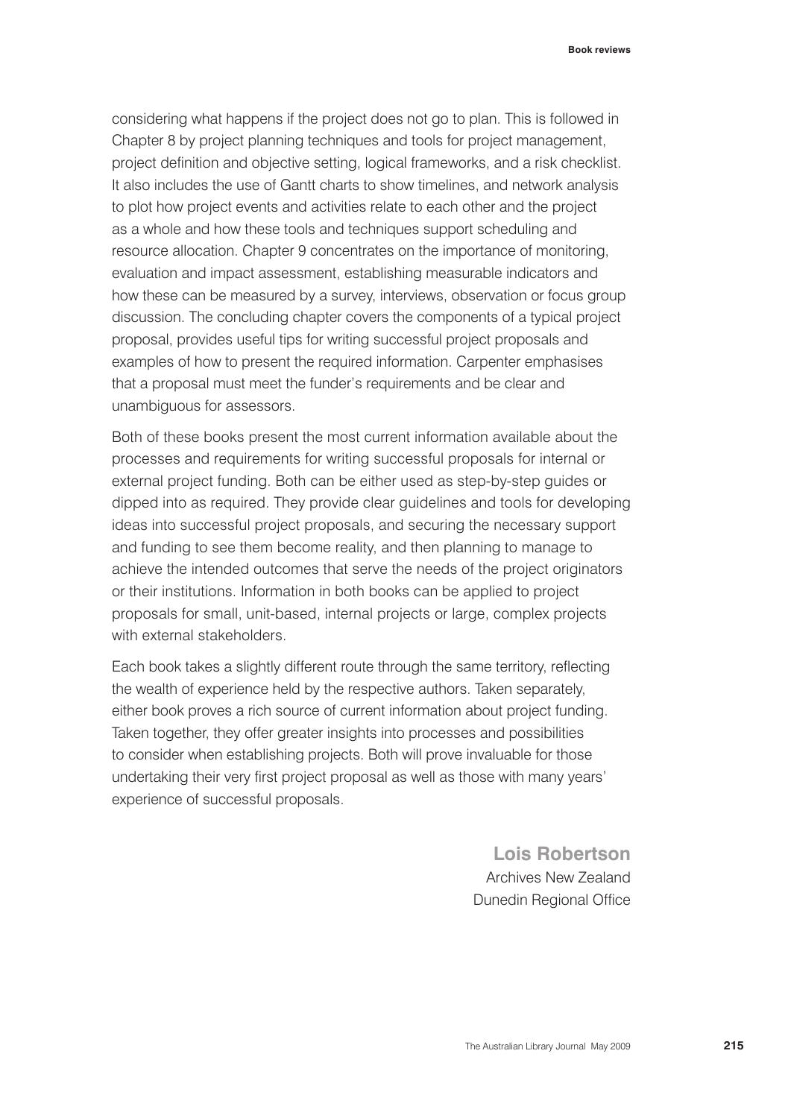considering what happens if the project does not go to plan. This is followed in Chapter 8 by project planning techniques and tools for project management, project definition and objective setting, logical frameworks, and a risk checklist. It also includes the use of Gantt charts to show timelines, and network analysis to plot how project events and activities relate to each other and the project as a whole and how these tools and techniques support scheduling and resource allocation. Chapter 9 concentrates on the importance of monitoring, evaluation and impact assessment, establishing measurable indicators and how these can be measured by a survey, interviews, observation or focus group discussion. The concluding chapter covers the components of a typical project proposal, provides useful tips for writing successful project proposals and examples of how to present the required information. Carpenter emphasises that a proposal must meet the funder's requirements and be clear and unambiguous for assessors.

Both of these books present the most current information available about the processes and requirements for writing successful proposals for internal or external project funding. Both can be either used as step-by-step guides or dipped into as required. They provide clear guidelines and tools for developing ideas into successful project proposals, and securing the necessary support and funding to see them become reality, and then planning to manage to achieve the intended outcomes that serve the needs of the project originators or their institutions. Information in both books can be applied to project proposals for small, unit-based, internal projects or large, complex projects with external stakeholders.

Each book takes a slightly different route through the same territory, reflecting the wealth of experience held by the respective authors. Taken separately, either book proves a rich source of current information about project funding. Taken together, they offer greater insights into processes and possibilities to consider when establishing projects. Both will prove invaluable for those undertaking their very first project proposal as well as those with many years' experience of successful proposals.

> **Lois Robertson** Archives New Zealand Dunedin Regional Office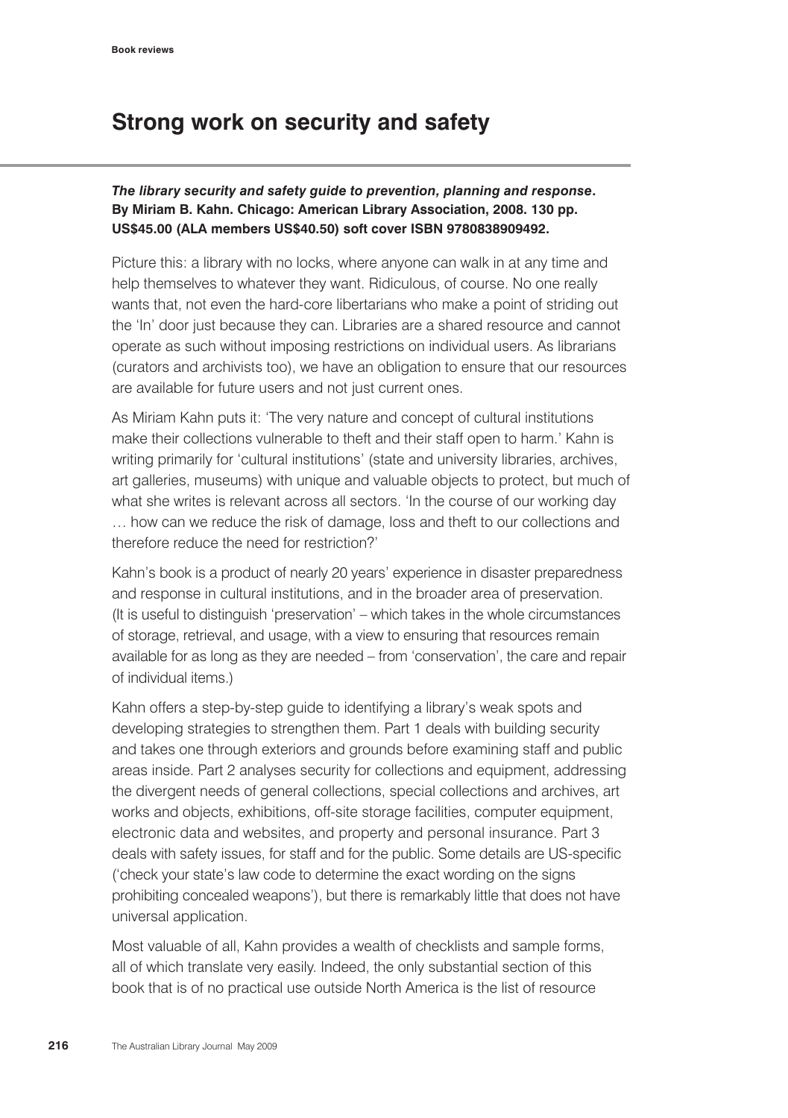# **Strong work on security and safety**

#### *The library security and safety guide to prevention, planning and response***. By Miriam B. Kahn. Chicago: American Library Association, 2008. 130 pp. US\$45.00 (ALA members US\$40.50) soft cover ISBN 9780838909492.**

Picture this: a library with no locks, where anyone can walk in at any time and help themselves to whatever they want. Ridiculous, of course. No one really wants that, not even the hard-core libertarians who make a point of striding out the 'In' door just because they can. Libraries are a shared resource and cannot operate as such without imposing restrictions on individual users. As librarians (curators and archivists too), we have an obligation to ensure that our resources are available for future users and not just current ones.

As Miriam Kahn puts it: 'The very nature and concept of cultural institutions make their collections vulnerable to theft and their staff open to harm.' Kahn is writing primarily for 'cultural institutions' (state and university libraries, archives, art galleries, museums) with unique and valuable objects to protect, but much of what she writes is relevant across all sectors. 'In the course of our working day … how can we reduce the risk of damage, loss and theft to our collections and therefore reduce the need for restriction?'

Kahn's book is a product of nearly 20 years' experience in disaster preparedness and response in cultural institutions, and in the broader area of preservation. (It is useful to distinguish 'preservation' – which takes in the whole circumstances of storage, retrieval, and usage, with a view to ensuring that resources remain available for as long as they are needed – from 'conservation', the care and repair of individual items.)

Kahn offers a step-by-step guide to identifying a library's weak spots and developing strategies to strengthen them. Part 1 deals with building security and takes one through exteriors and grounds before examining staff and public areas inside. Part 2 analyses security for collections and equipment, addressing the divergent needs of general collections, special collections and archives, art works and objects, exhibitions, off-site storage facilities, computer equipment, electronic data and websites, and property and personal insurance. Part 3 deals with safety issues, for staff and for the public. Some details are US-specific ('check your state's law code to determine the exact wording on the signs prohibiting concealed weapons'), but there is remarkably little that does not have universal application.

Most valuable of all, Kahn provides a wealth of checklists and sample forms, all of which translate very easily. Indeed, the only substantial section of this book that is of no practical use outside North America is the list of resource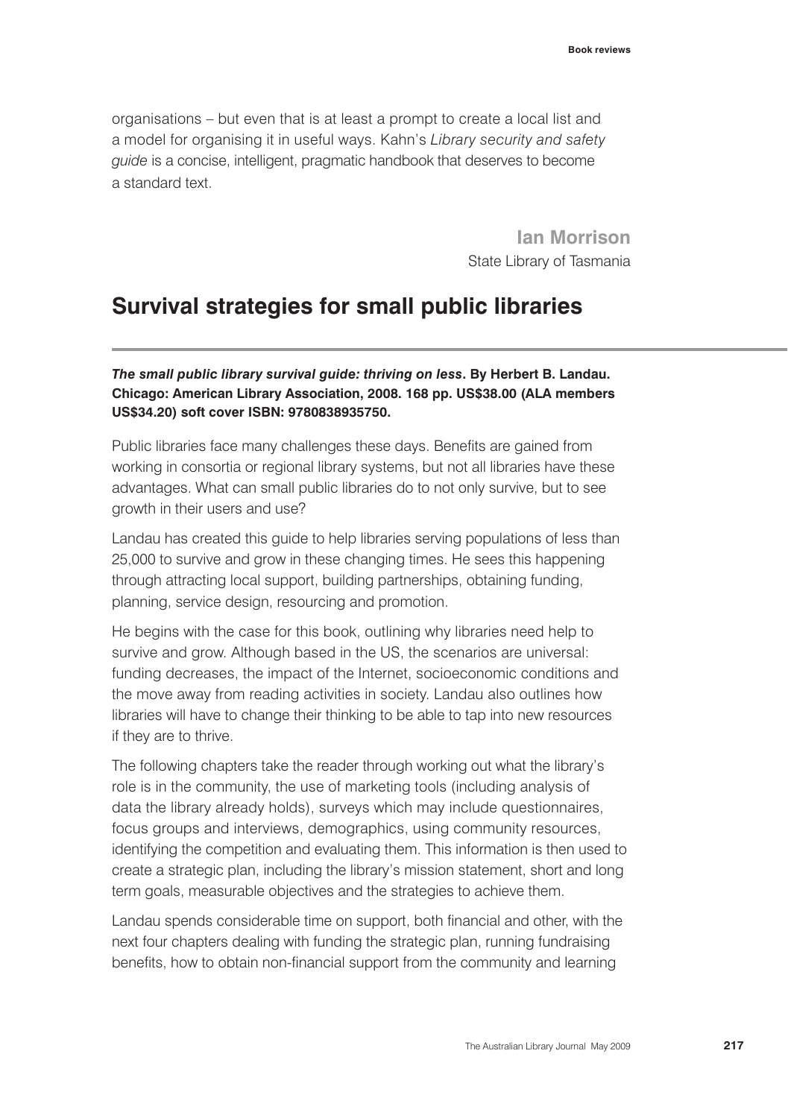organisations – but even that is at least a prompt to create a local list and a model for organising it in useful ways. Kahn's *Library security and safety guide* is a concise, intelligent, pragmatic handbook that deserves to become a standard text.

> **Ian Morrison** State Library of Tasmania

#### **Survival strategies for small public libraries**

*The small public library survival guide: thriving on less***. By Herbert B. Landau. Chicago: American Library Association, 2008. 168 pp. US\$38.00 (ALA members US\$34.20) soft cover ISBN: 9780838935750.**

Public libraries face many challenges these days. Benefits are gained from working in consortia or regional library systems, but not all libraries have these advantages. What can small public libraries do to not only survive, but to see growth in their users and use?

Landau has created this guide to help libraries serving populations of less than 25,000 to survive and grow in these changing times. He sees this happening through attracting local support, building partnerships, obtaining funding, planning, service design, resourcing and promotion.

He begins with the case for this book, outlining why libraries need help to survive and grow. Although based in the US, the scenarios are universal: funding decreases, the impact of the Internet, socioeconomic conditions and the move away from reading activities in society. Landau also outlines how libraries will have to change their thinking to be able to tap into new resources if they are to thrive.

The following chapters take the reader through working out what the library's role is in the community, the use of marketing tools (including analysis of data the library already holds), surveys which may include questionnaires, focus groups and interviews, demographics, using community resources, identifying the competition and evaluating them. This information is then used to create a strategic plan, including the library's mission statement, short and long term goals, measurable objectives and the strategies to achieve them.

Landau spends considerable time on support, both financial and other, with the next four chapters dealing with funding the strategic plan, running fundraising benefits, how to obtain non-financial support from the community and learning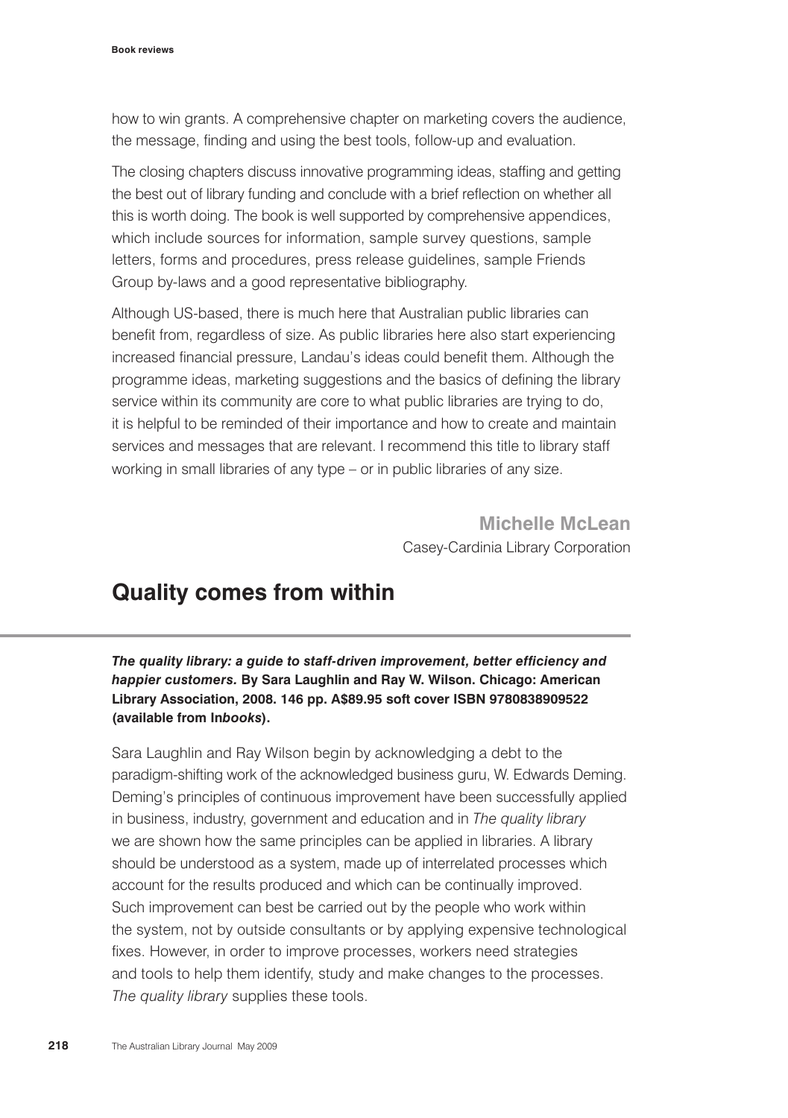how to win grants. A comprehensive chapter on marketing covers the audience, the message, finding and using the best tools, follow-up and evaluation.

The closing chapters discuss innovative programming ideas, staffing and getting the best out of library funding and conclude with a brief reflection on whether all this is worth doing. The book is well supported by comprehensive appendices, which include sources for information, sample survey questions, sample letters, forms and procedures, press release guidelines, sample Friends Group by-laws and a good representative bibliography.

Although US-based, there is much here that Australian public libraries can benefit from, regardless of size. As public libraries here also start experiencing increased financial pressure, Landau's ideas could benefit them. Although the programme ideas, marketing suggestions and the basics of defining the library service within its community are core to what public libraries are trying to do, it is helpful to be reminded of their importance and how to create and maintain services and messages that are relevant. I recommend this title to library staff working in small libraries of any type – or in public libraries of any size.

> **Michelle McLean** Casey-Cardinia Library Corporation

# **Quality comes from within**

*The quality library: a guide to staff-driven improvement, better efficiency and happier customers.* **By Sara Laughlin and Ray W. Wilson. Chicago: American Library Association, 2008. 146 pp. A\$89.95 soft cover ISBN 9780838909522 (available from In***books***).**

Sara Laughlin and Ray Wilson begin by acknowledging a debt to the paradigm-shifting work of the acknowledged business guru, W. Edwards Deming. Deming's principles of continuous improvement have been successfully applied in business, industry, government and education and in *The quality library* we are shown how the same principles can be applied in libraries. A library should be understood as a system, made up of interrelated processes which account for the results produced and which can be continually improved. Such improvement can best be carried out by the people who work within the system, not by outside consultants or by applying expensive technological fixes. However, in order to improve processes, workers need strategies and tools to help them identify, study and make changes to the processes. *The quality library* supplies these tools.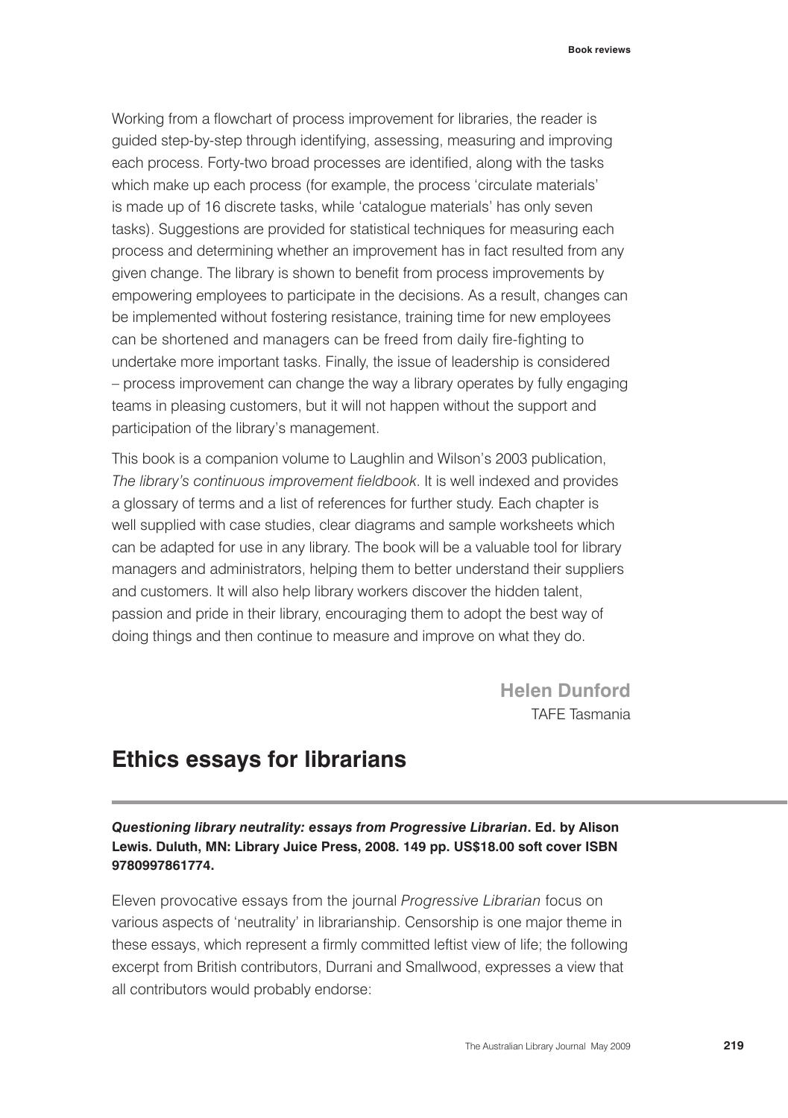Working from a flowchart of process improvement for libraries, the reader is guided step-by-step through identifying, assessing, measuring and improving each process. Forty-two broad processes are identified, along with the tasks which make up each process (for example, the process 'circulate materials' is made up of 16 discrete tasks, while 'catalogue materials' has only seven tasks). Suggestions are provided for statistical techniques for measuring each process and determining whether an improvement has in fact resulted from any given change. The library is shown to benefit from process improvements by empowering employees to participate in the decisions. As a result, changes can be implemented without fostering resistance, training time for new employees can be shortened and managers can be freed from daily fire-fighting to undertake more important tasks. Finally, the issue of leadership is considered – process improvement can change the way a library operates by fully engaging teams in pleasing customers, but it will not happen without the support and participation of the library's management.

This book is a companion volume to Laughlin and Wilson's 2003 publication, *The library's continuous improvement fieldbook*. It is well indexed and provides a glossary of terms and a list of references for further study. Each chapter is well supplied with case studies, clear diagrams and sample worksheets which can be adapted for use in any library. The book will be a valuable tool for library managers and administrators, helping them to better understand their suppliers and customers. It will also help library workers discover the hidden talent, passion and pride in their library, encouraging them to adopt the best way of doing things and then continue to measure and improve on what they do.

> **Helen Dunford** TAFE Tasmania

#### **Ethics essays for librarians**

*Questioning library neutrality: essays from Progressive Librarian***. Ed. by Alison Lewis. Duluth, MN: Library Juice Press, 2008. 149 pp. US\$18.00 soft cover ISBN 9780997861774.**

Eleven provocative essays from the journal *Progressive Librarian* focus on various aspects of 'neutrality' in librarianship. Censorship is one major theme in these essays, which represent a firmly committed leftist view of life; the following excerpt from British contributors, Durrani and Smallwood, expresses a view that all contributors would probably endorse: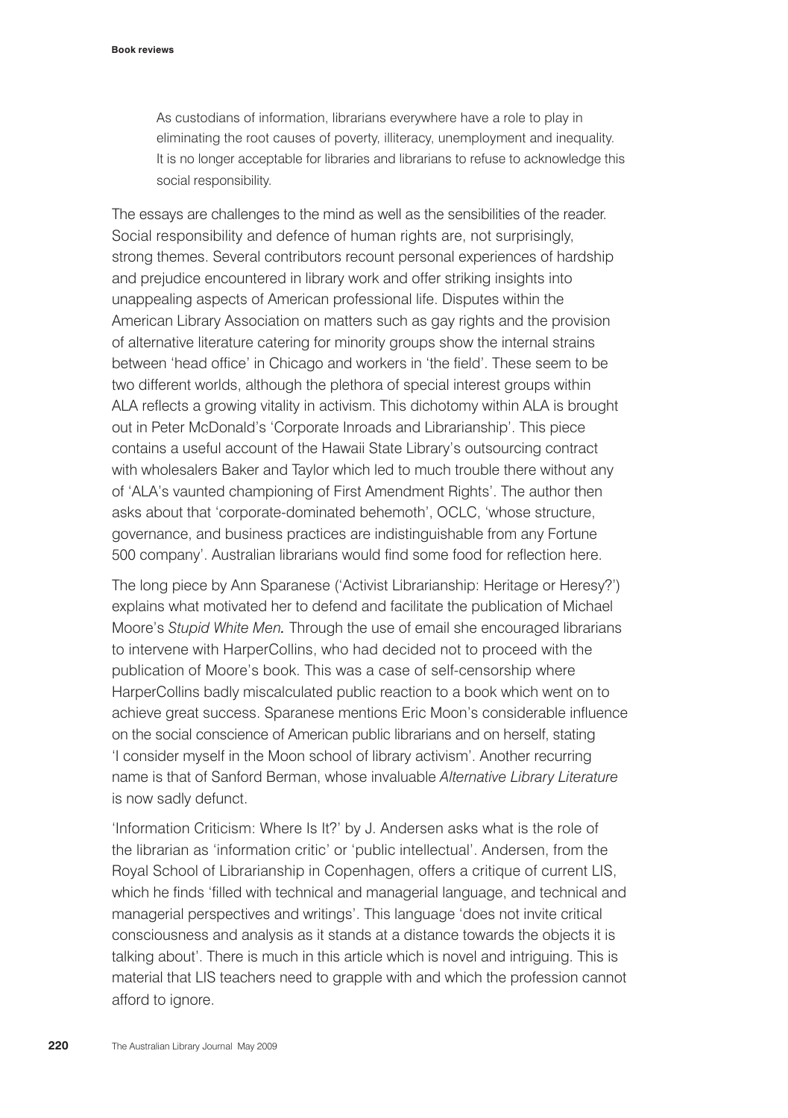As custodians of information, librarians everywhere have a role to play in eliminating the root causes of poverty, illiteracy, unemployment and inequality. It is no longer acceptable for libraries and librarians to refuse to acknowledge this social responsibility.

The essays are challenges to the mind as well as the sensibilities of the reader. Social responsibility and defence of human rights are, not surprisingly, strong themes. Several contributors recount personal experiences of hardship and prejudice encountered in library work and offer striking insights into unappealing aspects of American professional life. Disputes within the American Library Association on matters such as gay rights and the provision of alternative literature catering for minority groups show the internal strains between 'head office' in Chicago and workers in 'the field'. These seem to be two different worlds, although the plethora of special interest groups within ALA reflects a growing vitality in activism. This dichotomy within ALA is brought out in Peter McDonald's 'Corporate Inroads and Librarianship'. This piece contains a useful account of the Hawaii State Library's outsourcing contract with wholesalers Baker and Taylor which led to much trouble there without any of 'ALA's vaunted championing of First Amendment Rights'. The author then asks about that 'corporate-dominated behemoth', OCLC, 'whose structure, governance, and business practices are indistinguishable from any Fortune 500 company'. Australian librarians would find some food for reflection here.

The long piece by Ann Sparanese ('Activist Librarianship: Heritage or Heresy?') explains what motivated her to defend and facilitate the publication of Michael Moore's *Stupid White Men.* Through the use of email she encouraged librarians to intervene with HarperCollins, who had decided not to proceed with the publication of Moore's book. This was a case of self-censorship where HarperCollins badly miscalculated public reaction to a book which went on to achieve great success. Sparanese mentions Eric Moon's considerable influence on the social conscience of American public librarians and on herself, stating 'I consider myself in the Moon school of library activism'. Another recurring name is that of Sanford Berman, whose invaluable *Alternative Library Literature*  is now sadly defunct.

'Information Criticism: Where Is It?' by J. Andersen asks what is the role of the librarian as 'information critic' or 'public intellectual'. Andersen, from the Royal School of Librarianship in Copenhagen, offers a critique of current LIS, which he finds 'filled with technical and managerial language, and technical and managerial perspectives and writings'. This language 'does not invite critical consciousness and analysis as it stands at a distance towards the objects it is talking about'. There is much in this article which is novel and intriguing. This is material that LIS teachers need to grapple with and which the profession cannot afford to ignore.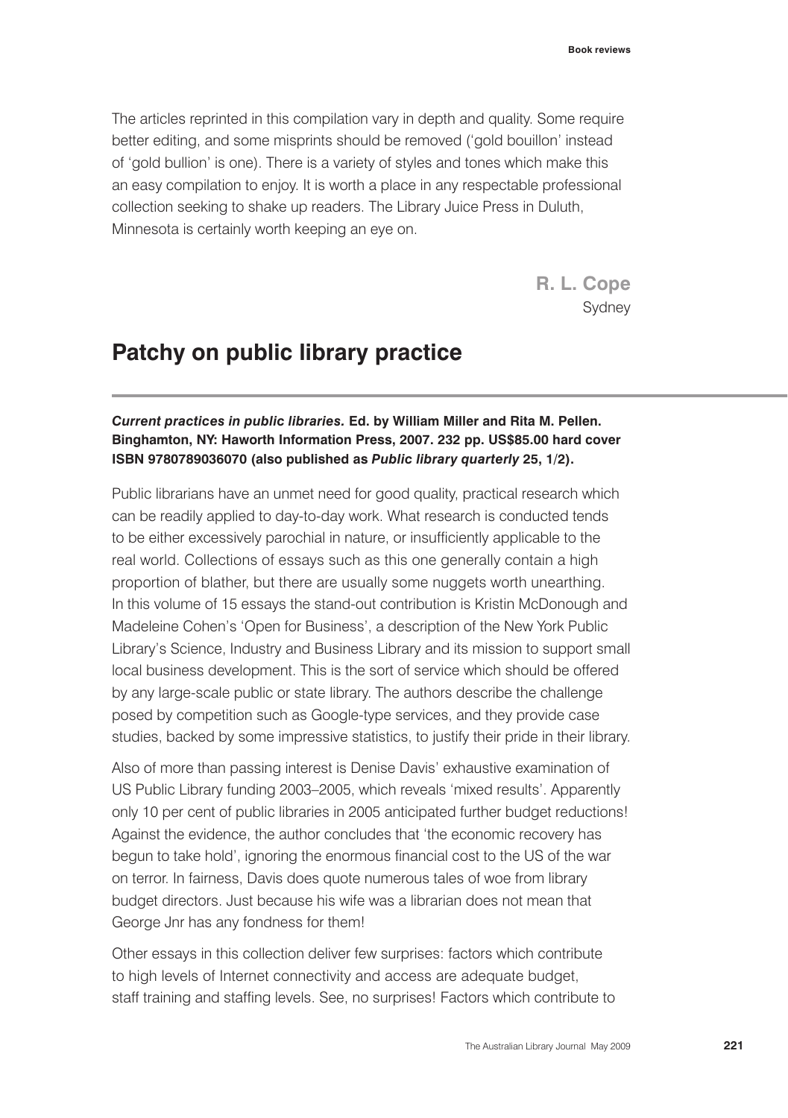The articles reprinted in this compilation vary in depth and quality. Some require better editing, and some misprints should be removed ('gold bouillon' instead of 'gold bullion' is one). There is a variety of styles and tones which make this an easy compilation to enjoy. It is worth a place in any respectable professional collection seeking to shake up readers. The Library Juice Press in Duluth, Minnesota is certainly worth keeping an eye on.

> **R. L. Cope** Sydney

### **Patchy on public library practice**

*Current practices in public libraries.* **Ed. by William Miller and Rita M. Pellen. Binghamton, NY: Haworth Information Press, 2007. 232 pp. US\$85.00 hard cover ISBN 9780789036070 (also published as** *Public library quarterly* **25, 1/2).**

Public librarians have an unmet need for good quality, practical research which can be readily applied to day-to-day work. What research is conducted tends to be either excessively parochial in nature, or insufficiently applicable to the real world. Collections of essays such as this one generally contain a high proportion of blather, but there are usually some nuggets worth unearthing. In this volume of 15 essays the stand-out contribution is Kristin McDonough and Madeleine Cohen's 'Open for Business', a description of the New York Public Library's Science, Industry and Business Library and its mission to support small local business development. This is the sort of service which should be offered by any large-scale public or state library. The authors describe the challenge posed by competition such as Google-type services, and they provide case studies, backed by some impressive statistics, to justify their pride in their library.

Also of more than passing interest is Denise Davis' exhaustive examination of US Public Library funding 2003–2005, which reveals 'mixed results'. Apparently only 10 per cent of public libraries in 2005 anticipated further budget reductions! Against the evidence, the author concludes that 'the economic recovery has begun to take hold', ignoring the enormous financial cost to the US of the war on terror. In fairness, Davis does quote numerous tales of woe from library budget directors. Just because his wife was a librarian does not mean that George Jnr has any fondness for them!

Other essays in this collection deliver few surprises: factors which contribute to high levels of Internet connectivity and access are adequate budget, staff training and staffing levels. See, no surprises! Factors which contribute to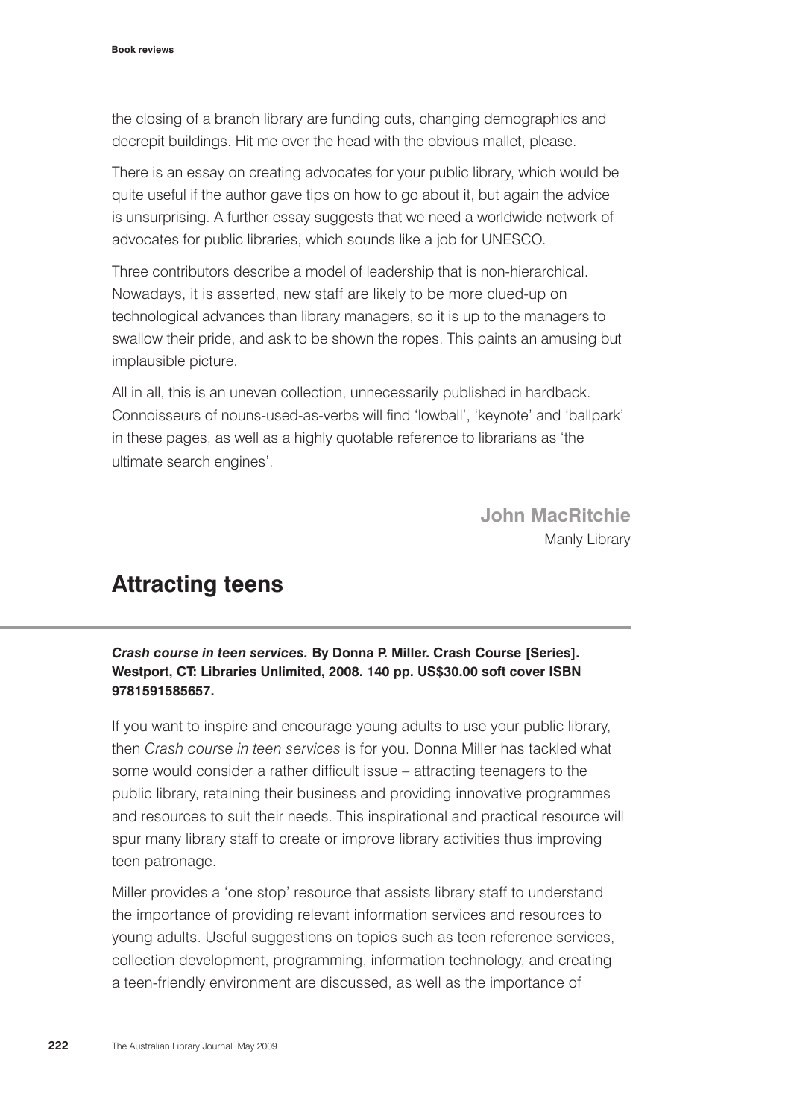the closing of a branch library are funding cuts, changing demographics and decrepit buildings. Hit me over the head with the obvious mallet, please.

There is an essay on creating advocates for your public library, which would be quite useful if the author gave tips on how to go about it, but again the advice is unsurprising. A further essay suggests that we need a worldwide network of advocates for public libraries, which sounds like a job for UNESCO.

Three contributors describe a model of leadership that is non-hierarchical. Nowadays, it is asserted, new staff are likely to be more clued-up on technological advances than library managers, so it is up to the managers to swallow their pride, and ask to be shown the ropes. This paints an amusing but implausible picture.

All in all, this is an uneven collection, unnecessarily published in hardback. Connoisseurs of nouns-used-as-verbs will find 'lowball', 'keynote' and 'ballpark' in these pages, as well as a highly quotable reference to librarians as 'the ultimate search engines'.

> **John MacRitchie** Manly Library

#### **Attracting teens**

*Crash course in teen services.* **By Donna P. Miller. Crash Course [Series]. Westport, CT: Libraries Unlimited, 2008. 140 pp. US\$30.00 soft cover ISBN 9781591585657.**

If you want to inspire and encourage young adults to use your public library, then *Crash course in teen services* is for you. Donna Miller has tackled what some would consider a rather difficult issue – attracting teenagers to the public library, retaining their business and providing innovative programmes and resources to suit their needs. This inspirational and practical resource will spur many library staff to create or improve library activities thus improving teen patronage.

Miller provides a 'one stop' resource that assists library staff to understand the importance of providing relevant information services and resources to young adults. Useful suggestions on topics such as teen reference services, collection development, programming, information technology, and creating a teen-friendly environment are discussed, as well as the importance of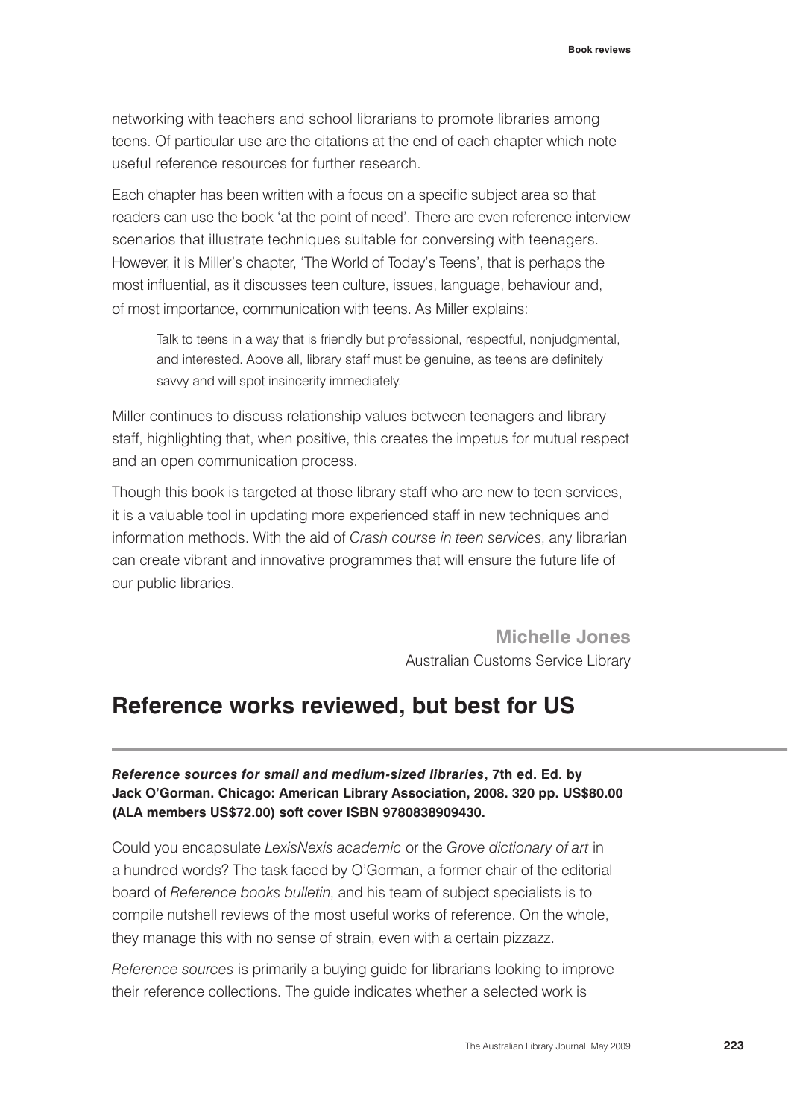networking with teachers and school librarians to promote libraries among teens. Of particular use are the citations at the end of each chapter which note useful reference resources for further research.

Each chapter has been written with a focus on a specific subject area so that readers can use the book 'at the point of need'. There are even reference interview scenarios that illustrate techniques suitable for conversing with teenagers. However, it is Miller's chapter, 'The World of Today's Teens', that is perhaps the most influential, as it discusses teen culture, issues, language, behaviour and, of most importance, communication with teens. As Miller explains:

Talk to teens in a way that is friendly but professional, respectful, nonjudgmental, and interested. Above all, library staff must be genuine, as teens are definitely savvy and will spot insincerity immediately.

Miller continues to discuss relationship values between teenagers and library staff, highlighting that, when positive, this creates the impetus for mutual respect and an open communication process.

Though this book is targeted at those library staff who are new to teen services, it is a valuable tool in updating more experienced staff in new techniques and information methods. With the aid of *Crash course in teen services*, any librarian can create vibrant and innovative programmes that will ensure the future life of our public libraries.

> **Michelle Jones** Australian Customs Service Library

#### **Reference works reviewed, but best for US**

*Reference sources for small and medium-sized libraries***, 7th ed. Ed. by Jack O'Gorman. Chicago: American Library Association, 2008. 320 pp. US\$80.00 (ALA members US\$72.00) soft cover ISBN 9780838909430.**

Could you encapsulate *LexisNexis academic* or the *Grove dictionary of art* in a hundred words? The task faced by O'Gorman, a former chair of the editorial board of *Reference books bulletin*, and his team of subject specialists is to compile nutshell reviews of the most useful works of reference. On the whole, they manage this with no sense of strain, even with a certain pizzazz.

*Reference sources* is primarily a buying guide for librarians looking to improve their reference collections. The guide indicates whether a selected work is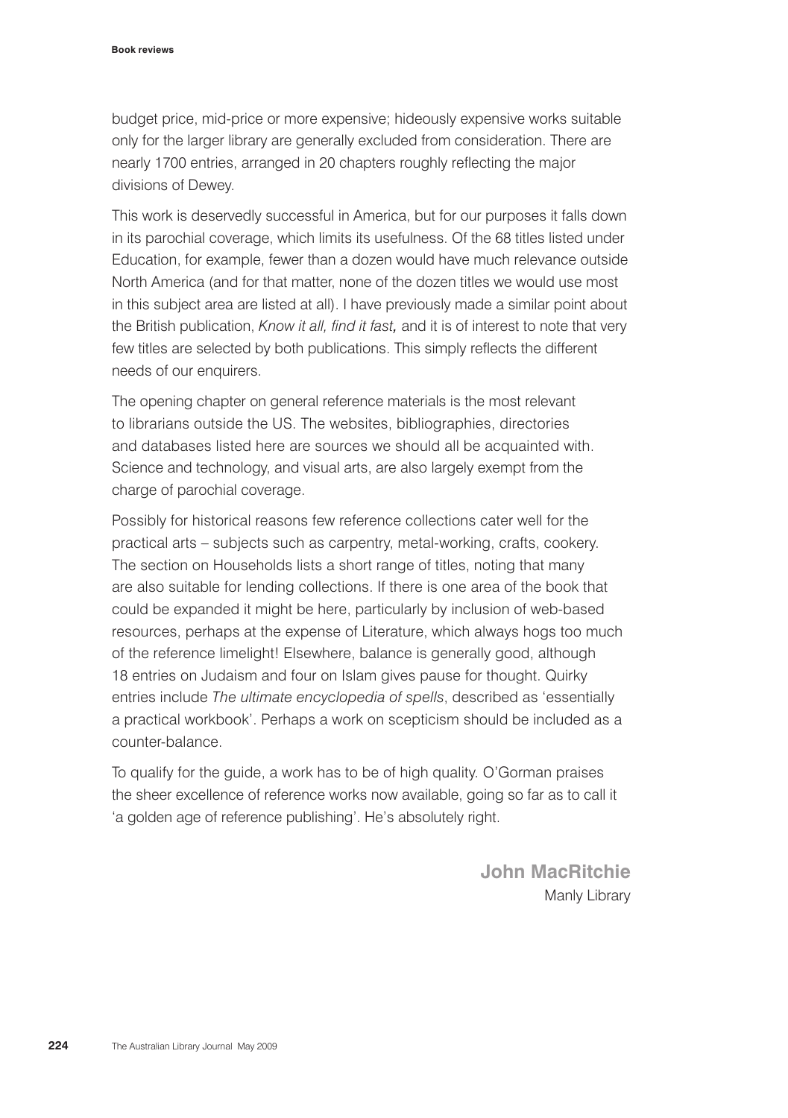budget price, mid-price or more expensive; hideously expensive works suitable only for the larger library are generally excluded from consideration. There are nearly 1700 entries, arranged in 20 chapters roughly reflecting the major divisions of Dewey.

This work is deservedly successful in America, but for our purposes it falls down in its parochial coverage, which limits its usefulness. Of the 68 titles listed under Education, for example, fewer than a dozen would have much relevance outside North America (and for that matter, none of the dozen titles we would use most in this subject area are listed at all). I have previously made a similar point about the British publication, *Know it all, find it fast,* and it is of interest to note that very few titles are selected by both publications. This simply reflects the different needs of our enquirers.

The opening chapter on general reference materials is the most relevant to librarians outside the US. The websites, bibliographies, directories and databases listed here are sources we should all be acquainted with. Science and technology, and visual arts, are also largely exempt from the charge of parochial coverage.

Possibly for historical reasons few reference collections cater well for the practical arts – subjects such as carpentry, metal-working, crafts, cookery. The section on Households lists a short range of titles, noting that many are also suitable for lending collections. If there is one area of the book that could be expanded it might be here, particularly by inclusion of web-based resources, perhaps at the expense of Literature, which always hogs too much of the reference limelight! Elsewhere, balance is generally good, although 18 entries on Judaism and four on Islam gives pause for thought. Quirky entries include *The ultimate encyclopedia of spells*, described as 'essentially a practical workbook'. Perhaps a work on scepticism should be included as a counter-balance.

To qualify for the guide, a work has to be of high quality. O'Gorman praises the sheer excellence of reference works now available, going so far as to call it 'a golden age of reference publishing'. He's absolutely right.

> **John MacRitchie** Manly Library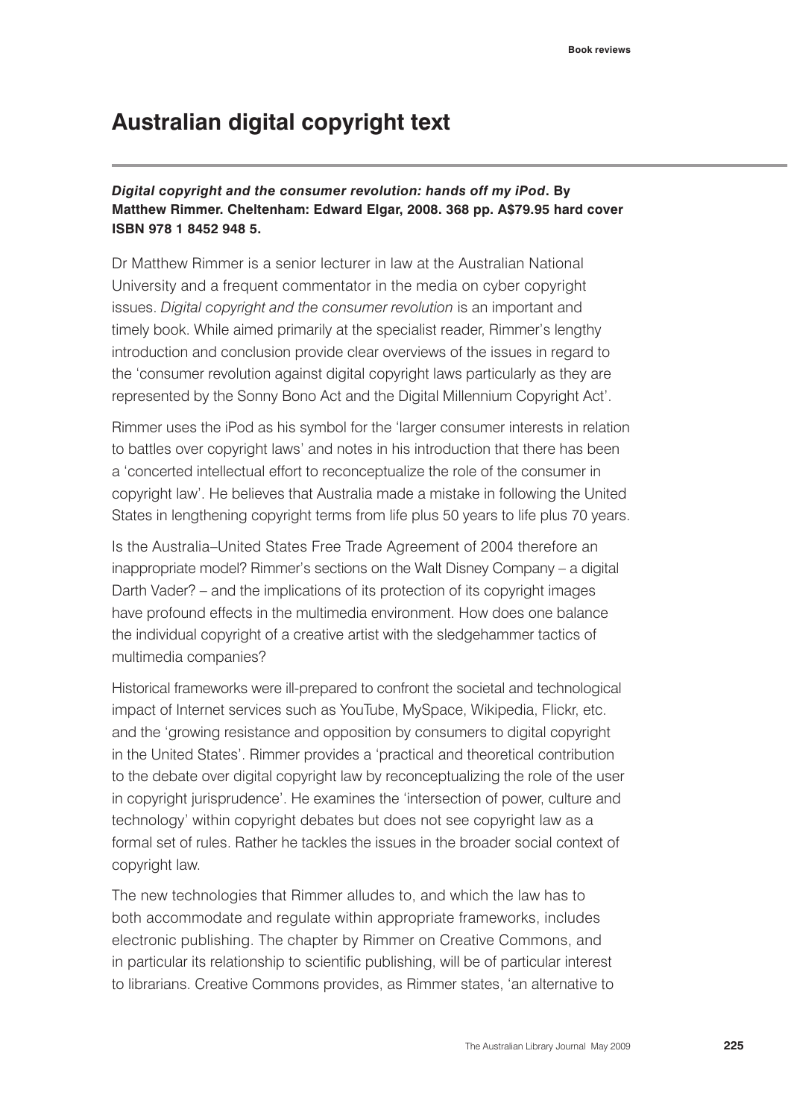# **Australian digital copyright text**

#### *Digital copyright and the consumer revolution: hands off my iPod***. By Matthew Rimmer. Cheltenham: Edward Elgar, 2008. 368 pp. A\$79.95 hard cover ISBN 978 1 8452 948 5.**

Dr Matthew Rimmer is a senior lecturer in law at the Australian National University and a frequent commentator in the media on cyber copyright issues. *Digital copyright and the consumer revolution* is an important and timely book. While aimed primarily at the specialist reader, Rimmer's lengthy introduction and conclusion provide clear overviews of the issues in regard to the 'consumer revolution against digital copyright laws particularly as they are represented by the Sonny Bono Act and the Digital Millennium Copyright Act'.

Rimmer uses the iPod as his symbol for the 'larger consumer interests in relation to battles over copyright laws' and notes in his introduction that there has been a 'concerted intellectual effort to reconceptualize the role of the consumer in copyright law'. He believes that Australia made a mistake in following the United States in lengthening copyright terms from life plus 50 years to life plus 70 years.

Is the Australia–United States Free Trade Agreement of 2004 therefore an inappropriate model? Rimmer's sections on the Walt Disney Company – a digital Darth Vader? – and the implications of its protection of its copyright images have profound effects in the multimedia environment. How does one balance the individual copyright of a creative artist with the sledgehammer tactics of multimedia companies?

Historical frameworks were ill-prepared to confront the societal and technological impact of Internet services such as YouTube, MySpace, Wikipedia, Flickr, etc. and the 'growing resistance and opposition by consumers to digital copyright in the United States'. Rimmer provides a 'practical and theoretical contribution to the debate over digital copyright law by reconceptualizing the role of the user in copyright jurisprudence'. He examines the 'intersection of power, culture and technology' within copyright debates but does not see copyright law as a formal set of rules. Rather he tackles the issues in the broader social context of copyright law.

The new technologies that Rimmer alludes to, and which the law has to both accommodate and regulate within appropriate frameworks, includes electronic publishing. The chapter by Rimmer on Creative Commons, and in particular its relationship to scientific publishing, will be of particular interest to librarians. Creative Commons provides, as Rimmer states, 'an alternative to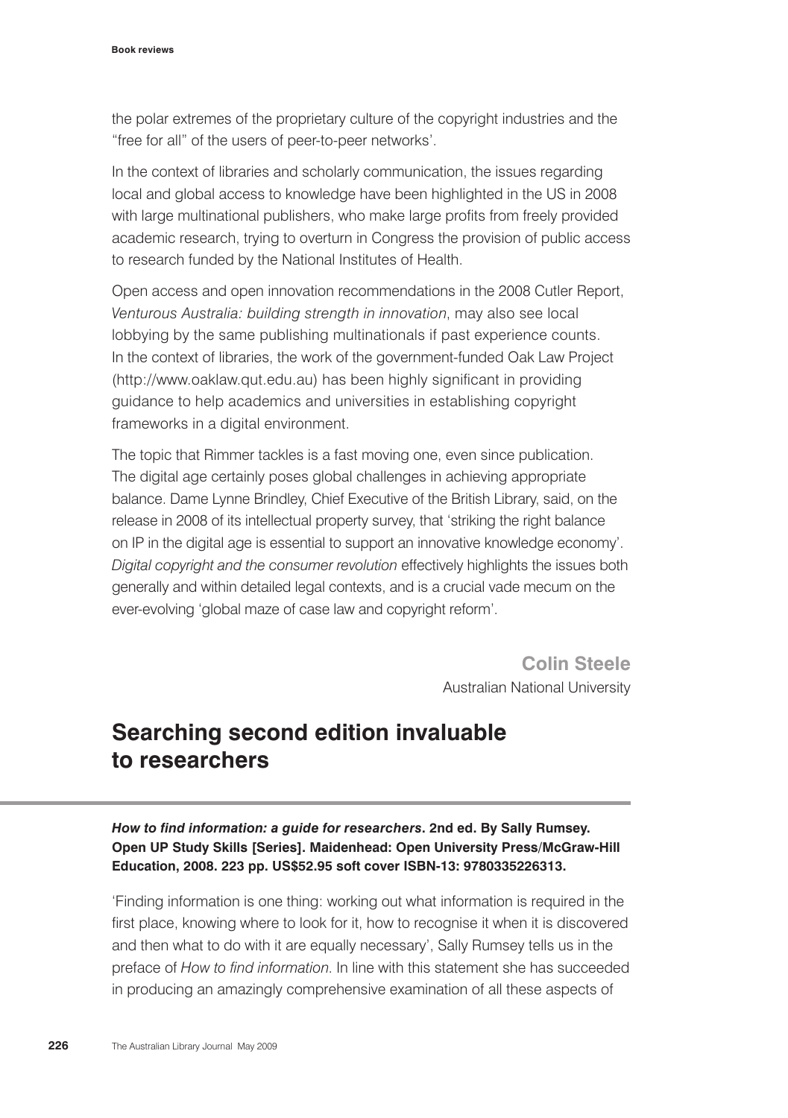the polar extremes of the proprietary culture of the copyright industries and the "free for all" of the users of peer-to-peer networks'.

In the context of libraries and scholarly communication, the issues regarding local and global access to knowledge have been highlighted in the US in 2008 with large multinational publishers, who make large profits from freely provided academic research, trying to overturn in Congress the provision of public access to research funded by the National Institutes of Health.

Open access and open innovation recommendations in the 2008 Cutler Report, *Venturous Australia: building strength in innovation*, may also see local lobbying by the same publishing multinationals if past experience counts. In the context of libraries, the work of the government-funded Oak Law Project (http://www.oaklaw.qut.edu.au) has been highly significant in providing guidance to help academics and universities in establishing copyright frameworks in a digital environment.

The topic that Rimmer tackles is a fast moving one, even since publication. The digital age certainly poses global challenges in achieving appropriate balance. Dame Lynne Brindley, Chief Executive of the British Library, said, on the release in 2008 of its intellectual property survey, that 'striking the right balance on IP in the digital age is essential to support an innovative knowledge economy'. *Digital copyright and the consumer revolution* effectively highlights the issues both generally and within detailed legal contexts, and is a crucial vade mecum on the ever-evolving 'global maze of case law and copyright reform'.

> **Colin Steele** Australian National University

# **Searching second edition invaluable to researchers**

*How to find information: a guide for researchers***. 2nd ed. By Sally Rumsey. Open UP Study Skills [Series]. Maidenhead: Open University Press/McGraw-Hill Education, 2008. 223 pp. US\$52.95 soft cover ISBN-13: 9780335226313.**

'Finding information is one thing: working out what information is required in the first place, knowing where to look for it, how to recognise it when it is discovered and then what to do with it are equally necessary', Sally Rumsey tells us in the preface of *How to find information*. In line with this statement she has succeeded in producing an amazingly comprehensive examination of all these aspects of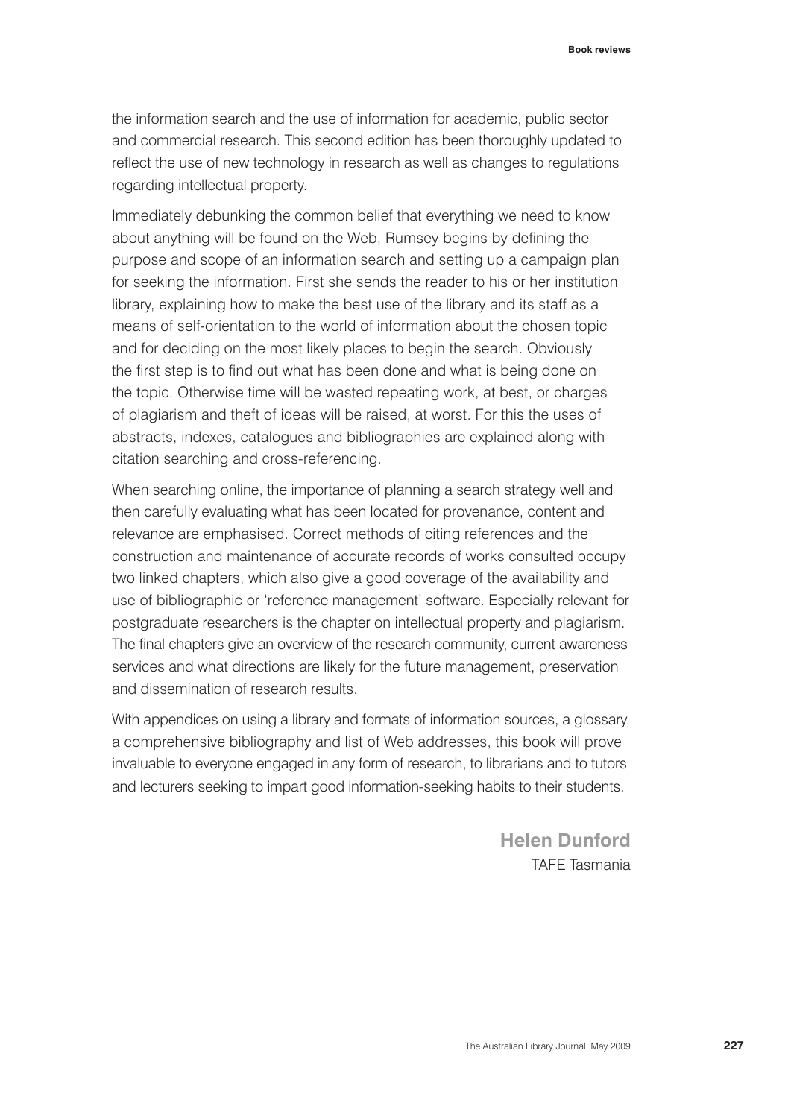the information search and the use of information for academic, public sector and commercial research. This second edition has been thoroughly updated to reflect the use of new technology in research as well as changes to regulations regarding intellectual property.

Immediately debunking the common belief that everything we need to know about anything will be found on the Web, Rumsey begins by defining the purpose and scope of an information search and setting up a campaign plan for seeking the information. First she sends the reader to his or her institution library, explaining how to make the best use of the library and its staff as a means of self-orientation to the world of information about the chosen topic and for deciding on the most likely places to begin the search. Obviously the first step is to find out what has been done and what is being done on the topic. Otherwise time will be wasted repeating work, at best, or charges of plagiarism and theft of ideas will be raised, at worst. For this the uses of abstracts, indexes, catalogues and bibliographies are explained along with citation searching and cross-referencing.

When searching online, the importance of planning a search strategy well and then carefully evaluating what has been located for provenance, content and relevance are emphasised. Correct methods of citing references and the construction and maintenance of accurate records of works consulted occupy two linked chapters, which also give a good coverage of the availability and use of bibliographic or 'reference management' software. Especially relevant for postgraduate researchers is the chapter on intellectual property and plagiarism. The final chapters give an overview of the research community, current awareness services and what directions are likely for the future management, preservation and dissemination of research results.

With appendices on using a library and formats of information sources, a glossary, a comprehensive bibliography and list of Web addresses, this book will prove invaluable to everyone engaged in any form of research, to librarians and to tutors and lecturers seeking to impart good information-seeking habits to their students.

> **Helen Dunford** TAFE Tasmania